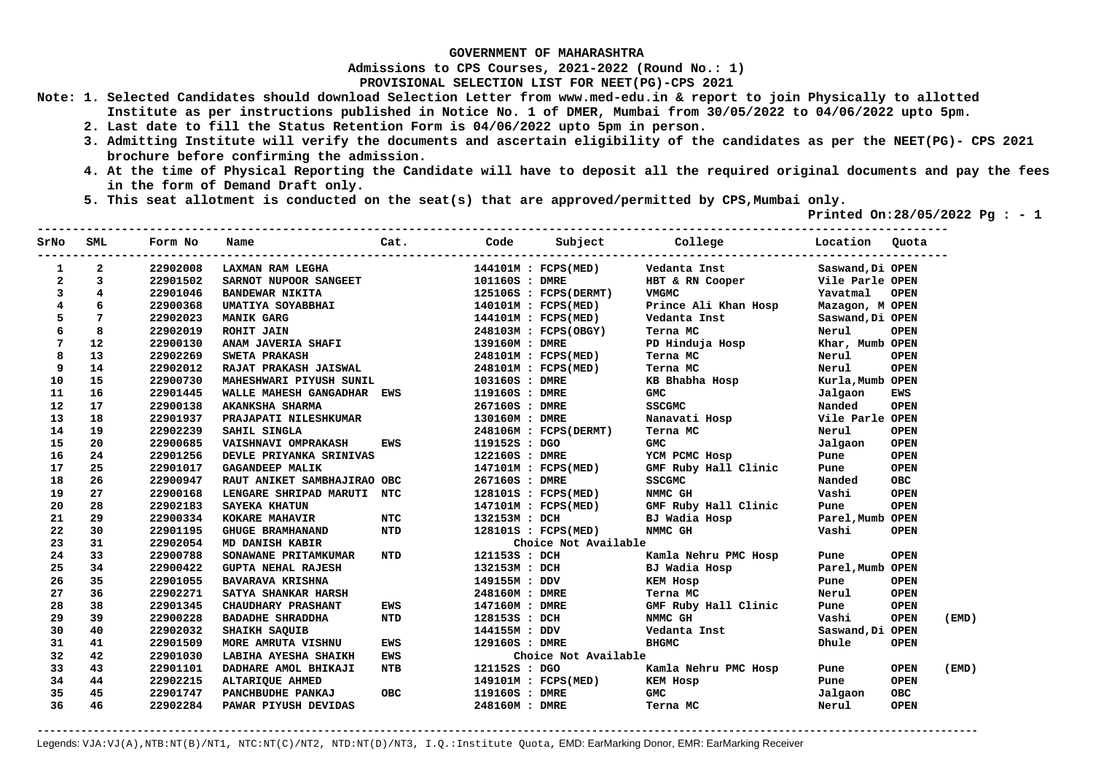**Admissions to CPS Courses, 2021-2022 (Round No.: 1)**

**PROVISIONAL SELECTION LIST FOR NEET(PG)-CPS 2021** 

- **Note: 1. Selected Candidates should download Selection Letter from www.med-edu.in & report to join Physically to allotted Institute as per instructions published in Notice No. 1 of DMER, Mumbai from 30/05/2022 to 04/06/2022 upto 5pm.** 
	- **2. Last date to fill the Status Retention Form is 04/06/2022 upto 5pm in person.**
	- **3. Admitting Institute will verify the documents and ascertain eligibility of the candidates as per the NEET(PG)- CPS 2021 brochure before confirming the admission.**
	- **4. At the time of Physical Reporting the Candidate will have to deposit all the required original documents and pay the fees in the form of Demand Draft only.**
	- **5. This seat allotment is conducted on the seat(s) that are approved/permitted by CPS,Mumbai only.**

 **Printed On:28/05/2022 Pg : - 1** 

| SrNo         | SML                     | Form No  | Name                                                                                                            | Cat.       | Code           |                       | Subject College      | Location Quota   |                      |
|--------------|-------------------------|----------|-----------------------------------------------------------------------------------------------------------------|------------|----------------|-----------------------|----------------------|------------------|----------------------|
| $\mathbf{1}$ | 2                       | 22902008 | LAXMAN RAM LEGHA                                                                                                |            |                | 144101M : FCPS(MED)   | Vedanta Inst         | Saswand, Di OPEN |                      |
| $\mathbf{2}$ | $\overline{\mathbf{3}}$ | 22901502 |                                                                                                                 |            | 101160S : DMRE |                       | HBT & RN Cooper      | Vile Parle OPEN  |                      |
| 3            | $\overline{4}$          | 22901046 | SARNOT NUPOOR SANGEET<br>BANDEWAR NIKITA<br>UMATIYA SOYABBHAI<br>MANIK GARG<br>ROHIT JAIN<br>ANAM JAVERIA SHAFI |            |                | 125106S : FCPS(DERMT) | VMGMC                | Yavatmal         | <b>OPEN</b>          |
| 4            | 6                       | 22900368 |                                                                                                                 |            |                | 140101M : FCPS(MED)   | Prince Ali Khan Hosp | Mazagon, M OPEN  |                      |
| 5            | 7                       | 22902023 |                                                                                                                 |            |                | 144101M : FCPS(MED)   | Vedanta Inst         | Saswand, Di OPEN |                      |
| 6            | 8                       | 22902019 |                                                                                                                 |            |                | 248103M : FCPS(OBGY)  | Terna MC             | Nerul            | <b>OPEN</b>          |
| 7            | 12                      | 22900130 |                                                                                                                 |            | 139160M : DMRE |                       | PD Hinduja Hosp      | Khar, Mumb OPEN  |                      |
| 8            | 13                      | 22902269 | <b>SWETA PRAKASH</b>                                                                                            |            |                | 248101M : FCPS(MED)   | Terna MC             | Nerul            | <b>OPEN</b>          |
| 9            | 14                      | 22902012 | RAJAT PRAKASH JAISWAL                                                                                           |            |                | 248101M : FCPS(MED)   | Terna MC             | Nerul            | <b>OPEN</b>          |
| 10           | 15                      | 22900730 | MAHESHWARI PIYUSH SUNIL                                                                                         |            | 103160S : DMRE |                       | KB Bhabha Hosp       | Kurla, Mumb OPEN |                      |
| 11           | 16                      | 22901445 | WALLE MAHESH GANGADHAR EWS                                                                                      |            | 119160S : DMRE |                       | <b>GMC</b>           | Jalgaon          | <b>EWS</b>           |
| 12           | 17                      | 22900138 | <b>AKANKSHA SHARMA</b>                                                                                          |            | 267160S : DMRE |                       | <b>SSCGMC</b>        | Nanded           | <b>OPEN</b>          |
| 13           | 18                      | 22901937 | -<br>PRAJAPATI NILESHKUMAR<br>------ -------                                                                    |            | 130160M : DMRE |                       | Nanavati Hosp        | Vile Parle OPEN  |                      |
| 14           | 19                      | 22902239 | SAHIL SINGLA                                                                                                    |            |                | 248106M : FCPS(DERMT) | Terna MC             | Nerul            | <b>OPEN</b>          |
| 15           | 20                      | 22900685 | VAISHNAVI OMPRAKASH                                                                                             | <b>EWS</b> | 119152S : DGO  |                       | <b>GMC</b>           | Jalgaon          | <b>OPEN</b>          |
| 16           | 24                      | 22901256 | DEVLE PRIYANKA SRINIVAS                                                                                         |            | 122160S : DMRE |                       | YCM PCMC Hosp        | Pune             | <b>OPEN</b>          |
| 17           | 25                      | 22901017 | <b>GAGANDEEP MALIK</b>                                                                                          |            |                | 147101M : FCPS(MED)   | GMF Ruby Hall Clinic | Pune             | <b>OPEN</b>          |
| 18           | 26                      | 22900947 | RAUT ANIKET SAMBHAJIRAO OBC                                                                                     |            | 267160S : DMRE |                       | <b>SSCGMC</b>        | Nanded           | <b>OBC</b>           |
| 19           | 27                      | 22900168 | LENGARE SHRIPAD MARUTI NTC                                                                                      |            |                | 128101S : FCPS(MED)   | NMMC GH              | Vashi            | <b>OPEN</b>          |
| 20           | 28                      | 22902183 | <b>SAYEKA KHATUN</b>                                                                                            |            |                | 147101M : FCPS(MED)   | GMF Ruby Hall Clinic | Pune             | <b>OPEN</b>          |
| 21           | 29                      | 22900334 | KOKARE MAHAVIR                                                                                                  | NTC        | 132153M : DCH  |                       | BJ Wadia Hosp        | Parel, Mumb OPEN |                      |
| 22           | 30                      | 22901195 | <b>NTD</b><br><b>GHUGE BRAMHANAND</b>                                                                           |            |                | 128101S : FCPS(MED)   | NMMC GH              | Vashi            | <b>OPEN</b>          |
| 23           | 31                      | 22902054 | MD DANISH KABIR                                                                                                 |            |                | Choice Not Available  |                      |                  |                      |
| 24           | 33                      | 22900788 | SONAWANE PRITAMKUMAR NTD                                                                                        |            |                | 121153S : DCH         | Kamla Nehru PMC Hosp | Pune             | <b>OPEN</b>          |
| 25           | 34                      | 22900422 | <b>GUPTA NEHAL RAJESH</b>                                                                                       |            | 132153M : DCH  |                       | BJ Wadia Hosp        | Parel, Mumb OPEN |                      |
| 26           | 35                      | 22901055 | <b>BAVARAVA KRISHNA</b>                                                                                         |            | 149155M : DDV  |                       | KEM Hosp             | Pune             | <b>OPEN</b>          |
| 27           | 36                      | 22902271 | <b>SATYA SHANKAR HARSH</b>                                                                                      |            | 248160M : DMRE |                       | Terna MC             | Nerul            | <b>OPEN</b>          |
| 28           | 38                      | 22901345 | <b>CHAUDHARY PRASHANT</b>                                                                                       | <b>EWS</b> | 147160M : DMRE |                       | GMF Ruby Hall Clinic | Pune             | <b>OPEN</b>          |
| 29           | 39                      | 22900228 | <b>BADADHE SHRADDHA</b>                                                                                         | <b>NTD</b> | 128153S : DCH  |                       | NMMC GH              | Vashi            | <b>OPEN</b><br>(EMD) |
| 30           | 40                      | 22902032 | SHAIKH SAQUIB                                                                                                   |            |                | 144155M : DDV         | Vedanta Inst         | Saswand, Di OPEN |                      |
| 31           | 41                      | 22901509 | MORE AMRUTA VISHNU                                                                                              | <b>EWS</b> | 129160S : DMRE |                       | <b>BHGMC</b>         | Dhule            | <b>OPEN</b>          |
| 32           | 42                      | 22901030 | LABIHA AYESHA SHAIKH                                                                                            | EWS        |                | Choice Not Available  |                      |                  |                      |
| 33           | 43                      | 22901101 | DADHARE AMOL BHIKAJI                                                                                            | <b>NTB</b> | 121152S : DGO  |                       | Kamla Nehru PMC Hosp | Pune             | <b>OPEN</b><br>(EMD) |
| 34           | 44                      | 22902215 | ALTARIQUE AHMED                                                                                                 |            |                | 149101M : FCPS(MED)   | KEM HOSP             | Pune             | <b>OPEN</b>          |
| 35           | 45                      | 22901747 | PANCHBUDHE PANKAJ                                                                                               | <b>OBC</b> | 119160S : DMRE |                       | <b>GMC</b>           | Jalgaon          | <b>OBC</b>           |
| 36           | 46                      | 22902284 | PAWAR PIYUSH DEVIDAS                                                                                            |            | 248160M : DMRE |                       | Terna MC             | Nerul            | <b>OPEN</b>          |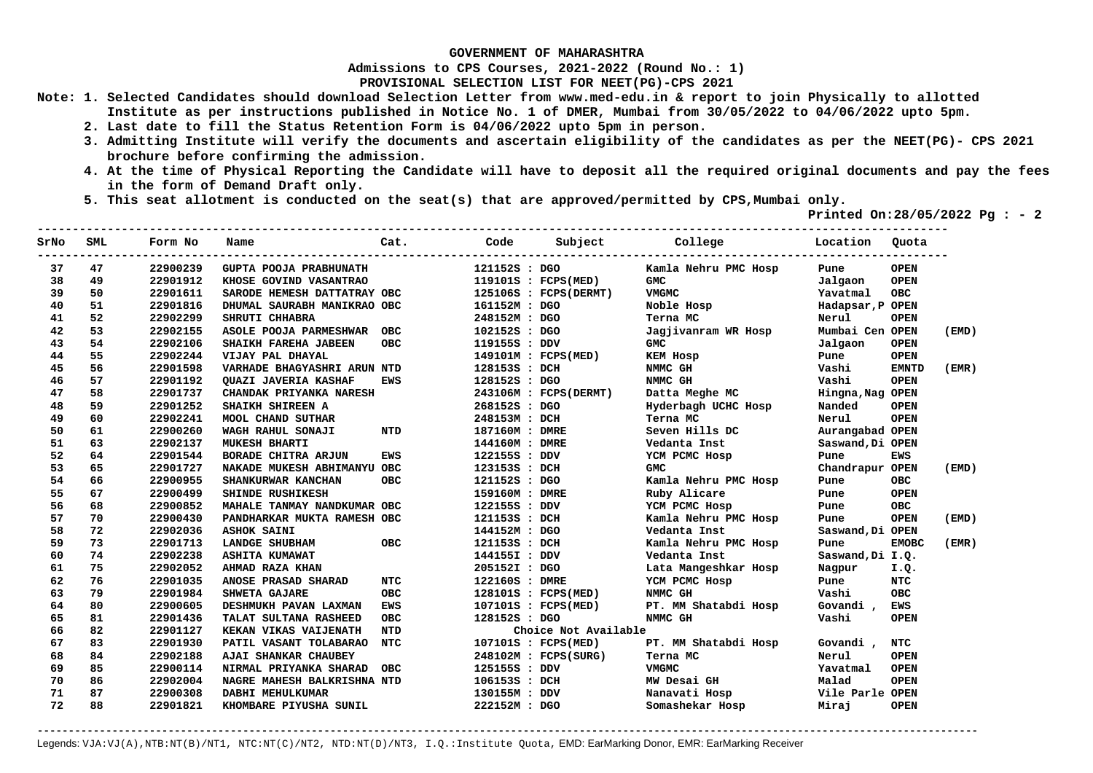**Admissions to CPS Courses, 2021-2022 (Round No.: 1)**

**PROVISIONAL SELECTION LIST FOR NEET(PG)-CPS 2021** 

**Note: 1. Selected Candidates should download Selection Letter from www.med-edu.in & report to join Physically to allotted Institute as per instructions published in Notice No. 1 of DMER, Mumbai from 30/05/2022 to 04/06/2022 upto 5pm.** 

- **2. Last date to fill the Status Retention Form is 04/06/2022 upto 5pm in person.**
- **3. Admitting Institute will verify the documents and ascertain eligibility of the candidates as per the NEET(PG)- CPS 2021 brochure before confirming the admission.**
- **4. At the time of Physical Reporting the Candidate will have to deposit all the required original documents and pay the fees in the form of Demand Draft only.**
- **5. This seat allotment is conducted on the seat(s) that are approved/permitted by CPS,Mumbai only.**

 **Printed On:28/05/2022 Pg : - 2** 

| SrNo | SML | Form No  | Name                        | Cat.       | Code           |                       | Subject College      | Location Quota   |              |       |
|------|-----|----------|-----------------------------|------------|----------------|-----------------------|----------------------|------------------|--------------|-------|
| 37   | 47  | 22900239 | GUPTA POOJA PRABHUNATH      |            | 121152S : DGO  |                       | Kamla Nehru PMC Hosp | Pune             | <b>OPEN</b>  |       |
| 38   | 49  | 22901912 | KHOSE GOVIND VASANTRAO      |            |                | 119101S : FCPS(MED)   | <b>GMC</b>           | Jalgaon          | <b>OPEN</b>  |       |
| 39   | 50  | 22901611 | SARODE HEMESH DATTATRAY OBC |            |                | 125106S : FCPS(DERMT) | <b>VMGMC</b>         | Yavatmal         | <b>OBC</b>   |       |
| 40   | 51  | 22901816 | DHUMAL SAURABH MANIKRAO OBC |            | 161152M : DGO  |                       | Noble Hosp           | Hadapsar, P OPEN |              |       |
| 41   | 52  | 22902299 | SHRUTI CHHABRA              |            | 248152M : DGO  |                       | Terna MC             | Nerul            | <b>OPEN</b>  |       |
| 42   | 53  | 22902155 | ASOLE POOJA PARMESHWAR OBC  |            | 102152S : DGO  |                       | Jagjivanram WR Hosp  | Mumbai Cen OPEN  |              | (EMD) |
| 43   | 54  | 22902106 | SHAIKH FAREHA JABEEN        | <b>OBC</b> | 119155S : DDV  |                       | <b>GMC</b>           | Jalgaon          | <b>OPEN</b>  |       |
| 44   | 55  | 22902244 | VIJAY PAL DHAYAL            |            |                | 149101M : FCPS(MED)   | KEM Hosp             | Pune             | <b>OPEN</b>  |       |
| 45   | 56  | 22901598 | VARHADE BHAGYASHRI ARUN NTD |            | 128153S : DCH  |                       | NMMC GH              | Vashi            | <b>EMNTD</b> | (EMR) |
| 46   | 57  | 22901192 | QUAZI JAVERIA KASHAF        | EWS        | 128152S : DGO  |                       | NMMC GH              | Vashi            | <b>OPEN</b>  |       |
| 47   | 58  | 22901737 | CHANDAK PRIYANKA NARESH     |            |                | 243106M : FCPS(DERMT) | Datta Meghe MC       | Hingna, Nag OPEN |              |       |
| 48   | 59  | 22901252 | SHAIKH SHIREEN A            |            | 268152S : DGO  |                       | Hyderbagh UCHC Hosp  | Nanded           | <b>OPEN</b>  |       |
| 49   | 60  | 22902241 | <b>MOOL CHAND SUTHAR</b>    |            | 248153M : DCH  |                       | Terna MC             | Nerul            | <b>OPEN</b>  |       |
| 50   | 61  | 22900260 | WAGH RAHUL SONAJI           | NTD        | 187160M : DMRE |                       | Seven Hills DC       | Aurangabad OPEN  |              |       |
| 51   | 63  | 22902137 | <b>MUKESH BHARTI</b>        |            | 144160M : DMRE |                       | Vedanta Inst         | Saswand, Di OPEN |              |       |
| 52   | 64  | 22901544 | BORADE CHITRA ARJUN         | <b>EWS</b> | 122155S : DDV  |                       | YCM PCMC Hosp        | Pune             | <b>EWS</b>   |       |
| 53   | 65  | 22901727 | NAKADE MUKESH ABHIMANYU OBC |            | 123153S : DCH  |                       | <b>GMC</b>           | Chandrapur OPEN  |              | (EMD) |
| 54   | 66  | 22900955 | SHANKURWAR KANCHAN          | <b>OBC</b> | 121152S : DGO  |                       | Kamla Nehru PMC Hosp | Pune             | <b>OBC</b>   |       |
| 55   | 67  | 22900499 | SHINDE RUSHIKESH            |            | 159160M : DMRE |                       | Ruby Alicare         | Pune             | <b>OPEN</b>  |       |
| 56   | 68  | 22900852 | MAHALE TANMAY NANDKUMAR OBC |            | 122155S : DDV  |                       | YCM PCMC Hosp        | Pune             | <b>OBC</b>   |       |
| 57   | 70  | 22900430 | PANDHARKAR MUKTA RAMESH OBC |            | 121153S : DCH  |                       | Kamla Nehru PMC Hosp | Pune             | <b>OPEN</b>  | (EMD) |
| 58   | 72  | 22902036 | <b>ASHOK SAINI</b>          |            | 144152M : DGO  |                       | Vedanta Inst         | Saswand, Di OPEN |              |       |
| 59   | 73  | 22901713 | <b>LANDGE SHUBHAM</b>       | <b>OBC</b> | 121153S : DCH  |                       | Kamla Nehru PMC Hosp | Pune             | <b>EMOBC</b> | (EMR) |
| 60   | 74  | 22902238 | <b>ASHITA KUMAWAT</b>       |            | 144155I : DDV  |                       | Vedanta Inst         | Saswand, Di I.Q. |              |       |
| 61   | 75  | 22902052 | AHMAD RAZA KHAN             |            | 205152I : DGO  |                       | Lata Mangeshkar Hosp | Nagpur           | I.Q.         |       |
| 62   | 76  | 22901035 | ANOSE PRASAD SHARAD         | <b>NTC</b> | 122160S : DMRE |                       | YCM PCMC Hosp        | Pune             | <b>NTC</b>   |       |
| 63   | 79  | 22901984 | SHWETA GAJARE               | <b>OBC</b> |                | 128101S : FCPS(MED)   | NMMC GH              | Vashi            | <b>OBC</b>   |       |
| 64   | 80  | 22900605 | DESHMUKH PAVAN LAXMAN       | <b>EWS</b> |                | 107101S : FCPS(MED)   | PT. MM Shatabdi Hosp | Govandi ,        | <b>EWS</b>   |       |
| 65   | 81  | 22901436 | TALAT SULTANA RASHEED       | <b>OBC</b> | 128152S : DGO  |                       | NMMC GH              | Vashi            | <b>OPEN</b>  |       |
| 66   | 82  | 22901127 | KEKAN VIKAS VAIJENATH       | NTD        |                | Choice Not Available  |                      |                  |              |       |
| 67   | 83  | 22901930 | PATIL VASANT TOLABARAO      | NTC        |                | 107101S : FCPS(MED)   | PT. MM Shatabdi Hosp | Govandi,         | NTC          |       |
| 68   | 84  | 22902188 | AJAI SHANKAR CHAUBEY        |            |                | 248102M : FCPS(SURG)  | Terna MC             | Nerul            | <b>OPEN</b>  |       |
| 69   | 85  | 22900114 | NIRMAL PRIYANKA SHARAD      | OBC        | 125155S : DDV  |                       | <b>VMGMC</b>         | Yavatmal         | <b>OPEN</b>  |       |
| 70   | 86  | 22902004 | NAGRE MAHESH BALKRISHNA NTD |            | 106153S : DCH  |                       | MW Desai GH          | Malad            | <b>OPEN</b>  |       |
| 71   | 87  | 22900308 | DABHI MEHULKUMAR            |            | 130155M : DDV  |                       | Nanavati Hosp        | Vile Parle OPEN  |              |       |
| 72   | 88  | 22901821 | KHOMBARE PIYUSHA SUNIL      |            | 222152M : DGO  |                       | Somashekar Hosp      | Miraj            | <b>OPEN</b>  |       |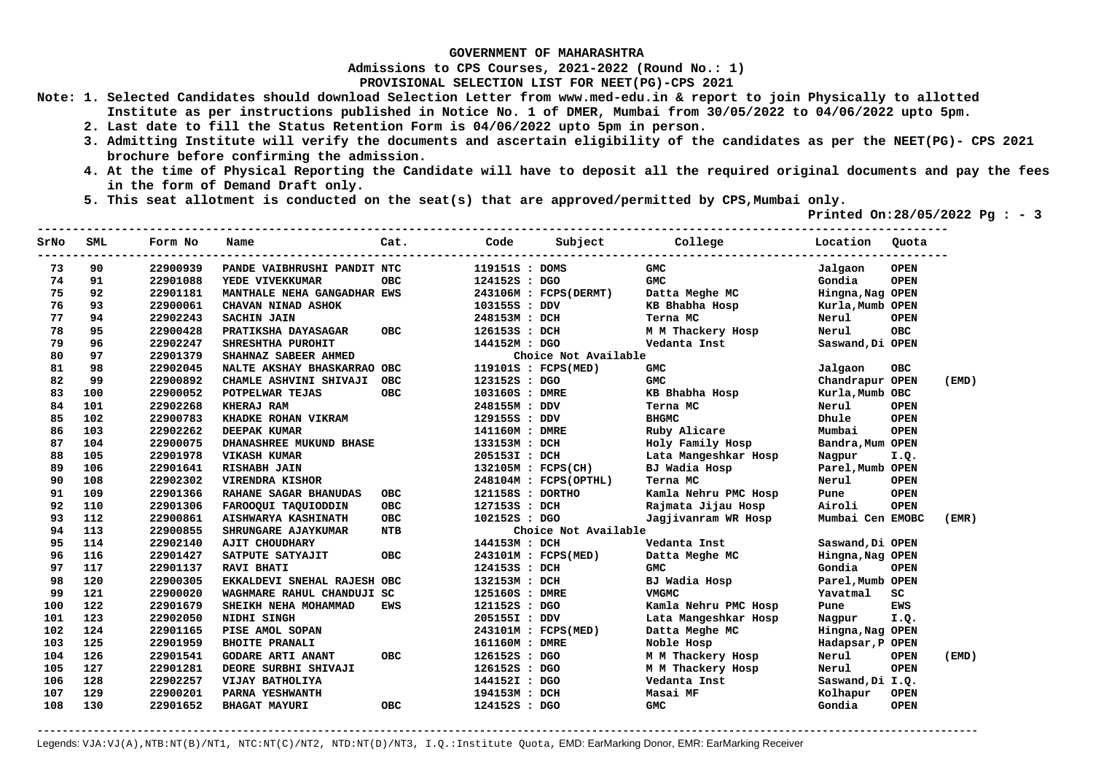**Admissions to CPS Courses, 2021-2022 (Round No.: 1)**

**PROVISIONAL SELECTION LIST FOR NEET(PG)-CPS 2021** 

- **Note: 1. Selected Candidates should download Selection Letter from www.med-edu.in & report to join Physically to allotted Institute as per instructions published in Notice No. 1 of DMER, Mumbai from 30/05/2022 to 04/06/2022 upto 5pm.** 
	- **2. Last date to fill the Status Retention Form is 04/06/2022 upto 5pm in person.**
	- **3. Admitting Institute will verify the documents and ascertain eligibility of the candidates as per the NEET(PG)- CPS 2021 brochure before confirming the admission.**
	- **4. At the time of Physical Reporting the Candidate will have to deposit all the required original documents and pay the fees in the form of Demand Draft only.**
	- **5. This seat allotment is conducted on the seat(s) that are approved/permitted by CPS,Mumbai only.**

 **Printed On:28/05/2022 Pg : - 3** 

| 22900939<br>73<br>90<br>PANDE VAIBHRUSHI PANDIT NTC<br>119151S : DOMS<br>GMC<br>Jalgaon<br>74<br>91<br>22901088<br>124152S : DGO<br><b>GMC</b><br>Gondia<br>YEDE VIVEKKUMAR<br><b>OBC</b><br>75<br>92<br>MANTHALE NEHA GANGADHAR EWS<br>22901181<br>243106M : FCPS(DERMT)<br>Datta Meghe MC<br>Hingna, Nag OPEN<br>76<br>93<br>KB Bhabha Hosp<br>22900061<br>CHAVAN NINAD ASHOK<br>103155S : DDV<br>Kurla, Mumb OPEN<br>77<br>94<br>22902243<br>Terna MC<br><b>SACHIN JAIN</b><br>248153M : DCH<br>Nerul<br>78<br>95<br>22900428<br>PRATIKSHA DAYASAGAR<br><b>OBC</b><br>126153S : DCH<br>M M Thackery Hosp<br>Nerul<br>79<br>96<br>22902247<br>Vedanta Inst<br>Saswand, Di OPEN<br>SHRESHTHA PUROHIT<br>144152M : DGO<br>80<br>97<br>22901379<br>Choice Not Available<br>SHAHNAZ SABEER AHMED | <b>OPEN</b><br><b>OPEN</b><br><b>OPEN</b><br><b>OBC</b> |
|------------------------------------------------------------------------------------------------------------------------------------------------------------------------------------------------------------------------------------------------------------------------------------------------------------------------------------------------------------------------------------------------------------------------------------------------------------------------------------------------------------------------------------------------------------------------------------------------------------------------------------------------------------------------------------------------------------------------------------------------------------------------------------------------|---------------------------------------------------------|
|                                                                                                                                                                                                                                                                                                                                                                                                                                                                                                                                                                                                                                                                                                                                                                                                |                                                         |
|                                                                                                                                                                                                                                                                                                                                                                                                                                                                                                                                                                                                                                                                                                                                                                                                |                                                         |
|                                                                                                                                                                                                                                                                                                                                                                                                                                                                                                                                                                                                                                                                                                                                                                                                |                                                         |
|                                                                                                                                                                                                                                                                                                                                                                                                                                                                                                                                                                                                                                                                                                                                                                                                |                                                         |
|                                                                                                                                                                                                                                                                                                                                                                                                                                                                                                                                                                                                                                                                                                                                                                                                |                                                         |
|                                                                                                                                                                                                                                                                                                                                                                                                                                                                                                                                                                                                                                                                                                                                                                                                |                                                         |
|                                                                                                                                                                                                                                                                                                                                                                                                                                                                                                                                                                                                                                                                                                                                                                                                |                                                         |
|                                                                                                                                                                                                                                                                                                                                                                                                                                                                                                                                                                                                                                                                                                                                                                                                |                                                         |
| 81<br>98<br>22902045<br>NALTE AKSHAY BHASKARRAO OBC<br>119101S : FCPS(MED)<br>GMC<br>Jalgaon                                                                                                                                                                                                                                                                                                                                                                                                                                                                                                                                                                                                                                                                                                   | <b>OBC</b>                                              |
| 82<br>99<br>22900892<br><b>GMC</b><br>CHAMLE ASHVINI SHIVAJI<br><b>OBC</b><br>123152S : DGO<br>Chandrapur OPEN                                                                                                                                                                                                                                                                                                                                                                                                                                                                                                                                                                                                                                                                                 | (EMD)                                                   |
| 83<br>100<br>22900052<br><b>OBC</b><br>103160S : DMRE<br>KB Bhabha Hosp<br>Kurla, Mumb OBC<br>POTPELWAR TEJAS                                                                                                                                                                                                                                                                                                                                                                                                                                                                                                                                                                                                                                                                                  |                                                         |
| 84<br>101<br>22902268<br>KHERAJ RAM<br>248155M : DDV<br>Terna MC<br>Nerul                                                                                                                                                                                                                                                                                                                                                                                                                                                                                                                                                                                                                                                                                                                      | <b>OPEN</b>                                             |
| 85<br>102<br><b>BHGMC</b><br>22900783<br>KHADKE ROHAN VIKRAM<br>129155S : DDV<br>Dhule                                                                                                                                                                                                                                                                                                                                                                                                                                                                                                                                                                                                                                                                                                         | <b>OPEN</b>                                             |
| Mumbai<br>86<br>103<br>22902262<br><b>DEEPAK KUMAR</b><br>Ruby Alicare<br>141160M : DMRE                                                                                                                                                                                                                                                                                                                                                                                                                                                                                                                                                                                                                                                                                                       | <b>OPEN</b>                                             |
| 87<br>104<br>22900075<br>DHANASHREE MUKUND BHASE<br>Holy Family Hosp<br>133153M : DCH<br>Bandra, Mum OPEN                                                                                                                                                                                                                                                                                                                                                                                                                                                                                                                                                                                                                                                                                      |                                                         |
| 88<br>105<br>22901978<br>205153I : DCH<br>Lata Mangeshkar Hosp<br><b>VIKASH KUMAR</b><br>Nagpur                                                                                                                                                                                                                                                                                                                                                                                                                                                                                                                                                                                                                                                                                                | I.Q.                                                    |
| BJ Wadia Hosp<br>89<br>106<br>22901641<br>Parel, Mumb OPEN<br>RISHABH JAIN<br>132105M : FCPS(CH)                                                                                                                                                                                                                                                                                                                                                                                                                                                                                                                                                                                                                                                                                               |                                                         |
| 90<br>108<br>22902302<br>Terna MC<br>VIRENDRA KISHOR<br>248104M : FCPS(OPTHL)<br>Nerul                                                                                                                                                                                                                                                                                                                                                                                                                                                                                                                                                                                                                                                                                                         | <b>OPEN</b>                                             |
| 109<br>22901366<br>Kamla Nehru PMC Hosp<br>91<br><b>RAHANE SAGAR BHANUDAS</b><br><b>OBC</b><br>121158S : DORTHO<br>Pune                                                                                                                                                                                                                                                                                                                                                                                                                                                                                                                                                                                                                                                                        | <b>OPEN</b>                                             |
| <b>OBC</b><br>Airoli<br>92<br>110<br>22901306<br>127153S : DCH<br>Rajmata Jijau Hosp<br>FAROOQUI TAQUIODDIN                                                                                                                                                                                                                                                                                                                                                                                                                                                                                                                                                                                                                                                                                    | <b>OPEN</b>                                             |
| Mumbai Cen EMOBC<br>93<br>112<br>22900861<br><b>OBC</b><br>102152S : DGO<br>Jagjivanram WR Hosp<br>AISHWARYA KASHINATH                                                                                                                                                                                                                                                                                                                                                                                                                                                                                                                                                                                                                                                                         | (EMR)                                                   |
| 94<br>113<br><b>NTB</b><br>Choice Not Available<br>22900855<br><b>SHRUNGARE AJAYKUMAR</b>                                                                                                                                                                                                                                                                                                                                                                                                                                                                                                                                                                                                                                                                                                      |                                                         |
| 95<br>114<br>22902140<br>144153M : DCH<br>Saswand, Di OPEN<br><b>AJIT CHOUDHARY</b><br>Vedanta Inst                                                                                                                                                                                                                                                                                                                                                                                                                                                                                                                                                                                                                                                                                            |                                                         |
| 96<br>116<br>22901427<br>SATPUTE SATYAJIT<br><b>OBC</b><br>243101M : FCPS(MED)<br>Datta Meghe MC<br>Hingna, Nag OPEN                                                                                                                                                                                                                                                                                                                                                                                                                                                                                                                                                                                                                                                                           |                                                         |
| 97<br>117<br><b>GMC</b><br>Gondia<br>22901137<br><b>RAVI BHATI</b><br>124153S : DCH                                                                                                                                                                                                                                                                                                                                                                                                                                                                                                                                                                                                                                                                                                            | <b>OPEN</b>                                             |
| 98<br>120<br>22900305<br>EKKALDEVI SNEHAL RAJESH OBC<br>BJ Wadia Hosp<br>Parel, Mumb OPEN<br>132153M : DCH                                                                                                                                                                                                                                                                                                                                                                                                                                                                                                                                                                                                                                                                                     |                                                         |
| 99<br>121<br>22900020<br>WAGHMARE RAHUL CHANDUJI SC<br><b>VMGMC</b><br>Yavatmal<br>125160S : DMRE                                                                                                                                                                                                                                                                                                                                                                                                                                                                                                                                                                                                                                                                                              | SC                                                      |
| 122<br>SHEIKH NEHA MOHAMMAD<br>100<br>22901679<br><b>EWS</b><br>121152S : DGO<br>Kamla Nehru PMC Hosp<br>Pune                                                                                                                                                                                                                                                                                                                                                                                                                                                                                                                                                                                                                                                                                  | <b>EWS</b>                                              |
| 123<br>Lata Mangeshkar Hosp<br>101<br>22902050<br>NIDHI SINGH<br>205155I : DDV<br>Nagpur                                                                                                                                                                                                                                                                                                                                                                                                                                                                                                                                                                                                                                                                                                       | I.Q.                                                    |
| 124<br>102<br>22901165<br>Datta Meghe MC<br>PISE AMOL SOPAN<br>243101M : FCPS(MED)<br>Hingna, Nag OPEN                                                                                                                                                                                                                                                                                                                                                                                                                                                                                                                                                                                                                                                                                         |                                                         |
| 125<br>22901959<br>103<br><b>BHOITE PRANALI</b><br>161160M : DMRE<br>Noble Hosp<br>Hadapsar, P OPEN                                                                                                                                                                                                                                                                                                                                                                                                                                                                                                                                                                                                                                                                                            |                                                         |
| 126<br>22901541<br>104<br>ОВС<br>126152S : DGO<br>M M Thackery Hosp<br>Nerul<br><b>GODARE ARTI ANANT</b>                                                                                                                                                                                                                                                                                                                                                                                                                                                                                                                                                                                                                                                                                       | <b>OPEN</b><br>(EMD)                                    |
| 105<br>127<br>22901281<br>126152S : DGO<br>DEORE SURBHI SHIVAJI<br>M M Thackery Hosp<br>Nerul                                                                                                                                                                                                                                                                                                                                                                                                                                                                                                                                                                                                                                                                                                  | <b>OPEN</b>                                             |
| 128<br>22902257<br>VIJAY BATHOLIYA<br>144152I : DGO<br>Vedanta Inst<br>Saswand, Di I.Q.<br>106                                                                                                                                                                                                                                                                                                                                                                                                                                                                                                                                                                                                                                                                                                 |                                                         |
| 129<br>Masai MF<br>107<br>22900201<br>PARNA YESHWANTH<br>194153M : DCH<br>Kolhapur                                                                                                                                                                                                                                                                                                                                                                                                                                                                                                                                                                                                                                                                                                             | <b>OPEN</b>                                             |
| 108<br>130<br>OBC<br><b>GMC</b><br>Gondia<br>22901652<br><b>BHAGAT MAYURI</b><br>124152S : DGO                                                                                                                                                                                                                                                                                                                                                                                                                                                                                                                                                                                                                                                                                                 | <b>OPEN</b>                                             |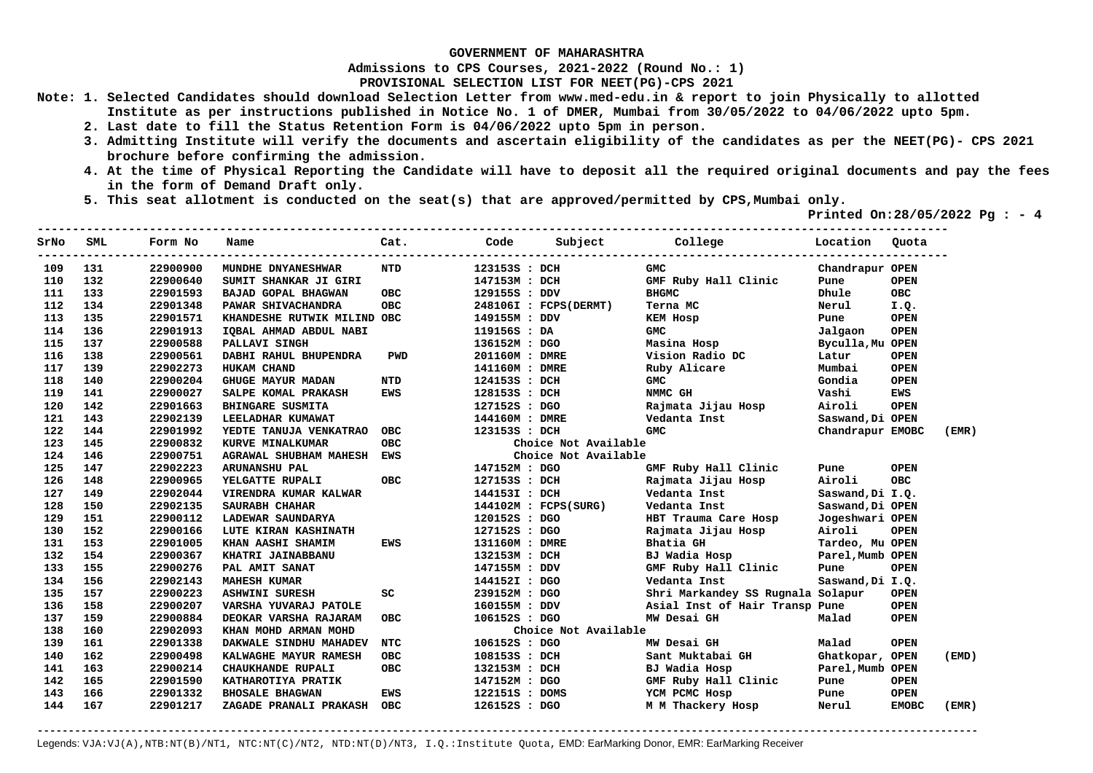**Admissions to CPS Courses, 2021-2022 (Round No.: 1)**

**PROVISIONAL SELECTION LIST FOR NEET(PG)-CPS 2021** 

- **Note: 1. Selected Candidates should download Selection Letter from www.med-edu.in & report to join Physically to allotted Institute as per instructions published in Notice No. 1 of DMER, Mumbai from 30/05/2022 to 04/06/2022 upto 5pm.** 
	- **2. Last date to fill the Status Retention Form is 04/06/2022 upto 5pm in person.**
	- **3. Admitting Institute will verify the documents and ascertain eligibility of the candidates as per the NEET(PG)- CPS 2021 brochure before confirming the admission.**
	- **4. At the time of Physical Reporting the Candidate will have to deposit all the required original documents and pay the fees in the form of Demand Draft only.**
	- **5. This seat allotment is conducted on the seat(s) that are approved/permitted by CPS,Mumbai only.**

 **Printed On:28/05/2022 Pg : - 4** 

| SrNo | SML | Form No  | Name                        | Cat.       | Code           | Subject               | <b>College</b>                    | Location         | Ouota        |       |
|------|-----|----------|-----------------------------|------------|----------------|-----------------------|-----------------------------------|------------------|--------------|-------|
| 109  | 131 | 22900900 | MUNDHE DNYANESHWAR          | NTD        | 123153S : DCH  |                       | <b>GMC</b>                        | Chandrapur OPEN  |              |       |
| 110  | 132 | 22900640 | SUMIT SHANKAR JI GIRI       |            | 147153M : DCH  |                       | GMF Ruby Hall Clinic              | Pune             | <b>OPEN</b>  |       |
| 111  | 133 | 22901593 | BAJAD GOPAL BHAGWAN         | <b>OBC</b> | 129155S : DDV  |                       | <b>BHGMC</b>                      | Dhule            | OBC          |       |
| 112  | 134 | 22901348 | PAWAR SHIVACHANDRA          | OBC        |                | 248106I : FCPS(DERMT) | Terna MC                          | Nerul            | I.Q.         |       |
| 113  | 135 | 22901571 | KHANDESHE RUTWIK MILIND OBC |            | 149155M : DDV  |                       | KEM Hosp                          | Pune             | <b>OPEN</b>  |       |
| 114  | 136 | 22901913 | IQBAL AHMAD ABDUL NABI      |            | 119156S : DA   |                       | <b>GMC</b>                        | Jalgaon          | <b>OPEN</b>  |       |
| 115  | 137 | 22900588 | PALLAVI SINGH               |            | 136152M : DGO  |                       | Masina Hosp                       | Byculla, Mu OPEN |              |       |
| 116  | 138 | 22900561 | DABHI RAHUL BHUPENDRA       | <b>PWD</b> | 201160M : DMRE |                       | Vision Radio DC                   | Latur            | <b>OPEN</b>  |       |
| 117  | 139 | 22902273 | <b>HUKAM CHAND</b>          |            | 141160M : DMRE |                       | Ruby Alicare                      | Mumbai           | <b>OPEN</b>  |       |
| 118  | 140 | 22900204 | <b>GHUGE MAYUR MADAN</b>    | NTD        | 124153S : DCH  |                       | GMC                               | Gondia           | <b>OPEN</b>  |       |
| 119  | 141 | 22900027 | SALPE KOMAL PRAKASH         | EWS        | 128153S : DCH  |                       | NMMC GH                           | Vashi            | <b>EWS</b>   |       |
| 120  | 142 | 22901663 | BHINGARE SUSMITA            |            | 127152S : DGO  |                       | Rajmata Jijau Hosp                | Airoli           | <b>OPEN</b>  |       |
| 121  | 143 | 22902139 | LEELADHAR KUMAWAT           |            | 144160M : DMRE |                       | Vedanta Inst                      | Saswand, Di OPEN |              |       |
| 122  | 144 | 22901992 | YEDTE TANUJA VENKATRAO      | OBC        | 123153S : DCH  |                       | <b>GMC</b>                        | Chandrapur EMOBC |              | (EMR) |
| 123  | 145 | 22900832 | KURVE MINALKUMAR            | <b>OBC</b> |                | Choice Not Available  |                                   |                  |              |       |
| 124  | 146 | 22900751 | AGRAWAL SHUBHAM MAHESH EWS  |            |                | Choice Not Available  |                                   |                  |              |       |
| 125  | 147 | 22902223 | <b>ARUNANSHU PAL</b>        |            | 147152M : DGO  |                       | GMF Ruby Hall Clinic              | Pune             | <b>OPEN</b>  |       |
| 126  | 148 | 22900965 | YELGATTE RUPALI             | <b>OBC</b> | 127153S : DCH  |                       | Rajmata Jijau Hosp                | Airoli           | <b>OBC</b>   |       |
| 127  | 149 | 22902044 | VIRENDRA KUMAR KALWAR       |            | 144153I : DCH  |                       | Vedanta Inst                      | Saswand, Di I.Q. |              |       |
| 128  | 150 | 22902135 | SAURABH CHAHAR              |            |                | 144102M : FCPS(SURG)  | Vedanta Inst                      | Saswand, Di OPEN |              |       |
| 129  | 151 | 22900112 | LADEWAR SAUNDARYA           |            | 120152S : DGO  |                       | HBT Trauma Care Hosp              | Jogeshwari OPEN  |              |       |
| 130  | 152 | 22900166 | LUTE KIRAN KASHINATH        |            | 127152S : DGO  |                       | Rajmata Jijau Hosp                | Airoli           | <b>OPEN</b>  |       |
| 131  | 153 | 22901005 | KHAN AASHI SHAMIM           | <b>EWS</b> | 131160M : DMRE |                       | Bhatia GH                         | Tardeo, Mu OPEN  |              |       |
| 132  | 154 | 22900367 | KHATRI JAINABBANU           |            | 132153M : DCH  |                       | BJ Wadia Hosp                     | Parel, Mumb OPEN |              |       |
| 133  | 155 | 22900276 | PAL AMIT SANAT              |            | 147155M : DDV  |                       | GMF Ruby Hall Clinic              | Pune             | <b>OPEN</b>  |       |
| 134  | 156 | 22902143 | <b>MAHESH KUMAR</b>         |            | 144152I : DGO  |                       | Vedanta Inst                      | Saswand, Di I.Q. |              |       |
| 135  | 157 | 22900223 | <b>ASHWINI SURESH</b>       | SC         | 239152M : DGO  |                       | Shri Markandey SS Rugnala Solapur |                  | <b>OPEN</b>  |       |
| 136  | 158 | 22900207 | VARSHA YUVARAJ PATOLE       |            | 160155M : DDV  |                       | Asial Inst of Hair Transp Pune    |                  | <b>OPEN</b>  |       |
| 137  | 159 | 22900884 | DEOKAR VARSHA RAJARAM       | <b>OBC</b> | 106152S : DGO  |                       | MW Desai GH                       | Malad            | <b>OPEN</b>  |       |
| 138  | 160 | 22902093 | KHAN MOHD ARMAN MOHD        |            |                | Choice Not Available  |                                   |                  |              |       |
| 139  | 161 | 22901338 | DAKWALE SINDHU MAHADEV      | <b>NTC</b> | 106152S : DGO  |                       | MW Desai GH                       | Malad            | <b>OPEN</b>  |       |
| 140  | 162 | 22900498 | KALWAGHE MAYUR RAMESH       | OBC        | 108153S : DCH  |                       | Sant Muktabai GH                  | Ghatkopar, OPEN  |              | (EMD) |
| 141  | 163 | 22900214 | CHAUKHANDE RUPALI           | <b>OBC</b> | 132153M : DCH  |                       | BJ Wadia Hosp                     | Parel, Mumb OPEN |              |       |
| 142  | 165 | 22901590 | KATHAROTIYA PRATIK          |            | 147152M : DGO  |                       | GMF Ruby Hall Clinic              | Pune             | <b>OPEN</b>  |       |
| 143  | 166 | 22901332 | <b>BHOSALE BHAGWAN</b>      | EWS        | 122151S : DOMS |                       | YCM PCMC Hosp                     | Pune             | <b>OPEN</b>  |       |
| 144  | 167 | 22901217 | ZAGADE PRANALI PRAKASH OBC  |            | 126152S : DGO  |                       | M M Thackery Hosp                 | Nerul            | <b>EMOBC</b> | (EMR) |
|      |     |          |                             |            |                |                       |                                   |                  |              |       |

**-------------------------------------------------------------------------------------------------------------------------------------------------------**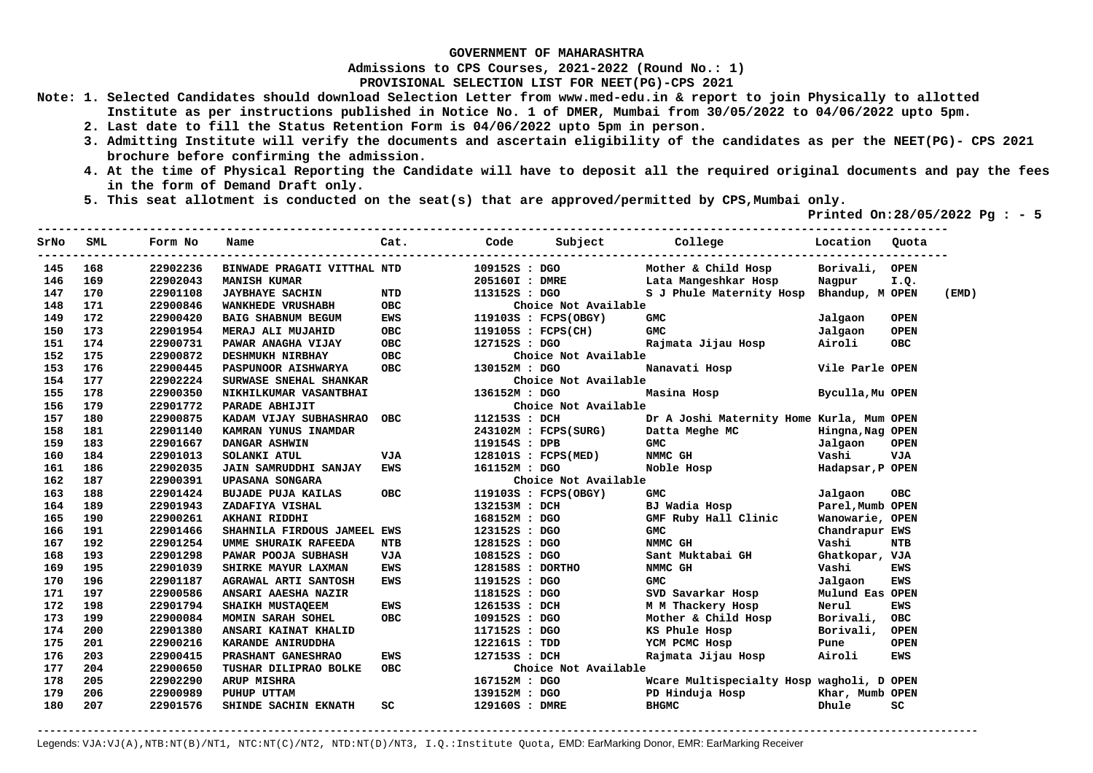**Admissions to CPS Courses, 2021-2022 (Round No.: 1)**

**PROVISIONAL SELECTION LIST FOR NEET(PG)-CPS 2021** 

- **Note: 1. Selected Candidates should download Selection Letter from www.med-edu.in & report to join Physically to allotted Institute as per instructions published in Notice No. 1 of DMER, Mumbai from 30/05/2022 to 04/06/2022 upto 5pm.** 
	- **2. Last date to fill the Status Retention Form is 04/06/2022 upto 5pm in person.**
	- **3. Admitting Institute will verify the documents and ascertain eligibility of the candidates as per the NEET(PG)- CPS 2021 brochure before confirming the admission.**
	- **4. At the time of Physical Reporting the Candidate will have to deposit all the required original documents and pay the fees in the form of Demand Draft only.**

**----------------------------------------------------------------------------------------------------------------------------------** 

 **5. This seat allotment is conducted on the seat(s) that are approved/permitted by CPS,Mumbai only.** 

 **Printed On:28/05/2022 Pg : - 5** 

| SrNo | SML | Form No  | Name                          | Cat.       | Code             | Subject                        | <b>College College</b>                    | Location         | Ouota       |       |
|------|-----|----------|-------------------------------|------------|------------------|--------------------------------|-------------------------------------------|------------------|-------------|-------|
| 145  | 168 | 22902236 | BINWADE PRAGATI VITTHAL NTD   |            | 109152S : DGO    |                                | Mother & Child Hosp                       | Borivali,        | <b>OPEN</b> |       |
| 146  | 169 | 22902043 | <b>MANISH KUMAR</b>           |            | 205160I : DMRE   |                                | Lata Mangeshkar Hosp                      | Nagpur           | I.Q.        |       |
| 147  | 170 | 22901108 | <b>JAYBHAYE SACHIN</b>        | NTD        |                  | 113152S : DGO                  | S J Phule Maternity Hosp                  | Bhandup, M OPEN  |             | (EMD) |
| 148  | 171 | 22900846 | <b>WANKHEDE VRUSHABH</b>      | <b>OBC</b> |                  | Choice Not Available           |                                           |                  |             |       |
| 149  | 172 | 22900420 | BAIG SHABNUM BEGUM            | <b>EWS</b> |                  | 119103S : FCPS(OBGY)           | <b>GMC</b>                                | Jalgaon          | <b>OPEN</b> |       |
| 150  | 173 | 22901954 | MERAJ ALI MUJAHID             | OBC        |                  | 119105S : FCPS(CH)             | <b>GMC</b>                                | Jalgaon          | <b>OPEN</b> |       |
| 151  | 174 | 22900731 | PAWAR ANAGHA VIJAY            | OBC        | 127152S : DGO    |                                | Rajmata Jijau Hosp                        | Airoli           | <b>OBC</b>  |       |
| 152  | 175 | 22900872 | DESHMUKH NIRBHAY              | OBC        |                  | Choice Not Available           |                                           |                  |             |       |
| 153  | 176 | 22900445 | <b>PASPUNOOR AISHWARYA</b>    | OBC        | 130152M : DGO    |                                | Nanavati Hosp                             | Vile Parle OPEN  |             |       |
| 154  | 177 | 22902224 | <b>SURWASE SNEHAL SHANKAR</b> |            |                  | Choice Not Available           |                                           |                  |             |       |
| 155  | 178 | 22900350 | NIKHILKUMAR VASANTBHAI        |            | 136152M : DGO    |                                | Masina Hosp                               | Byculla, Mu OPEN |             |       |
| 156  | 179 | 22901772 | PARADE ABHIJIT                |            |                  | Choice Not Available           |                                           |                  |             |       |
| 157  | 180 | 22900875 | KADAM VIJAY SUBHASHRAO OBC    |            | 112153S : DCH    |                                | Dr A Joshi Maternity Home Kurla, Mum OPEN |                  |             |       |
| 158  | 181 | 22901140 | KAMRAN YUNUS INAMDAR          |            |                  | 243102M: FCPS(SURG)            | Datta Meghe MC Mingna, Nag OPEN           |                  |             |       |
| 159  | 183 | 22901667 | DANGAR ASHWIN                 |            | 119154S : DPB    |                                | GMC                                       | Jalgaon          | <b>OPEN</b> |       |
| 160  | 184 | 22901013 | SOLANKI ATUL                  | VJA        |                  | 128101S : FCPS(MED)            | NMMC GH                                   | Vashi            | VJA         |       |
| 161  | 186 | 22902035 | JAIN SAMRUDDHI SANJAY         | EWS        | 161152M : DGO    |                                | Noble Hosp and the Noble                  | Hadapsar, P OPEN |             |       |
| 162  | 187 | 22900391 | UPASANA SONGARA               |            |                  | Choice Not Available           |                                           |                  |             |       |
| 163  | 188 | 22901424 | <b>BUJADE PUJA KAILAS</b>     | OBC        |                  | 119103S : FCPS(OBGY)           | <b>GMC</b>                                | Jalgaon          | OBC         |       |
| 164  | 189 | 22901943 | ZADAFIYA VISHAL               |            | 132153M : DCH    |                                | BJ Wadia Hosp                             | Parel, Mumb OPEN |             |       |
| 165  | 190 | 22900261 | AKHANI RIDDHI                 |            | 168152M : DGO    |                                | GMF Ruby Hall Clinic                      | Wanowarie, OPEN  |             |       |
| 166  | 191 | 22901466 | SHAHNILA FIRDOUS JAMEEL EWS   |            | 123152S : DGO    |                                | <b>GMC</b>                                | Chandrapur EWS   |             |       |
| 167  | 192 | 22901254 | UMME SHURAIK RAFEEDA          | <b>NTB</b> | 128152S : DGO    |                                | NMMC GH                                   | Vashi            | <b>NTB</b>  |       |
| 168  | 193 | 22901298 | PAWAR POOJA SUBHASH           | VJA        | 108152S : DGO    |                                | Sant Muktabai GH                          | Ghatkopar, VJA   |             |       |
| 169  | 195 | 22901039 | SHIRKE MAYUR LAXMAN           | EWS        | 128158S : DORTHO |                                | NMMC GH                                   | Vashi            | <b>EWS</b>  |       |
| 170  | 196 | 22901187 | AGRAWAL ARTI SANTOSH          | <b>EWS</b> | 119152S : DGO    |                                | <b>GMC</b>                                | Jalgaon          | <b>EWS</b>  |       |
| 171  | 197 | 22900586 | ANSARI AAESHA NAZIR           |            |                  | 118152s : DGO<br>126153s : DCH | SVD Savarkar Hosp                         | Mulund Eas OPEN  |             |       |
| 172  | 198 | 22901794 | SHAIKH MUSTAQEEM              | EWS        |                  |                                | M M Thackery Hosp                         | Nerul            | <b>EWS</b>  |       |
| 173  | 199 | 22900084 | MOMIN SARAH SOHEL             | <b>OBC</b> | 109152S : DGO    |                                | Mother & Child Hosp                       | Borivali,        | OBC         |       |
| 174  | 200 | 22901380 | ANSARI KAINAT KHALID          |            | 117152S : DGO    |                                | KS Phule Hosp                             | Borivali,        | <b>OPEN</b> |       |
| 175  | 201 | 22900216 | KARANDE ANIRUDDHA             |            | 122161S : TDD    |                                | YCM PCMC Hosp                             | Pune             | <b>OPEN</b> |       |
| 176  | 203 | 22900415 | PRASHANT GANESHRAO            | EWS        | 127153S : DCH    |                                | Rajmata Jijau Hosp                        | Airoli           | <b>EWS</b>  |       |
| 177  | 204 | 22900650 | TUSHAR DILIPRAO BOLKE         | <b>OBC</b> |                  | Choice Not Available           |                                           |                  |             |       |
| 178  | 205 | 22902290 | ARUP MISHRA                   |            | 167152M : DGO    |                                | Wcare Multispecialty Hosp wagholi, D OPEN |                  |             |       |
| 179  | 206 | 22900989 | PUHUP UTTAM                   |            | 139152M : DGO    |                                | PD Hinduja Hosp                           | Khar, Mumb OPEN  |             |       |
| 180  | 207 | 22901576 | SHINDE SACHIN EKNATH          | SC.        | 129160S : DMRE   |                                | <b>BHGMC</b>                              | Dhule            | sc          |       |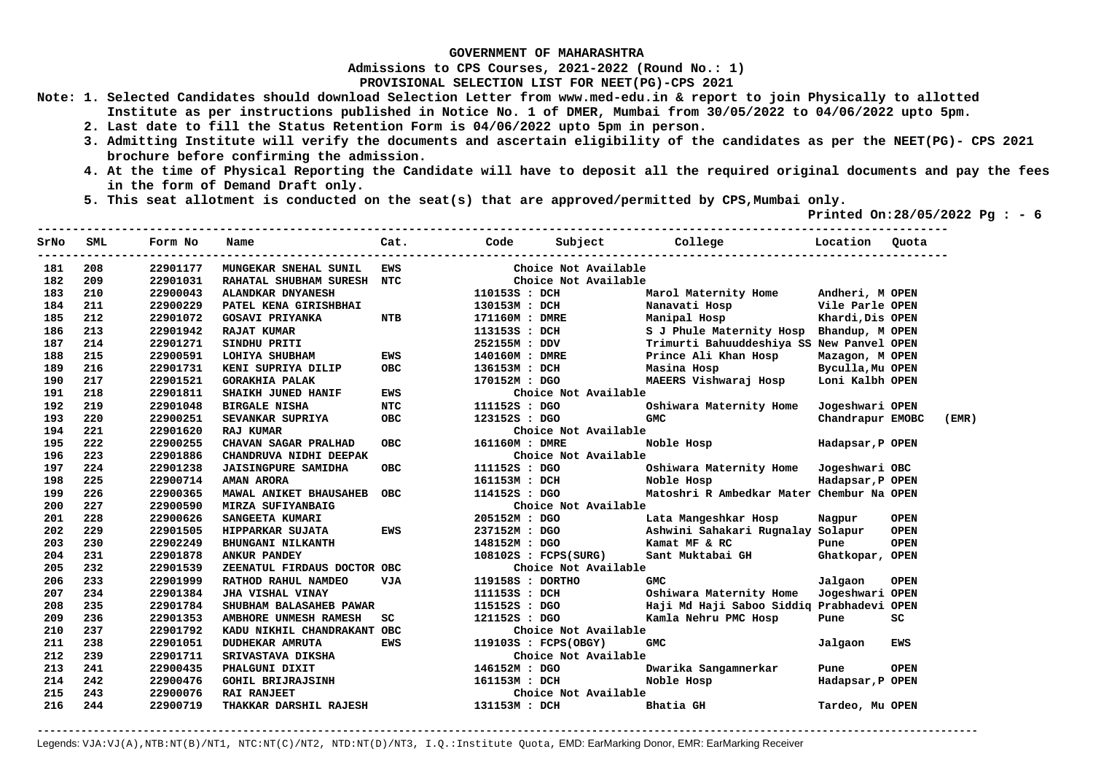**Admissions to CPS Courses, 2021-2022 (Round No.: 1)**

**PROVISIONAL SELECTION LIST FOR NEET(PG)-CPS 2021** 

- **Note: 1. Selected Candidates should download Selection Letter from www.med-edu.in & report to join Physically to allotted Institute as per instructions published in Notice No. 1 of DMER, Mumbai from 30/05/2022 to 04/06/2022 upto 5pm.** 
	- **2. Last date to fill the Status Retention Form is 04/06/2022 upto 5pm in person.**
	- **3. Admitting Institute will verify the documents and ascertain eligibility of the candidates as per the NEET(PG)- CPS 2021 brochure before confirming the admission.**
	- **4. At the time of Physical Reporting the Candidate will have to deposit all the required original documents and pay the fees in the form of Demand Draft only.**
	- **5. This seat allotment is conducted on the seat(s) that are approved/permitted by CPS,Mumbai only.**

 **Printed On:28/05/2022 Pg : - 6** 

| SrNo | SML | Form No  | Name                        | Cat.       | Code             | Subject College                 |                                           | Location         | Quota       |       |
|------|-----|----------|-----------------------------|------------|------------------|---------------------------------|-------------------------------------------|------------------|-------------|-------|
| 181  | 208 | 22901177 | MUNGEKAR SNEHAL SUNIL       | EWS        |                  | Choice Not Available            |                                           |                  |             |       |
| 182  | 209 | 22901031 | RAHATAL SHUBHAM SURESH NTC  |            |                  | Choice Not Available            |                                           |                  |             |       |
| 183  | 210 | 22900043 | ALANDKAR DNYANESH           |            | 110153S : DCH    |                                 | Marol Maternity Home                      | Andheri, M OPEN  |             |       |
| 184  | 211 | 22900229 | PATEL KENA GIRISHBHAI       |            | 130153M : DCH    |                                 | Nanavati Hosp                             | Vile Parle OPEN  |             |       |
| 185  | 212 | 22901072 | <b>GOSAVI PRIYANKA</b>      | <b>NTB</b> | 171160M : DMRE   |                                 | Manipal Hosp                              | Khardi, Dis OPEN |             |       |
| 186  | 213 | 22901942 | <b>RAJAT KUMAR</b>          |            | 113153S : DCH    |                                 | S J Phule Maternity Hosp                  | Bhandup, M OPEN  |             |       |
| 187  | 214 | 22901271 | SINDHU PRITI                |            | 252155M : DDV    |                                 | Trimurti Bahuuddeshiya SS New Panvel OPEN |                  |             |       |
| 188  | 215 | 22900591 | LOHIYA SHUBHAM              | <b>EWS</b> | 140160M : DMRE   |                                 | Prince Ali Khan Hosp                      | Mazagon, M OPEN  |             |       |
| 189  | 216 | 22901731 | KENI SUPRIYA DILIP          | <b>OBC</b> | 136153M : DCH    |                                 | Masina Hosp                               | Byculla, Mu OPEN |             |       |
| 190  | 217 | 22901521 | <b>GORAKHIA PALAK</b>       |            | 170152M : DGO    |                                 | MAEERS Vishwaraj Hosp                     | Loni Kalbh OPEN  |             |       |
| 191  | 218 | 22901811 | SHAIKH JUNED HANIF          | <b>EWS</b> |                  | Choice Not Available            |                                           |                  |             |       |
| 192  | 219 | 22901048 | <b>BIRGALE NISHA</b>        | <b>NTC</b> | 111152S : DGO    |                                 | Oshiwara Maternity Home                   | Jogeshwari OPEN  |             |       |
| 193  | 220 | 22900251 | SEVANKAR SUPRIYA            | <b>OBC</b> | 123152S : DGO    |                                 | <b>GMC</b>                                | Chandrapur EMOBC |             | (EMR) |
| 194  | 221 | 22901620 | <b>RAJ KUMAR</b>            |            |                  | Choice Not Available            |                                           |                  |             |       |
| 195  | 222 | 22900255 | CHAVAN SAGAR PRALHAD        | <b>OBC</b> | 161160M : DMRE   |                                 | Noble Hosp                                | Hadapsar, P OPEN |             |       |
| 196  | 223 | 22901886 | CHANDRUVA NIDHI DEEPAK      |            |                  | Choice Not Available            |                                           |                  |             |       |
| 197  | 224 | 22901238 | <b>JAISINGPURE SAMIDHA</b>  | <b>OBC</b> | 111152S : DGO    |                                 | Oshiwara Maternity Home                   | Jogeshwari OBC   |             |       |
| 198  | 225 | 22900714 | AMAN ARORA                  |            |                  | 161153M : DCH                   | Noble Hosp                                | Hadapsar, P OPEN |             |       |
| 199  | 226 | 22900365 | MAWAL ANIKET BHAUSAHEB OBC  |            | 114152S : DGO    |                                 | Matoshri R Ambedkar Mater Chembur Na OPEN |                  |             |       |
| 200  | 227 | 22900590 | MIRZA SUFIYANBAIG           |            |                  | Choice Not Available            |                                           |                  |             |       |
| 201  | 228 | 22900626 | <b>SANGEETA KUMARI</b>      |            |                  | 205152M : DGO<br>פראם · המפוזרי | Lata Mangeshkar Hosp                      | Nagpur           | <b>OPEN</b> |       |
| 202  | 229 | 22901505 | HIPPARKAR SUJATA            | <b>EWS</b> |                  | 237152M : DGO<br>148152M : DGO  | Ashwini Sahakari Rugnalay Solapur         |                  | <b>OPEN</b> |       |
| 203  | 230 | 22902249 | <b>BHUNGANI NILKANTH</b>    |            | 148152M : DGO    |                                 | Kamat MF & RC                             | Pune             | <b>OPEN</b> |       |
| 204  | 231 | 22901878 | <b>ANKUR PANDEY</b>         |            |                  | 108102S : FCPS(SURG)            | Sant Muktabai GH                          | Ghatkopar, OPEN  |             |       |
| 205  | 232 | 22901539 | ZEENATUL FIRDAUS DOCTOR OBC |            |                  | Choice Not Available            |                                           |                  |             |       |
| 206  | 233 | 22901999 | RATHOD RAHUL NAMDEO         | <b>VJA</b> | 119158S : DORTHO |                                 | <b>GMC</b>                                | Jalgaon          | <b>OPEN</b> |       |
| 207  | 234 | 22901384 | JHA VISHAL VINAY            |            |                  | 111153S : DCH                   | Oshiwara Maternity Home                   | Jogeshwari OPEN  |             |       |
| 208  | 235 | 22901784 | SHUBHAM BALASAHEB PAWAR     |            |                  | 115152S : DGO                   | Haji Md Haji Saboo Siddig Prabhadevi OPEN |                  |             |       |
| 209  | 236 | 22901353 | AMBHORE UNMESH RAMESH       | SC         | 121152S : DGO    |                                 | Kamla Nehru PMC Hosp                      | Pune             | SC          |       |
| 210  | 237 | 22901792 | KADU NIKHIL CHANDRAKANT OBC |            |                  | Choice Not Available            |                                           |                  |             |       |
| 211  | 238 | 22901051 | <b>DUDHEKAR AMRUTA</b>      | <b>EWS</b> |                  | 119103S : FCPS(OBGY)            | <b>GMC</b>                                | Jalqaon          | EWS         |       |
| 212  | 239 | 22901711 | SRIVASTAVA DIKSHA           |            |                  | Choice Not Available            |                                           |                  |             |       |
| 213  | 241 | 22900435 | PHALGUNI DIXIT              |            | 146152M : DGO    |                                 | Dwarika Sangamnerkar                      | Pune             | <b>OPEN</b> |       |
| 214  | 242 | 22900476 | <b>GOHIL BRIJRAJSINH</b>    |            | 161153M : DCH    |                                 | Noble Hosp                                | Hadapsar, P OPEN |             |       |
| 215  | 243 | 22900076 | <b>RAI RANJEET</b>          |            |                  | Choice Not Available            |                                           |                  |             |       |
| 216  | 244 | 22900719 | THAKKAR DARSHIL RAJESH      |            | 131153M : DCH    |                                 | Bhatia GH                                 | Tardeo, Mu OPEN  |             |       |
|      |     |          |                             |            |                  |                                 |                                           |                  |             |       |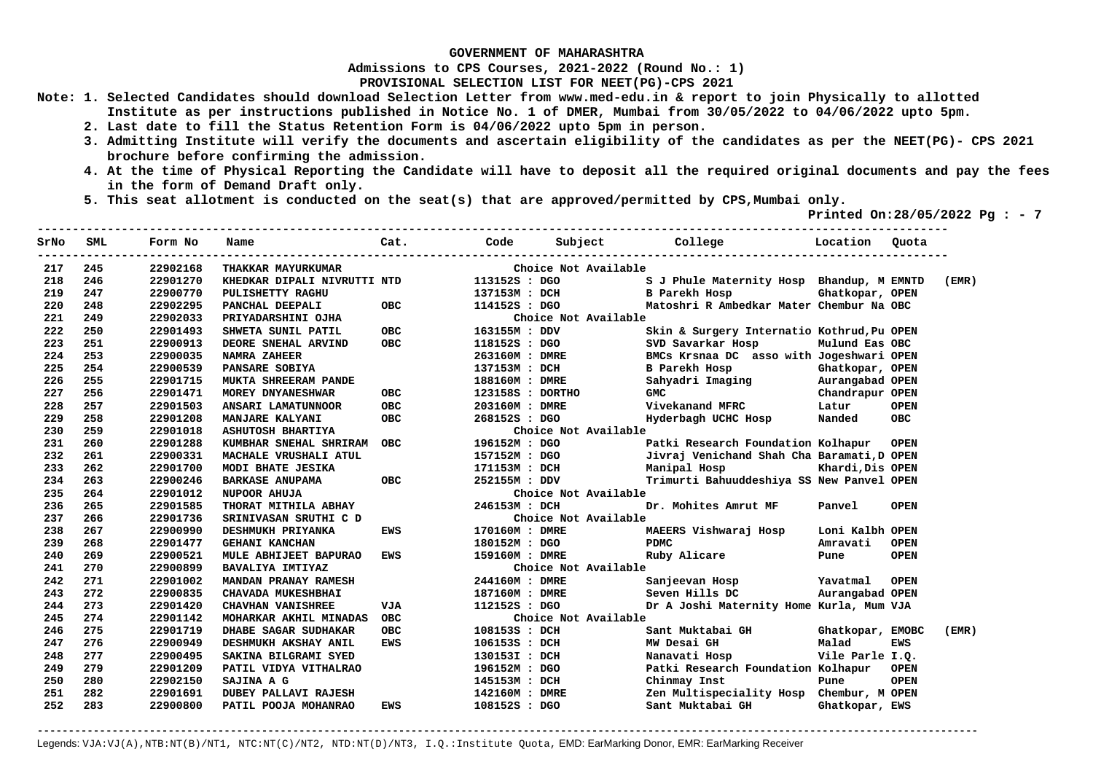**Admissions to CPS Courses, 2021-2022 (Round No.: 1)**

**PROVISIONAL SELECTION LIST FOR NEET(PG)-CPS 2021** 

**Note: 1. Selected Candidates should download Selection Letter from www.med-edu.in & report to join Physically to allotted Institute as per instructions published in Notice No. 1 of DMER, Mumbai from 30/05/2022 to 04/06/2022 upto 5pm.** 

- **2. Last date to fill the Status Retention Form is 04/06/2022 upto 5pm in person.**
- **3. Admitting Institute will verify the documents and ascertain eligibility of the candidates as per the NEET(PG)- CPS 2021 brochure before confirming the admission.**
- **4. At the time of Physical Reporting the Candidate will have to deposit all the required original documents and pay the fees in the form of Demand Draft only.**

**----------------------------------------------------------------------------------------------------------------------------------** 

 **5. This seat allotment is conducted on the seat(s) that are approved/permitted by CPS,Mumbai only.** 

 **Printed On:28/05/2022 Pg : - 7** 

| SrNo | SML | Form No  | Name                        | Cat.       | Code             |                      | Subject College Location                   |                  | Ouota       |       |
|------|-----|----------|-----------------------------|------------|------------------|----------------------|--------------------------------------------|------------------|-------------|-------|
| 217  | 245 | 22902168 | THAKKAR MAYURKUMAR          |            |                  | Choice Not Available |                                            |                  |             |       |
| 218  | 246 | 22901270 | KHEDKAR DIPALI NIVRUTTI NTD |            | 113152S : DGO    |                      | S J Phule Maternity Hosp Bhandup, M EMNTD  |                  |             | (EMR) |
| 219  | 247 | 22900770 | PULISHETTY RAGHU            |            |                  | 137153M : DCH        | B Parekh Hosp                              | Ghatkopar, OPEN  |             |       |
| 220  | 248 | 22902295 | PANCHAL DEEPALI             | OBC        | 114152S : DGO    |                      | Matoshri R Ambedkar Mater Chembur Na OBC   |                  |             |       |
| 221  | 249 | 22902033 | PRIYADARSHINI OJHA          |            |                  | Choice Not Available |                                            |                  |             |       |
| 222  | 250 | 22901493 | SHWETA SUNIL PATIL          | OBC        | 163155M: DDV     |                      | Skin & Surgery Internatio Kothrud, Pu OPEN |                  |             |       |
| 223  | 251 | 22900913 | DEORE SNEHAL ARVIND         | <b>OBC</b> | 118152S : DGO    |                      | SVD Savarkar Hosp                          | Mulund Eas OBC   |             |       |
| 224  | 253 | 22900035 | <b>NAMRA ZAHEER</b>         |            | 263160M : DMRE   |                      | BMCs Krsnaa DC asso with Jogeshwari OPEN   |                  |             |       |
| 225  | 254 | 22900539 | PANSARE SOBIYA              |            | 137153M : DCH    |                      |                                            |                  |             |       |
| 226  | 255 | 22901715 | MUKTA SHREERAM PANDE        |            | 188160M : DMRE   |                      |                                            |                  |             |       |
| 227  | 256 | 22901471 | MOREY DNYANESHWAR           | ОВС        | 123158S : DORTHO |                      |                                            |                  |             |       |
| 228  | 257 | 22901503 | ANSARI LAMATUNNOOR          | <b>OBC</b> | 203160M : DMRE   |                      | Vivekanand MFRC                            | Latur            | <b>OPEN</b> |       |
| 229  | 258 | 22901208 | <b>MANJARE KALYANI</b>      | OBC        |                  | 268152S : DGO        | Hyderbagh UCHC Hosp                        | Nanded           | <b>OBC</b>  |       |
| 230  | 259 | 22901018 | ASHUTOSH BHARTIYA           |            |                  | Choice Not Available |                                            |                  |             |       |
| 231  | 260 | 22901288 | KUMBHAR SNEHAL SHRIRAM OBC  |            | 196152M : DGO    |                      | Patki Research Foundation Kolhapur OPEN    |                  |             |       |
| 232  | 261 | 22900331 | MACHALE VRUSHALI ATUL       |            |                  | 157152M : DGO        | Jivraj Venichand Shah Cha Baramati, D OPEN |                  |             |       |
| 233  | 262 | 22901700 | MODI BHATE JESIKA           |            |                  | 171153M : DCH        | Manipal Hosp Khardi, Dis OPEN              |                  |             |       |
| 234  | 263 | 22900246 | <b>BARKASE ANUPAMA</b>      | <b>OBC</b> |                  | 252155M : DDV        | Trimurti Bahuuddeshiya SS New Panvel OPEN  |                  |             |       |
| 235  | 264 | 22901012 | NUPOOR AHUJA                |            |                  | Choice Not Available |                                            |                  |             |       |
| 236  | 265 | 22901585 | THORAT MITHILA ABHAY        |            | 246153M : DCH    |                      | Dr. Mohites Amrut MF                       | Panvel           | <b>OPEN</b> |       |
| 237  | 266 | 22901736 | SRINIVASAN SRUTHI C D       |            |                  | Choice Not Available |                                            |                  |             |       |
| 238  | 267 | 22900990 | <b>DESHMUKH PRIYANKA</b>    | EWS        | 170160M : DMRE   |                      | MAEERS Vishwaraj Hosp                      | Loni Kalbh OPEN  |             |       |
| 239  | 268 | 22901477 | <b>GEHANI KANCHAN</b>       |            | 180152M : DGO    |                      | <b>PDMC</b>                                | Amravati         | <b>OPEN</b> |       |
| 240  | 269 | 22900521 | MULE ABHIJEET BAPURAO       | <b>EWS</b> | 159160M : DMRE   |                      | Ruby Alicare                               | Pune             | <b>OPEN</b> |       |
| 241  | 270 | 22900899 | BAVALIYA IMTIYAZ            |            |                  | Choice Not Available |                                            |                  |             |       |
| 242  | 271 | 22901002 | MANDAN PRANAY RAMESH        |            | 244160M : DMRE   |                      | Sanjeevan Hosp                             | Yavatmal         | <b>OPEN</b> |       |
| 243  | 272 | 22900835 | CHAVADA MUKESHBHAI          |            |                  | 187160M : DMRE       | Seven Hills DC                             | Aurangabad OPEN  |             |       |
| 244  | 273 | 22901420 | CHAVHAN VANISHREE           | <b>VJA</b> | 112152S : DGO    |                      | Dr A Joshi Maternity Home Kurla, Mum VJA   |                  |             |       |
| 245  | 274 | 22901142 | MOHARKAR AKHIL MINADAS      | OBC        |                  | Choice Not Available |                                            |                  |             |       |
| 246  | 275 | 22901719 | DHABE SAGAR SUDHAKAR        | <b>OBC</b> | 108153S : DCH    |                      | Sant Muktabai GH                           | Ghatkopar, EMOBC |             | (EMR) |
| 247  | 276 | 22900949 | DESHMUKH AKSHAY ANIL        | <b>EWS</b> | 106153S : DCH    |                      | MW Desai GH                                | Malad            | <b>EWS</b>  |       |
| 248  | 277 | 22900495 | SAKINA BILGRAMI SYED        |            | 130153I : DCH    |                      | Nanavati Hosp                              | Vile Parle I.Q.  |             |       |
| 249  | 279 | 22901209 | PATIL VIDYA VITHALRAO       |            | 196152M : DGO    |                      | Patki Research Foundation Kolhapur         |                  | <b>OPEN</b> |       |
| 250  | 280 | 22902150 | SAJINA A G                  |            | 145153M : DCH    |                      | Chinmay Inst                               | Pune             | <b>OPEN</b> |       |
| 251  | 282 | 22901691 | <b>DUBEY PALLAVI RAJESH</b> |            | 142160M : DMRE   |                      | Zen Multispeciality Hosp Chembur, M OPEN   |                  |             |       |
| 252  | 283 | 22900800 | PATIL POOJA MOHANRAO        | EWS        | 108152S : DGO    |                      | Sant Muktabai GH                           | Ghatkopar, EWS   |             |       |
|      |     |          |                             |            |                  |                      |                                            |                  |             |       |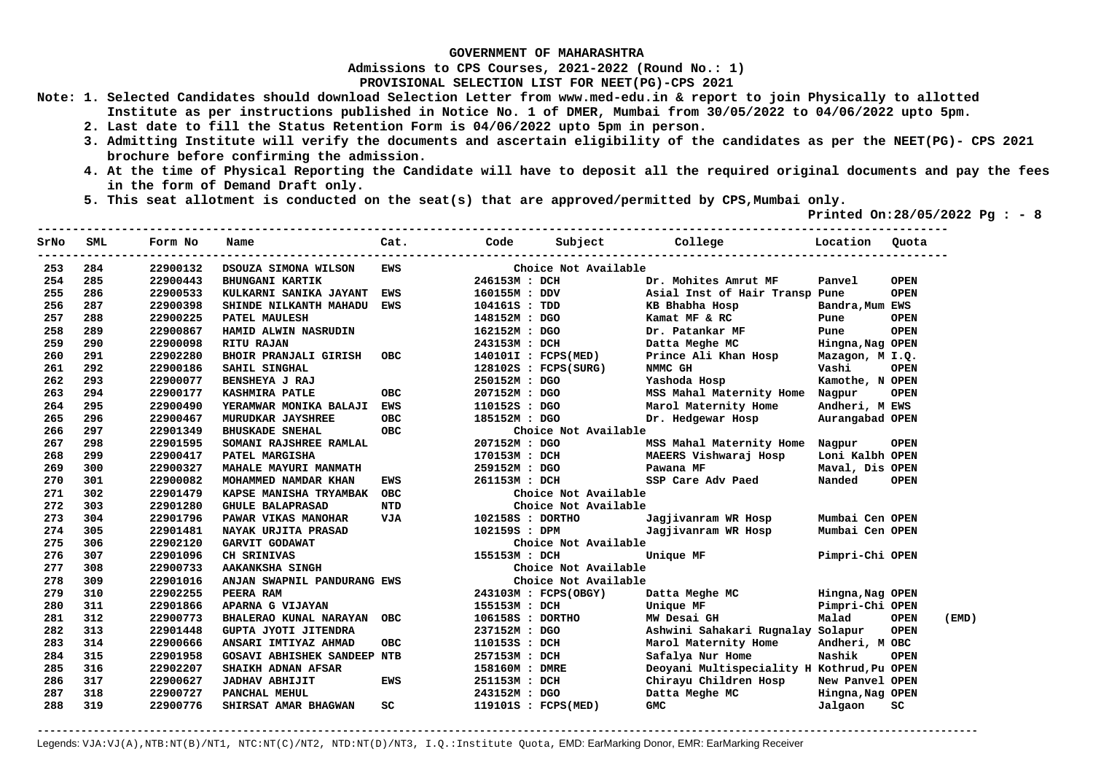**Admissions to CPS Courses, 2021-2022 (Round No.: 1)**

**PROVISIONAL SELECTION LIST FOR NEET(PG)-CPS 2021** 

- **Note: 1. Selected Candidates should download Selection Letter from www.med-edu.in & report to join Physically to allotted Institute as per instructions published in Notice No. 1 of DMER, Mumbai from 30/05/2022 to 04/06/2022 upto 5pm.** 
	- **2. Last date to fill the Status Retention Form is 04/06/2022 upto 5pm in person.**
	- **3. Admitting Institute will verify the documents and ascertain eligibility of the candidates as per the NEET(PG)- CPS 2021 brochure before confirming the admission.**

 $-1.1$ 

- **4. At the time of Physical Reporting the Candidate will have to deposit all the required original documents and pay the fees in the form of Demand Draft only.**
- **5. This seat allotment is conducted on the seat(s) that are approved/permitted by CPS,Mumbai only.**

 **Printed On:28/05/2022 Pg : - 8** 

| SrNo | SML | Form No  | Name                               | Cat.       | Code             | Subject                | College                                    | Location         | Quota       |       |
|------|-----|----------|------------------------------------|------------|------------------|------------------------|--------------------------------------------|------------------|-------------|-------|
| 253  | 284 | 22900132 | DSOUZA SIMONA WILSON               | <b>EWS</b> |                  | Choice Not Available   |                                            |                  |             |       |
| 254  | 285 | 22900443 | <b>BHUNGANI KARTIK</b>             |            | 246153M : DCH    |                        | Dr. Mohites Amrut MF                       | Panvel           | <b>OPEN</b> |       |
| 255  | 286 | 22900533 | KULKARNI SANIKA JAYANT EWS         |            | 160155M : DDV    |                        | Asial Inst of Hair Transp Pune             |                  | <b>OPEN</b> |       |
| 256  | 287 | 22900398 | SHINDE NILKANTH MAHADU             | EWS        | 104161S : TDD    |                        | KB Bhabha Hosp                             | Bandra, Mum EWS  |             |       |
| 257  | 288 | 22900225 | PATEL MAULESH                      |            | 148152M : DGO    |                        | Kamat MF & RC                              | Pune             | <b>OPEN</b> |       |
| 258  | 289 | 22900867 | HAMID ALWIN NASRUDIN               |            | 162152M : DGO    |                        | Dr. Patankar MF                            | Pune             | <b>OPEN</b> |       |
| 259  | 290 | 22900098 | <b>RITU RAJAN</b>                  |            | 243153M : DCH    |                        | Datta Meghe MC                             | Hingna, Nag OPEN |             |       |
| 260  | 291 | 22902280 | <b>BHOIR PRANJALI GIRISH</b>       | OBC        |                  | 140101I : FCPS(MED)    | Prince Ali Khan Hosp                       | Mazagon, M I.Q.  |             |       |
| 261  | 292 | 22900186 | SAHIL SINGHAL                      |            |                  | $128102S$ : FCPS(SURG) | NMMC GH                                    | Vashi            | <b>OPEN</b> |       |
| 262  | 293 | 22900077 | BENSHEYA J RAJ                     |            | 250152M : DGO    |                        | Yashoda Hosp                               | Kamothe, N OPEN  |             |       |
| 263  | 294 | 22900177 | <b>KASHMIRA PATLE</b>              | OBC        | 207152M : DGO    |                        | MSS Mahal Maternity Home                   | Nagpur           | <b>OPEN</b> |       |
| 264  | 295 | 22900490 | YERAMWAR MONIKA BALAJI EWS         |            | 110152S : DGO    |                        | Marol Maternity Home                       | Andheri, M EWS   |             |       |
| 265  | 296 | 22900467 | MURUDKAR JAYSHREE                  | <b>OBC</b> | 185152M : DGO    |                        | Dr. Hedgewar Hosp                          | Aurangabad OPEN  |             |       |
| 266  | 297 | 22901349 | <b>BHUSKADE SNEHAL</b>             | <b>OBC</b> |                  | Choice Not Available   |                                            |                  |             |       |
| 267  | 298 | 22901595 | SOMANI RAJSHREE RAMLAL             |            | 207152M : DGO    |                        | MSS Mahal Maternity Home                   | Nagpur           | <b>OPEN</b> |       |
| 268  | 299 | 22900417 | PATEL MARGISHA                     |            | 170153M : DCH    |                        | MAEERS Vishwaraj Hosp                      | Loni Kalbh OPEN  |             |       |
| 269  | 300 | 22900327 | MAHALE MAYURI MANMATH              |            | 259152M : DGO    |                        | Pawana MF                                  | Maval, Dis OPEN  |             |       |
| 270  | 301 | 22900082 | MOHAMMED NAMDAR KHAN               | EWS        | 261153M : DCH    |                        | SSP Care Adv Paed                          | Nanded           | <b>OPEN</b> |       |
| 271  | 302 | 22901479 | KAPSE MANISHA TRYAMBAK OBC         |            |                  | Choice Not Available   |                                            |                  |             |       |
| 272  | 303 | 22901280 | <b>GHULE BALAPRASAD</b>            | NTD        |                  | Choice Not Available   |                                            |                  |             |       |
| 273  | 304 | 22901796 | PAWAR VIKAS MANOHAR                | VJA        | 102158S : DORTHO |                        | Jagjivanram WR Hosp                        | Mumbai Cen OPEN  |             |       |
| 274  | 305 | 22901481 | <b>NAYAK URJITA PRASAD</b>         |            | 102159S : DPM    |                        | Jagjivanram WR Hosp                        | Mumbai Cen OPEN  |             |       |
| 275  | 306 | 22902120 | GARVIT GODAWAT                     |            |                  | Choice Not Available   |                                            |                  |             |       |
| 276  | 307 | 22901096 | CH SRINIVAS                        |            | 155153M : DCH    |                        | Unique MF                                  | Pimpri-Chi OPEN  |             |       |
| 277  | 308 | 22900733 | AAKANKSHA SINGH                    |            |                  | Choice Not Available   |                                            |                  |             |       |
| 278  | 309 | 22901016 | ANJAN SWAPNIL PANDURANG EWS        |            |                  | Choice Not Available   |                                            |                  |             |       |
| 279  | 310 | 22902255 | PEERA RAM                          |            |                  | 243103M : FCPS(OBGY)   | Datta Meghe MC                             | Hingna, Nag OPEN |             |       |
| 280  | 311 | 22901866 | APARNA G VIJAYAN                   |            | 155153M : DCH    |                        | Unique MF                                  | Pimpri-Chi OPEN  |             |       |
| 281  | 312 | 22900773 | BHALERAO KUNAL NARAYAN OBC         |            | 106158S : DORTHO |                        | MW Desai GH                                | Malad            | <b>OPEN</b> | (EMD) |
| 282  | 313 | 22901448 | GUPTA JYOTI JITENDRA               |            | 237152M : DGO    |                        | Ashwini Sahakari Rugnalay Solapur          |                  | <b>OPEN</b> |       |
| 283  | 314 | 22900666 | ANSARI IMTIYAZ AHMAD               | <b>OBC</b> | 110153S : DCH    |                        | Marol Maternity Home                       | Andheri, M OBC   |             |       |
| 284  | 315 | 22901958 | <b>GOSAVI ABHISHEK SANDEEP NTB</b> |            | 257153M : DCH    |                        | Safalya Nur Home                           | Nashik           | <b>OPEN</b> |       |
| 285  | 316 | 22902207 | SHAIKH ADNAN AFSAR                 |            | 158160M : DMRE   |                        | Deoyani Multispeciality H Kothrud, Pu OPEN |                  |             |       |
| 286  | 317 | 22900627 | <b>JADHAV ABHIJIT</b>              | EWS        | 251153M : DCH    |                        | Chirayu Children Hosp                      | New Panvel OPEN  |             |       |
| 287  | 318 | 22900727 | PANCHAL MEHUL                      |            | 243152M : DGO    |                        | Datta Meghe MC                             | Hingna, Nag OPEN |             |       |
| 288  | 319 | 22900776 | SHIRSAT AMAR BHAGWAN               | SC         |                  | 119101S : FCPS(MED)    | <b>GMC</b>                                 | Jalgaon          | sc          |       |
|      |     |          |                                    |            |                  |                        |                                            |                  |             |       |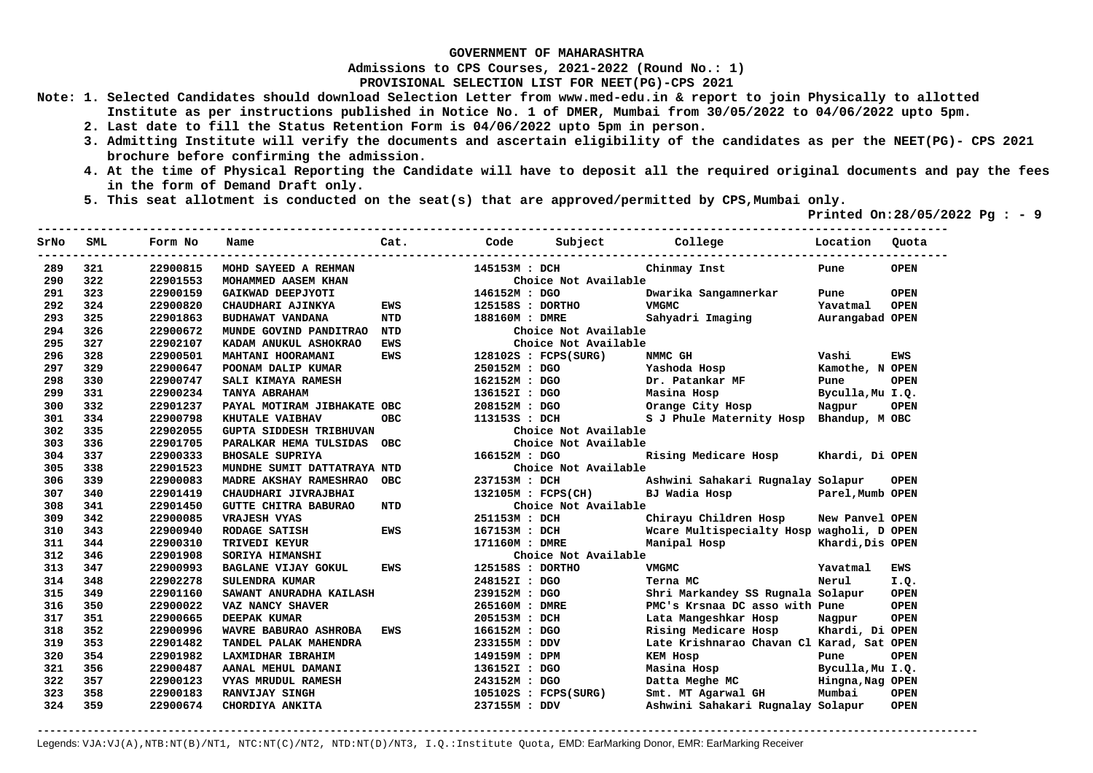**Admissions to CPS Courses, 2021-2022 (Round No.: 1)**

**PROVISIONAL SELECTION LIST FOR NEET(PG)-CPS 2021** 

- **Note: 1. Selected Candidates should download Selection Letter from www.med-edu.in & report to join Physically to allotted Institute as per instructions published in Notice No. 1 of DMER, Mumbai from 30/05/2022 to 04/06/2022 upto 5pm.** 
	- **2. Last date to fill the Status Retention Form is 04/06/2022 upto 5pm in person.**
	- **3. Admitting Institute will verify the documents and ascertain eligibility of the candidates as per the NEET(PG)- CPS 2021 brochure before confirming the admission.**
	- **4. At the time of Physical Reporting the Candidate will have to deposit all the required original documents and pay the fees in the form of Demand Draft only.**
	- **5. This seat allotment is conducted on the seat(s) that are approved/permitted by CPS,Mumbai only.**

 **Printed On:28/05/2022 Pg : - 9**   $-1.1$ 

| SrNo | <b>SML</b> | Form No  | Name                           | Cat.       | Code             | Subject                | College                                   | Location         | Quota       |
|------|------------|----------|--------------------------------|------------|------------------|------------------------|-------------------------------------------|------------------|-------------|
| 289  | 321        | 22900815 | MOHD SAYEED A REHMAN           |            | 145153M : DCH    |                        | Chinmay Inst                              | Pune             | <b>OPEN</b> |
| 290  | 322        | 22901553 | MOHAMMED AASEM KHAN            |            |                  | Choice Not Available   |                                           |                  |             |
| 291  | 323        | 22900159 | GAIKWAD DEEPJYOTI              |            | 146152M : DGO    |                        | Dwarika Sangamnerkar                      | Pune             | <b>OPEN</b> |
| 292  | 324        | 22900820 | CHAUDHARI AJINKYA              | <b>EWS</b> | 125158S : DORTHO |                        | <b>VMGMC</b>                              | Yavatmal         | <b>OPEN</b> |
| 293  | 325        | 22901863 | BUDHAWAT VANDANA               | NTD        | 188160M : DMRE   |                        | Sahyadri Imaging                          | Aurangabad OPEN  |             |
| 294  | 326        | 22900672 | MUNDE GOVIND PANDITRAO         | NTD        |                  | Choice Not Available   |                                           |                  |             |
| 295  | 327        | 22902107 | KADAM ANUKUL ASHOKRAO          | <b>EWS</b> |                  | Choice Not Available   |                                           |                  |             |
| 296  | 328        | 22900501 | MAHTANI HOORAMANI              | <b>EWS</b> |                  | 128102S : FCPS(SURG)   | NMMC GH                                   | Vashi            | <b>EWS</b>  |
| 297  | 329        | 22900647 | POONAM DALIP KUMAR             |            | 250152M : DGO    |                        | Yashoda Hosp                              | Kamothe, N OPEN  |             |
| 298  | 330        | 22900747 | SALI KIMAYA RAMESH             |            | 162152M : DGO    |                        | Dr. Patankar MF                           | Pune             | <b>OPEN</b> |
| 299  | 331        | 22900234 | TANYA ABRAHAM                  |            | 136152I : DGO    |                        | Masina Hosp                               | Byculla, Mu I.Q. |             |
| 300  | 332        | 22901237 | PAYAL MOTIRAM JIBHAKATE OBC    |            | 208152M : DGO    |                        | Orange City Hosp                          | Nagpur           | <b>OPEN</b> |
| 301  | 334        | 22900798 | KHUTALE VAIBHAV                | OBC.       | 113153S : DCH    |                        | S J Phule Maternity Hosp Bhandup, M OBC   |                  |             |
| 302  | 335        | 22902055 | <b>GUPTA SIDDESH TRIBHUVAN</b> |            |                  | Choice Not Available   |                                           |                  |             |
| 303  | 336        | 22901705 | PARALKAR HEMA TULSIDAS         | <b>OBC</b> |                  | Choice Not Available   |                                           |                  |             |
| 304  | 337        | 22900333 | <b>BHOSALE SUPRIYA</b>         |            | 166152M : DGO    |                        | Rising Medicare Hosp                      | Khardi, Di OPEN  |             |
| 305  | 338        | 22901523 | MUNDHE SUMIT DATTATRAYA NTD    |            |                  | Choice Not Available   |                                           |                  |             |
| 306  | 339        | 22900083 | <b>MADRE AKSHAY RAMESHRAO</b>  | <b>OBC</b> | 237153M : DCH    |                        | Ashwini Sahakari Rugnalay Solapur         |                  | <b>OPEN</b> |
| 307  | 340        | 22901419 | CHAUDHARI JIVRAJBHAI           |            |                  | 132105M : FCPS(CH)     | BJ Wadia Hosp                             | Parel, Mumb OPEN |             |
| 308  | 341        | 22901450 | <b>GUTTE CHITRA BABURAO</b>    | NTD        |                  | Choice Not Available   |                                           |                  |             |
| 309  | 342        | 22900085 | <b>VRAJESH VYAS</b>            |            | 251153M : DCH    |                        | Chirayu Children Hosp                     | New Panvel OPEN  |             |
| 310  | 343        | 22900940 | RODAGE SATISH                  | <b>EWS</b> | 167153M : DCH    |                        | Wcare Multispecialty Hosp wagholi, D OPEN |                  |             |
| 311  | 344        | 22900310 | TRIVEDI KEYUR                  |            | 171160M : DMRE   |                        | Manipal Hosp                              | Khardi, Dis OPEN |             |
| 312  | 346        | 22901908 | SORIYA HIMANSHI                |            |                  | Choice Not Available   |                                           |                  |             |
| 313  | 347        | 22900993 | <b>BAGLANE VIJAY GOKUL</b>     | <b>EWS</b> | 125158S : DORTHO |                        | <b>VMGMC</b>                              | Yavatmal         | <b>EWS</b>  |
| 314  | 348        | 22902278 | SULENDRA KUMAR                 |            | 248152I : DGO    |                        | Terna MC                                  | Nerul            | I.Q.        |
| 315  | 349        | 22901160 | SAWANT ANURADHA KAILASH        |            | 239152M: DGO     |                        | Shri Markandey SS Rugnala Solapur         |                  | <b>OPEN</b> |
| 316  | 350        | 22900022 | VAZ NANCY SHAVER               |            | 265160M : DMRE   |                        | PMC's Krsnaa DC asso with Pune            |                  | <b>OPEN</b> |
| 317  | 351        | 22900665 | DEEPAK KUMAR                   |            | 205153M : DCH    |                        | Lata Mangeshkar Hosp                      | Nagpur           | <b>OPEN</b> |
| 318  | 352        | 22900996 | WAVRE BABURAO ASHROBA          | <b>EWS</b> | 166152M : DGO    |                        | Rising Medicare Hosp                      | Khardi, Di OPEN  |             |
| 319  | 353        | 22901482 | TANDEL PALAK MAHENDRA          |            | 233155M : DDV    |                        | Late Krishnarao Chavan Cl Karad, Sat OPEN |                  |             |
| 320  | 354        | 22901982 | LAXMIDHAR IBRAHIM              |            | 149159M : DPM    |                        | <b>KEM HOSP</b>                           | Pune             | <b>OPEN</b> |
| 321  | 356        | 22900487 | AANAL MEHUL DAMANI             |            | 136152I : DGO    |                        | Masina Hosp                               | Byculla, Mu I.Q. |             |
| 322  | 357        | 22900123 | VYAS MRUDUL RAMESH             |            | 243152M : DGO    |                        | Datta Meghe MC                            | Hingna, Nag OPEN |             |
| 323  | 358        | 22900183 | RANVIJAY SINGH                 |            |                  | $105102S$ : FCPS(SURG) | Smt. MT Agarwal GH                        | Mumbai           | <b>OPEN</b> |
| 324  | 359        | 22900674 | CHORDIYA ANKITA                |            | 237155M : DDV    |                        | Ashwini Sahakari Rugnalay Solapur         |                  | <b>OPEN</b> |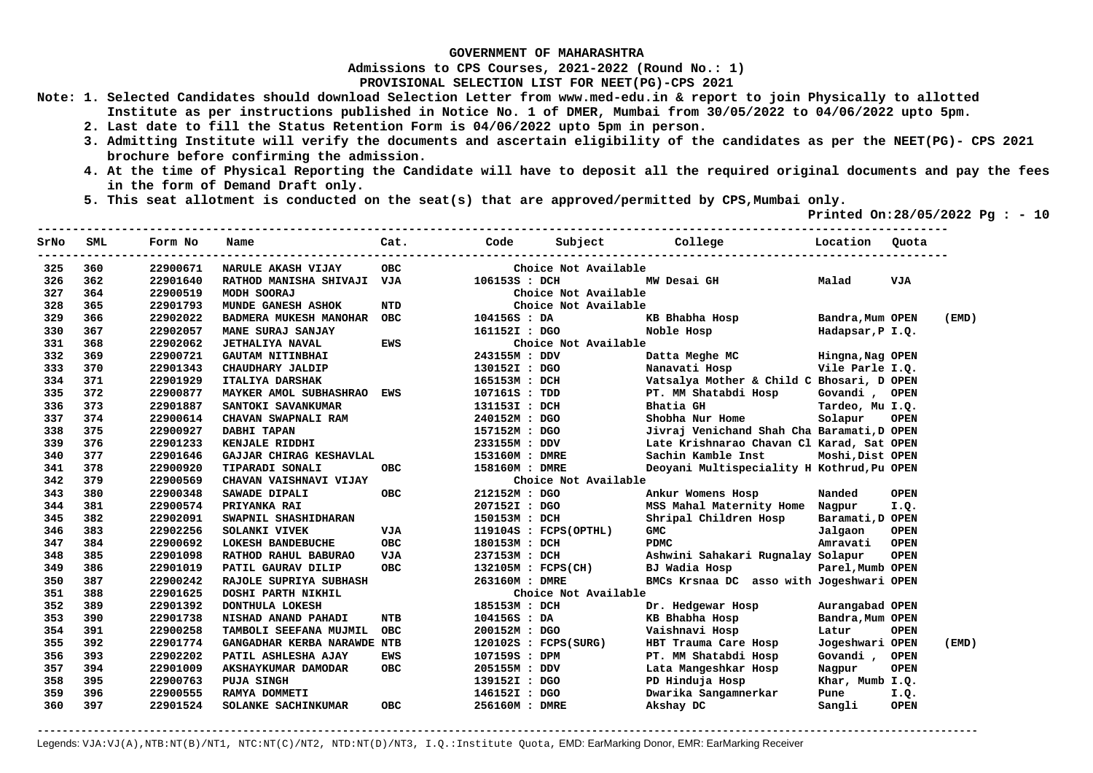**Admissions to CPS Courses, 2021-2022 (Round No.: 1)**

**PROVISIONAL SELECTION LIST FOR NEET(PG)-CPS 2021** 

- **Note: 1. Selected Candidates should download Selection Letter from www.med-edu.in & report to join Physically to allotted Institute as per instructions published in Notice No. 1 of DMER, Mumbai from 30/05/2022 to 04/06/2022 upto 5pm.** 
	- **2. Last date to fill the Status Retention Form is 04/06/2022 upto 5pm in person.**
	- **3. Admitting Institute will verify the documents and ascertain eligibility of the candidates as per the NEET(PG)- CPS 2021 brochure before confirming the admission.**
	- **4. At the time of Physical Reporting the Candidate will have to deposit all the required original documents and pay the fees in the form of Demand Draft only.**

**----------------------------------------------------------------------------------------------------------------------------------** 

 **5. This seat allotment is conducted on the seat(s) that are approved/permitted by CPS,Mumbai only.** 

 **Printed On:28/05/2022 Pg : - 10** 

| SrNo | SML | Form No  | Name                        | Cat.       | Code               | Subject                 | College<br><b>Example 1</b> Location       |                  | Ouota       |       |
|------|-----|----------|-----------------------------|------------|--------------------|-------------------------|--------------------------------------------|------------------|-------------|-------|
| 325  | 360 | 22900671 | NARULE AKASH VIJAY          | <b>OBC</b> |                    | Choice Not Available    |                                            |                  |             |       |
| 326  | 362 | 22901640 | RATHOD MANISHA SHIVAJI VJA  |            | 106153S : DCH      |                         | MW Desai GH                                | Malad            | VJA         |       |
| 327  | 364 | 22900519 | MODH SOORAJ                 |            |                    | Choice Not Available    |                                            |                  |             |       |
| 328  | 365 | 22901793 | MUNDE GANESH ASHOK          | <b>NTD</b> |                    | Choice Not Available    |                                            |                  |             |       |
| 329  | 366 | 22902022 | BADMERA MUKESH MANOHAR OBC  |            | 104156S : DA       |                         | KB Bhabha Hosp                             | Bandra, Mum OPEN |             | (EMD) |
| 330  | 367 | 22902057 | MANE SURAJ SANJAY           |            | 161152I : DGO      |                         | Noble Hosp                                 | Hadapsar, P I.Q. |             |       |
| 331  | 368 | 22902062 | <b>JETHALIYA NAVAL</b>      | <b>EWS</b> |                    | Choice Not Available    |                                            |                  |             |       |
| 332  | 369 | 22900721 | <b>GAUTAM NITINBHAI</b>     |            | 243155M : DDV      |                         | Datta Meghe MC                             | Hingna, Nag OPEN |             |       |
| 333  | 370 | 22901343 | CHAUDHARY JALDIP            |            | 130152I : DGO      |                         | Nanavati Hosp                              | Vile Parle I.Q.  |             |       |
| 334  | 371 | 22901929 | <b>ITALIYA DARSHAK</b>      |            | 165153M : DCH      |                         | Vatsalya Mother & Child C Bhosari, D OPEN  |                  |             |       |
| 335  | 372 | 22900877 | MAYKER AMOL SUBHASHRAO EWS  |            | 107161S : TDD      |                         | PT. MM Shatabdi Hosp                       | Govandi, OPEN    |             |       |
| 336  | 373 | 22901887 | SANTOKI SAVANKUMAR          |            | 131153I : DCH      |                         | Bhatia GH                                  | Tardeo, Mu I.Q.  |             |       |
| 337  | 374 | 22900614 | CHAVAN SWAPNALI RAM         |            | 240152M : DGO      |                         | Shobha Nur Home                            | Solapur          | <b>OPEN</b> |       |
| 338  | 375 | 22900927 | DABHI TAPAN                 |            | 157152M : DGO      |                         | Jivraj Venichand Shah Cha Baramati, D OPEN |                  |             |       |
| 339  | 376 | 22901233 | KENJALE RIDDHI              |            | 233155M : DDV      |                         | Late Krishnarao Chavan Cl Karad, Sat OPEN  |                  |             |       |
| 340  | 377 | 22901646 | GAJJAR CHIRAG KESHAVLAL     |            | 153160M : DMRE     |                         | Sachin Kamble Inst                         | Moshi, Dist OPEN |             |       |
| 341  | 378 | 22900920 | TIPARADI SONALI             | OBC.       | 158160M : DMRE     |                         | Deoyani Multispeciality H Kothrud, Pu OPEN |                  |             |       |
| 342  | 379 | 22900569 | CHAVAN VAISHNAVI VIJAY      |            |                    | Choice Not Available    |                                            |                  |             |       |
| 343  | 380 | 22900348 | SAWADE DIPALI               | OBC        | 212152M : DGO      |                         | Ankur Womens Hosp                          | Nanded           | <b>OPEN</b> |       |
| 344  | 381 | 22900574 | PRIYANKA RAI                |            | 207152I : DGO      |                         | MSS Mahal Maternity Home                   | Nagpur           | I.Q.        |       |
| 345  | 382 | 22902091 | SWAPNIL SHASHIDHARAN        |            | 150153M : DCH      |                         | Shripal Children Hosp                      | Baramati, D OPEN |             |       |
| 346  | 383 | 22902256 | SOLANKI VIVEK               | <b>VJA</b> |                    | $119104S$ : FCPS(OPTHL) | GMC                                        | Jalgaon          | <b>OPEN</b> |       |
| 347  | 384 | 22900692 | LOKESH BANDEBUCHE           | <b>OBC</b> | 180153M : DCH      |                         | <b>PDMC</b>                                | Amravati         | <b>OPEN</b> |       |
| 348  | 385 | 22901098 | RATHOD RAHUL BABURAO        | VJA        | 237153M : DCH      |                         | Ashwini Sahakari Rugnalay Solapur          |                  | <b>OPEN</b> |       |
| 349  | 386 | 22901019 | PATIL GAURAV DILIP          | <b>OBC</b> | 132105M : FCPS(CH) |                         | BJ Wadia Hosp                              | Parel, Mumb OPEN |             |       |
| 350  | 387 | 22900242 | RAJOLE SUPRIYA SUBHASH      |            | 263160M : DMRE     |                         | BMCs Krsnaa DC asso with Jogeshwari OPEN   |                  |             |       |
| 351  | 388 | 22901625 | DOSHI PARTH NIKHIL          |            |                    | Choice Not Available    |                                            |                  |             |       |
| 352  | 389 | 22901392 | DONTHULA LOKESH             |            | 185153M : DCH      |                         | Dr. Hedgewar Hosp                          | Aurangabad OPEN  |             |       |
| 353  | 390 | 22901738 | NISHAD ANAND PAHADI         | <b>NTB</b> | 104156S : DA       |                         | KB Bhabha Hosp                             | Bandra, Mum OPEN |             |       |
| 354  | 391 | 22900258 | TAMBOLI SEEFANA MUJMIL      | <b>OBC</b> | 200152M : DGO      |                         | Vaishnavi Hosp                             | Latur            | <b>OPEN</b> |       |
| 355  | 392 | 22901774 | GANGADHAR KERBA NARAWDE NTB |            |                    | $120102S$ : FCPS(SURG)  | HBT Trauma Care Hosp                       | Jogeshwari OPEN  |             | (EMD) |
| 356  | 393 | 22902202 | PATIL ASHLESHA AJAY         | EWS        | 107159S : DPM      |                         | PT. MM Shatabdi Hosp                       | Govandi ,        | <b>OPEN</b> |       |
| 357  | 394 | 22901009 | AKSHAYKUMAR DAMODAR         | <b>OBC</b> | 205155M : DDV      |                         | Lata Mangeshkar Hosp                       | Nagpur           | <b>OPEN</b> |       |
| 358  | 395 | 22900763 | <b>PUJA SINGH</b>           |            | 139152I : DGO      |                         | PD Hinduja Hosp                            | Khar, Mumb I.Q.  |             |       |
| 359  | 396 | 22900555 | RAMYA DOMMETI               |            | 146152I : DGO      |                         | Dwarika Sangamnerkar                       | Pune             | I.Q.        |       |
| 360  | 397 | 22901524 | SOLANKE SACHINKUMAR         | <b>OBC</b> | 256160M : DMRE     |                         | Akshay DC                                  | Sangli           | <b>OPEN</b> |       |
|      |     |          |                             |            |                    |                         |                                            |                  |             |       |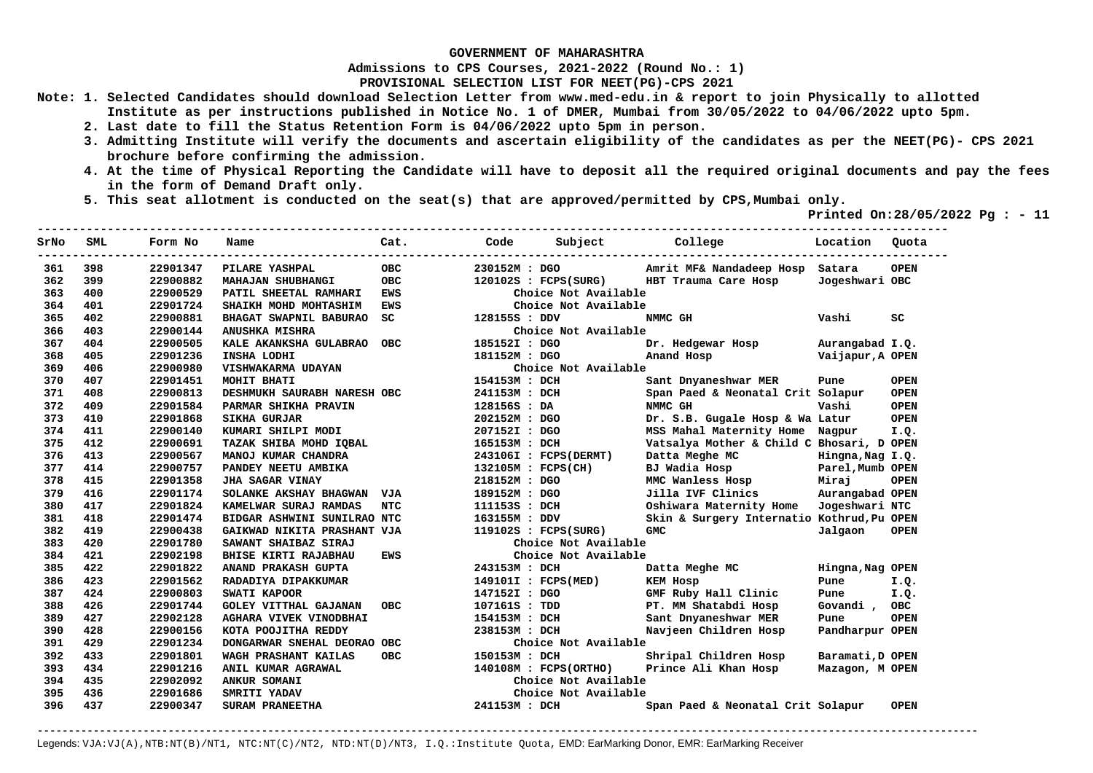**Admissions to CPS Courses, 2021-2022 (Round No.: 1)**

**PROVISIONAL SELECTION LIST FOR NEET(PG)-CPS 2021** 

- **Note: 1. Selected Candidates should download Selection Letter from www.med-edu.in & report to join Physically to allotted Institute as per instructions published in Notice No. 1 of DMER, Mumbai from 30/05/2022 to 04/06/2022 upto 5pm.** 
	- **2. Last date to fill the Status Retention Form is 04/06/2022 upto 5pm in person.**
	- **3. Admitting Institute will verify the documents and ascertain eligibility of the candidates as per the NEET(PG)- CPS 2021 brochure before confirming the admission.**
	- **4. At the time of Physical Reporting the Candidate will have to deposit all the required original documents and pay the fees in the form of Demand Draft only.**

**----------------------------------------------------------------------------------------------------------------------------------** 

 **5. This seat allotment is conducted on the seat(s) that are approved/permitted by CPS,Mumbai only.** 

 **Printed On:28/05/2022 Pg : - 11** 

| SrNo | SML | Form No  | Name                         | Cat.       | Code          | Subject College       |                                            | Location         | Quota       |
|------|-----|----------|------------------------------|------------|---------------|-----------------------|--------------------------------------------|------------------|-------------|
| 361  | 398 | 22901347 | PILARE YASHPAL               | <b>OBC</b> | 230152M : DGO |                       | Amrit MF& Nandadeep Hosp Satara            |                  | <b>OPEN</b> |
| 362  | 399 | 22900882 | MAHAJAN SHUBHANGI            | <b>OBC</b> |               | 120102S : FCPS(SURG)  | HBT Trauma Care Hosp                       | Jogeshwari OBC   |             |
| 363  | 400 | 22900529 | PATIL SHEETAL RAMHARI        | <b>EWS</b> |               | Choice Not Available  |                                            |                  |             |
| 364  | 401 | 22901724 | SHAIKH MOHD MOHTASHIM        | <b>EWS</b> |               | Choice Not Available  |                                            |                  |             |
| 365  | 402 | 22900881 | BHAGAT SWAPNIL BABURAO       | SC         | 128155S : DDV |                       | NMMC GH                                    | Vashi            | <b>SC</b>   |
| 366  | 403 | 22900144 | <b>ANUSHKA MISHRA</b>        |            |               | Choice Not Available  |                                            |                  |             |
| 367  | 404 | 22900505 | KALE AKANKSHA GULABRAO OBC   |            | 185152I : DGO |                       | Dr. Hedgewar Hosp                          | Aurangabad I.Q.  |             |
| 368  | 405 | 22901236 | INSHA LODHI                  |            | 181152M : DGO |                       | Anand Hosp                                 | Vaijapur, A OPEN |             |
| 369  | 406 | 22900980 | VISHWAKARMA UDAYAN           |            |               | Choice Not Available  |                                            |                  |             |
| 370  | 407 | 22901451 | MOHIT BHATI                  |            | 154153M : DCH |                       | Sant Dnyaneshwar MER                       | Pune             | <b>OPEN</b> |
| 371  | 408 | 22900813 | DESHMUKH SAURABH NARESH OBC  |            | 241153M : DCH |                       | Span Paed & Neonatal Crit Solapur          |                  | <b>OPEN</b> |
| 372  | 409 | 22901584 | PARMAR SHIKHA PRAVIN         |            | 128156S : DA  |                       | NMMC GH                                    | Vashi            | <b>OPEN</b> |
| 373  | 410 | 22901868 | <b>SIKHA GURJAR</b>          |            | 202152M : DGO |                       | Dr. S.B. Gugale Hosp & Wa Latur            |                  | <b>OPEN</b> |
| 374  | 411 | 22900140 | KUMARI SHILPI MODI           |            | 207152I : DGO |                       | MSS Mahal Maternity Home Nagpur            |                  | I.Q.        |
| 375  | 412 | 22900691 | TAZAK SHIBA MOHD IQBAL       |            | 165153M : DCH |                       | Vatsalya Mother & Child C Bhosari, D OPEN  |                  |             |
| 376  | 413 | 22900567 | MANOJ KUMAR CHANDRA          |            |               | 243106I : FCPS(DERMT) | Datta Meghe MC                             | Hingna, Nag I.Q. |             |
| 377  | 414 | 22900757 | PANDEY NEETU AMBIKA          |            |               | 132105M : FCPS(CH)    | BJ Wadia Hosp Narel, Mumb OPEN             |                  |             |
| 378  | 415 | 22901358 | JHA SAGAR VINAY              |            | 218152M : DGO |                       | MMC Wanless Hosp                           | Mirai            | <b>OPEN</b> |
| 379  | 416 | 22901174 | SOLANKE AKSHAY BHAGWAN VJA   |            |               | 189152M : DGO         | Jilla IVF Clinics                          | Aurangabad OPEN  |             |
| 380  | 417 | 22901824 | KAMELWAR SURAJ RAMDAS        | <b>NTC</b> | 111153S : DCH |                       | Oshiwara Maternity Home                    | Jogeshwari NTC   |             |
| 381  | 418 | 22901474 | BIDGAR ASHWINI SUNILRAO NTC  |            | 163155M : DDV |                       | Skin & Surgery Internatio Kothrud, Pu OPEN |                  |             |
| 382  | 419 | 22900438 | GAIKWAD NIKITA PRASHANT VJA  |            |               | 119102S : FCPS(SURG)  | GMC                                        | Jalgaon          | <b>OPEN</b> |
| 383  | 420 | 22901780 | SAWANT SHAIBAZ SIRAJ         |            |               | Choice Not Available  |                                            |                  |             |
| 384  | 421 | 22902198 | <b>BHISE KIRTI RAJABHAU</b>  | EWS        |               | Choice Not Available  |                                            |                  |             |
| 385  | 422 | 22901822 | ANAND PRAKASH GUPTA          |            | 243153M : DCH |                       | Datta Meghe MC                             | Hingna, Nag OPEN |             |
| 386  | 423 | 22901562 | RADADIYA DIPAKKUMAR          |            |               | 149101I : FCPS(MED)   | KEM Hosp                                   | Pune             | I.Q.        |
| 387  | 424 | 22900803 | SWATI KAPOOR                 |            |               | 147152I : DGO         | GMF Ruby Hall Clinic                       | Pune             | I.Q.        |
| 388  | 426 | 22901744 | <b>GOLEY VITTHAL GAJANAN</b> | <b>OBC</b> |               | 107161S : TDD         | PT. MM Shatabdi Hosp                       | Govandi, OBC     |             |
| 389  | 427 | 22902128 | AGHARA VIVEK VINODBHAI       |            | 154153M : DCH |                       | Sant Dnyaneshwar MER                       | Pune             | <b>OPEN</b> |
| 390  | 428 | 22900156 | KOTA POOJITHA REDDY          |            | 238153M : DCH |                       | Navjeen Children Hosp                      | Pandharpur OPEN  |             |
| 391  | 429 | 22901234 | DONGARWAR SNEHAL DEORAO OBC  |            |               | Choice Not Available  |                                            |                  |             |
| 392  | 433 | 22901801 | WAGH PRASHANT KAILAS         | <b>OBC</b> | 150153M : DCH |                       | Shripal Children Hosp                      | Baramati, D OPEN |             |
| 393  | 434 | 22901216 | ANIL KUMAR AGRAWAL           |            |               | 140108M : FCPS(ORTHO) | Prince Ali Khan Hosp Mazagon, M OPEN       |                  |             |
| 394  | 435 | 22902092 | <b>ANKUR SOMANI</b>          |            |               | Choice Not Available  |                                            |                  |             |
| 395  | 436 | 22901686 | SMRITI YADAV                 |            |               | Choice Not Available  |                                            |                  |             |
| 396  | 437 | 22900347 | SURAM PRANEETHA              |            | 241153M : DCH |                       | Span Paed & Neonatal Crit Solapur          |                  | <b>OPEN</b> |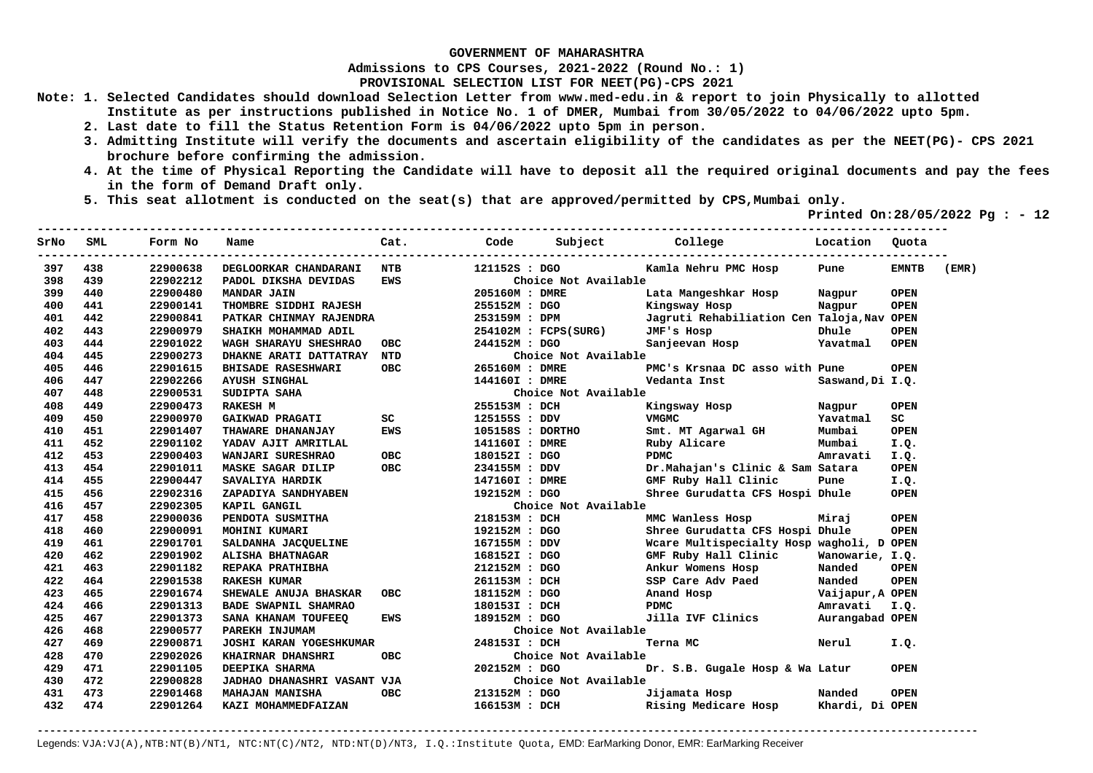**Admissions to CPS Courses, 2021-2022 (Round No.: 1)**

**PROVISIONAL SELECTION LIST FOR NEET(PG)-CPS 2021** 

- **Note: 1. Selected Candidates should download Selection Letter from www.med-edu.in & report to join Physically to allotted Institute as per instructions published in Notice No. 1 of DMER, Mumbai from 30/05/2022 to 04/06/2022 upto 5pm.** 
	- **2. Last date to fill the Status Retention Form is 04/06/2022 upto 5pm in person.**
	- **3. Admitting Institute will verify the documents and ascertain eligibility of the candidates as per the NEET(PG)- CPS 2021 brochure before confirming the admission.**
	- **4. At the time of Physical Reporting the Candidate will have to deposit all the required original documents and pay the fees in the form of Demand Draft only.**
	- **5. This seat allotment is conducted on the seat(s) that are approved/permitted by CPS,Mumbai only.**

 **Printed On:28/05/2022 Pg : - 12**   $-1.1$ 

| SrNo | <b>SML</b> | Form No  | Name                           | Cat.                                                                                                            | Code             | Subject              | College                                    | Location         | Quota               |       |
|------|------------|----------|--------------------------------|-----------------------------------------------------------------------------------------------------------------|------------------|----------------------|--------------------------------------------|------------------|---------------------|-------|
| 397  | 438        | 22900638 | DEGLOORKAR CHANDARANI NTB      |                                                                                                                 | 121152S : DGO    |                      | Kamla Nehru PMC Hosp                       | Pune             | <b>EMNTB</b>        | (EMR) |
| 398  | 439        | 22902212 | PADOL DIKSHA DEVIDAS           | <b>EWS</b>                                                                                                      |                  | Choice Not Available |                                            |                  |                     |       |
| 399  | 440        | 22900480 | <b>MANDAR JAIN</b>             |                                                                                                                 | 205160M : DMRE   |                      | Lata Mangeshkar Hosp                       | Nagpur           | <b>OPEN</b>         |       |
| 400  | 441        | 22900141 | THOMBRE SIDDHI RAJESH          |                                                                                                                 |                  | 255152M : DGO        | Kingsway Hosp                              | Nagpur           | <b>OPEN</b>         |       |
| 401  | 442        | 22900841 | PATKAR CHINMAY RAJENDRA        |                                                                                                                 |                  | 253159M : DPM        | Jagruti Rehabiliation Cen Taloja, Nav OPEN |                  |                     |       |
| 402  | 443        | 22900979 | SHAIKH MOHAMMAD ADIL           |                                                                                                                 |                  | 254102M : FCPS(SURG) | JMF's Hosp                                 | Dhule            | <b>OPEN</b>         |       |
| 403  | 444        | 22901022 | WAGH SHARAYU SHESHRAO          | ОВС                                                                                                             | 244152M : DGO    |                      | Sanjeevan Hosp                             | Yavatmal         | <b>OPEN</b>         |       |
| 404  | 445        | 22900273 | DHAKNE ARATI DATTATRAY NTD     |                                                                                                                 |                  | Choice Not Available |                                            |                  |                     |       |
| 405  | 446        | 22901615 | <b>BHISADE RASESHWARI</b>      | OBC                                                                                                             | 265160M : DMRE   |                      | PMC's Krsnaa DC asso with Pune             |                  | <b>OPEN</b>         |       |
| 406  | 447        | 22902266 | <b>AYUSH SINGHAL</b>           |                                                                                                                 | 144160I : DMRE   |                      | Vedanta Inst                               | Saswand, Di I.Q. |                     |       |
| 407  | 448        | 22900531 | SUDIPTA SAHA                   |                                                                                                                 |                  | Choice Not Available |                                            |                  |                     |       |
| 408  | 449        | 22900473 | <b>RAKESH M</b>                |                                                                                                                 | 255153M : DCH    |                      | Kingsway Hosp                              | Nagpur           | <b>OPEN</b>         |       |
| 409  | 450        | 22900970 | <b>GAIKWAD PRAGATI</b>         | SC and the set of the set of the set of the set of the set of the set of the set of the set of the set of the s | 125155S : DDV    |                      | VMGMC                                      | Yavatmal         | $\operatorname{sc}$ |       |
| 410  | 451        | 22901407 | THAWARE DHANANJAY              | <b>EWS</b>                                                                                                      | 105158S : DORTHO |                      | Smt. MT Agarwal GH                         | Mumbai           | <b>OPEN</b>         |       |
| 411  | 452        | 22901102 | YADAV AJIT AMRITLAL            |                                                                                                                 | 141160I : DMRE   |                      | Ruby Alicare                               | Mumbai           | I.Q.                |       |
| 412  | 453        | 22900403 | <b>WANJARI SURESHRAO</b>       | <b>OBC</b>                                                                                                      | 180152I : DGO    |                      | <b>PDMC</b>                                | Amravati         | I.Q.                |       |
| 413  | 454        | 22901011 | <b>MASKE SAGAR DILIP</b>       | <b>OBC</b>                                                                                                      |                  | 234155M : DDV        | Dr. Mahajan's Clinic & Sam Satara          |                  | <b>OPEN</b>         |       |
| 414  | 455        | 22900447 | SAVALIYA HARDIK                |                                                                                                                 |                  | 147160I : DMRE       | GMF Ruby Hall Clinic                       | Pune             | I.Q.                |       |
| 415  | 456        | 22902316 | ZAPADIYA SANDHYABEN            |                                                                                                                 | 192152M : DGO    |                      | Shree Gurudatta CFS Hospi Dhule            |                  | <b>OPEN</b>         |       |
| 416  | 457        | 22902305 | KAPIL GANGIL                   |                                                                                                                 |                  | Choice Not Available |                                            |                  |                     |       |
| 417  | 458        | 22900036 | PENDOTA SUSMITHA               |                                                                                                                 | 218153M : DCH    |                      | MMC Wanless Hosp                           | Miraj            | <b>OPEN</b>         |       |
| 418  | 460        | 22900091 | MOHINI KUMARI                  |                                                                                                                 |                  | 192152M : DGO        | Shree Gurudatta CFS Hospi Dhule            |                  | <b>OPEN</b>         |       |
| 419  | 461        | 22901701 | SALDANHA JACQUELINE            |                                                                                                                 |                  | 167155M : DDV        | Wcare Multispecialty Hosp wagholi, D OPEN  |                  |                     |       |
| 420  | 462        | 22901902 | ALISHA BHATNAGAR               |                                                                                                                 | 168152I : DGO    |                      | GMF Ruby Hall Clinic Wanowarie, I.Q.       |                  |                     |       |
| 421  | 463        | 22901182 | REPAKA PRATHIBHA               |                                                                                                                 | 212152M : DGO    |                      | Ankur Womens Hosp<br>SSP Care Adv Paed     | Nanded           | <b>OPEN</b>         |       |
| 422  | 464        | 22901538 | <b>RAKESH KUMAR</b>            |                                                                                                                 | 261153M : DCH    |                      |                                            | Nanded           | <b>OPEN</b>         |       |
| 423  | 465        | 22901674 | <b>SHEWALE ANUJA BHASKAR</b>   | OBC                                                                                                             | 181152M : DGO    |                      | Anand Hosp<br>PDMC                         | Vaijapur, A OPEN |                     |       |
| 424  | 466        | 22901313 | BADE SWAPNIL SHAMRAO           |                                                                                                                 | 180153I : DCH    |                      | PDMC                                       | Amravati I.Q.    |                     |       |
| 425  | 467        | 22901373 | SANA KHANAM TOUFEEQ            | <b>EWS</b>                                                                                                      | 189152M : DGO    |                      | Jilla IVF Clinics                          | Aurangabad OPEN  |                     |       |
| 426  | 468        | 22900577 | PAREKH INJUMAM                 |                                                                                                                 |                  | Choice Not Available |                                            |                  |                     |       |
| 427  | 469        | 22900871 | <b>JOSHI KARAN YOGESHKUMAR</b> |                                                                                                                 | 248153I : DCH    |                      | Terna MC                                   | Nerul            | I.Q.                |       |
| 428  | 470        | 22902026 | <b>KHAIRNAR DHANSHRI</b>       | <b>OBC</b>                                                                                                      |                  | Choice Not Available |                                            |                  |                     |       |
| 429  | 471        | 22901105 | DEEPIKA SHARMA                 |                                                                                                                 | 202152M : DGO    |                      | Dr. S.B. Gugale Hosp & Wa Latur            |                  | <b>OPEN</b>         |       |
| 430  | 472        | 22900828 | JADHAO DHANASHRI VASANT VJA    |                                                                                                                 |                  | Choice Not Available |                                            |                  |                     |       |
| 431  | 473        | 22901468 | <b>MAHAJAN MANISHA</b>         | <b>OBC</b>                                                                                                      | 213152M : DGO    |                      | Jijamata Hosp                              | Nanded           | <b>OPEN</b>         |       |
| 432  | 474        | 22901264 | KAZI MOHAMMEDFAIZAN            |                                                                                                                 | 166153M : DCH    |                      | Rising Medicare Hosp                       | Khardi, Di OPEN  |                     |       |
|      |            |          |                                |                                                                                                                 |                  |                      |                                            |                  |                     |       |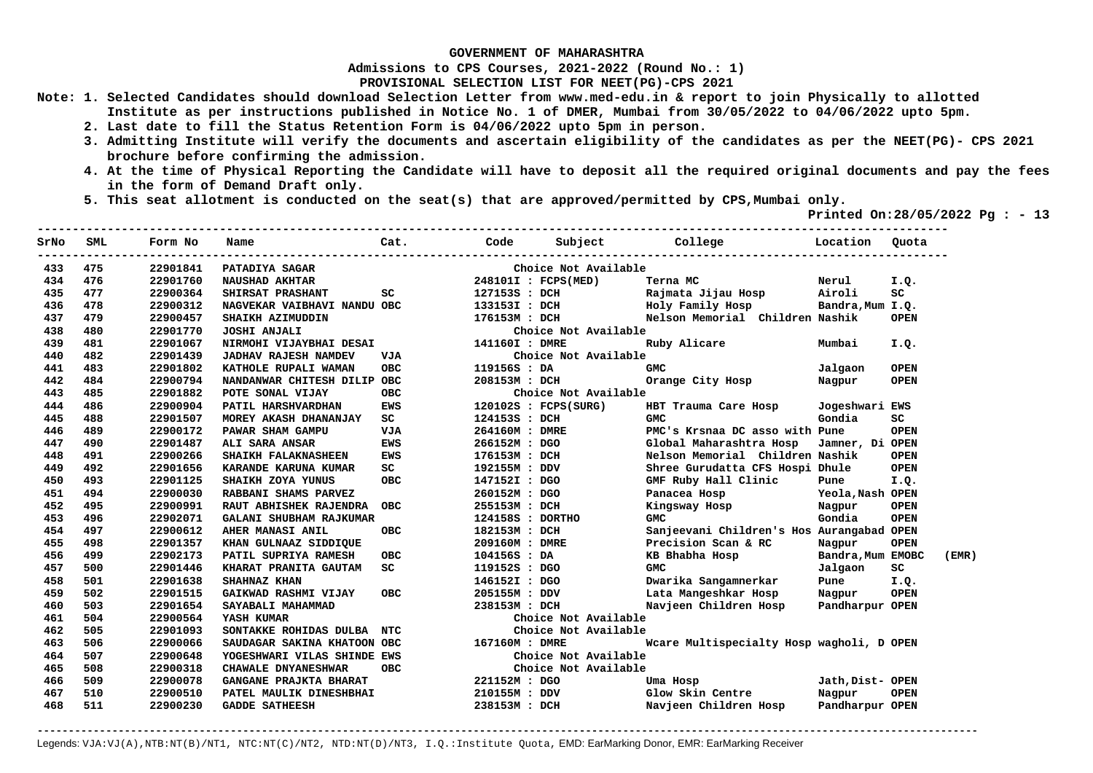**Admissions to CPS Courses, 2021-2022 (Round No.: 1)**

**PROVISIONAL SELECTION LIST FOR NEET(PG)-CPS 2021** 

- **Note: 1. Selected Candidates should download Selection Letter from www.med-edu.in & report to join Physically to allotted Institute as per instructions published in Notice No. 1 of DMER, Mumbai from 30/05/2022 to 04/06/2022 upto 5pm.** 
	- **2. Last date to fill the Status Retention Form is 04/06/2022 upto 5pm in person.**
	- **3. Admitting Institute will verify the documents and ascertain eligibility of the candidates as per the NEET(PG)- CPS 2021 brochure before confirming the admission.**
	- **4. At the time of Physical Reporting the Candidate will have to deposit all the required original documents and pay the fees in the form of Demand Draft only.**
	- **5. This seat allotment is conducted on the seat(s) that are approved/permitted by CPS,Mumbai only.**

 **Printed On:28/05/2022 Pg : - 13**   $-1.1$ 

| SrNo | SML | Form No  | Name                          | Cat.       | Code             | Subject              | College                                      | Location          | Ouota       |
|------|-----|----------|-------------------------------|------------|------------------|----------------------|----------------------------------------------|-------------------|-------------|
| 433  | 475 | 22901841 | <b>PATADIYA SAGAR</b>         |            |                  | Choice Not Available |                                              |                   |             |
| 434  | 476 | 22901760 | <b>NAUSHAD AKHTAR</b>         |            |                  | 248101I : FCPS(MED)  | Terna MC                                     | Nerul             | I.Q.        |
| 435  | 477 | 22900364 | SHIRSAT PRASHANT              | SC         |                  | 127153S : DCH        | Rajmata Jijau Hosp                           | Airoli            | SC          |
| 436  | 478 | 22900312 | NAGVEKAR VAIBHAVI NANDU OBC   |            |                  | 133153I : DCH        | Holy Family Hosp                             | Bandra, Mum I.Q.  |             |
| 437  | 479 | 22900457 | SHAIKH AZIMUDDIN              |            |                  | 176153M : DCH        | Nelson Memorial Children Nashik              |                   | <b>OPEN</b> |
| 438  | 480 | 22901770 | <b>JOSHI ANJALI</b>           |            |                  | Choice Not Available |                                              |                   |             |
| 439  | 481 | 22901067 | NIRMOHI VIJAYBHAI DESAI       |            | 141160I : DMRE   |                      | Ruby Alicare                                 | Mumbai            | I.Q.        |
| 440  | 482 | 22901439 | <b>JADHAV RAJESH NAMDEV</b>   | VJA        |                  | Choice Not Available |                                              |                   |             |
| 441  | 483 | 22901802 | KATHOLE RUPALI WAMAN          | <b>OBC</b> | 119156S : DA     |                      | <b>GMC</b>                                   | Jalgaon           | <b>OPEN</b> |
| 442  | 484 | 22900794 | NANDANWAR CHITESH DILIP OBC   |            | 208153M : DCH    |                      | Orange City Hosp                             | Nagpur            | <b>OPEN</b> |
| 443  | 485 | 22901882 | POTE SONAL VIJAY              | <b>OBC</b> |                  | Choice Not Available |                                              |                   |             |
| 444  | 486 | 22900904 | PATIL HARSHVARDHAN            | <b>EWS</b> |                  | 120102S : FCPS(SURG) | HBT Trauma Care Hosp                         | Jogeshwari EWS    |             |
| 445  | 488 | 22901507 | MOREY AKASH DHANANJAY         | SC         | 124153S : DCH    |                      | <b>GMC</b>                                   | Gondia            | SC          |
| 446  | 489 | 22900172 | PAWAR SHAM GAMPU              | <b>VJA</b> | 264160M : DMRE   |                      | PMC's Krsnaa DC asso with Pune               |                   | <b>OPEN</b> |
| 447  | 490 | 22901487 | ALI SARA ANSAR                | EWS        |                  | 266152M : DGO        | Global Maharashtra Hosp                      | Jamner, Di OPEN   |             |
| 448  | 491 | 22900266 | <b>SHAIKH FALAKNASHEEN</b>    | EWS        | 176153M : DCH    |                      | Nelson Memorial Children Nashik              |                   | <b>OPEN</b> |
| 449  | 492 | 22901656 | KARANDE KARUNA KUMAR          | SC         | 192155M : DDV    |                      | Shree Gurudatta CFS Hospi Dhule              |                   | <b>OPEN</b> |
| 450  | 493 | 22901125 | SHAIKH ZOYA YUNUS             | <b>OBC</b> | 147152I : DGO    |                      | GMF Ruby Hall Clinic                         | Pune              | I.Q.        |
| 451  | 494 | 22900030 | RABBANI SHAMS PARVEZ          |            | 260152M : DGO    |                      | Panacea Hosp Yeola, Nash OPEN                |                   |             |
| 452  | 495 | 22900991 | <b>RAUT ABHISHEK RAJENDRA</b> | <b>OBC</b> | 255153M : DCH    |                      | Kingsway Hosp                                | Nagpur            | <b>OPEN</b> |
| 453  | 496 | 22902071 | GALANI SHUBHAM RAJKUMAR       |            | 124158S : DORTHO |                      | <b>GMC</b>                                   | Gondia            | <b>OPEN</b> |
| 454  | 497 | 22900612 | AHER MANASI ANIL              | OBC        | 182153M : DCH    |                      | Sanjeevani Children's Hos Aurangabad OPEN    |                   |             |
| 455  | 498 | 22901357 | KHAN GULNAAZ SIDDIQUE         |            | 209160M : DMRE   |                      |                                              | Nagpur            | <b>OPEN</b> |
| 456  | 499 | 22902173 | PATIL SUPRIYA RAMESH          | <b>OBC</b> | 104156S : DA     |                      |                                              | Bandra, Mum EMOBC | (EMR)       |
| 457  | 500 | 22901446 | KHARAT PRANITA GAUTAM         | SC         | 119152S : DGO    |                      | Precision Scan & RC<br>KB Bhabha Hosp<br>GMC | Jalgaon           | SC          |
| 458  | 501 | 22901638 | SHAHNAZ KHAN                  |            |                  | 146152I : DGO        | Dwarika Sangamnerkar                         | Pune              | I.Q.        |
| 459  | 502 | 22901515 | GAIKWAD RASHMI VIJAY          | OBC.       | 205155M : DDV    |                      | Lata Mangeshkar Hosp Nagpur                  |                   | <b>OPEN</b> |
| 460  | 503 | 22901654 | SAYABALI MAHAMMAD             |            | 238153M : DCH    |                      | Navjeen Children Hosp Pandharpur OPEN        |                   |             |
| 461  | 504 | 22900564 | YASH KUMAR                    |            |                  | Choice Not Available |                                              |                   |             |
| 462  | 505 | 22901093 | SONTAKKE ROHIDAS DULBA NTC    |            |                  | Choice Not Available |                                              |                   |             |
| 463  | 506 | 22900066 | SAUDAGAR SAKINA KHATOON OBC   |            | 167160M : DMRE   |                      | Wcare Multispecialty Hosp wagholi, D OPEN    |                   |             |
| 464  | 507 | 22900648 | YOGESHWARI VILAS SHINDE EWS   |            |                  | Choice Not Available |                                              |                   |             |
| 465  | 508 | 22900318 | CHAWALE DNYANESHWAR           | <b>OBC</b> |                  | Choice Not Available |                                              |                   |             |
| 466  | 509 | 22900078 | GANGANE PRAJKTA BHARAT        |            | 221152M : DGO    |                      | Uma Hosp                                     | Jath, Dist- OPEN  |             |
| 467  | 510 | 22900510 | PATEL MAULIK DINESHBHAI       |            | 210155M : DDV    |                      | Glow Skin Centre                             | Nagpur            | <b>OPEN</b> |
| 468  | 511 | 22900230 | <b>GADDE SATHEESH</b>         |            | 238153M : DCH    |                      | Navjeen Children Hosp                        | Pandharpur OPEN   |             |
|      |     |          |                               |            |                  |                      |                                              |                   |             |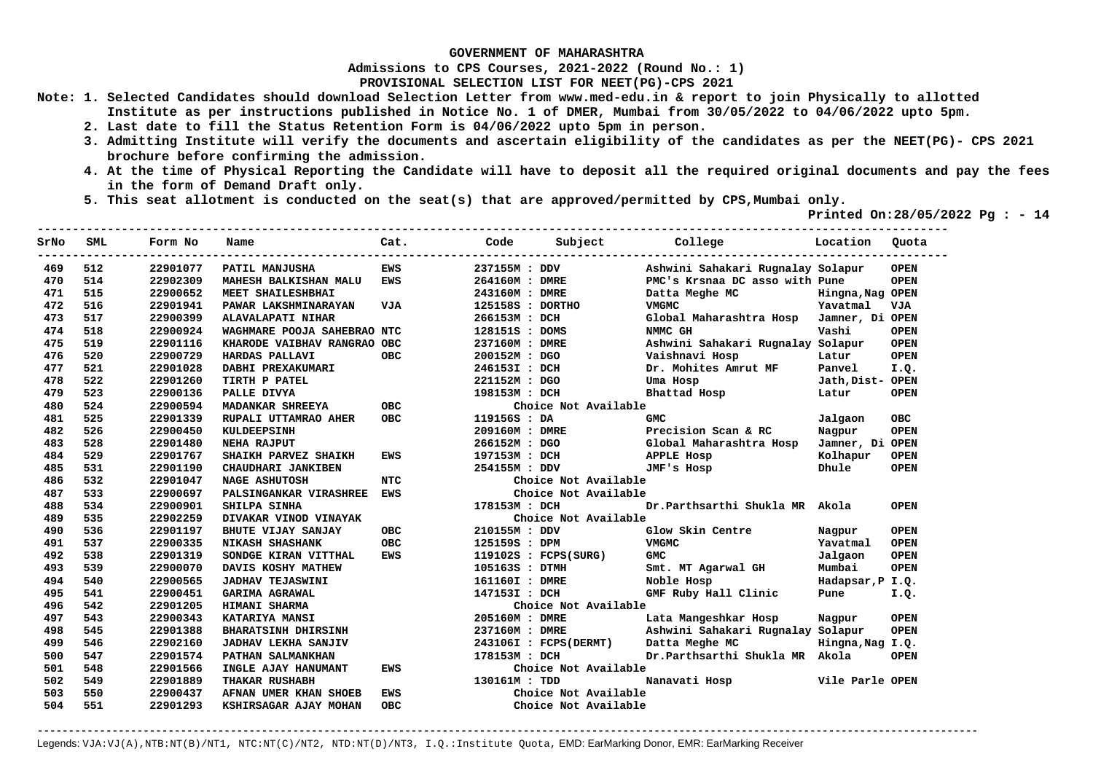**Admissions to CPS Courses, 2021-2022 (Round No.: 1)**

**PROVISIONAL SELECTION LIST FOR NEET(PG)-CPS 2021** 

- **Note: 1. Selected Candidates should download Selection Letter from www.med-edu.in & report to join Physically to allotted Institute as per instructions published in Notice No. 1 of DMER, Mumbai from 30/05/2022 to 04/06/2022 upto 5pm.** 
	- **2. Last date to fill the Status Retention Form is 04/06/2022 upto 5pm in person.**
	- **3. Admitting Institute will verify the documents and ascertain eligibility of the candidates as per the NEET(PG)- CPS 2021 brochure before confirming the admission.**
	- **4. At the time of Physical Reporting the Candidate will have to deposit all the required original documents and pay the fees in the form of Demand Draft only.**
	- **5. This seat allotment is conducted on the seat(s) that are approved/permitted by CPS,Mumbai only.**

 **Printed On:28/05/2022 Pg : - 14** 

| SrNo | <b>SML</b> | Form No  | Name                        | Cat.       | Code             | Subject                | College                           | Location         | Ouota       |
|------|------------|----------|-----------------------------|------------|------------------|------------------------|-----------------------------------|------------------|-------------|
| 469  | 512        | 22901077 | PATIL MANJUSHA              | <b>EWS</b> | 237155M : DDV    |                        | Ashwini Sahakari Rugnalay Solapur |                  | <b>OPEN</b> |
| 470  | 514        | 22902309 | MAHESH BALKISHAN MALU       | EWS        | 264160M : DMRE   |                        | PMC's Krsnaa DC asso with Pune    |                  | <b>OPEN</b> |
| 471  | 515        | 22900652 | MEET SHAILESHBHAI           |            | 243160M : DMRE   |                        | Datta Meghe MC                    | Hingna, Nag OPEN |             |
| 472  | 516        | 22901941 | PAWAR LAKSHMINARAYAN        | VJA        | 125158S : DORTHO |                        | <b>VMGMC</b>                      | Yavatmal         | <b>VJA</b>  |
| 473  | 517        | 22900399 | <b>ALAVALAPATI NIHAR</b>    |            | 266153M : DCH    |                        | Global Maharashtra Hosp           | Jamner, Di OPEN  |             |
| 474  | 518        | 22900924 | WAGHMARE POOJA SAHEBRAO NTC |            | 128151S : DOMS   |                        | NMMC GH                           | Vashi            | <b>OPEN</b> |
| 475  | 519        | 22901116 | KHARODE VAIBHAV RANGRAO OBC |            | 237160M : DMRE   |                        | Ashwini Sahakari Rugnalay Solapur |                  | <b>OPEN</b> |
| 476  | 520        | 22900729 | HARDAS PALLAVI              | <b>OBC</b> | 200152M : DGO    |                        | Vaishnavi Hosp                    | Latur            | <b>OPEN</b> |
| 477  | 521        | 22901028 | DABHI PREXAKUMARI           |            | 246153I : DCH    |                        | Dr. Mohites Amrut MF              | Panvel           | I.Q.        |
| 478  | 522        | 22901260 | TIRTH P PATEL               |            | 221152M : DGO    |                        | Uma Hosp                          | Jath, Dist- OPEN |             |
| 479  | 523        | 22900136 | PALLE DIVYA                 |            | 198153M : DCH    |                        | Bhattad Hosp                      | Latur            | <b>OPEN</b> |
| 480  | 524        | 22900594 | MADANKAR SHREEYA            | <b>OBC</b> |                  | Choice Not Available   |                                   |                  |             |
| 481  | 525        | 22901339 | RUPALI UTTAMRAO AHER        | <b>OBC</b> | 119156S : DA     |                        | <b>GMC</b>                        | Jalgaon          | <b>OBC</b>  |
| 482  | 526        | 22900450 | <b>KULDEEPSINH</b>          |            |                  | 209160M : DMRE         | Precision Scan & RC               | Nagpur           | <b>OPEN</b> |
| 483  | 528        | 22901480 | NEHA RAJPUT                 |            | 266152M : DGO    |                        | Global Maharashtra Hosp           | Jamner, Di OPEN  |             |
| 484  | 529        | 22901767 | SHAIKH PARVEZ SHAIKH        | <b>EWS</b> | 197153M : DCH    |                        | APPLE Hosp                        | Kolhapur         | <b>OPEN</b> |
| 485  | 531        | 22901190 | CHAUDHARI JANKIBEN          |            | 254155M : DDV    |                        | JMF's Hosp                        | Dhule            | <b>OPEN</b> |
| 486  | 532        | 22901047 | <b>NAGE ASHUTOSH</b>        | <b>NTC</b> |                  | Choice Not Available   |                                   |                  |             |
| 487  | 533        | 22900697 | PALSINGANKAR VIRASHREE      | <b>EWS</b> |                  | Choice Not Available   |                                   |                  |             |
| 488  | 534        | 22900901 | <b>SHILPA SINHA</b>         |            | 178153M : DCH    |                        | Dr.Parthsarthi Shukla MR          | Akola            | <b>OPEN</b> |
| 489  | 535        | 22902259 | DIVAKAR VINOD VINAYAK       |            |                  | Choice Not Available   |                                   |                  |             |
| 490  | 536        | 22901197 | BHUTE VIJAY SANJAY          | <b>OBC</b> | 210155M : DDV    |                        | Glow Skin Centre                  | Nagpur           | <b>OPEN</b> |
| 491  | 537        | 22900335 | <b>NIKASH SHASHANK</b>      | <b>OBC</b> | 125159S : DPM    |                        | <b>VMGMC</b>                      | Yavatmal         | <b>OPEN</b> |
| 492  | 538        | 22901319 | SONDGE KIRAN VITTHAL        | <b>EWS</b> |                  | $119102S$ : FCPS(SURG) | <b>GMC</b>                        | Jalgaon          | <b>OPEN</b> |
| 493  | 539        | 22900070 | DAVIS KOSHY MATHEW          |            | 105163S : DTMH   |                        | Smt. MT Agarwal GH                | Mumbai           | <b>OPEN</b> |
| 494  | 540        | 22900565 | <b>JADHAV TEJASWINI</b>     |            | 161160I : DMRE   |                        | Noble Hosp                        | Hadapsar, P I.Q. |             |
| 495  | 541        | 22900451 | <b>GARIMA AGRAWAL</b>       |            | 147153I : DCH    |                        | GMF Ruby Hall Clinic              | Pune             | I.Q.        |
| 496  | 542        | 22901205 | HIMANI SHARMA               |            |                  | Choice Not Available   |                                   |                  |             |
| 497  | 543        | 22900343 | <b>KATARIYA MANSI</b>       |            | 205160M : DMRE   |                        | Lata Mangeshkar Hosp              | Nagpur           | <b>OPEN</b> |
| 498  | 545        | 22901388 | <b>BHARATSINH DHIRSINH</b>  |            | 237160M : DMRE   |                        | Ashwini Sahakari Rugnalay Solapur |                  | <b>OPEN</b> |
| 499  | 546        | 22902160 | <b>JADHAV LEKHA SANJIV</b>  |            |                  | 243106I : FCPS(DERMT)  | Datta Meghe MC                    | Hingna, Nag I.Q. |             |
| 500  | 547        | 22901574 | PATHAN SALMANKHAN           |            | 178153M : DCH    |                        | Dr.Parthsarthi Shukla MR Akola    |                  | <b>OPEN</b> |
| 501  | 548        | 22901566 | INGLE AJAY HANUMANT         | EWS        |                  | Choice Not Available   |                                   |                  |             |
| 502  | 549        | 22901889 | THAKAR RUSHABH              |            | 130161M : TDD    |                        | Nanavati Hosp                     | Vile Parle OPEN  |             |
| 503  | 550        | 22900437 | AFNAN UMER KHAN SHOEB       | <b>EWS</b> |                  | Choice Not Available   |                                   |                  |             |
| 504  | 551        | 22901293 | KSHIRSAGAR AJAY MOHAN       | <b>OBC</b> |                  | Choice Not Available   |                                   |                  |             |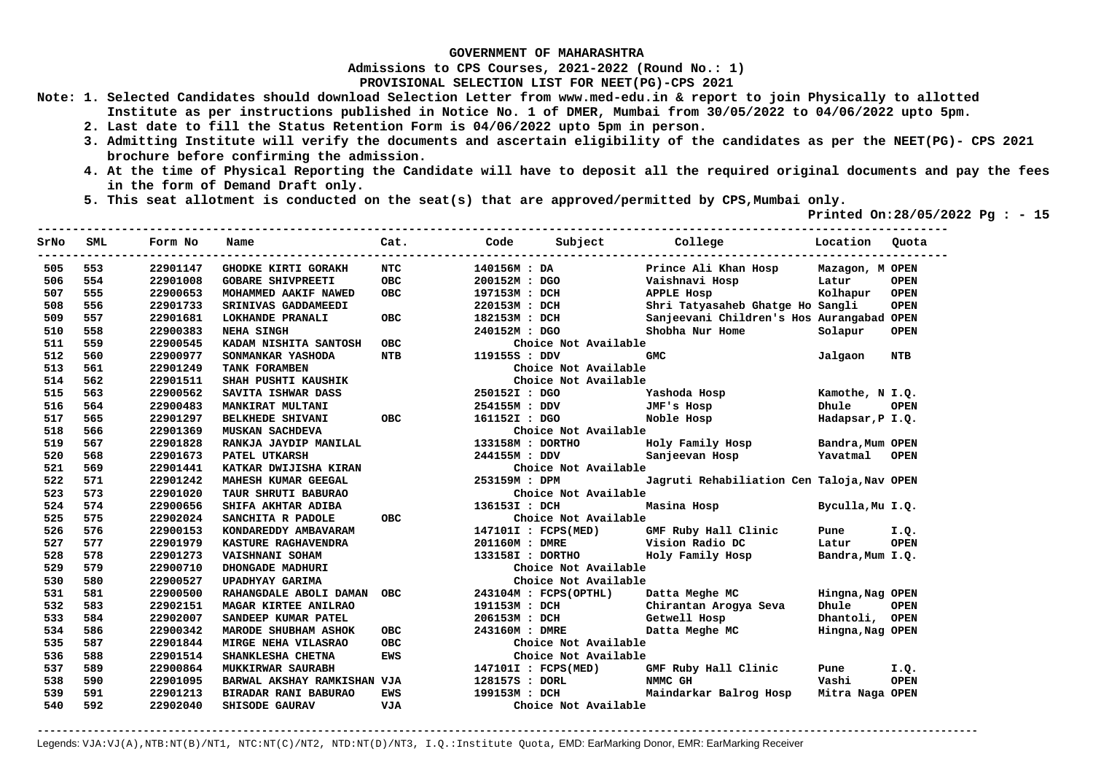**Admissions to CPS Courses, 2021-2022 (Round No.: 1)**

**PROVISIONAL SELECTION LIST FOR NEET(PG)-CPS 2021** 

- **Note: 1. Selected Candidates should download Selection Letter from www.med-edu.in & report to join Physically to allotted Institute as per instructions published in Notice No. 1 of DMER, Mumbai from 30/05/2022 to 04/06/2022 upto 5pm.** 
	- **2. Last date to fill the Status Retention Form is 04/06/2022 upto 5pm in person.**
	- **3. Admitting Institute will verify the documents and ascertain eligibility of the candidates as per the NEET(PG)- CPS 2021 brochure before confirming the admission.**
	- **4. At the time of Physical Reporting the Candidate will have to deposit all the required original documents and pay the fees in the form of Demand Draft only.**
	- **5. This seat allotment is conducted on the seat(s) that are approved/permitted by CPS,Mumbai only.**

 **Printed On:28/05/2022 Pg : - 15**   $-1.1$ 

| SrNo | SML | Form No  | Name                        | Cat.       | Code           | Subject               | College                                    | Location         | Quota       |
|------|-----|----------|-----------------------------|------------|----------------|-----------------------|--------------------------------------------|------------------|-------------|
| 505  | 553 | 22901147 | <b>GHODKE KIRTI GORAKH</b>  | <b>NTC</b> | 140156M : DA   |                       | Prince Ali Khan Hosp                       | Mazagon, M OPEN  |             |
| 506  | 554 | 22901008 | <b>GOBARE SHIVPREETI</b>    | <b>OBC</b> | 200152M: DGO   |                       | Vaishnavi Hosp                             | Latur            | <b>OPEN</b> |
| 507  | 555 | 22900653 | MOHAMMED AAKIF NAWED        | <b>OBC</b> | 197153M : DCH  |                       | <b>APPLE Hosp</b>                          | Kolhapur         | <b>OPEN</b> |
| 508  | 556 | 22901733 | SRINIVAS GADDAMEEDI         |            | 220153M : DCH  |                       | Shri Tatyasaheb Ghatge Ho Sangli           |                  | <b>OPEN</b> |
| 509  | 557 | 22901681 | LOKHANDE PRANALI            | OBC.       | 182153M : DCH  |                       | Sanjeevani Children's Hos Aurangabad OPEN  |                  |             |
| 510  | 558 | 22900383 | NEHA SINGH                  |            | 240152M : DGO  |                       | Shobha Nur Home                            | Solapur          | <b>OPEN</b> |
| 511  | 559 | 22900545 | KADAM NISHITA SANTOSH       | <b>OBC</b> |                | Choice Not Available  |                                            |                  |             |
| 512  | 560 | 22900977 | SONMANKAR YASHODA           | <b>NTB</b> | 119155S : DDV  |                       | <b>GMC</b>                                 | Jalgaon          | <b>NTB</b>  |
| 513  | 561 | 22901249 | TANK FORAMBEN               |            |                | Choice Not Available  |                                            |                  |             |
| 514  | 562 | 22901511 | SHAH PUSHTI KAUSHIK         |            |                | Choice Not Available  |                                            |                  |             |
| 515  | 563 | 22900562 | SAVITA ISHWAR DASS          |            | 250152I : DGO  |                       | Yashoda Hosp                               | Kamothe, N I.Q.  |             |
| 516  | 564 | 22900483 | MANKIRAT MULTANI            |            | 254155M : DDV  |                       | JMF's Hosp                                 | Dhule            | <b>OPEN</b> |
| 517  | 565 | 22901297 | BELKHEDE SHIVANI            | OBC.       | 161152I : DGO  |                       | Noble Hosp                                 | Hadapsar, P I.Q. |             |
| 518  | 566 | 22901369 | <b>MUSKAN SACHDEVA</b>      |            |                | Choice Not Available  |                                            |                  |             |
| 519  | 567 | 22901828 | RANKJA JAYDIP MANILAL       |            |                | 133158M : DORTHO      | Holy Family Hosp                           | Bandra, Mum OPEN |             |
| 520  | 568 | 22901673 | PATEL UTKARSH               |            | 244155M : DDV  |                       | Sanjeevan Hosp                             | Yavatmal         | <b>OPEN</b> |
| 521  | 569 | 22901441 | KATKAR DWIJISHA KIRAN       |            |                | Choice Not Available  |                                            |                  |             |
| 522  | 571 | 22901242 | MAHESH KUMAR GEEGAL         |            | 253159M: DPM   |                       | Jagruti Rehabiliation Cen Taloja, Nav OPEN |                  |             |
| 523  | 573 | 22901020 | TAUR SHRUTI BABURAO         |            |                | Choice Not Available  |                                            |                  |             |
| 524  | 574 | 22900656 | SHIFA AKHTAR ADIBA          |            | 136153I : DCH  |                       | Masina Hosp                                | Byculla, Mu I.Q. |             |
| 525  | 575 | 22902024 | SANCHITA R PADOLE           | <b>OBC</b> |                | Choice Not Available  |                                            |                  |             |
| 526  | 576 | 22900153 | KONDAREDDY AMBAVARAM        |            |                | 147101I : FCPS(MED)   | GMF Ruby Hall Clinic                       | Pune             | I.Q.        |
| 527  | 577 | 22901979 | KASTURE RAGHAVENDRA         |            | 201160M : DMRE |                       | Vision Radio DC                            | Latur            | <b>OPEN</b> |
| 528  | 578 | 22901273 | VAISHNANI SOHAM             |            |                | 133158I : DORTHO      | Holy Family Hosp                           | Bandra, Mum I.Q. |             |
| 529  | 579 | 22900710 | DHONGADE MADHURI            |            |                | Choice Not Available  |                                            |                  |             |
| 530  | 580 | 22900527 | <b>UPADHYAY GARIMA</b>      |            |                | Choice Not Available  |                                            |                  |             |
| 531  | 581 | 22900500 | RAHANGDALE ABOLI DAMAN      | <b>OBC</b> |                | 243104M : FCPS(OPTHL) | Datta Meghe MC                             | Hingna, Nag OPEN |             |
| 532  | 583 | 22902151 | <b>MAGAR KIRTEE ANILRAO</b> |            | 191153M : DCH  |                       | Chirantan Arogya Seva                      | Dhule            | <b>OPEN</b> |
| 533  | 584 | 22902007 | SANDEEP KUMAR PATEL         |            | 206153M : DCH  |                       | Getwell Hosp                               | Dhantoli, OPEN   |             |
| 534  | 586 | 22900342 | <b>MARODE SHUBHAM ASHOK</b> | <b>OBC</b> | 243160M : DMRE |                       | Datta Meghe MC                             | Hingna, Nag OPEN |             |
| 535  | 587 | 22901844 | <b>MIRGE NEHA VILASRAO</b>  | <b>OBC</b> |                | Choice Not Available  |                                            |                  |             |
| 536  | 588 | 22901514 | SHANKLESHA CHETNA           | <b>EWS</b> |                | Choice Not Available  |                                            |                  |             |
| 537  | 589 | 22900864 | <b>MUKKIRWAR SAURABH</b>    |            |                | 147101I : FCPS(MED)   | GMF Ruby Hall Clinic                       | Pune             | I.Q.        |
| 538  | 590 | 22901095 | BARWAL AKSHAY RAMKISHAN VJA |            | 128157S : DORL |                       | NMMC GH                                    | Vashi            | <b>OPEN</b> |
| 539  | 591 | 22901213 | BIRADAR RANI BABURAO        | EWS        | 199153M : DCH  |                       | Maindarkar Balrog Hosp                     | Mitra Naga OPEN  |             |
| 540  | 592 | 22902040 | <b>SHISODE GAURAV</b>       | VJA        |                | Choice Not Available  |                                            |                  |             |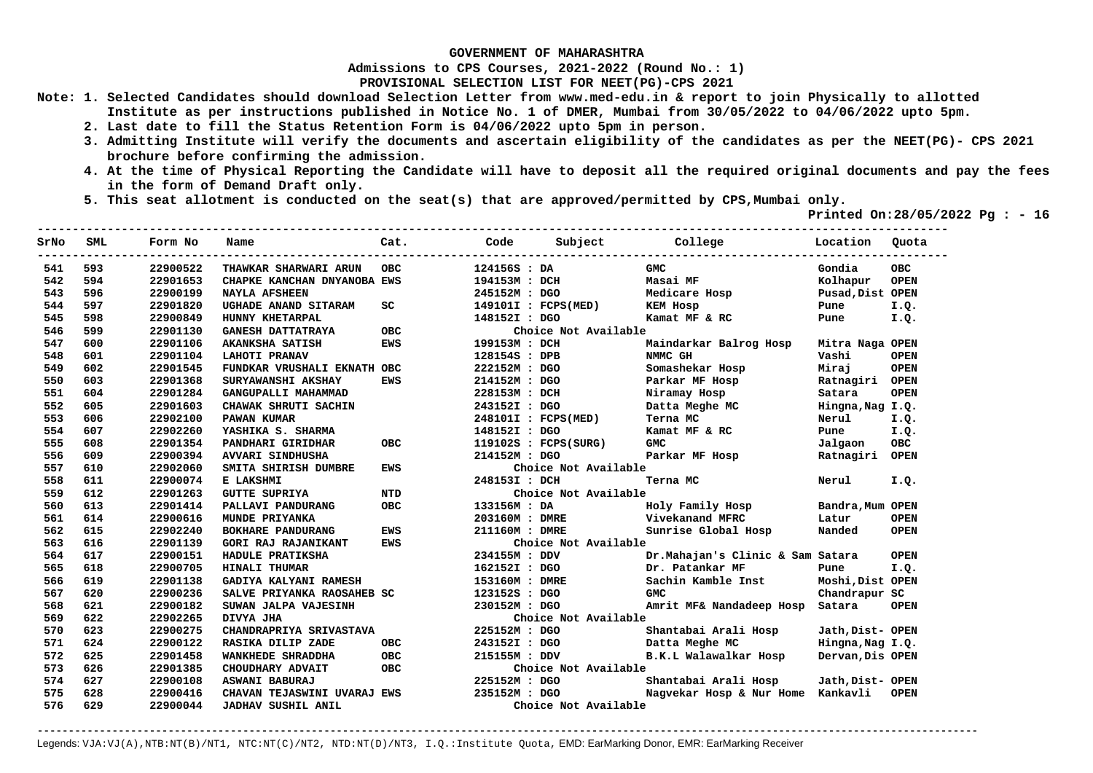**Admissions to CPS Courses, 2021-2022 (Round No.: 1)**

**PROVISIONAL SELECTION LIST FOR NEET(PG)-CPS 2021** 

- **Note: 1. Selected Candidates should download Selection Letter from www.med-edu.in & report to join Physically to allotted Institute as per instructions published in Notice No. 1 of DMER, Mumbai from 30/05/2022 to 04/06/2022 upto 5pm.** 
	- **2. Last date to fill the Status Retention Form is 04/06/2022 upto 5pm in person.**
	- **3. Admitting Institute will verify the documents and ascertain eligibility of the candidates as per the NEET(PG)- CPS 2021 brochure before confirming the admission.**
	- **4. At the time of Physical Reporting the Candidate will have to deposit all the required original documents and pay the fees in the form of Demand Draft only.**
	- **5. This seat allotment is conducted on the seat(s) that are approved/permitted by CPS,Mumbai only.**

 **Printed On:28/05/2022 Pg : - 16** 

| SrNo | SML | Form No  | Name                        | Cat.       | Code           | Subject              | College                           | Location         | Ouota       |
|------|-----|----------|-----------------------------|------------|----------------|----------------------|-----------------------------------|------------------|-------------|
| 541  | 593 | 22900522 | THAWKAR SHARWARI ARUN       | <b>OBC</b> | 124156S : DA   |                      | <b>GMC</b>                        | Gondia           | <b>OBC</b>  |
| 542  | 594 | 22901653 | CHAPKE KANCHAN DNYANOBA EWS |            | 194153M : DCH  |                      | Masai MF                          | Kolhapur         | <b>OPEN</b> |
| 543  | 596 | 22900199 | <b>NAYLA AFSHEEN</b>        |            | 245152M : DGO  |                      | Medicare Hosp                     | Pusad, Dist OPEN |             |
| 544  | 597 | 22901820 | UGHADE ANAND SITARAM        | SC         |                | 149101I : FCPS(MED)  | KEM Hosp                          | Pune             | I.Q.        |
| 545  | 598 | 22900849 | HUNNY KHETARPAL             |            | 148152I : DGO  |                      | Kamat MF & RC                     | Pune             | I.Q.        |
| 546  | 599 | 22901130 | <b>GANESH DATTATRAYA</b>    | <b>OBC</b> |                | Choice Not Available |                                   |                  |             |
| 547  | 600 | 22901106 | AKANKSHA SATISH             | <b>EWS</b> | 199153M : DCH  |                      | Maindarkar Balrog Hosp            | Mitra Naga OPEN  |             |
| 548  | 601 | 22901104 | <b>LAHOTI PRANAV</b>        |            | 128154S : DPB  |                      | NMMC GH                           | Vashi            | <b>OPEN</b> |
| 549  | 602 | 22901545 | FUNDKAR VRUSHALI EKNATH OBC |            | 222152M : DGO  |                      | Somashekar Hosp                   | Mirai            | <b>OPEN</b> |
| 550  | 603 | 22901368 | SURYAWANSHI AKSHAY          | <b>EWS</b> | 214152M : DGO  |                      | Parkar MF Hosp                    | Ratnagiri        | <b>OPEN</b> |
| 551  | 604 | 22901284 | GANGUPALLI MAHAMMAD         |            | 228153M : DCH  |                      | Niramay Hosp                      | Satara           | <b>OPEN</b> |
| 552  | 605 | 22901603 | CHAWAK SHRUTI SACHIN        |            | 243152I : DGO  |                      | Datta Meghe MC                    | Hingna, Nag I.Q. |             |
| 553  | 606 | 22902100 | <b>PAWAN KUMAR</b>          |            |                | 248101I : FCPS(MED)  | Terna MC                          | Nerul            | I.Q.        |
| 554  | 607 | 22902260 | YASHIKA S. SHARMA           |            | 148152I : DGO  |                      | Kamat MF & RC                     | Pune             | I.Q.        |
| 555  | 608 | 22901354 | PANDHARI GIRIDHAR           | <b>OBC</b> |                | 119102S : FCPS(SURG) | <b>GMC</b>                        | Jalgaon          | <b>OBC</b>  |
| 556  | 609 | 22900394 | <b>AVVARI SINDHUSHA</b>     |            | 214152M : DGO  |                      | Parkar MF Hosp                    | Ratnagiri        | <b>OPEN</b> |
| 557  | 610 | 22902060 | SMITA SHIRISH DUMBRE        | <b>EWS</b> |                | Choice Not Available |                                   |                  |             |
| 558  | 611 | 22900074 | E LAKSHMI                   |            | 248153I: DCH   |                      | Terna MC                          | Nerul            | I.Q.        |
| 559  | 612 | 22901263 | <b>GUTTE SUPRIYA</b>        | <b>NTD</b> |                | Choice Not Available |                                   |                  |             |
| 560  | 613 | 22901414 | PALLAVI PANDURANG           | <b>OBC</b> | 133156M : DA   |                      | Holy Family Hosp                  | Bandra, Mum OPEN |             |
| 561  | 614 | 22900616 | MUNDE PRIYANKA              |            | 203160M : DMRE |                      | Vivekanand MFRC                   | Latur            | <b>OPEN</b> |
| 562  | 615 | 22902240 | BOKHARE PANDURANG           | <b>EWS</b> | 211160M : DMRE |                      | Sunrise Global Hosp               | Nanded           | <b>OPEN</b> |
| 563  | 616 | 22901139 | <b>GORI RAJ RAJANIKANT</b>  | <b>EWS</b> |                | Choice Not Available |                                   |                  |             |
| 564  | 617 | 22900151 | HADULE PRATIKSHA            |            | 234155M : DDV  |                      | Dr. Mahajan's Clinic & Sam Satara |                  | <b>OPEN</b> |
| 565  | 618 | 22900705 | <b>HINALI THUMAR</b>        |            | 162152I : DGO  |                      | Dr. Patankar MF                   | Pune             | I.Q.        |
| 566  | 619 | 22901138 | GADIYA KALYANI RAMESH       |            | 153160M : DMRE |                      | Sachin Kamble Inst                | Moshi, Dist OPEN |             |
| 567  | 620 | 22900236 | SALVE PRIYANKA RAOSAHEB SC  |            | 123152S : DGO  |                      | <b>GMC</b>                        | Chandrapur SC    |             |
| 568  | 621 | 22900182 | SUWAN JALPA VAJESINH        |            | 230152M: DGO   |                      | Amrit MF& Nandadeep Hosp          | Satara           | <b>OPEN</b> |
| 569  | 622 | 22902265 | DIVYA JHA                   |            |                | Choice Not Available |                                   |                  |             |
| 570  | 623 | 22900275 | CHANDRAPRIYA SRIVASTAVA     |            | 225152M : DGO  |                      | Shantabai Arali Hosp              | Jath, Dist- OPEN |             |
| 571  | 624 | 22900122 | RASIKA DILIP ZADE           | <b>OBC</b> | 243152I : DGO  |                      | Datta Meghe MC                    | Hingna, Nag I.Q. |             |
| 572  | 625 | 22901458 | WANKHEDE SHRADDHA           | <b>OBC</b> | 215155M : DDV  |                      | B.K.L Walawalkar Hosp             | Dervan, Dis OPEN |             |
| 573  | 626 | 22901385 | CHOUDHARY ADVAIT            | OBC.       |                | Choice Not Available |                                   |                  |             |
| 574  | 627 | 22900108 | ASWANI BABURAJ              |            | 225152M : DGO  |                      | Shantabai Arali Hosp              | Jath, Dist- OPEN |             |
| 575  | 628 | 22900416 | CHAVAN TEJASWINI UVARAJ EWS |            | 235152M : DGO  |                      | Nagvekar Hosp & Nur Home Kankavli |                  | <b>OPEN</b> |
| 576  | 629 | 22900044 | JADHAV SUSHIL ANIL          |            |                | Choice Not Available |                                   |                  |             |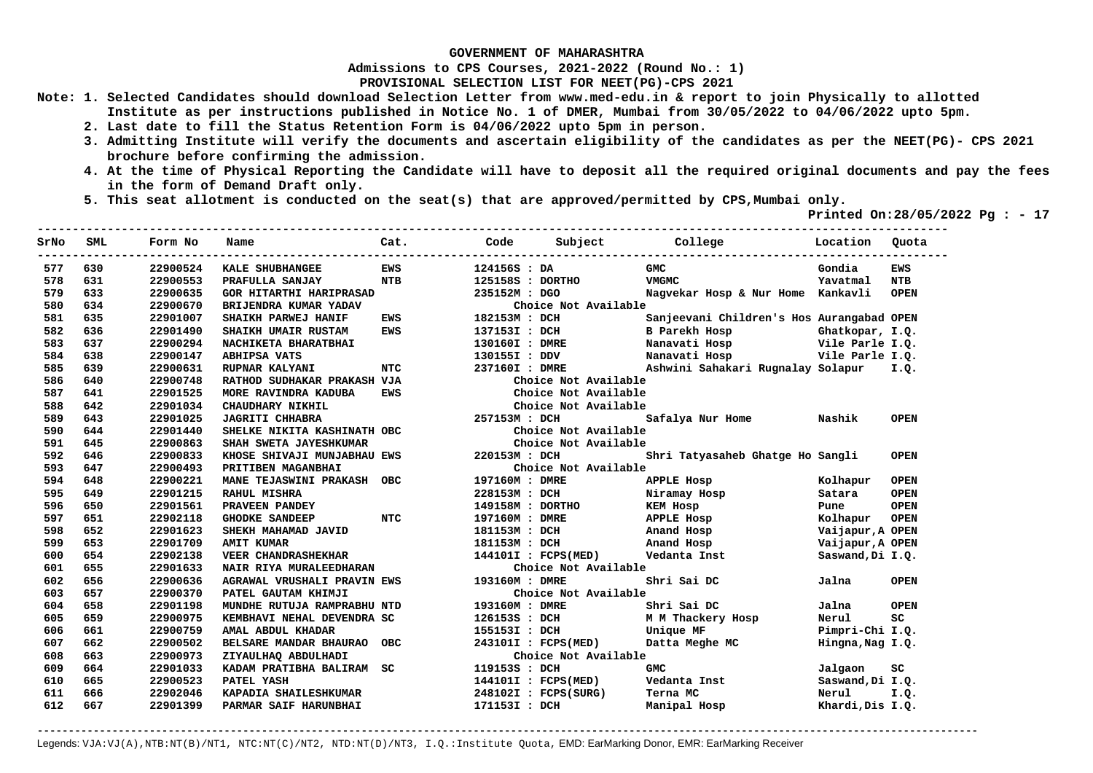**Admissions to CPS Courses, 2021-2022 (Round No.: 1)**

**PROVISIONAL SELECTION LIST FOR NEET(PG)-CPS 2021** 

- **Note: 1. Selected Candidates should download Selection Letter from www.med-edu.in & report to join Physically to allotted Institute as per instructions published in Notice No. 1 of DMER, Mumbai from 30/05/2022 to 04/06/2022 upto 5pm.** 
	- **2. Last date to fill the Status Retention Form is 04/06/2022 upto 5pm in person.**
	- **3. Admitting Institute will verify the documents and ascertain eligibility of the candidates as per the NEET(PG)- CPS 2021 brochure before confirming the admission.**
	- **4. At the time of Physical Reporting the Candidate will have to deposit all the required original documents and pay the fees in the form of Demand Draft only.**
	- **5. This seat allotment is conducted on the seat(s) that are approved/permitted by CPS,Mumbai only.**

 **Printed On:28/05/2022 Pg : - 17** 

| SrNo | <b>SML</b> | Form No  | Name                               | Cat.       | Code           | Subject              | College                                   | Location         | Ouota       |
|------|------------|----------|------------------------------------|------------|----------------|----------------------|-------------------------------------------|------------------|-------------|
| 577  | 630        | 22900524 | KALE SHUBHANGEE                    | <b>FWS</b> | 124156S : DA   |                      | CMC.                                      | Gondia           | <b>EWS</b>  |
| 578  | 631        | 22900553 | PRAFULLA SANJAY                    | <b>NTB</b> |                | 125158S : DORTHO     | <b>VMGMC</b>                              | Yavatmal         | <b>NTB</b>  |
| 579  | 633        | 22900635 | <b>GOR HITARTHI HARIPRASAD</b>     |            | 235152M: DGO   |                      | Nagvekar Hosp & Nur Home Kankavli         |                  | <b>OPEN</b> |
| 580  | 634        | 22900670 | BRIJENDRA KUMAR YADAV              |            |                | Choice Not Available |                                           |                  |             |
| 581  | 635        | 22901007 | SHAIKH PARWEJ HANIF                | <b>EWS</b> | 182153M : DCH  |                      | Sanjeevani Children's Hos Aurangabad OPEN |                  |             |
| 582  | 636        | 22901490 | SHAIKH UMAIR RUSTAM                | <b>EWS</b> | 137153I : DCH  |                      | <b>B</b> Parekh Hosp                      | Ghatkopar, I.Q.  |             |
| 583  | 637        | 22900294 | NACHIKETA BHARATBHAI               |            | 130160I : DMRE |                      | Nanavati Hosp                             | Vile Parle I.Q.  |             |
| 584  | 638        | 22900147 | <b>ABHIPSA VATS</b>                |            | 130155I : DDV  |                      | Nanavati Hosp                             | Vile Parle I.Q.  |             |
| 585  | 639        | 22900631 | RUPNAR KALYANI                     | <b>NTC</b> | 237160I : DMRE |                      | Ashwini Sahakari Rugnalay Solapur         |                  | I.Q.        |
| 586  | 640        | 22900748 | RATHOD SUDHAKAR PRAKASH VJA        |            |                | Choice Not Available |                                           |                  |             |
| 587  | 641        | 22901525 | MORE RAVINDRA KADUBA               | <b>EWS</b> |                | Choice Not Available |                                           |                  |             |
| 588  | 642        | 22901034 | CHAUDHARY NIKHIL                   |            |                | Choice Not Available |                                           |                  |             |
| 589  | 643        | 22901025 | <b>JAGRITI CHHABRA</b>             |            | 257153M : DCH  |                      | Safalya Nur Home                          | Nashik           | <b>OPEN</b> |
| 590  | 644        | 22901440 | SHELKE NIKITA KASHINATH OBC        |            |                | Choice Not Available |                                           |                  |             |
| 591  | 645        | 22900863 | SHAH SWETA JAYESHKUMAR             |            |                | Choice Not Available |                                           |                  |             |
| 592  | 646        | 22900833 | KHOSE SHIVAJI MUNJABHAU EWS        |            | 220153M: DCH   |                      | Shri Tatyasaheb Ghatge Ho Sangli          |                  | <b>OPEN</b> |
| 593  | 647        | 22900493 | PRITIBEN MAGANBHAI                 |            |                | Choice Not Available |                                           |                  |             |
| 594  | 648        | 22900221 | <b>MANE TEJASWINI PRAKASH</b>      | OBC:       | 197160M : DMRE |                      | <b>APPLE Hosp</b>                         | Kolhapur         | <b>OPEN</b> |
| 595  | 649        | 22901215 | <b>RAHUL MISHRA</b>                |            | 228153M : DCH  |                      | Niramay Hosp                              | Satara           | <b>OPEN</b> |
| 596  | 650        | 22901561 | PRAVEEN PANDEY                     |            |                | 149158M : DORTHO     | <b>KEM Hosp</b>                           | Pune             | <b>OPEN</b> |
| 597  | 651        | 22902118 | <b>GHODKE SANDEEP</b>              | <b>NTC</b> | 197160M : DMRE |                      | <b>APPLE Hosp</b>                         | Kolhapur         | <b>OPEN</b> |
| 598  | 652        | 22901623 | SHEKH MAHAMAD JAVID                |            | 181153M: DCH   |                      | Anand Hosp                                | Vaijapur, A OPEN |             |
| 599  | 653        | 22901709 | <b>AMIT KUMAR</b>                  |            | 181153M : DCH  |                      | Anand Hosp                                | Vaijapur, A OPEN |             |
| 600  | 654        | 22902138 | <b>VEER CHANDRASHEKHAR</b>         |            |                | 144101I : FCPS(MED)  | Vedanta Inst                              | Saswand, Di I.Q. |             |
| 601  | 655        | 22901633 | <b>NAIR RIYA MURALEEDHARAN</b>     |            |                | Choice Not Available |                                           |                  |             |
| 602  | 656        | 22900636 | <b>AGRAWAL VRUSHALI PRAVIN EWS</b> |            | 193160M: DMRE  |                      | Shri Sai DC                               | Jalna            | <b>OPEN</b> |
| 603  | 657        | 22900370 | PATEL GAUTAM KHIMJI                |            |                | Choice Not Available |                                           |                  |             |
| 604  | 658        | 22901198 | MUNDHE RUTUJA RAMPRABHU NTD        |            | 193160M: DMRE  |                      | Shri Sai DC                               | Jalna            | <b>OPEN</b> |
| 605  | 659        | 22900975 | KEMBHAVI NEHAL DEVENDRA SC         |            | 126153S : DCH  |                      | M M Thackery Hosp                         | Nerul            | SC          |
| 606  | 661        | 22900759 | AMAL ABDUL KHADAR                  |            | 155153I : DCH  |                      | Unique MF                                 | Pimpri-Chi I.Q.  |             |
| 607  | 662        | 22900502 | BELSARE MANDAR BHAURAO             | <b>OBC</b> |                | 243101I : FCPS(MED)  | Datta Meghe MC                            | Hingna, Nag I.Q. |             |
| 608  | 663        | 22900973 | ZIYAULHAQ ABDULHADI                |            |                | Choice Not Available |                                           |                  |             |
| 609  | 664        | 22901033 | KADAM PRATIBHA BALIRAM             | SC.        | 119153S : DCH  |                      | <b>GMC</b>                                | Jalgaon          | SC          |
| 610  | 665        | 22900523 | PATEL YASH                         |            |                | 144101I : FCPS(MED)  | Vedanta Inst                              | Saswand, Di I.Q. |             |
| 611  | 666        | 22902046 | KAPADIA SHAILESHKUMAR              |            |                | 248102I : FCPS(SURG) | Terna MC                                  | Nerul            | I.Q.        |
| 612  | 667        | 22901399 | PARMAR SAIF HARUNBHAI              |            | 171153I : DCH  |                      | Manipal Hosp                              | Khardi, Dis I.Q. |             |
|      |            |          |                                    |            |                |                      |                                           |                  |             |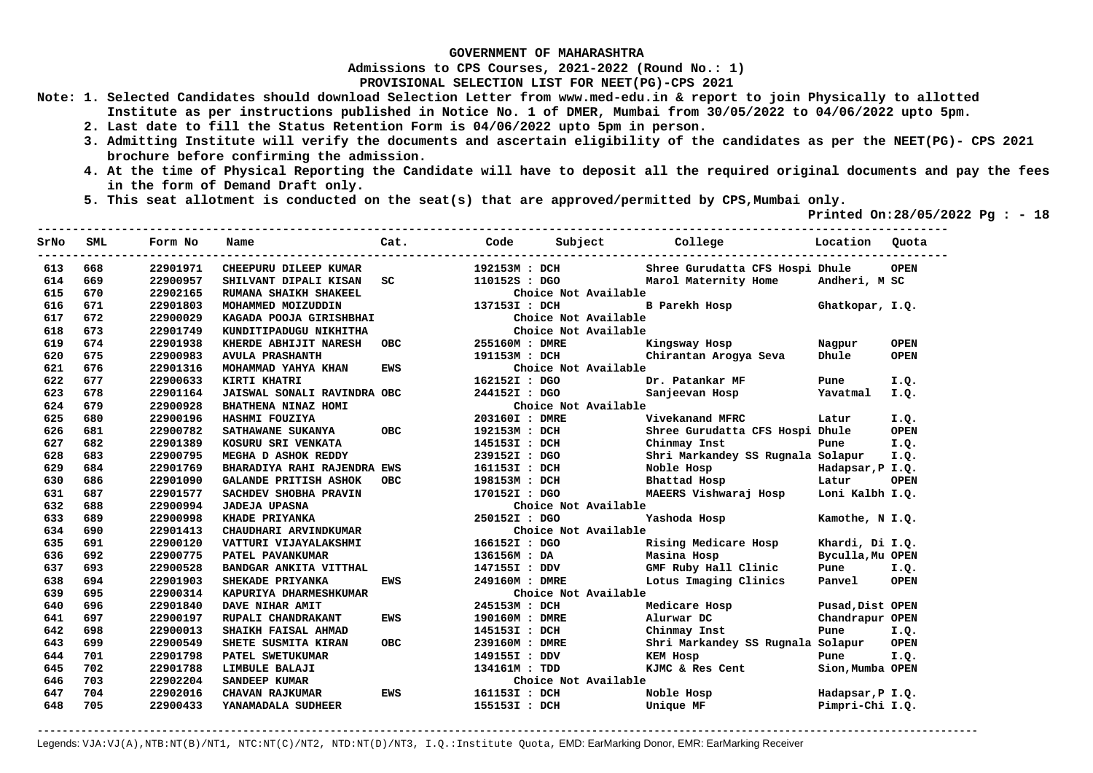**Admissions to CPS Courses, 2021-2022 (Round No.: 1)**

**PROVISIONAL SELECTION LIST FOR NEET(PG)-CPS 2021** 

- **Note: 1. Selected Candidates should download Selection Letter from www.med-edu.in & report to join Physically to allotted Institute as per instructions published in Notice No. 1 of DMER, Mumbai from 30/05/2022 to 04/06/2022 upto 5pm.** 
	- **2. Last date to fill the Status Retention Form is 04/06/2022 upto 5pm in person.**
	- **3. Admitting Institute will verify the documents and ascertain eligibility of the candidates as per the NEET(PG)- CPS 2021 brochure before confirming the admission.**
	- **4. At the time of Physical Reporting the Candidate will have to deposit all the required original documents and pay the fees in the form of Demand Draft only.**
	- **5. This seat allotment is conducted on the seat(s) that are approved/permitted by CPS,Mumbai only.**

 **Printed On:28/05/2022 Pg : - 18** 

| SrNo | SML | Form No  | Name                         | Cat.       | Code           | Subject              | College                           | Location         | Ouota       |
|------|-----|----------|------------------------------|------------|----------------|----------------------|-----------------------------------|------------------|-------------|
| 613  | 668 | 22901971 | CHEEPURU DILEEP KUMAR        |            | 192153M : DCH  |                      | Shree Gurudatta CFS Hospi Dhule   |                  | <b>OPEN</b> |
| 614  | 669 | 22900957 | SHILVANT DIPALI KISAN        | SC         | 110152S : DGO  |                      | Marol Maternity Home              | Andheri, M SC    |             |
| 615  | 670 | 22902165 | RUMANA SHAIKH SHAKEEL        |            |                | Choice Not Available |                                   |                  |             |
| 616  | 671 | 22901803 | MOHAMMED MOIZUDDIN           |            | 137153I : DCH  |                      | B Parekh Hosp                     | Ghatkopar, I.Q.  |             |
| 617  | 672 | 22900029 | KAGADA POOJA GIRISHBHAI      |            |                | Choice Not Available |                                   |                  |             |
| 618  | 673 | 22901749 | KUNDITIPADUGU NIKHITHA       |            |                | Choice Not Available |                                   |                  |             |
| 619  | 674 | 22901938 | KHERDE ABHIJIT NARESH        | OBC.       | 255160M : DMRE |                      | Kingsway Hosp                     | Nagpur           | <b>OPEN</b> |
| 620  | 675 | 22900983 | <b>AVULA PRASHANTH</b>       |            | 191153M : DCH  |                      | Chirantan Arogya Seva             | Dhule            | <b>OPEN</b> |
| 621  | 676 | 22901316 | MOHAMMAD YAHYA KHAN          | <b>EWS</b> |                | Choice Not Available |                                   |                  |             |
| 622  | 677 | 22900633 | KIRTI KHATRI                 |            | 162152I : DGO  |                      | Dr. Patankar MF                   | Pune             | I.Q.        |
| 623  | 678 | 22901164 | JAISWAL SONALI RAVINDRA OBC  |            | 244152I : DGO  |                      | Sanjeevan Hosp                    | Yavatmal         | I.Q.        |
| 624  | 679 | 22900928 | BHATHENA NINAZ HOMI          |            |                | Choice Not Available |                                   |                  |             |
| 625  | 680 | 22900196 | HASHMI FOUZIYA               |            | 203160I : DMRE |                      | Vivekanand MFRC                   | Latur            | I.Q.        |
| 626  | 681 | 22900782 | SATHAWANE SUKANYA            | OBC.       | 192153M : DCH  |                      | Shree Gurudatta CFS Hospi Dhule   |                  | <b>OPEN</b> |
| 627  | 682 | 22901389 | KOSURU SRI VENKATA           |            | 145153I : DCH  |                      | Chinmay Inst                      | Pune             | I.Q.        |
| 628  | 683 | 22900795 | MEGHA D ASHOK REDDY          |            | 239152I : DGO  |                      | Shri Markandey SS Rugnala Solapur |                  | I.Q.        |
| 629  | 684 | 22901769 | BHARADIYA RAHI RAJENDRA EWS  |            | 161153I : DCH  |                      | Noble Hosp and the Noble Hosp     | Hadapsar, P I.Q. |             |
| 630  | 686 | 22901090 | <b>GALANDE PRITISH ASHOK</b> | OBC.       | 198153M : DCH  |                      | Bhattad Hosp                      | Latur            | <b>OPEN</b> |
| 631  | 687 | 22901577 | SACHDEV SHOBHA PRAVIN        |            | 170152I : DGO  |                      | MAEERS Vishwaraj Hosp             | Loni Kalbh I.Q.  |             |
| 632  | 688 | 22900994 | <b>JADEJA UPASNA</b>         |            |                | Choice Not Available |                                   |                  |             |
| 633  | 689 | 22900998 | KHADE PRIYANKA               |            | 250152I : DGO  |                      | Yashoda Hosp                      | Kamothe, N I.O.  |             |
| 634  | 690 | 22901413 | CHAUDHARI ARVINDKUMAR        |            |                | Choice Not Available |                                   |                  |             |
| 635  | 691 | 22900120 | VATTURI VIJAYALAKSHMI        |            | 166152I : DGO  |                      | Rising Medicare Hosp              | Khardi, Di I.Q.  |             |
| 636  | 692 | 22900775 | PATEL PAVANKUMAR             |            | 136156M : DA   |                      | Masina Hosp                       | Byculla, Mu OPEN |             |
| 637  | 693 | 22900528 | BANDGAR ANKITA VITTHAL       |            | 147155I : DDV  |                      | GMF Ruby Hall Clinic              | Pune             | I.Q.        |
| 638  | 694 | 22901903 | SHEKADE PRIYANKA             | EWS        | 249160M : DMRE |                      | Lotus Imaging Clinics             | Panvel           | <b>OPEN</b> |
| 639  | 695 | 22900314 | KAPURIYA DHARMESHKUMAR       |            |                | Choice Not Available |                                   |                  |             |
| 640  | 696 | 22901840 | DAVE NIHAR AMIT              |            | 245153M : DCH  |                      | Medicare Hosp                     | Pusad, Dist OPEN |             |
| 641  | 697 | 22900197 | RUPALI CHANDRAKANT           | EWS        | 190160M : DMRE |                      | Alurwar DC                        | Chandrapur OPEN  |             |
| 642  | 698 | 22900013 | SHAIKH FAISAL AHMAD          |            | 145153I : DCH  |                      | Chinmay Inst                      | Pune             | I.Q.        |
| 643  | 699 | 22900549 | SHETE SUSMITA KIRAN          | OBC.       | 239160M : DMRE |                      | Shri Markandey SS Rugnala Solapur |                  | <b>OPEN</b> |
| 644  | 701 | 22901798 | PATEL SWETUKUMAR             |            | 149155I : DDV  |                      | KEM Hosp                          | Pune             | I.Q.        |
| 645  | 702 | 22901788 | LIMBULE BALAJI               |            | 134161M : TDD  |                      | KJMC & Res Cent                   | Sion, Mumba OPEN |             |
| 646  | 703 | 22902204 | SANDEEP KUMAR                |            |                | Choice Not Available |                                   |                  |             |
| 647  | 704 | 22902016 | CHAVAN RAJKUMAR              | EWS        | 161153I : DCH  |                      | Noble Hosp                        | Hadapsar, P I.Q. |             |
| 648  | 705 | 22900433 | YANAMADALA SUDHEER           |            | 155153I : DCH  |                      | Unique MF                         | Pimpri-Chi I.Q.  |             |
|      |     |          |                              |            |                |                      |                                   |                  |             |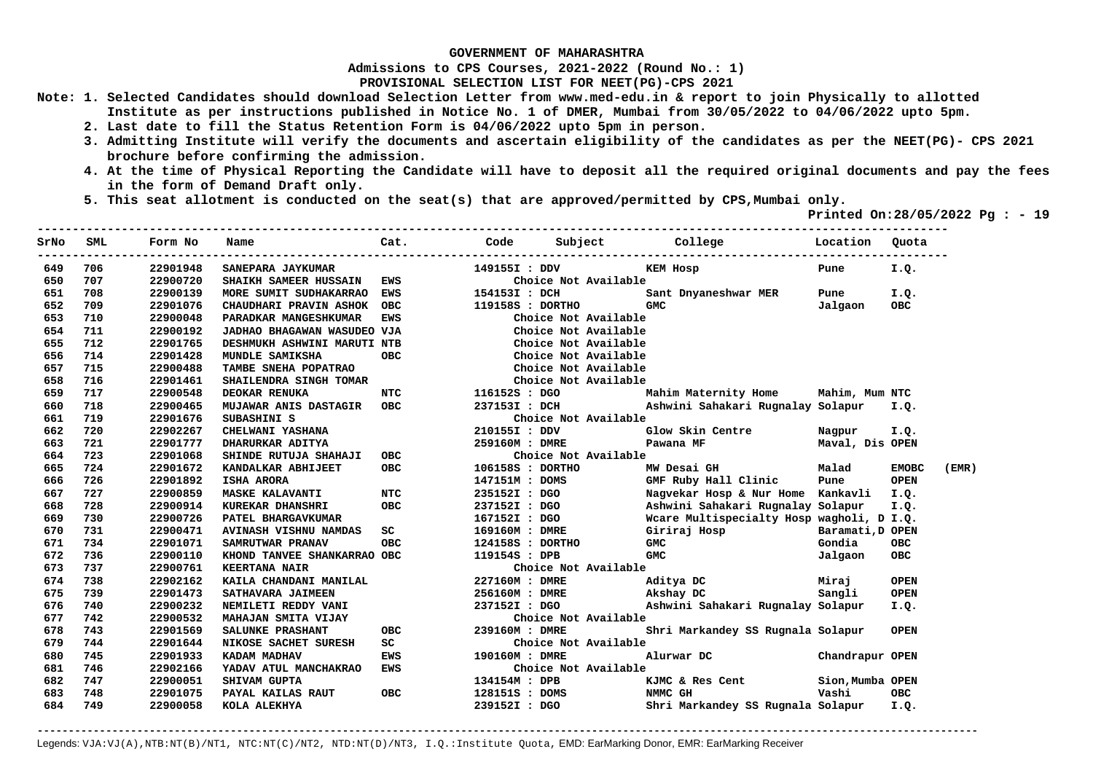**Admissions to CPS Courses, 2021-2022 (Round No.: 1)**

**PROVISIONAL SELECTION LIST FOR NEET(PG)-CPS 2021** 

- **Note: 1. Selected Candidates should download Selection Letter from www.med-edu.in & report to join Physically to allotted Institute as per instructions published in Notice No. 1 of DMER, Mumbai from 30/05/2022 to 04/06/2022 upto 5pm.** 
	- **2. Last date to fill the Status Retention Form is 04/06/2022 upto 5pm in person.**
	- **3. Admitting Institute will verify the documents and ascertain eligibility of the candidates as per the NEET(PG)- CPS 2021 brochure before confirming the admission.**
	- **4. At the time of Physical Reporting the Candidate will have to deposit all the required original documents and pay the fees in the form of Demand Draft only.**
	- **5. This seat allotment is conducted on the seat(s) that are approved/permitted by CPS,Mumbai only.**

 **Printed On:28/05/2022 Pg : - 19** 

| SrNo | SML | Form No  | Name                         | Cat.       | Code           | Subject          |                      | <b>College</b><br>. <u>.</u> .            | Location         | Quota        |       |
|------|-----|----------|------------------------------|------------|----------------|------------------|----------------------|-------------------------------------------|------------------|--------------|-------|
| 649  | 706 | 22901948 | SANEPARA JAYKUMAR            |            | 149155I : DDV  |                  |                      | KEM Hosp                                  | Pune             | I.Q.         |       |
| 650  | 707 | 22900720 | <b>SHAIKH SAMEER HUSSAIN</b> | <b>EWS</b> |                |                  | Choice Not Available |                                           |                  |              |       |
| 651  | 708 | 22900139 | MORE SUMIT SUDHAKARRAO EWS   |            | 154153I : DCH  |                  |                      | Sant Dnyaneshwar MER                      | Pune             | I.Q.         |       |
| 652  | 709 | 22901076 | CHAUDHARI PRAVIN ASHOK OBC   |            |                | 119158S : DORTHO |                      | GMC                                       | Jalgaon          | <b>OBC</b>   |       |
| 653  | 710 | 22900048 | PARADKAR MANGESHKUMAR        | EWS        |                |                  | Choice Not Available |                                           |                  |              |       |
| 654  | 711 | 22900192 | JADHAO BHAGAWAN WASUDEO VJA  |            |                |                  | Choice Not Available |                                           |                  |              |       |
| 655  | 712 | 22901765 | DESHMUKH ASHWINI MARUTI NTB  |            |                |                  | Choice Not Available |                                           |                  |              |       |
| 656  | 714 | 22901428 | MUNDLE SAMIKSHA              | <b>OBC</b> |                |                  | Choice Not Available |                                           |                  |              |       |
| 657  | 715 | 22900488 | TAMBE SNEHA POPATRAO         |            |                |                  | Choice Not Available |                                           |                  |              |       |
| 658  | 716 | 22901461 | SHAILENDRA SINGH TOMAR       |            |                |                  | Choice Not Available |                                           |                  |              |       |
| 659  | 717 | 22900548 | DEOKAR RENUKA                | NTC        | 116152S : DGO  |                  |                      | Mahim Maternity Home Mahim, Mum NTC       |                  |              |       |
| 660  | 718 | 22900465 | MUJAWAR ANIS DASTAGIR OBC    |            |                | 237153I : DCH    |                      | Ashwini Sahakari Rugnalay Solapur         |                  | I.Q.         |       |
| 661  | 719 | 22901676 | SUBASHINI S                  |            |                |                  | Choice Not Available |                                           |                  |              |       |
| 662  | 720 | 22902267 | <b>CHELWANI YASHANA</b>      |            | 210155I : DDV  |                  |                      | Glow Skin Centre                          | Nagpur           | I.Q.         |       |
| 663  | 721 | 22901777 | DHARURKAR ADITYA             |            |                | 259160M : DMRE   |                      | Pawana MF                                 | Maval, Dis OPEN  |              |       |
| 664  | 723 | 22901068 | SHINDE RUTUJA SHAHAJI        | <b>OBC</b> |                |                  | Choice Not Available |                                           |                  |              |       |
| 665  | 724 | 22901672 | KANDALKAR ABHIJEET           | <b>OBC</b> |                | 106158S : DORTHO |                      | MW Desai GH                               | Malad            | <b>EMOBC</b> | (EMR) |
| 666  | 726 | 22901892 | <b>ISHA ARORA</b>            |            |                | 147151M : DOMS   |                      | GMF Ruby Hall Clinic                      | Pune             | <b>OPEN</b>  |       |
| 667  | 727 | 22900859 | <b>MASKE KALAVANTI</b>       | <b>NTC</b> |                | 235152I : DGO    |                      | Nagvekar Hosp & Nur Home Kankavli         |                  | I.Q.         |       |
| 668  | 728 | 22900914 | KUREKAR DHANSHRI             | <b>OBC</b> |                | 237152I : DGO    |                      | Ashwini Sahakari Rugnalay Solapur         |                  | I.Q.         |       |
| 669  | 730 | 22900726 | PATEL BHARGAVKUMAR           |            |                | 167152I : DGO    |                      | Wcare Multispecialty Hosp wagholi, D I.Q. |                  |              |       |
| 670  | 731 | 22900471 | AVINASH VISHNU NAMDAS        | SC         |                | 169160M : DMRE   |                      | Giriraj Hosp                              | Baramati, D OPEN |              |       |
| 671  | 734 | 22901071 | SAMRUTWAR PRANAV             | <b>OBC</b> |                | 124158S : DORTHO |                      | GMC                                       | Gondia           | <b>OBC</b>   |       |
| 672  | 736 | 22900110 | KHOND TANVEE SHANKARRAO OBC  |            | 119154S : DPB  |                  |                      | GMC                                       | Jalgaon          | OBC          |       |
| 673  | 737 | 22900761 | <b>KEERTANA NAIR</b>         |            |                |                  | Choice Not Available |                                           |                  |              |       |
| 674  | 738 | 22902162 | KAILA CHANDANI MANILAL       |            |                | 227160M : DMRE   |                      | Aditya DC                                 | Miraj            | <b>OPEN</b>  |       |
| 675  | 739 | 22901473 | SATHAVARA JAIMEEN            |            |                | 256160M : DMRE   |                      | Akshay DC                                 | Sangli           | <b>OPEN</b>  |       |
| 676  | 740 | 22900232 | NEMILETI REDDY VANI          |            | 237152I : DGO  |                  |                      | Ashwini Sahakari Rugnalay Solapur         |                  | I.Q.         |       |
| 677  | 742 | 22900532 | MAHAJAN SMITA VIJAY          |            |                |                  | Choice Not Available |                                           |                  |              |       |
| 678  | 743 | 22901569 | SALUNKE PRASHANT             | <b>OBC</b> |                | 239160M : DMRE   |                      | Shri Markandey SS Rugnala Solapur         |                  | <b>OPEN</b>  |       |
| 679  | 744 | 22901644 | NIKOSE SACHET SURESH         | SC         |                |                  | Choice Not Available |                                           |                  |              |       |
| 680  | 745 | 22901933 | KADAM MADHAV                 | <b>EWS</b> | 190160M : DMRE |                  |                      | Alurwar DC                                | Chandrapur OPEN  |              |       |
| 681  | 746 | 22902166 | YADAV ATUL MANCHAKRAO EWS    |            |                |                  | Choice Not Available |                                           |                  |              |       |
| 682  | 747 | 22900051 | SHIVAM GUPTA                 |            | 134154M : DPB  |                  |                      | KJMC & Res Cent                           | Sion, Mumba OPEN |              |       |
| 683  | 748 | 22901075 | PAYAL KAILAS RAUT            | <b>OBC</b> |                | 128151S : DOMS   |                      | NMMC GH                                   | Vashi            | <b>OBC</b>   |       |
| 684  | 749 | 22900058 | KOLA ALEKHYA                 |            | 239152I : DGO  |                  |                      | Shri Markandey SS Rugnala Solapur         |                  | I.Q.         |       |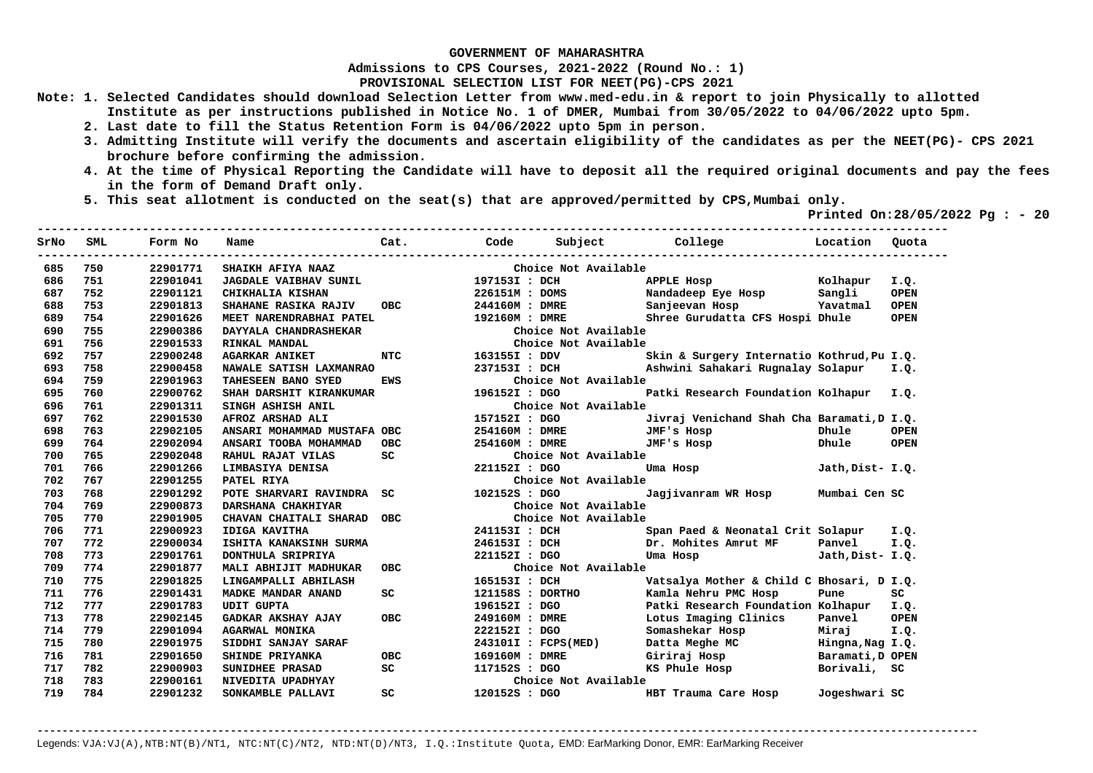**Admissions to CPS Courses, 2021-2022 (Round No.: 1)**

**PROVISIONAL SELECTION LIST FOR NEET(PG)-CPS 2021** 

- **Note: 1. Selected Candidates should download Selection Letter from www.med-edu.in & report to join Physically to allotted Institute as per instructions published in Notice No. 1 of DMER, Mumbai from 30/05/2022 to 04/06/2022 upto 5pm.** 
	- **2. Last date to fill the Status Retention Form is 04/06/2022 upto 5pm in person.**
	- **3. Admitting Institute will verify the documents and ascertain eligibility of the candidates as per the NEET(PG)- CPS 2021 brochure before confirming the admission.**
	- **4. At the time of Physical Reporting the Candidate will have to deposit all the required original documents and pay the fees in the form of Demand Draft only.**

**----------------------------------------------------------------------------------------------------------------------------------** 

 **5. This seat allotment is conducted on the seat(s) that are approved/permitted by CPS,Mumbai only.** 

 **Printed On:28/05/2022 Pg : - 20** 

| SrNo | SML | Form No  | Name                        | Cat.       | Code           | Subject College           |                                            | Location         | Quota       |
|------|-----|----------|-----------------------------|------------|----------------|---------------------------|--------------------------------------------|------------------|-------------|
| 685  | 750 | 22901771 | SHAIKH AFIYA NAAZ           |            |                | Choice Not Available      |                                            |                  |             |
| 686  | 751 | 22901041 | JAGDALE VAIBHAV SUNIL       |            | 197153I : DCH  |                           | APPLE Hosp                                 | Kolhapur         | I.Q.        |
| 687  | 752 | 22901121 | CHIKHALIA KISHAN            |            | 226151M : DOMS |                           | Nandadeep Eye Hosp Sangli                  |                  | <b>OPEN</b> |
| 688  | 753 | 22901813 | SHAHANE RASIKA RAJIV        | <b>OBC</b> | 244160M : DMRE |                           | Sanjeevan Hosp                             | Yavatmal         | <b>OPEN</b> |
| 689  | 754 | 22901626 | MEET NARENDRABHAI PATEL     |            | 192160M : DMRE |                           | Shree Gurudatta CFS Hospi Dhule            |                  | <b>OPEN</b> |
| 690  | 755 | 22900386 | DAYYALA CHANDRASHEKAR       |            |                | Choice Not Available      |                                            |                  |             |
| 691  | 756 | 22901533 | RINKAL MANDAL               |            |                | Choice Not Available      |                                            |                  |             |
| 692  | 757 | 22900248 | <b>AGARKAR ANIKET</b>       | <b>NTC</b> | 163155I : DDV  |                           | Skin & Surgery Internatio Kothrud, Pu I.Q. |                  |             |
| 693  | 758 | 22900458 | NAWALE SATISH LAXMANRAO     |            | 237153I : DCH  |                           | Ashwini Sahakari Rugnalay Solapur          |                  | I.O.        |
| 694  | 759 | 22901963 | TAHESEEN BANO SYED          | <b>EWS</b> |                | Choice Not Available      |                                            |                  |             |
| 695  | 760 | 22900762 | SHAH DARSHIT KIRANKUMAR     |            | 196152I : DGO  |                           | Patki Research Foundation Kolhapur         |                  | I.O.        |
| 696  | 761 | 22901311 | SINGH ASHISH ANIL           |            |                | Choice Not Available      |                                            |                  |             |
| 697  | 762 | 22901530 | AFROZ ARSHAD ALI            |            | 157152I : DGO  |                           | Jivraj Venichand Shah Cha Baramati, DI.Q.  |                  |             |
| 698  | 763 | 22902105 | ANSARI MOHAMMAD MUSTAFA OBC |            |                | 254160M : DMRE JMF's Hosp |                                            | Dhule            | <b>OPEN</b> |
| 699  | 764 | 22902094 | ANSARI TOOBA MOHAMMAD       | OBC        | 254160M : DMRE |                           | JMF's Hosp                                 | Dhule            | <b>OPEN</b> |
| 700  | 765 | 22902048 | RAHUL RAJAT VILAS           | SC –       |                | Choice Not Available      |                                            |                  |             |
| 701  | 766 | 22901266 | LIMBASIYA DENISA            |            | 221152I : DGO  |                           | Uma Hosp                                   | Jath, Dist- I.Q. |             |
| 702  | 767 | 22901255 | PATEL RIYA                  |            |                | Choice Not Available      |                                            |                  |             |
| 703  | 768 | 22901292 | POTE SHARVARI RAVINDRA SC   |            | 102152S : DGO  |                           | Jagjivanram WR Hosp                        | Mumbai Cen SC    |             |
| 704  | 769 | 22900873 | DARSHANA CHAKHIYAR          |            |                | Choice Not Available      |                                            |                  |             |
| 705  | 770 | 22901905 | CHAVAN CHAITALI SHARAD      | <b>OBC</b> |                | Choice Not Available      |                                            |                  |             |
| 706  | 771 | 22900923 | <b>IDIGA KAVITHA</b>        |            | 241153I : DCH  |                           | Span Paed & Neonatal Crit Solapur          |                  | I.Q.        |
| 707  | 772 | 22900034 | ISHITA KANAKSINH SURMA      |            | 246153I : DCH  |                           | Dr. Mohites Amrut MF                       | Panvel           | I.Q.        |
| 708  | 773 | 22901761 | DONTHULA SRIPRIYA           |            | 221152I : DGO  |                           | Uma Hosp                                   | Jath, Dist- I.Q. |             |
| 709  | 774 | 22901877 | MALI ABHIJIT MADHUKAR       | <b>OBC</b> |                | Choice Not Available      |                                            |                  |             |
| 710  | 775 | 22901825 | LINGAMPALLI ABHILASH        |            | 165153I : DCH  |                           | Vatsalya Mother & Child C Bhosari, D I.Q.  |                  |             |
| 711  | 776 | 22901431 | MADKE MANDAR ANAND          | SC         |                | 121158S : DORTHO          | Kamla Nehru PMC Hosp                       | Pune             | SC.         |
| 712  | 777 | 22901783 | <b>UDIT GUPTA</b>           |            | 196152I : DGO  |                           | Patki Research Foundation Kolhapur I.Q.    |                  |             |
| 713  | 778 | 22902145 | GADKAR AKSHAY AJAY          | <b>OBC</b> | 249160M : DMRE |                           | Lotus Imaging Clinics                      | Panvel           | <b>OPEN</b> |
| 714  | 779 | 22901094 | <b>AGARWAL MONIKA</b>       |            | 222152I : DGO  |                           | Somashekar Hosp                            | Miraj            | I.Q.        |
| 715  | 780 | 22901975 | SIDDHI SANJAY SARAF         |            |                | 243101I : FCPS(MED)       | Datta Meghe MC                             | Hingna, Nag I.Q. |             |
| 716  | 781 | 22901650 | SHINDE PRIYANKA             | <b>OBC</b> | 169160M : DMRE |                           | Giriraj Hosp                               | Baramati, D OPEN |             |
| 717  | 782 | 22900903 | SUNIDHEE PRASAD             | SC         | 117152S : DGO  |                           | KS Phule Hosp                              | Borivali, SC     |             |
| 718  | 783 | 22900161 | NIVEDITA UPADHYAY           |            |                | Choice Not Available      |                                            |                  |             |
| 719  | 784 | 22901232 | SONKAMBLE PALLAVI           | SC.        | 120152S : DGO  |                           | HBT Trauma Care Hosp                       | Jogeshwari SC    |             |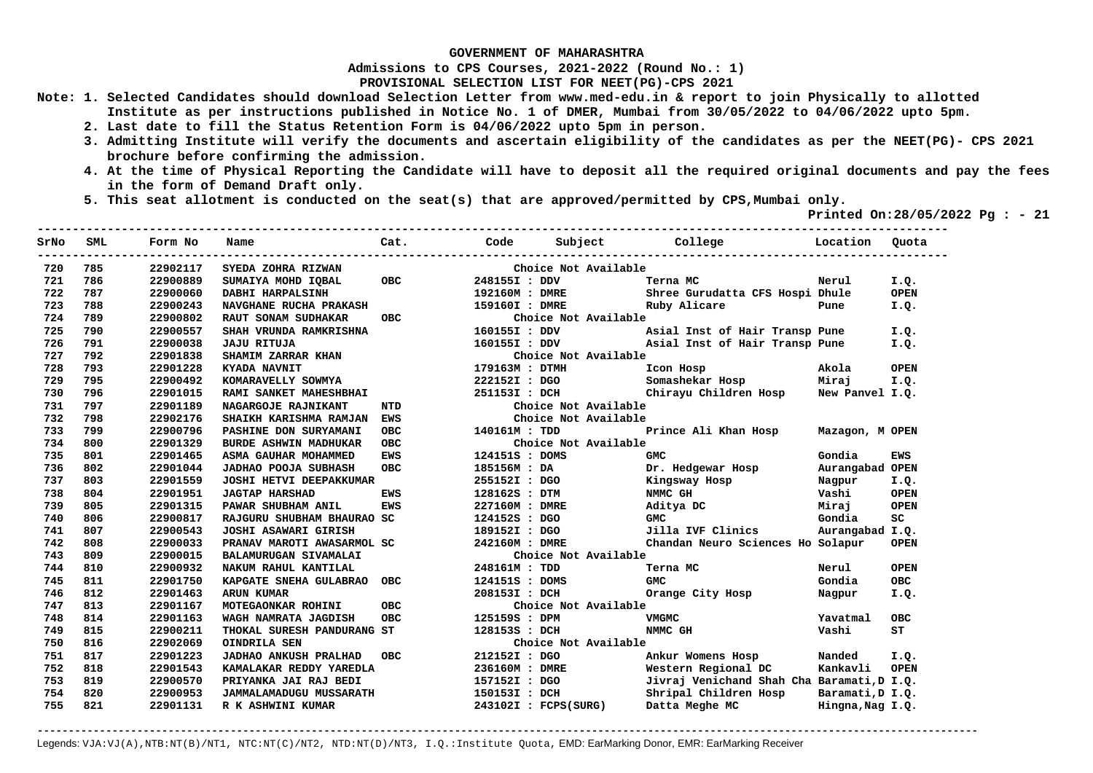**Admissions to CPS Courses, 2021-2022 (Round No.: 1)**

**PROVISIONAL SELECTION LIST FOR NEET(PG)-CPS 2021** 

- **Note: 1. Selected Candidates should download Selection Letter from www.med-edu.in & report to join Physically to allotted Institute as per instructions published in Notice No. 1 of DMER, Mumbai from 30/05/2022 to 04/06/2022 upto 5pm.** 
	- **2. Last date to fill the Status Retention Form is 04/06/2022 upto 5pm in person.**
	- **3. Admitting Institute will verify the documents and ascertain eligibility of the candidates as per the NEET(PG)- CPS 2021 brochure before confirming the admission.**
	- **4. At the time of Physical Reporting the Candidate will have to deposit all the required original documents and pay the fees in the form of Demand Draft only.**
	- **5. This seat allotment is conducted on the seat(s) that are approved/permitted by CPS,Mumbai only.**

 **Printed On:28/05/2022 Pg : - 21**   $-1.1$ 

| SrNo | SML | Form No  | Name                           | Cat.       | Code           | Subject              | College                                    | Location         | Quota       |
|------|-----|----------|--------------------------------|------------|----------------|----------------------|--------------------------------------------|------------------|-------------|
| 720  | 785 | 22902117 | SYEDA ZOHRA RIZWAN             |            |                | Choice Not Available |                                            |                  |             |
| 721  | 786 | 22900889 | SUMAIYA MOHD IQBAL             | <b>OBC</b> | 248155I : DDV  |                      | Terna MC                                   | Nerul            | I.Q.        |
| 722  | 787 | 22900060 | DABHI HARPALSINH               |            | 192160M : DMRE |                      | Shree Gurudatta CFS Hospi Dhule            |                  | <b>OPEN</b> |
| 723  | 788 | 22900243 | NAVGHANE RUCHA PRAKASH         |            | 159160I : DMRE |                      | Ruby Alicare                               | Pune             | I.Q.        |
| 724  | 789 | 22900802 | RAUT SONAM SUDHAKAR            | <b>OBC</b> |                | Choice Not Available |                                            |                  |             |
| 725  | 790 | 22900557 | SHAH VRUNDA RAMKRISHNA         |            | 160155I : DDV  |                      | Asial Inst of Hair Transp Pune             |                  | I.Q.        |
| 726  | 791 | 22900038 | <b>JAJU RITUJA</b>             |            | 160155I : DDV  |                      | Asial Inst of Hair Transp Pune             |                  | I.Q.        |
| 727  | 792 | 22901838 | SHAMIM ZARRAR KHAN             |            |                | Choice Not Available |                                            |                  |             |
| 728  | 793 | 22901228 | KYADA NAVNIT                   |            | 179163M: DTMH  |                      | Icon Hosp                                  | Akola            | <b>OPEN</b> |
| 729  | 795 | 22900492 | KOMARAVELLY SOWMYA             |            | 222152I : DGO  |                      | Somashekar Hosp                            | Miraj            | I.Q.        |
| 730  | 796 | 22901015 | RAMI SANKET MAHESHBHAI         |            | 251153I : DCH  |                      | Chirayu Children Hosp                      | New Panyel I.O.  |             |
| 731  | 797 | 22901189 | NAGARGOJE RAJNIKANT            | <b>NTD</b> |                | Choice Not Available |                                            |                  |             |
| 732  | 798 | 22902176 | SHAIKH KARISHMA RAMJAN         | <b>EWS</b> |                | Choice Not Available |                                            |                  |             |
| 733  | 799 | 22900796 | PASHINE DON SURYAMANI          | <b>OBC</b> | 140161M : TDD  |                      | Prince Ali Khan Hosp                       | Mazagon, M OPEN  |             |
| 734  | 800 | 22901329 | <b>BURDE ASHWIN MADHUKAR</b>   | <b>OBC</b> |                | Choice Not Available |                                            |                  |             |
| 735  | 801 | 22901465 | ASMA GAUHAR MOHAMMED           | EWS        | 124151S : DOMS |                      | <b>GMC</b>                                 | Gondia           | EWS         |
| 736  | 802 | 22901044 | <b>JADHAO POOJA SUBHASH</b>    | <b>OBC</b> | 185156M : DA   |                      | Dr. Hedgewar Hosp                          | Aurangabad OPEN  |             |
| 737  | 803 | 22901559 | JOSHI HETVI DEEPAKKUMAR        |            | 255152I : DGO  |                      | Kingsway Hosp                              | Nagpur           | I.Q.        |
| 738  | 804 | 22901951 | <b>JAGTAP HARSHAD</b>          | <b>EWS</b> | 128162S : DTM  |                      | NMMC GH                                    | Vashi            | <b>OPEN</b> |
| 739  | 805 | 22901315 | PAWAR SHUBHAM ANIL             | <b>EWS</b> | 227160M : DMRE |                      | Aditya DC                                  | Miraj            | <b>OPEN</b> |
| 740  | 806 | 22900817 | RAJGURU SHUBHAM BHAURAO SC     |            | 124152S : DGO  |                      | <b>GMC</b>                                 | Gondia           | SC          |
| 741  | 807 | 22900543 | JOSHI ASAWARI GIRISH           |            | 189152I : DGO  |                      | Jilla IVF Clinics                          | Aurangabad I.Q.  |             |
| 742  | 808 | 22900033 | PRANAV MAROTI AWASARMOL SC     |            | 242160M : DMRE |                      | Chandan Neuro Sciences Ho Solapur          |                  | <b>OPEN</b> |
| 743  | 809 | 22900015 | BALAMURUGAN SIVAMALAI          |            |                | Choice Not Available |                                            |                  |             |
| 744  | 810 | 22900932 | NAKUM RAHUL KANTILAL           |            | 248161M : TDD  |                      | Terna MC                                   | Nerul            | <b>OPEN</b> |
| 745  | 811 | 22901750 | KAPGATE SNEHA GULABRAO OBC     |            | 124151S : DOMS |                      | <b>GMC</b>                                 | Gondia           | <b>OBC</b>  |
| 746  | 812 | 22901463 | <b>ARUN KUMAR</b>              |            | 208153I : DCH  |                      | Orange City Hosp                           | Nagpur           | I.Q.        |
| 747  | 813 | 22901167 | MOTEGAONKAR ROHINI             | <b>OBC</b> |                | Choice Not Available |                                            |                  |             |
| 748  | 814 | 22901163 | WAGH NAMRATA JAGDISH           | <b>OBC</b> | 125159S : DPM  |                      | <b>VMGMC</b>                               | Yavatmal         | <b>OBC</b>  |
| 749  | 815 | 22900211 | THOKAL SURESH PANDURANG ST     |            | 128153S : DCH  |                      | NMMC GH                                    | Vashi            | ST          |
| 750  | 816 | 22902069 | OINDRILA SEN                   |            |                | Choice Not Available |                                            |                  |             |
| 751  | 817 | 22901223 | <b>JADHAO ANKUSH PRALHAD</b>   | <b>OBC</b> | 212152I : DGO  |                      | Ankur Womens Hosp                          | Nanded           | I.Q.        |
| 752  | 818 | 22901543 | KAMALAKAR REDDY YAREDLA        |            | 236160M : DMRE |                      | Western Regional DC                        | Kankavli         | <b>OPEN</b> |
| 753  | 819 | 22900570 | PRIYANKA JAI RAJ BEDI          |            | 157152I : DGO  |                      | Jivraj Venichand Shah Cha Baramati, D I.Q. |                  |             |
| 754  | 820 | 22900953 | <b>JAMMALAMADUGU MUSSARATH</b> |            | 150153I : DCH  |                      | Shripal Children Hosp                      | Baramati, D I.Q. |             |
| 755  | 821 | 22901131 | R K ASHWINI KUMAR              |            |                | 243102I : FCPS(SURG) | Datta Meghe MC                             | Hingna, Nag I.Q. |             |
|      |     |          |                                |            |                |                      |                                            |                  |             |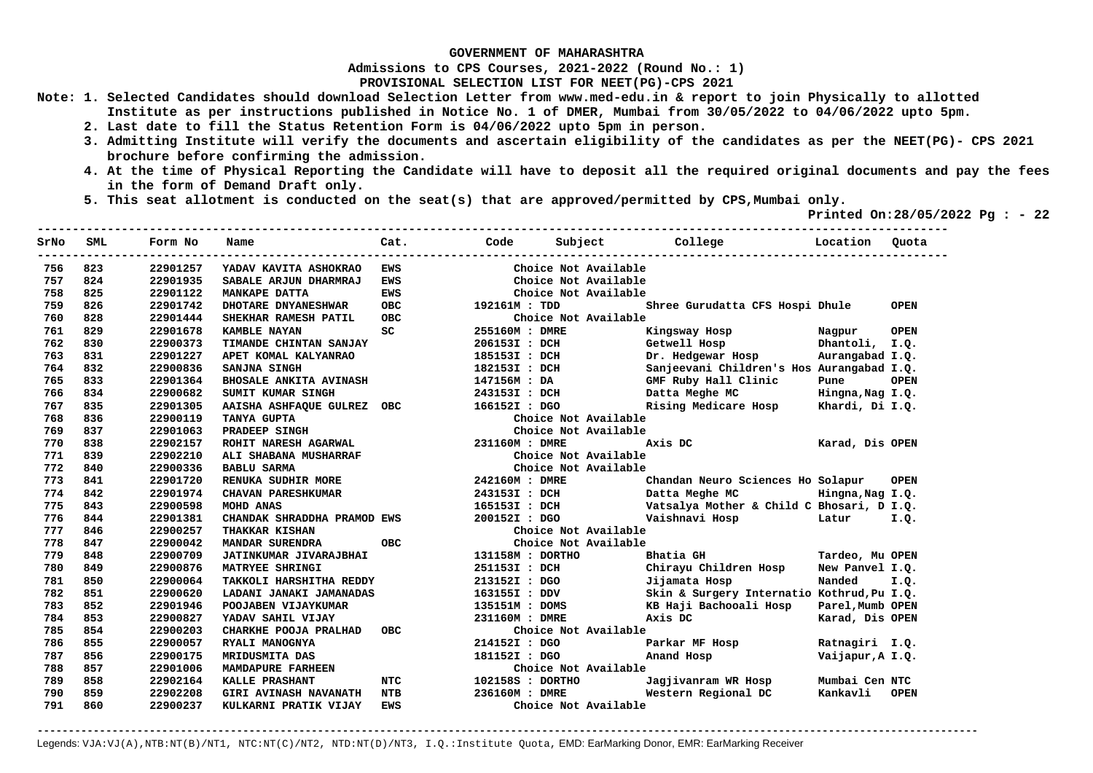**Admissions to CPS Courses, 2021-2022 (Round No.: 1)**

**PROVISIONAL SELECTION LIST FOR NEET(PG)-CPS 2021** 

- **Note: 1. Selected Candidates should download Selection Letter from www.med-edu.in & report to join Physically to allotted Institute as per instructions published in Notice No. 1 of DMER, Mumbai from 30/05/2022 to 04/06/2022 upto 5pm.** 
	- **2. Last date to fill the Status Retention Form is 04/06/2022 upto 5pm in person.**
	- **3. Admitting Institute will verify the documents and ascertain eligibility of the candidates as per the NEET(PG)- CPS 2021 brochure before confirming the admission.**
	- **4. At the time of Physical Reporting the Candidate will have to deposit all the required original documents and pay the fees in the form of Demand Draft only.**

**----------------------------------------------------------------------------------------------------------------------------------** 

 **5. This seat allotment is conducted on the seat(s) that are approved/permitted by CPS,Mumbai only.** 

 **Printed On:28/05/2022 Pg : - 22** 

| SrNo | <b>SML</b> | Form No  | Name                          | Cat.       | Code             | Subject              | College<br>----------------                | Location         | Ouota       |
|------|------------|----------|-------------------------------|------------|------------------|----------------------|--------------------------------------------|------------------|-------------|
| 756  | 823        | 22901257 | YADAV KAVITA ASHOKRAO         | EWS        |                  | Choice Not Available |                                            |                  |             |
| 757  | 824        | 22901935 | SABALE ARJUN DHARMRAJ         | <b>EWS</b> |                  | Choice Not Available |                                            |                  |             |
| 758  | 825        | 22901122 | <b>MANKAPE DATTA</b>          | <b>EWS</b> |                  | Choice Not Available |                                            |                  |             |
| 759  | 826        | 22901742 | DHOTARE DNYANESHWAR           | <b>OBC</b> | 192161M : TDD    |                      | Shree Gurudatta CFS Hospi Dhule            |                  | <b>OPEN</b> |
| 760  | 828        | 22901444 | SHEKHAR RAMESH PATIL          | <b>OBC</b> |                  | Choice Not Available |                                            |                  |             |
| 761  | 829        | 22901678 | <b>KAMBLE NAYAN</b>           | SC         | 255160M : DMRE   |                      | Kingsway Hosp                              | Nagpur           | <b>OPEN</b> |
| 762  | 830        | 22900373 | TIMANDE CHINTAN SANJAY        |            | 206153I : DCH    |                      | Getwell Hosp                               | Dhantoli, I.Q.   |             |
| 763  | 831        | 22901227 | APET KOMAL KALYANRAO          |            | 185153I : DCH    |                      | Dr. Hedgewar Hosp                          | Aurangabad I.Q.  |             |
| 764  | 832        | 22900836 | SANJNA SINGH                  |            | 182153I : DCH    |                      | Sanjeevani Children's Hos Aurangabad I.Q.  |                  |             |
| 765  | 833        | 22901364 | <b>BHOSALE ANKITA AVINASH</b> |            | 147156M : DA     |                      | GMF Ruby Hall Clinic                       | Pune             | <b>OPEN</b> |
| 766  | 834        | 22900682 | SUMIT KUMAR SINGH             |            | 243153I : DCH    |                      | Datta Meghe MC                             | Hingna, Nag I.Q. |             |
| 767  | 835        | 22901305 | <b>AAISHA ASHFAQUE GULREZ</b> | <b>OBC</b> | 166152I : DGO    |                      | Rising Medicare Hosp Khardi, Di I.Q.       |                  |             |
| 768  | 836        | 22900119 | TANYA GUPTA                   |            |                  | Choice Not Available |                                            |                  |             |
| 769  | 837        | 22901063 | PRADEEP SINGH                 |            |                  | Choice Not Available |                                            |                  |             |
| 770  | 838        | 22902157 | ROHIT NARESH AGARWAL          |            | 231160M: DMRE    |                      | Axis DC                                    | Karad, Dis OPEN  |             |
| 771  | 839        | 22902210 | ALI SHABANA MUSHARRAF         |            |                  | Choice Not Available |                                            |                  |             |
| 772  | 840        | 22900336 | <b>BABLU SARMA</b>            |            |                  | Choice Not Available |                                            |                  |             |
| 773  | 841        | 22901720 | RENUKA SUDHIR MORE            |            | 242160M : DMRE   |                      | Chandan Neuro Sciences Ho Solapur          |                  | <b>OPEN</b> |
| 774  | 842        | 22901974 | <b>CHAVAN PARESHKUMAR</b>     |            | 243153I : DCH    |                      | Datta Meghe MC                             | Hingna, Nag I.Q. |             |
| 775  | 843        | 22900598 | MOHD ANAS                     |            | 165153I : DCH    |                      | Vatsalya Mother & Child C Bhosari, D I.Q.  |                  |             |
| 776  | 844        | 22901381 | CHANDAK SHRADDHA PRAMOD EWS   |            | 200152I : DGO    |                      | Vaishnavi Hosp                             | Latur            | I.Q.        |
| 777  | 846        | 22900257 | <b>THAKKAR KISHAN</b>         |            |                  | Choice Not Available |                                            |                  |             |
| 778  | 847        | 22900042 | MANDAR SURENDRA               | <b>OBC</b> |                  | Choice Not Available |                                            |                  |             |
| 779  | 848        | 22900709 | JATINKUMAR JIVARAJBHAI        |            | 131158M : DORTHO |                      | Bhatia GH                                  | Tardeo, Mu OPEN  |             |
| 780  | 849        | 22900876 | MATRYEE SHRINGI               |            | 251153I : DCH    |                      | Chirayu Children Hosp                      | New Panvel I.Q.  |             |
| 781  | 850        | 22900064 | TAKKOLI HARSHITHA REDDY       |            | 213152I : DGO    |                      | Jijamata Hosp                              | Nanded           | I.Q.        |
| 782  | 851        | 22900620 | LADANI JANAKI JAMANADAS       |            | 163155I : DDV    |                      | Skin & Surgery Internatio Kothrud, Pu I.Q. |                  |             |
| 783  | 852        | 22901946 | POOJABEN VIJAYKUMAR           |            | 135151M : DOMS   |                      | KB Haji Bachooali Hosp                     | Parel, Mumb OPEN |             |
| 784  | 853        | 22900827 | YADAV SAHIL VIJAY             |            | 231160M : DMRE   |                      | Axis DC                                    | Karad, Dis OPEN  |             |
| 785  | 854        | 22900203 | CHARKHE POOJA PRALHAD         | овс        |                  | Choice Not Available |                                            |                  |             |
| 786  | 855        | 22900057 | RYALI MANOGNYA                |            | 214152I : DGO    |                      | Parkar MF Hosp                             | Ratnagiri I.Q.   |             |
| 787  | 856        | 22900175 | MRIDUSMITA DAS                |            | 181152I : DGO    |                      | Anand Hosp                                 | Vaijapur, A I.Q. |             |
| 788  | 857        | 22901006 | MAMDAPURE FARHEEN             |            |                  | Choice Not Available |                                            |                  |             |
| 789  | 858        | 22902164 | KALLE PRASHANT                | <b>NTC</b> | 102158S : DORTHO |                      | Jagjivanram WR Hosp                        | Mumbai Cen NTC   |             |
| 790  | 859        | 22902208 | <b>GIRI AVINASH NAVANATH</b>  | <b>NTB</b> | 236160M : DMRE   |                      | Western Regional DC                        | Kankavli         | <b>OPEN</b> |
| 791  | 860        | 22900237 | KULKARNI PRATIK VIJAY         | <b>EWS</b> |                  | Choice Not Available |                                            |                  |             |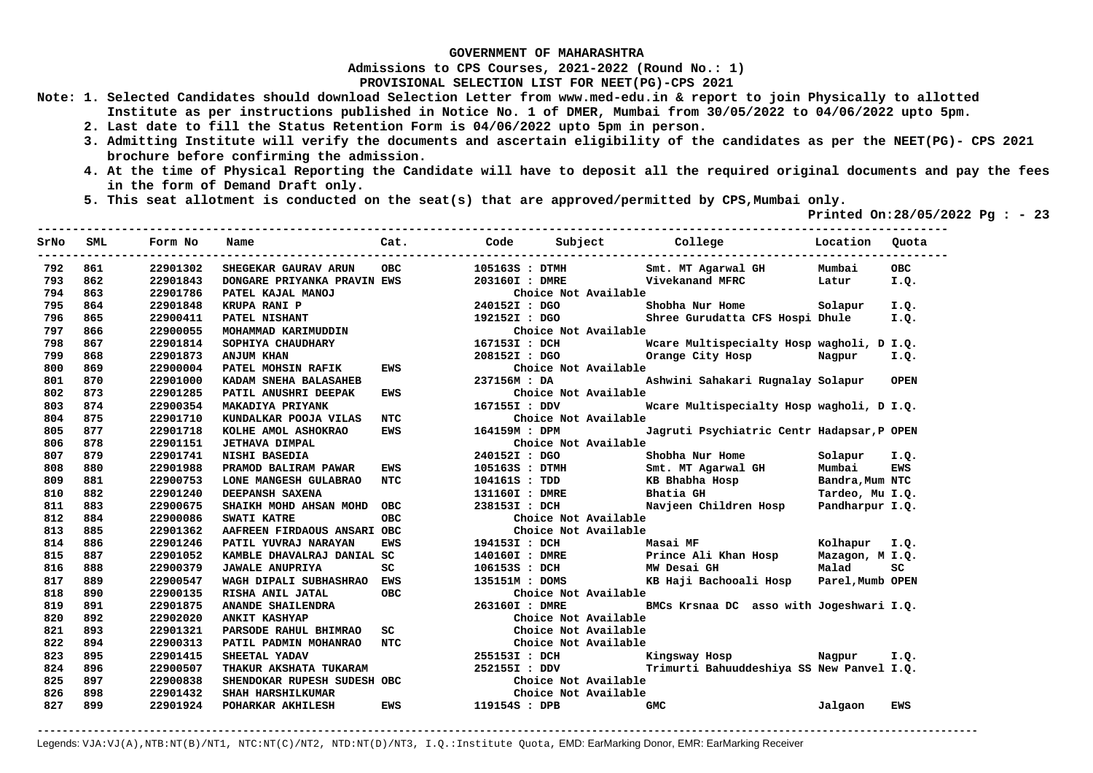**Admissions to CPS Courses, 2021-2022 (Round No.: 1)**

**PROVISIONAL SELECTION LIST FOR NEET(PG)-CPS 2021** 

- **Note: 1. Selected Candidates should download Selection Letter from www.med-edu.in & report to join Physically to allotted Institute as per instructions published in Notice No. 1 of DMER, Mumbai from 30/05/2022 to 04/06/2022 upto 5pm.** 
	- **2. Last date to fill the Status Retention Form is 04/06/2022 upto 5pm in person.**
	- **3. Admitting Institute will verify the documents and ascertain eligibility of the candidates as per the NEET(PG)- CPS 2021 brochure before confirming the admission.**
	- **4. At the time of Physical Reporting the Candidate will have to deposit all the required original documents and pay the fees in the form of Demand Draft only.**
	- **5. This seat allotment is conducted on the seat(s) that are approved/permitted by CPS,Mumbai only.**

 **Printed On:28/05/2022 Pg : - 23**   $-1.1$ 

| SrNo | SML | Form No  | Name                        | Cat.       | Code           | Subject              | College                                    | Location        | Ouota       |
|------|-----|----------|-----------------------------|------------|----------------|----------------------|--------------------------------------------|-----------------|-------------|
| 792  | 861 | 22901302 | SHEGEKAR GAURAV ARUN        | <b>OBC</b> | 105163S : DTMH |                      | Smt. MT Agarwal GH                         | Mumbai          | <b>OBC</b>  |
| 793  | 862 | 22901843 | DONGARE PRIYANKA PRAVIN EWS |            | 203160I : DMRE |                      | Vivekanand MFRC                            | Latur           | I.Q.        |
| 794  | 863 | 22901786 | PATEL KAJAL MANOJ           |            |                | Choice Not Available |                                            |                 |             |
| 795  | 864 | 22901848 | KRUPA RANI P                |            | 240152I : DGO  |                      | Shobha Nur Home                            | Solapur         | I.Q.        |
| 796  | 865 | 22900411 | PATEL NISHANT               |            | 192152I : DGO  |                      | Shree Gurudatta CFS Hospi Dhule            |                 | I.0.        |
| 797  | 866 | 22900055 | MOHAMMAD KARIMUDDIN         |            |                | Choice Not Available |                                            |                 |             |
| 798  | 867 | 22901814 | SOPHIYA CHAUDHARY           |            | 167153I : DCH  |                      | Weare Multispecialty Hosp wagholi, D I.Q.  |                 |             |
| 799  | 868 | 22901873 | <b>ANJUM KHAN</b>           |            | 208152I : DGO  |                      | Orange City Hosp                           | Nagpur          | I.Q.        |
| 800  | 869 | 22900004 | PATEL MOHSIN RAFIK          | <b>EWS</b> |                | Choice Not Available |                                            |                 |             |
| 801  | 870 | 22901000 | KADAM SNEHA BALASAHEB       |            | 237156M : DA   |                      | Ashwini Sahakari Rugnalay Solapur          |                 | <b>OPEN</b> |
| 802  | 873 | 22901285 | PATIL ANUSHRI DEEPAK        | EWS        |                | Choice Not Available |                                            |                 |             |
| 803  | 874 | 22900354 | MAKADIYA PRIYANK            |            | 167155I: DDV   |                      | Weare Multispecialty Hosp wagholi, D I.Q.  |                 |             |
| 804  | 875 | 22901710 | KUNDALKAR POOJA VILAS       | <b>NTC</b> |                | Choice Not Available |                                            |                 |             |
| 805  | 877 | 22901718 | KOLHE AMOL ASHOKRAO         | <b>EWS</b> | 164159M : DPM  |                      | Jagruti Psychiatric Centr Hadapsar, P OPEN |                 |             |
| 806  | 878 | 22901151 | <b>JETHAVA DIMPAL</b>       |            |                | Choice Not Available |                                            |                 |             |
| 807  | 879 | 22901741 | NISHI BASEDIA               |            | 240152I : DGO  |                      | Shobha Nur Home                            | Solapur         | I.Q.        |
| 808  | 880 | 22901988 | PRAMOD BALIRAM PAWAR        | EWS        | 105163S : DTMH |                      | Smt. MT Agarwal GH                         | Mumbai          | <b>EWS</b>  |
| 809  | 881 | 22900753 | LONE MANGESH GULABRAO       | NTC        | 104161S : TDD  |                      | KB Bhabha Hosp                             | Bandra, Mum NTC |             |
| 810  | 882 | 22901240 | DEEPANSH SAXENA             |            | 131160I : DMRE |                      | Bhatia GH                                  | Tardeo, Mu I.Q. |             |
| 811  | 883 | 22900675 | SHAIKH MOHD AHSAN MOHD      | OBC        | 238153I : DCH  |                      | Navjeen Children Hosp                      | Pandharpur I.Q. |             |
| 812  | 884 | 22900086 | SWATI KATRE                 | <b>OBC</b> |                | Choice Not Available |                                            |                 |             |
| 813  | 885 | 22901362 | AAFREEN FIRDAOUS ANSARI OBC |            |                | Choice Not Available |                                            |                 |             |
| 814  | 886 | 22901246 | PATIL YUVRAJ NARAYAN        | <b>EWS</b> | 194153I : DCH  | Masai MF             |                                            | Kolhapur I.Q.   |             |
| 815  | 887 | 22901052 | KAMBLE DHAVALRAJ DANIAL SC  |            |                |                      | 140160I : DMRE Prince Ali Khan Hosp        | Mazagon, M I.Q. |             |
| 816  | 888 | 22900379 | <b>JAWALE ANUPRIYA</b>      | SC         |                | 106153S : DCH        | MW Desai GH                                | Malad           | SC          |
| 817  | 889 | 22900547 | WAGH DIPALI SUBHASHRAO EWS  |            | 135151M : DOMS |                      | KB Haji Bachooali Hosp                     | Parel,Mumb OPEN |             |
| 818  | 890 | 22900135 | RISHA ANIL JATAL            | OBC.       |                | Choice Not Available |                                            |                 |             |
| 819  | 891 | 22901875 | ANANDE SHAILENDRA           |            | 263160I : DMRE |                      | BMCs Krsnaa DC asso with Jogeshwari I.Q.   |                 |             |
| 820  | 892 | 22902020 | <b>ANKIT KASHYAP</b>        |            |                | Choice Not Available |                                            |                 |             |
| 821  | 893 | 22901321 | PARSODE RAHUL BHIMRAO       | SC         |                | Choice Not Available |                                            |                 |             |
| 822  | 894 | 22900313 | PATIL PADMIN MOHANRAO       | <b>NTC</b> |                | Choice Not Available |                                            |                 |             |
| 823  | 895 | 22901415 | SHEETAL YADAV               |            | 255153I : DCH  |                      | Kingsway Hosp<br><b>Example 2</b> Nagpur   |                 | I.O.        |
| 824  | 896 | 22900507 | THAKUR AKSHATA TUKARAM      |            | 252155I : DDV  |                      | Trimurti Bahuuddeshiya SS New Panvel I.Q.  |                 |             |
| 825  | 897 | 22900838 | SHENDOKAR RUPESH SUDESH OBC |            |                | Choice Not Available |                                            |                 |             |
| 826  | 898 | 22901432 | <b>SHAH HARSHILKUMAR</b>    |            |                | Choice Not Available |                                            |                 |             |
| 827  | 899 | 22901924 | POHARKAR AKHILESH           | EWS        | 119154S : DPB  |                      | <b>GMC</b>                                 | Jalgaon         | <b>EWS</b>  |
|      |     |          |                             |            |                |                      |                                            |                 |             |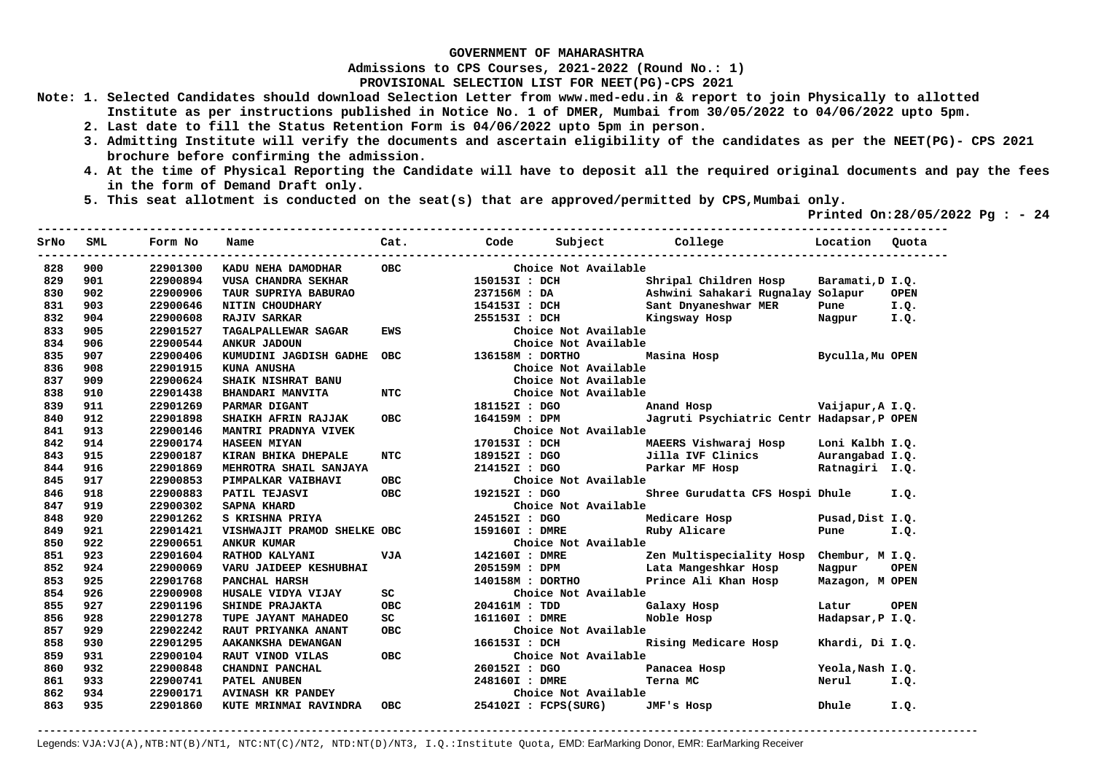**Admissions to CPS Courses, 2021-2022 (Round No.: 1)**

**PROVISIONAL SELECTION LIST FOR NEET(PG)-CPS 2021** 

- **Note: 1. Selected Candidates should download Selection Letter from www.med-edu.in & report to join Physically to allotted Institute as per instructions published in Notice No. 1 of DMER, Mumbai from 30/05/2022 to 04/06/2022 upto 5pm.** 
	- **2. Last date to fill the Status Retention Form is 04/06/2022 upto 5pm in person.**
	- **3. Admitting Institute will verify the documents and ascertain eligibility of the candidates as per the NEET(PG)- CPS 2021 brochure before confirming the admission.**
	- **4. At the time of Physical Reporting the Candidate will have to deposit all the required original documents and pay the fees in the form of Demand Draft only.**

**----------------------------------------------------------------------------------------------------------------------------------** 

 **5. This seat allotment is conducted on the seat(s) that are approved/permitted by CPS,Mumbai only.** 

 **Printed On:28/05/2022 Pg : - 24** 

| SrNo | SML | Form No  | Name                        | Cat.       | Code                 | Subject              | College<br>--------------------            | Location         | Ouota       |
|------|-----|----------|-----------------------------|------------|----------------------|----------------------|--------------------------------------------|------------------|-------------|
| 828  | 900 | 22901300 | KADU NEHA DAMODHAR          | OBC.       |                      | Choice Not Available |                                            |                  |             |
| 829  | 901 | 22900894 | VUSA CHANDRA SEKHAR         |            | 150153I : DCH        |                      | Shripal Children Hosp                      | Baramati, D I.Q. |             |
| 830  | 902 | 22900906 | TAUR SUPRIYA BABURAO        |            |                      | 237156M : DA         | Ashwini Sahakari Rugnalay Solapur          |                  | <b>OPEN</b> |
| 831  | 903 | 22900646 | NITIN CHOUDHARY             |            |                      | 154153I : DCH        | Sant Dnyaneshwar MER                       | Pune             | I.Q.        |
| 832  | 904 | 22900608 | <b>RAJIV SARKAR</b>         |            | 255153I : DCH        |                      | Kingsway Hosp                              | Nagpur           | I.Q.        |
| 833  | 905 | 22901527 | TAGALPALLEWAR SAGAR         | <b>EWS</b> |                      | Choice Not Available |                                            |                  |             |
| 834  | 906 | 22900544 | <b>ANKUR JADOUN</b>         |            |                      | Choice Not Available |                                            |                  |             |
| 835  | 907 | 22900406 | KUMUDINI JAGDISH GADHE      | <b>OBC</b> | 136158M : DORTHO     |                      | Masina Hosp                                | Byculla, Mu OPEN |             |
| 836  | 908 | 22901915 | <b>KUNA ANUSHA</b>          |            |                      | Choice Not Available |                                            |                  |             |
| 837  | 909 | 22900624 | SHAIK NISHRAT BANU          |            |                      | Choice Not Available |                                            |                  |             |
| 838  | 910 | 22901438 | <b>BHANDARI MANVITA</b>     | NTC        |                      | Choice Not Available |                                            |                  |             |
| 839  | 911 | 22901269 | PARMAR DIGANT               |            | 181152I : DGO        |                      | Anand Hosp Vaijapur, A I.Q.                |                  |             |
| 840  | 912 | 22901898 | SHAIKH AFRIN RAJJAK         | <b>OBC</b> |                      | 164159M : DPM        | Jagruti Psychiatric Centr Hadapsar, P OPEN |                  |             |
| 841  | 913 | 22900146 | MANTRI PRADNYA VIVEK        |            |                      | Choice Not Available |                                            |                  |             |
| 842  | 914 | 22900174 | <b>HASEEN MIYAN</b>         |            | 170153I : DCH        |                      | MAEERS Vishwaraj Hosp                      | Loni Kalbh I.Q.  |             |
| 843  | 915 | 22900187 | KIRAN BHIKA DHEPALE         | <b>NTC</b> |                      | 189152I : DGO        | Jilla IVF Clinics                          | Aurangabad I.Q.  |             |
| 844  | 916 | 22901869 | MEHROTRA SHAIL SANJAYA      |            | 214152I : DGO        |                      | Parkar MF Hosp                             | Ratnagiri I.Q.   |             |
| 845  | 917 | 22900853 | PIMPALKAR VAIBHAVI          | <b>OBC</b> |                      | Choice Not Available |                                            |                  |             |
| 846  | 918 | 22900883 | PATIL TEJASVI               | <b>OBC</b> | 192152I : DGO        |                      | Shree Gurudatta CFS Hospi Dhule I.Q.       |                  |             |
| 847  | 919 | 22900302 | <b>SAPNA KHARD</b>          |            |                      | Choice Not Available |                                            |                  |             |
| 848  | 920 | 22901262 | S KRISHNA PRIYA             |            | 245152I : DGO        |                      | Medicare Hosp                              | Pusad, Dist I.Q. |             |
| 849  | 921 | 22901421 | VISHWAJIT PRAMOD SHELKE OBC |            | 159160I : DMRE       |                      | Ruby Alicare                               | Pune I.Q.        |             |
| 850  | 922 | 22900651 | <b>ANKUR KUMAR</b>          |            |                      | Choice Not Available |                                            |                  |             |
| 851  | 923 | 22901604 | RATHOD KALYANI              | <b>VJA</b> |                      | 142160I : DMRE       | Zen Multispeciality Hosp                   | Chembur, M I.Q.  |             |
| 852  | 924 | 22900069 | VARU JAIDEEP KESHUBHAI      |            |                      |                      | 205159M : DPM Lata Mangeshkar Hosp         | Nagpur           | <b>OPEN</b> |
| 853  | 925 | 22901768 | PANCHAL HARSH               |            | 140158M : DORTHO     |                      | Prince Ali Khan Hosp                       | Mazagon, M OPEN  |             |
| 854  | 926 | 22900908 | HUSALE VIDYA VIJAY          | SC         |                      | Choice Not Available |                                            |                  |             |
| 855  | 927 | 22901196 | SHINDE PRAJAKTA             | OBC.       | 204161M : TDD        |                      | Galaxy Hosp                                | Latur            | <b>OPEN</b> |
| 856  | 928 | 22901278 | TUPE JAYANT MAHADEO         | SC         | 161160I : DMRE       |                      | Noble Hosp                                 | Hadapsar, P I.Q. |             |
| 857  | 929 | 22902242 | RAUT PRIYANKA ANANT         | OBC.       |                      | Choice Not Available |                                            |                  |             |
| 858  | 930 | 22901295 | AAKANKSHA DEWANGAN          |            | 166153I : DCH        |                      | Rising Medicare Hosp                       | Khardi, Di I.Q.  |             |
| 859  | 931 | 22900104 | RAUT VINOD VILAS            | OBC.       |                      | Choice Not Available |                                            |                  |             |
| 860  | 932 | 22900848 | CHANDNI PANCHAL             |            | 260152I : DGO        |                      | Panacea Hosp                               | Yeola, Nash I.Q. |             |
| 861  | 933 | 22900741 | PATEL ANUBEN                |            | 248160I : DMRE       |                      | Terna MC                                   | Nerul            | I.Q.        |
| 862  | 934 | 22900171 | <b>AVINASH KR PANDEY</b>    |            |                      | Choice Not Available |                                            |                  |             |
| 863  | 935 | 22901860 | KUTE MRINMAI RAVINDRA       | <b>OBC</b> | 254102I : FCPS(SURG) |                      | JMF's Hosp                                 | Dhule            | I.Q.        |
|      |     |          |                             |            |                      |                      |                                            |                  |             |

**-------------------------------------------------------------------------------------------------------------------------------------------------------**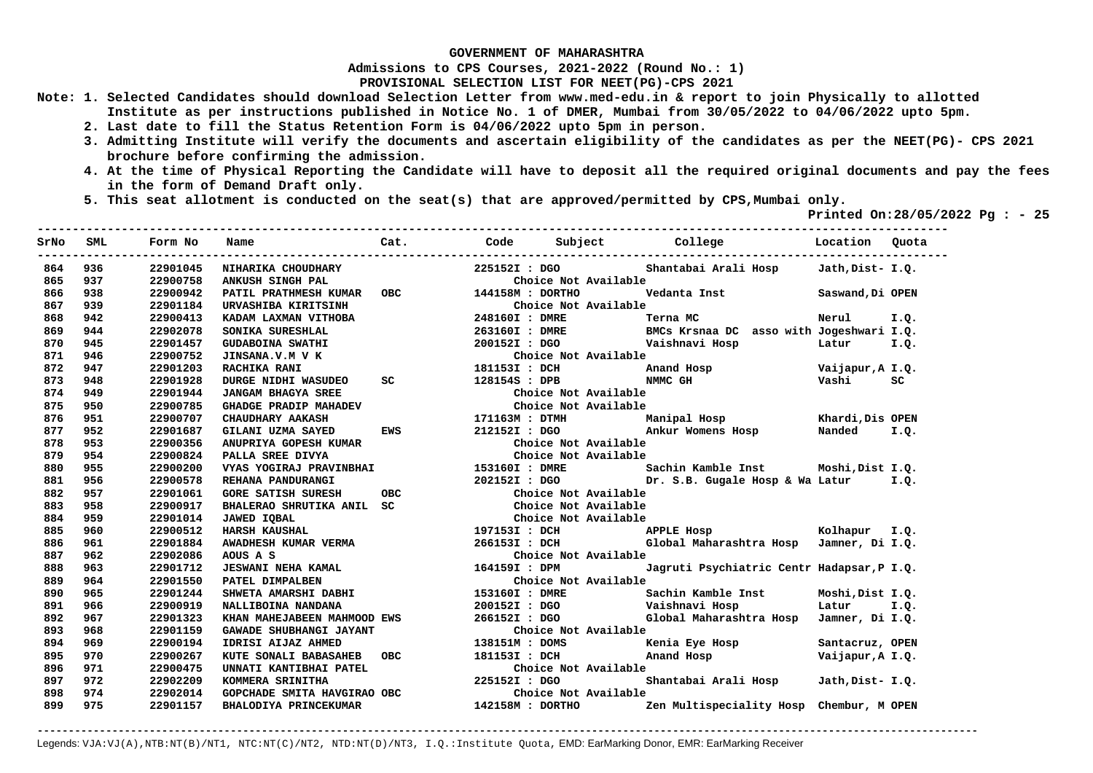**Admissions to CPS Courses, 2021-2022 (Round No.: 1)**

**PROVISIONAL SELECTION LIST FOR NEET(PG)-CPS 2021** 

- **Note: 1. Selected Candidates should download Selection Letter from www.med-edu.in & report to join Physically to allotted Institute as per instructions published in Notice No. 1 of DMER, Mumbai from 30/05/2022 to 04/06/2022 upto 5pm.** 
	- **2. Last date to fill the Status Retention Form is 04/06/2022 upto 5pm in person.**
	- **3. Admitting Institute will verify the documents and ascertain eligibility of the candidates as per the NEET(PG)- CPS 2021 brochure before confirming the admission.**
	- **4. At the time of Physical Reporting the Candidate will have to deposit all the required original documents and pay the fees in the form of Demand Draft only.**
	- **5. This seat allotment is conducted on the seat(s) that are approved/permitted by CPS,Mumbai only.**

 **Printed On:28/05/2022 Pg : - 25**   $-1.1$ 

| SrNo | <b>SML</b> | Form No  | Name                                          | Cat. | Code           | Subject<br>----------------------------- | College                                                                                                                                                                                                                       | Location Ouota   |      |
|------|------------|----------|-----------------------------------------------|------|----------------|------------------------------------------|-------------------------------------------------------------------------------------------------------------------------------------------------------------------------------------------------------------------------------|------------------|------|
| 864  | 936        | 22901045 | NIHARIKA CHOUDHARY                            |      | 225152I : DGO  |                                          | Shantabai Arali Hosp                                                                                                                                                                                                          | Jath, Dist- I.Q. |      |
| 865  | 937        | 22900758 | ANKUSH SINGH PAL<br>PATIL PRATHMESH KUMAR OBC |      |                | Choice Not Available                     |                                                                                                                                                                                                                               |                  |      |
| 866  | 938        | 22900942 |                                               |      |                | 144158M: DORTHO                          | Vedanta Inst                                                                                                                                                                                                                  | Saswand, Di OPEN |      |
| 867  | 939        | 22901184 | URVASHIBA KIRITSINH                           |      |                | Choice Not Available                     |                                                                                                                                                                                                                               |                  |      |
| 868  | 942        | 22900413 | KADAM LAXMAN VITHOBA                          |      | 248160I : DMRE |                                          | Terna MC                                                                                                                                                                                                                      | Nerul            | I.Q. |
| 869  | 944        | 22902078 | SONIKA SURESHLAL                              |      |                |                                          | 263160I : DMRE BMCs Krsnaa DC asso with Jogeshwari I.Q.                                                                                                                                                                       |                  |      |
| 870  | 945        | 22901457 | <b>GUDABOINA SWATHI</b>                       |      | 200152I : DGO  |                                          | Vaishnavi Hosp                                                                                                                                                                                                                | Latur I.Q.       |      |
| 871  | 946        | 22900752 | JINSANA.V.M V K                               |      |                | Choice Not Available                     |                                                                                                                                                                                                                               |                  |      |
| 872  | 947        | 22901203 | RACHIKA RANI                                  |      | 181153I : DCH  |                                          | Anand Hosp                                                                                                                                                                                                                    | Vaijapur, A I.Q. |      |
| 873  | 948        | 22901928 | DURGE NIDHI WASUDEO                           | SC   | 128154S : DPB  | NMMC GH                                  |                                                                                                                                                                                                                               | Vashi            | SC.  |
| 874  | 949        | 22901944 | <b>JANGAM BHAGYA SREE</b>                     |      |                | Choice Not Available                     |                                                                                                                                                                                                                               |                  |      |
| 875  | 950        | 22900785 | <b>GHADGE PRADIP MAHADEV</b>                  |      |                | Choice Not Available                     |                                                                                                                                                                                                                               |                  |      |
| 876  | 951        | 22900707 | CHAUDHARY AAKASH                              |      |                | 171163M : DTMH                           | Manipal Hosp Khardi, Dis OPEN                                                                                                                                                                                                 |                  |      |
| 877  | 952        | 22901687 | GILANI UZMA SAYED                             | EWS  |                | 212152I : DGO Ankur Womens Hosp          |                                                                                                                                                                                                                               | Nanded           | I.Q. |
| 878  | 953        | 22900356 | ANUPRIYA GOPESH KUMAR                         |      |                | Choice Not Available                     |                                                                                                                                                                                                                               |                  |      |
| 879  | 954        | 22900824 | PALLA SREE DIVYA                              |      |                | Choice Not Available                     |                                                                                                                                                                                                                               |                  |      |
| 880  | 955        | 22900200 | VYAS YOGIRAJ PRAVINBHAI                       |      |                |                                          | 153160I : DMRE Sachin Kamble Inst Moshi, Dist I.Q.                                                                                                                                                                            |                  |      |
| 881  | 956        | 22900578 | REHANA PANDURANGI                             |      |                |                                          | 202152I : DGO Dr. S.B. Gugale Hosp & Wa Latur                                                                                                                                                                                 |                  | I.O. |
| 882  | 957        | 22901061 | <b>GORE SATISH SURESH</b>                     | OBC  |                | Choice Not Available                     |                                                                                                                                                                                                                               |                  |      |
| 883  | 958        | 22900917 | BHALERAO SHRUTIKA ANIL SC                     |      |                | Choice Not Available                     |                                                                                                                                                                                                                               |                  |      |
| 884  | 959        | 22901014 | <b>JAWED IOBAL</b>                            |      |                | Choice Not Available                     |                                                                                                                                                                                                                               |                  |      |
| 885  | 960        | 22900512 | <b>HARSH KAUSHAL</b>                          |      |                |                                          |                                                                                                                                                                                                                               |                  |      |
| 886  | 961        | 22901884 | AWADHESH KUMAR VERMA                          |      |                |                                          |                                                                                                                                                                                                                               |                  |      |
| 887  | 962        | 22902086 | AOUS A S                                      |      |                | Choice Not Available                     |                                                                                                                                                                                                                               |                  |      |
| 888  | 963        | 22901712 | <b>JESWANI NEHA KAMAL</b>                     |      | 164159I : DPM  |                                          | Jagruti Psychiatric Centr Hadapsar, P I.Q.                                                                                                                                                                                    |                  |      |
| 889  | 964        | 22901550 | PATEL DIMPALBEN                               |      |                | Choice Not Available                     |                                                                                                                                                                                                                               |                  |      |
| 890  | 965        | 22901244 | SHWETA AMARSHI DABHI                          |      | 153160I : DMRE |                                          | Sachin Kamble Inst                                                                                                                                                                                                            | Moshi, Dist I.Q. |      |
| 891  | 966        | 22900919 | NALLIBOINA NANDANA                            |      |                |                                          | 200152I : DGO    Vaishnavi Hosp                                                                                                                                                                                               | Latur            | I.Q. |
| 892  | 967        | 22901323 | KHAN MAHEJABEEN MAHMOOD EWS                   |      | 266152I : DGO  |                                          | Global Maharashtra Hosp                                                                                                                                                                                                       | Jamner, Di I.Q.  |      |
| 893  | 968        | 22901159 | GAWADE SHUBHANGI JAYANT                       |      |                | Choice Not Available                     |                                                                                                                                                                                                                               |                  |      |
| 894  | 969        | 22900194 | <b>IDRISI AIJAZ AHMED</b>                     |      | 138151M : DOMS |                                          | Kenia Eye Hosp                                                                                                                                                                                                                | Santacruz, OPEN  |      |
| 895  | 970        | 22900267 | KUTE SONALI BABASAHEB OBC                     |      | 181153I : DCH  |                                          | Anand Hosp and the Second Second Second Second Second Second Second Second Second Second Second Second Second Second Second Second Second Second Second Second Second Second Second Second Second Second Second Second Second | Vaijapur, A I.Q. |      |
| 896  | 971        | 22900475 | UNNATI KANTIBHAI PATEL                        |      |                | Choice Not Available                     |                                                                                                                                                                                                                               |                  |      |
| 897  | 972        | 22902209 | KOMMERA SRINITHA                              |      | 225152I: DGO   |                                          | Shantabai Arali Hosp                                                                                                                                                                                                          | Jath, Dist- I.O. |      |
| 898  | 974        | 22902014 | GOPCHADE SMITA HAVGIRAO OBC                   |      |                | Choice Not Available                     |                                                                                                                                                                                                                               |                  |      |
| 899  | 975        | 22901157 | BHALODIYA PRINCEKUMAR                         |      |                | 142158M : DORTHO                         | Zen Multispeciality Hosp Chembur, M OPEN                                                                                                                                                                                      |                  |      |
|      |            |          |                                               |      |                |                                          |                                                                                                                                                                                                                               |                  |      |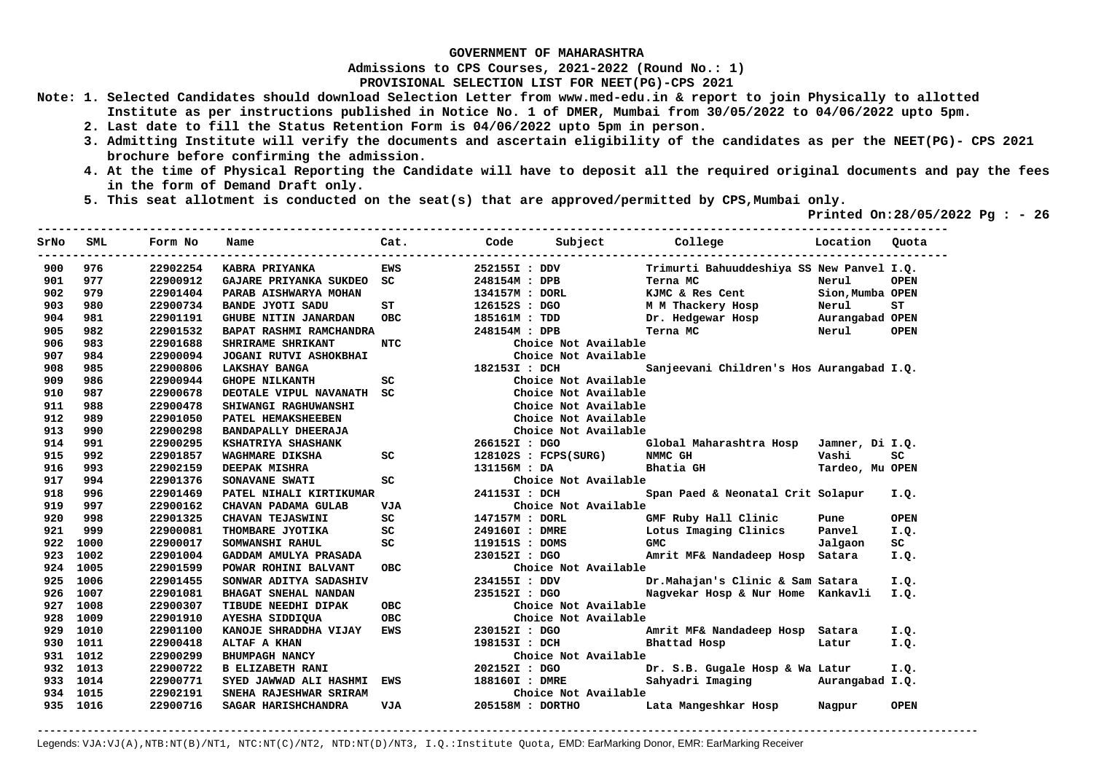**Admissions to CPS Courses, 2021-2022 (Round No.: 1)**

**PROVISIONAL SELECTION LIST FOR NEET(PG)-CPS 2021** 

- **Note: 1. Selected Candidates should download Selection Letter from www.med-edu.in & report to join Physically to allotted Institute as per instructions published in Notice No. 1 of DMER, Mumbai from 30/05/2022 to 04/06/2022 upto 5pm.** 
	- **2. Last date to fill the Status Retention Form is 04/06/2022 upto 5pm in person.**
	- **3. Admitting Institute will verify the documents and ascertain eligibility of the candidates as per the NEET(PG)- CPS 2021 brochure before confirming the admission.**
	- **4. At the time of Physical Reporting the Candidate will have to deposit all the required original documents and pay the fees in the form of Demand Draft only.**
	- **5. This seat allotment is conducted on the seat(s) that are approved/permitted by CPS,Mumbai only.**

 **Printed On:28/05/2022 Pg : - 26** 

| SrNo | SML      | Form No  | Name                      | Cat.       | Code           | Subject              | College                                   | Location         | Ouota       |
|------|----------|----------|---------------------------|------------|----------------|----------------------|-------------------------------------------|------------------|-------------|
| 900  | 976      | 22902254 | KABRA PRIYANKA            | <b>EWS</b> | 252155I : DDV  |                      | Trimurti Bahuuddeshiya SS New Panvel I.Q. |                  |             |
| 901  | 977      | 22900912 | GAJARE PRIYANKA SUKDEO    | SC.        | 248154M : DPB  |                      | Terna MC                                  | Nerul            | <b>OPEN</b> |
| 902  | 979      | 22901404 | PARAB AISHWARYA MOHAN     |            | 134157M : DORL |                      | KJMC & Res Cent                           | Sion, Mumba OPEN |             |
| 903  | 980      | 22900734 | <b>BANDE JYOTI SADU</b>   | ST         | 126152S : DGO  |                      | M M Thackery Hosp                         | Nerul            | ST          |
| 904  | 981      | 22901191 | GHUBE NITIN JANARDAN      | <b>OBC</b> | 185161M : TDD  |                      | Dr. Hedgewar Hosp                         | Aurangabad OPEN  |             |
| 905  | 982      | 22901532 | BAPAT RASHMI RAMCHANDRA   |            | 248154M : DPB  |                      | Terna MC                                  | Nerul            | <b>OPEN</b> |
| 906  | 983      | 22901688 | SHRIRAME SHRIKANT         | NTC        |                | Choice Not Available |                                           |                  |             |
| 907  | 984      | 22900094 | JOGANI RUTVI ASHOKBHAI    |            |                | Choice Not Available |                                           |                  |             |
| 908  | 985      | 22900806 | <b>LAKSHAY BANGA</b>      |            | 182153I : DCH  |                      | Sanjeevani Children's Hos Aurangabad I.Q. |                  |             |
| 909  | 986      | 22900944 | <b>GHOPE NILKANTH</b>     | SC.        |                | Choice Not Available |                                           |                  |             |
| 910  | 987      | 22900678 | DEOTALE VIPUL NAVANATH SC |            |                | Choice Not Available |                                           |                  |             |
| 911  | 988      | 22900478 | SHIWANGI RAGHUWANSHI      |            |                | Choice Not Available |                                           |                  |             |
| 912  | 989      | 22901050 | PATEL HEMAKSHEEBEN        |            |                | Choice Not Available |                                           |                  |             |
| 913  | 990      | 22900298 | BANDAPALLY DHEERAJA       |            |                | Choice Not Available |                                           |                  |             |
| 914  | 991      | 22900295 | KSHATRIYA SHASHANK        |            | 266152I : DGO  |                      | Global Maharashtra Hosp                   | Jamner, Di I.Q.  |             |
| 915  | 992      | 22901857 | WAGHMARE DIKSHA           | SC         |                | 128102S : FCPS(SURG) | NMMC GH                                   | Vashi            | SC          |
| 916  | 993      | 22902159 | DEEPAK MISHRA             |            | 131156M : DA   |                      | Bhatia GH                                 | Tardeo, Mu OPEN  |             |
| 917  | 994      | 22901376 | SONAVANE SWATI            | SC         |                | Choice Not Available |                                           |                  |             |
| 918  | 996      | 22901469 | PATEL NIHALI KIRTIKUMAR   |            | 241153I : DCH  |                      | Span Paed & Neonatal Crit Solapur         |                  | I.Q.        |
| 919  | 997      | 22900162 | CHAVAN PADAMA GULAB       | <b>VJA</b> |                | Choice Not Available |                                           |                  |             |
| 920  | 998      | 22901325 | CHAVAN TEJASWINI          | SC         | 147157M : DORL |                      | GMF Ruby Hall Clinic                      | Pune             | <b>OPEN</b> |
| 921  | 999      | 22900081 | THOMBARE JYOTIKA          | SC         | 249160I : DMRE |                      | Lotus Imaging Clinics                     | Panvel           | I.Q.        |
| 922  | 1000     | 22900017 | SOMWANSHI RAHUL           | SC         | 119151S : DOMS |                      | <b>GMC</b>                                | Jalgaon          | SC          |
| 923  | 1002     | 22901004 | GADDAM AMULYA PRASADA     |            | 230152I : DGO  |                      | Amrit MF& Nandadeep Hosp                  | Satara           | I.Q.        |
| 924  | 1005     | 22901599 | POWAR ROHINI BALVANT      | OBC.       |                | Choice Not Available |                                           |                  |             |
| 925  | 1006     | 22901455 | SONWAR ADITYA SADASHIV    |            | 234155I : DDV  |                      | Dr.Mahajan's Clinic & Sam Satara          |                  | I.O.        |
| 926  | 1007     | 22901081 | BHAGAT SNEHAL NANDAN      |            | 235152I : DGO  |                      | Nagvekar Hosp & Nur Home Kankavli         |                  | I.O.        |
| 927  | 1008     | 22900307 | TIBUDE NEEDHI DIPAK       | <b>OBC</b> |                | Choice Not Available |                                           |                  |             |
| 928  | 1009     | 22901910 | AYESHA SIDDIQUA           | <b>OBC</b> |                | Choice Not Available |                                           |                  |             |
| 929  | 1010     | 22901100 | KANOJE SHRADDHA VIJAY     | <b>EWS</b> | 230152I : DGO  |                      | Amrit MF& Nandadeep Hosp Satara           |                  | I.Q.        |
| 930  | 1011     | 22900418 | ALTAF A KHAN              |            | 198153I : DCH  |                      | Bhattad Hosp                              | Latur            | I.Q.        |
| 931  | 1012     | 22900299 | <b>BHUMPAGH NANCY</b>     |            |                | Choice Not Available |                                           |                  |             |
| 932  | 1013     | 22900722 | <b>B ELIZABETH RANI</b>   |            | 202152I : DGO  |                      | Dr. S.B. Gugale Hosp & Wa Latur           |                  | I.Q.        |
| 933  | 1014     | 22900771 | SYED JAWWAD ALI HASHMI    | EWS        | 188160I : DMRE |                      | Sahyadri Imaging                          | Aurangabad I.Q.  |             |
| 934. | 1015     | 22902191 | SNEHA RAJESHWAR SRIRAM    |            |                | Choice Not Available |                                           |                  |             |
|      | 935 1016 | 22900716 | SAGAR HARISHCHANDRA       | VJA        |                | 205158M : DORTHO     | Lata Mangeshkar Hosp                      | Nagpur           | <b>OPEN</b> |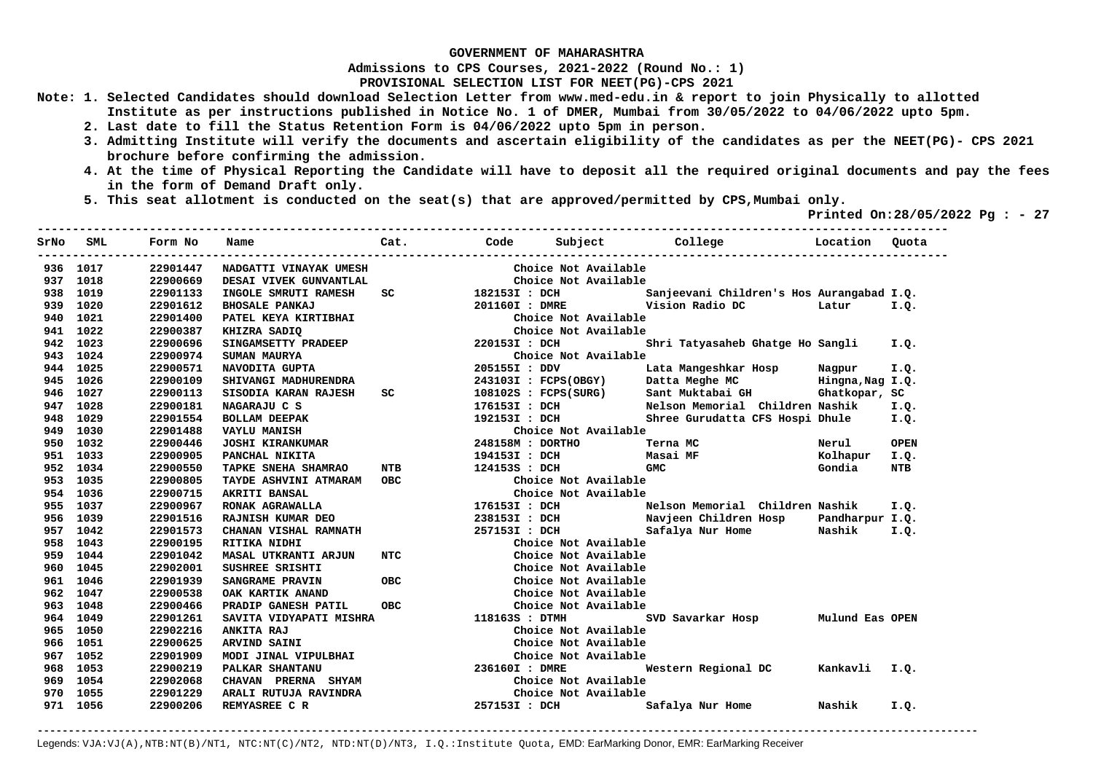**Admissions to CPS Courses, 2021-2022 (Round No.: 1)**

**PROVISIONAL SELECTION LIST FOR NEET(PG)-CPS 2021** 

- **Note: 1. Selected Candidates should download Selection Letter from www.med-edu.in & report to join Physically to allotted Institute as per instructions published in Notice No. 1 of DMER, Mumbai from 30/05/2022 to 04/06/2022 upto 5pm.** 
	- **2. Last date to fill the Status Retention Form is 04/06/2022 upto 5pm in person.**
	- **3. Admitting Institute will verify the documents and ascertain eligibility of the candidates as per the NEET(PG)- CPS 2021 brochure before confirming the admission.**
	- **4. At the time of Physical Reporting the Candidate will have to deposit all the required original documents and pay the fees in the form of Demand Draft only.**

**----------------------------------------------------------------------------------------------------------------------------------** 

 **5. This seat allotment is conducted on the seat(s) that are approved/permitted by CPS,Mumbai only.** 

 **Printed On:28/05/2022 Pg : - 27** 

| SrNo | SML      | Form No  | Name                                                                                                                                               |                  |                      | Cat. Code Subject College Docation Quota             |        |             |
|------|----------|----------|----------------------------------------------------------------------------------------------------------------------------------------------------|------------------|----------------------|------------------------------------------------------|--------|-------------|
|      | 936 1017 | 22901447 | NADGATTI VINAYAK UMESH                                                                                                                             |                  | Choice Not Available |                                                      |        |             |
| 937  | 1018     | 22900669 | DESAI VIVEK GUNVANTLAL                                                                                                                             |                  | Choice Not Available |                                                      |        |             |
|      | 938 1019 | 22901133 | INGOLE SMRUTI RAMESH                                                                                                                               | SC 1821531 : DCH |                      | Sanjeevani Children's Hos Aurangabad I.Q.            |        |             |
|      | 939 1020 | 22901612 | <b>BHOSALE PANKAJ</b>                                                                                                                              |                  | 201160I : DMRE       | Vision Radio DC Latur                                |        | I.Q.        |
|      | 940 1021 | 22901400 | PATEL KEYA KIRTIBHAI                                                                                                                               |                  | Choice Not Available |                                                      |        |             |
|      | 941 1022 | 22900387 | THE MILE ALL PRINCIPAL SADIQ<br>SINGAMSETTY PRADEEP 2201531 : DCH<br>2201531 : DCH                                                                 |                  | Choice Not Available |                                                      |        |             |
|      | 942 1023 | 22900696 |                                                                                                                                                    |                  |                      | Shri Tatyasaheb Ghatge Ho Sangli                     |        | I.O.        |
|      | 943 1024 | 22900974 | SUMAN MAURYA                                                                                                                                       |                  | Choice Not Available |                                                      |        |             |
|      | 944 1025 | 22900571 | NAVODITA GUPTA                                                                                                                                     |                  | 205155I : DDV        | Lata Mangeshkar Hosp Nagpur                          |        | I.O.        |
|      | 945 1026 | 22900109 | SHIVANGI MADHURENDRA                                                                                                                               |                  |                      | 243103I : FCPS(OBGY) Datta Meghe MC Hingna, Nag I.Q. |        |             |
|      | 946 1027 | 22900113 | SISODIA KARAN RAJESH                                                                                                                               | SC               |                      | 108102S: FCPS(SURG) Sant Muktabai GH Ghatkopar, SC   |        |             |
|      | 947 1028 | 22900181 | NAGARAJU C S                                                                                                                                       |                  |                      | 176153I : DCH Nelson Memorial Children Nashik        |        | I.Q.        |
|      | 948 1029 | 22901554 | <b>BOLLAM DEEPAK</b>                                                                                                                               |                  |                      | 192153I : DCH Shree Gurudatta CFS Hospi Dhule        |        | I.Q.        |
|      | 949 1030 | 22901488 | <b>VAYLU MANISH</b>                                                                                                                                |                  | Choice Not Available |                                                      |        |             |
|      | 950 1032 | 22900446 | <b>JOSHI KIRANKUMAR</b>                                                                                                                            |                  | 248158M : DORTHO     | Terna MC                                             | Nerul  | <b>OPEN</b> |
|      | 951 1033 | 22900905 | PANCHAL NIKITA                                                                                                                                     |                  |                      | 194153I : DCH Masai MF Massai Molhapur               |        | I.Q.        |
|      | 952 1034 | 22900550 | <b>TAPKE SNEHA SHAMRAO</b>                                                                                                                         | <b>NTB</b>       | 124153S : DCH        | GMC                                                  | Gondia | <b>NTB</b>  |
|      | 953 1035 | 22900805 | TAYDE ASHVINI ATMARAM OBC                                                                                                                          |                  | Choice Not Available |                                                      |        |             |
|      | 954 1036 | 22900715 | AKRITI BANSAL                                                                                                                                      |                  | Choice Not Available |                                                      |        |             |
|      | 955 1037 | 22900967 | RONAK AGRAWALLA                                                                                                                                    |                  |                      | Nelson Memorial Children Nashik                      |        | I.Q.        |
|      | 956 1039 | 22901516 | RAJNISH KUMAR DEO                                                                                                                                  |                  | 238153I : DCH        | Navjeen Children Hosp Pandharpur I.Q.                |        |             |
|      | 957 1042 | 22901573 | CHANAN VISHAL RAMNATH<br>DITTIMA NIDUI                                                                                                             | 257153I : DCH    |                      | Safalya Nur Home     Nashik                          |        | I.Q.        |
|      | 958 1043 | 22900195 | RITIKA NIDHI                                                                                                                                       |                  | Choice Not Available |                                                      |        |             |
|      | 959 1044 | 22901042 | MASAL UTKRANTI ARJUN                                                                                                                               | NTC              | Choice Not Available |                                                      |        |             |
|      | 960 1045 | 22902001 | SUSHREE SRISHTI                                                                                                                                    |                  | Choice Not Available |                                                      |        |             |
|      | 961 1046 | 22901939 | SANGRAME PRAVIN                                                                                                                                    | <b>OBC</b>       | Choice Not Available |                                                      |        |             |
|      | 962 1047 | 22900538 | OAK KARTIK ANAND                                                                                                                                   |                  | Choice Not Available |                                                      |        |             |
|      | 963 1048 | 22900466 | PRADIP GANESH PATIL                                                                                                                                | <b>OBC</b>       | Choice Not Available |                                                      |        |             |
|      | 964 1049 | 22901261 | SAVITA VIDYAPATI MISHRA                                                                                                                            |                  | 118163S : DTMH       | SVD Savarkar Hosp Mulund Eas OPEN                    |        |             |
|      | 965 1050 | 22902216 |                                                                                                                                                    |                  | Choice Not Available |                                                      |        |             |
|      | 966 1051 | 22900625 |                                                                                                                                                    |                  | Choice Not Available |                                                      |        |             |
|      | 967 1052 | 22901909 |                                                                                                                                                    |                  | Choice Not Available |                                                      |        |             |
| 968  | 1053     | 22900219 | Choice N<br>MODI JINAL VIPULBHAI<br>MODI JINAL VIPULBHAI<br>PALKAR SHANTANU<br>CHAVAN PRERNA SHYAM<br>CHAVAN PRERNA SHYAM<br>ARALI RUTUJA RAVINDER |                  |                      | Western Regional DC Kankavli                         |        | I.Q.        |
| 969  | 1054     | 22902068 |                                                                                                                                                    |                  | Choice Not Available |                                                      |        |             |
| 970  | 1055     | 22901229 |                                                                                                                                                    |                  | Choice Not Available |                                                      |        |             |
|      | 971 1056 | 22900206 | REMYASREE C R                                                                                                                                      |                  | 257153I : DCH        | Safalya Nur Home                                     | Nashik | I.Q.        |
|      |          |          |                                                                                                                                                    |                  |                      |                                                      |        |             |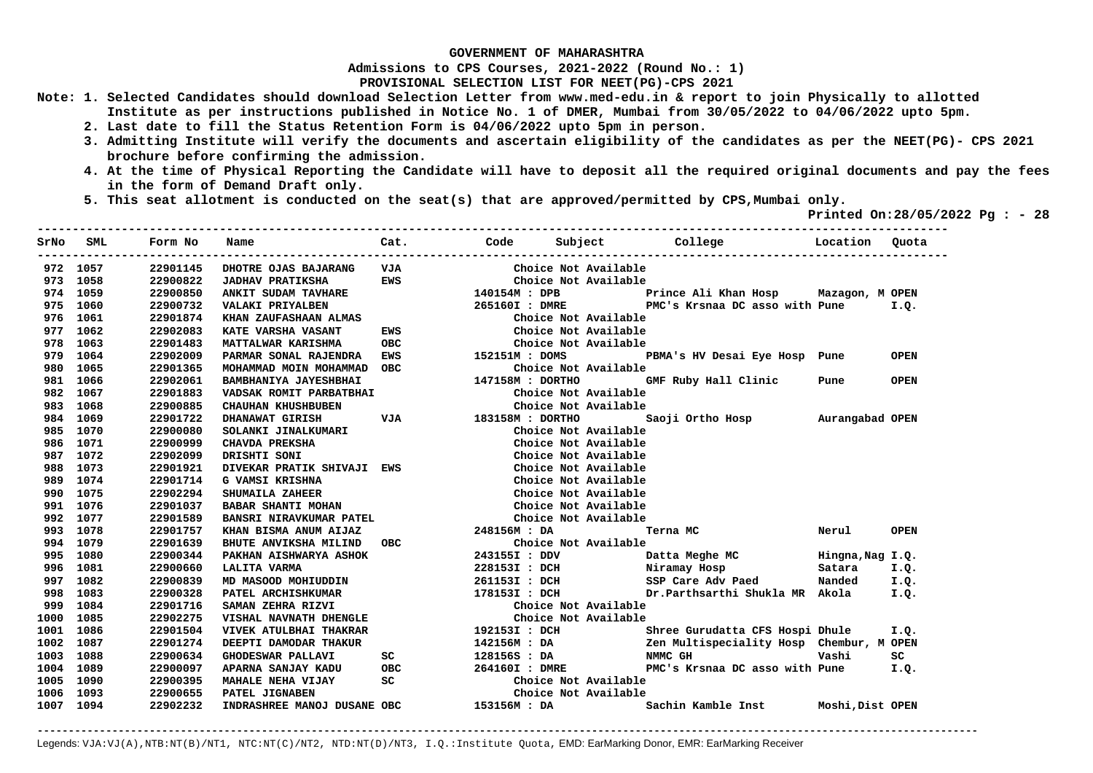**Admissions to CPS Courses, 2021-2022 (Round No.: 1)**

**PROVISIONAL SELECTION LIST FOR NEET(PG)-CPS 2021** 

- **Note: 1. Selected Candidates should download Selection Letter from www.med-edu.in & report to join Physically to allotted Institute as per instructions published in Notice No. 1 of DMER, Mumbai from 30/05/2022 to 04/06/2022 upto 5pm.** 
	- **2. Last date to fill the Status Retention Form is 04/06/2022 upto 5pm in person.**
	- **3. Admitting Institute will verify the documents and ascertain eligibility of the candidates as per the NEET(PG)- CPS 2021 brochure before confirming the admission.**
	- **4. At the time of Physical Reporting the Candidate will have to deposit all the required original documents and pay the fees in the form of Demand Draft only.**

**----------------------------------------------------------------------------------------------------------------------------------** 

 **5. This seat allotment is conducted on the seat(s) that are approved/permitted by CPS,Mumbai only.** 

 **Printed On:28/05/2022 Pg : - 28** 

| SrNo      | <b>SML</b> | Form No  | Name                           | Cat.                                                                       |                  |                                                   | Code Subject College Location                     |        | Ouota       |
|-----------|------------|----------|--------------------------------|----------------------------------------------------------------------------|------------------|---------------------------------------------------|---------------------------------------------------|--------|-------------|
|           | 972 1057   | 22901145 | DHOTRE OJAS BAJARANG           | VJA                                                                        |                  | Choice Not Available                              |                                                   |        |             |
|           | 973 1058   | 22900822 | <b>JADHAV PRATIKSHA</b>        | <b>EWS</b>                                                                 |                  | Choice Not Available                              |                                                   |        |             |
|           | 974 1059   | 22900850 | <b>ANKIT SUDAM TAVHARE</b>     |                                                                            | 140154M : DPB    |                                                   | Prince Ali Khan Hosp Mazagon, M OPEN              |        |             |
|           | 975 1060   | 22900732 | VALAKI PRIYALBEN               |                                                                            |                  |                                                   | 265160I: DMRE PMC's Krsnaa DC asso with Pune I.Q. |        |             |
|           | 976 1061   | 22901874 | KHAN ZAUFASHAAN ALMAS          |                                                                            |                  | Choice Not Available                              |                                                   |        |             |
|           | 977 1062   | 22902083 | KATE VARSHA VASANT             | <b>EWS</b>                                                                 |                  | Choice Not Available                              |                                                   |        |             |
|           | 978 1063   | 22901483 | MATTALWAR KARISHMA             | OBC                                                                        |                  | Choice Not Available                              |                                                   |        |             |
|           | 979 1064   | 22902009 | PARMAR SONAL RAJENDRA          | EWS                                                                        | CHOICE NOTE      |                                                   | PBMA's HV Desai Eye Hosp Pune                     |        | <b>OPEN</b> |
|           | 980 1065   | 22901365 | MOHAMMAD MOIN MOHAMMAD         | OBC                                                                        |                  | Choice Not Available                              |                                                   |        |             |
|           | 981 1066   | 22902061 | BAMBHANIYA JAYESHBHAI          |                                                                            | 147158M : DORTHO |                                                   | GMF Ruby Hall Clinic                              | Pune   | <b>OPEN</b> |
| 982       | 1067       | 22901883 | VADSAK ROMIT PARBATBHAI        |                                                                            |                  | Choice Not Available                              |                                                   |        |             |
| 983       | 1068       | 22900885 | <b>CHAUHAN KHUSHBUBEN</b>      | EN Choice Not Available<br>EN Choice Not Available<br>VJA 183158M : DORTHO |                  | Choice Not Available                              |                                                   |        |             |
| 984       | 1069       | 22901722 | DHANAWAT GIRISH                |                                                                            |                  |                                                   | Saoji Ortho Hosp Murangabad OPEN                  |        |             |
|           | 985 1070   | 22900080 | SOLANKI JINALKUMARI            |                                                                            |                  | Choice Not Available                              |                                                   |        |             |
|           | 986 1071   | 22900999 | CHAVDA PREKSHA                 |                                                                            |                  | Choice Not Available                              |                                                   |        |             |
|           | 987 1072   | 22902099 | DRISHTI SONI                   |                                                                            |                  | Choice Not Available                              |                                                   |        |             |
|           | 988 1073   | 22901921 | DIVEKAR PRATIK SHIVAJI EWS     |                                                                            |                  | Choice Not Available                              |                                                   |        |             |
|           | 989 1074   | 22901714 | <b>G VAMSI KRISHNA</b>         |                                                                            |                  | Choice Not Available                              |                                                   |        |             |
|           | 990 1075   | 22902294 | SHUMAILA ZAHEER                |                                                                            |                  | Choice Not Available                              |                                                   |        |             |
|           | 991 1076   | 22901037 | <b>BABAR SHANTI MOHAN</b>      |                                                                            |                  | Choice Not Available                              |                                                   |        |             |
|           | 992 1077   | 22901589 | <b>BANSRI NIRAVKUMAR PATEL</b> |                                                                            |                  | Choice Not Available                              |                                                   |        |             |
|           | 993 1078   | 22901757 | KHAN BISMA ANUM AIJAZ          |                                                                            | 248156M : DA     |                                                   | Terna MC                                          | Nerul  | <b>OPEN</b> |
|           | 994 1079   | 22901639 | BHUTE ANVIKSHA MILIND OBC      |                                                                            |                  | Choice Not Available                              |                                                   |        |             |
|           | 995 1080   | 22900344 | PAKHAN AISHWARYA ASHOK         |                                                                            | 243155I : DDV    |                                                   |                                                   |        |             |
|           | 996 1081   | 22900660 | LALITA VARMA                   |                                                                            | 228153I : DCH    |                                                   | Niramay Hosp                                      | Satara | I.Q.        |
|           | 997 1082   | 22900839 | MD MASOOD MOHIUDDIN            |                                                                            | 261153I : DCH    |                                                   | SSP Care Adv Paed                                 | Nanded | I.Q.        |
|           | 998 1083   | 22900328 | PATEL ARCHISHKUMAR             |                                                                            | 178153I : DCH    |                                                   | Dr.Parthsarthi Shukla MR Akola                    |        | I.Q.        |
| 999       | 1084       | 22901716 | SAMAN ZEHRA RIZVI              |                                                                            |                  | Choice Not Available                              |                                                   |        |             |
| 1000 1085 |            | 22902275 | VISHAL NAVNATH DHENGLE         |                                                                            |                  | Choice Not Available                              |                                                   |        |             |
| 1001 1086 |            | 22901504 | VIVEK ATULBHAI THAKRAR         |                                                                            | 192153I : DCH    |                                                   | Shree Gurudatta CFS Hospi Dhule                   |        | I.Q.        |
| 1002      | 1087       | 22901274 | DEEPTI DAMODAR THAKUR          |                                                                            | 142156M : DA     |                                                   | Zen Multispeciality Hosp Chembur, M OPEN          |        |             |
| 1003      | 1088       | 22900634 | GHODESWAR PALLAVI              | SC                                                                         |                  | $128156S$ : DA NMMC GH $264160T + DMPF$ DMCLs $K$ |                                                   | Vashi  | SC          |
| 1004      | 1089       | 22900097 | APARNA SANJAY KADU             | OBC                                                                        | 264160I : DMRE   |                                                   | PMC's Krsnaa DC asso with Pune                    |        | I.Q.        |
| 1005      | 1090       | 22900395 | MAHALE NEHA VIJAY              | SC                                                                         |                  | Choice Not Available                              |                                                   |        |             |
| 1006      | 1093       | 22900655 | PATEL JIGNABEN                 |                                                                            |                  | Choice Not Available                              |                                                   |        |             |
| 1007 1094 |            | 22902232 | INDRASHREE MANOJ DUSANE OBC    |                                                                            | 153156M : DA     |                                                   | Sachin Kamble Inst Moshi, Dist OPEN               |        |             |
|           |            |          |                                |                                                                            |                  |                                                   |                                                   |        |             |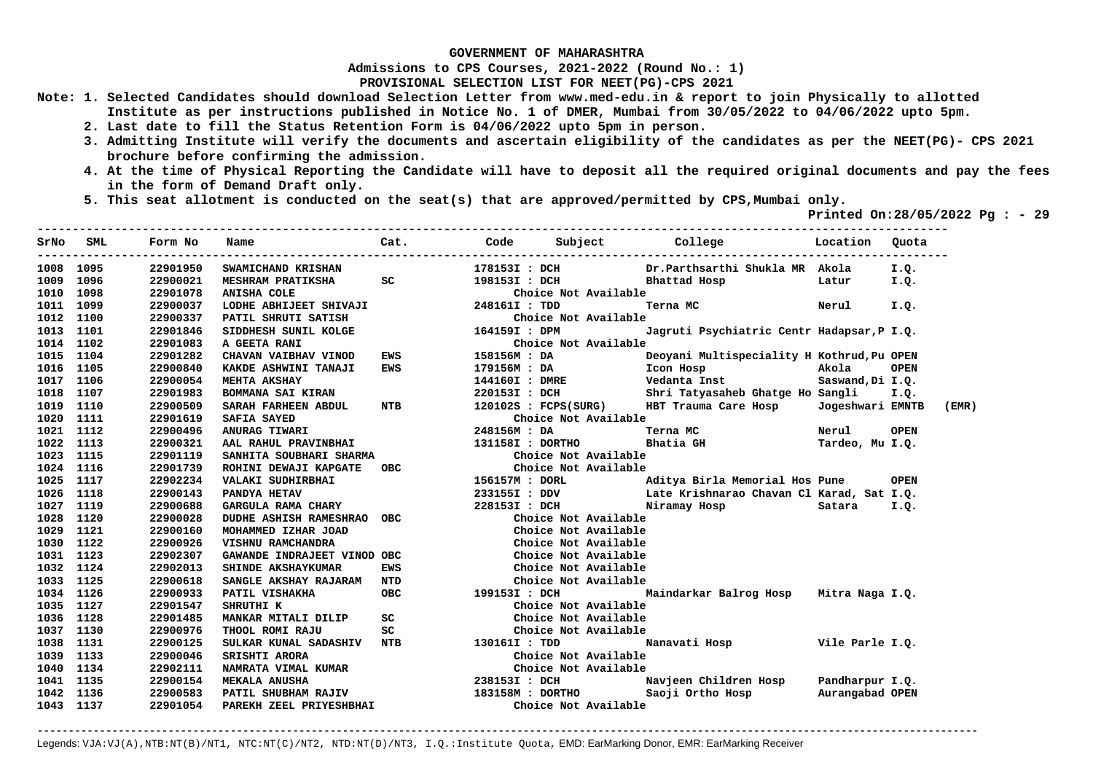**Admissions to CPS Courses, 2021-2022 (Round No.: 1)**

**PROVISIONAL SELECTION LIST FOR NEET(PG)-CPS 2021** 

- **Note: 1. Selected Candidates should download Selection Letter from www.med-edu.in & report to join Physically to allotted Institute as per instructions published in Notice No. 1 of DMER, Mumbai from 30/05/2022 to 04/06/2022 upto 5pm.** 
	- **2. Last date to fill the Status Retention Form is 04/06/2022 upto 5pm in person.**
	- **3. Admitting Institute will verify the documents and ascertain eligibility of the candidates as per the NEET(PG)- CPS 2021 brochure before confirming the admission.**
	- **4. At the time of Physical Reporting the Candidate will have to deposit all the required original documents and pay the fees in the form of Demand Draft only.**

**----------------------------------------------------------------------------------------------------------------------------------** 

 **5. This seat allotment is conducted on the seat(s) that are approved/permitted by CPS,Mumbai only.** 

 **Printed On:28/05/2022 Pg : - 29** 

| SrNo      | SML  | Form No  | Name                                                         | Cat.                                                                                                                                                                                                                           |                  |                            |                                                                                     |                  |             |       |
|-----------|------|----------|--------------------------------------------------------------|--------------------------------------------------------------------------------------------------------------------------------------------------------------------------------------------------------------------------------|------------------|----------------------------|-------------------------------------------------------------------------------------|------------------|-------------|-------|
| 1008 1095 |      | 22901950 | <b>SWAMICHAND KRISHAN</b>                                    |                                                                                                                                                                                                                                |                  | 178153I : DCH              | Dr.Parthsarthi Shukla MR Akola                                                      |                  | I.Q.        |       |
| 1009 1096 |      | 22900021 | MESHRAM PRATIKSHA SC 3981531 : DCH                           |                                                                                                                                                                                                                                |                  |                            | Bhattad Hosp                                                                        | Latur            | I.Q.        |       |
| 1010 1098 |      | 22901078 |                                                              |                                                                                                                                                                                                                                |                  | Choice Not Available       |                                                                                     |                  |             |       |
| 1011 1099 |      | 22900037 |                                                              |                                                                                                                                                                                                                                | 248161I : TDD    |                            | Terna MC                                                                            | Nerul            | I.Q.        |       |
| 1012 1100 |      | 22900337 | PATIL SHRUTI SATISH                                          |                                                                                                                                                                                                                                |                  | Choice Not Available       |                                                                                     |                  |             |       |
| 1013 1101 |      | 22901846 | SIDDHESH SUNIL KOLGE                                         | Choice N<br>164159I : DPM                                                                                                                                                                                                      |                  |                            | Jagruti Psychiatric Centr Hadapsar, P I.Q.                                          |                  |             |       |
| 1014 1102 |      | 22901083 |                                                              |                                                                                                                                                                                                                                |                  | Choice Not Available       |                                                                                     |                  |             |       |
| 1015 1104 |      | 22901282 | A GEETA RANI Choice<br>CHAVAN VAIBHAV VINOD EWS 158156M : DA |                                                                                                                                                                                                                                |                  |                            | Deoyani Multispeciality H Kothrud, Pu OPEN                                          |                  |             |       |
| 1016 1105 |      | 22900840 | KAKDE ASHWINI TANAJI                                         | EWS                                                                                                                                                                                                                            |                  |                            |                                                                                     | Akola            | <b>OPEN</b> |       |
| 1017 1106 |      | 22900054 | <b>MEHTA AKSHAY</b>                                          |                                                                                                                                                                                                                                |                  |                            |                                                                                     |                  |             |       |
| 1018      | 1107 | 22901983 | <b>BOMMANA SAI KIRAN</b>                                     |                                                                                                                                                                                                                                |                  |                            |                                                                                     |                  |             |       |
| 1019      | 1110 | 22900509 | <b>SARAH FARHEEN ABDUL</b>                                   | <b>NTB</b>                                                                                                                                                                                                                     |                  |                            |                                                                                     | Jogeshwari EMNTB |             | (EMR) |
| 1020 1111 |      | 22901619 |                                                              |                                                                                                                                                                                                                                |                  | Choice Not Available       |                                                                                     |                  |             |       |
| 1021 1112 |      | 22900496 |                                                              |                                                                                                                                                                                                                                | 248156M : DA     |                            | Terna MC                                                                            | Nerul            | <b>OPEN</b> |       |
| 1022 1113 |      | 22900321 | AAL RAHUL PRAVINBHAI                                         |                                                                                                                                                                                                                                |                  | 131158I : DORTHO Bhatia GH |                                                                                     | Tardeo, Mu I.Q.  |             |       |
| 1023 1115 |      | 22901119 | SANHITA SOUBHARI SHARMA                                      |                                                                                                                                                                                                                                |                  | Choice Not Available       |                                                                                     |                  |             |       |
| 1024 1116 |      | 22901739 | ROHINI DEWAJI KAPGATE                                        | OBC and the contract of the contract of the contract of the contract of the contract of the contract of the contract of the contract of the contract of the contract of the contract of the contract of the contract of the co |                  | Choice Not Available       |                                                                                     |                  |             |       |
| 1025 1117 |      | 22902234 | VALAKI SUDHIRBHAI                                            |                                                                                                                                                                                                                                |                  |                            | 156157M : DORL                        Aditya Birla Memorial Hos Pune           OPEN |                  |             |       |
| 1026 1118 |      | 22900143 | PANDYA HETAV                                                 |                                                                                                                                                                                                                                |                  |                            | 233155I : DDV Late Krishnarao Chavan Cl Karad, Sat I.Q.                             |                  |             |       |
| 1027 1119 |      | 22900688 | GARGULA RAMA CHARY                                           |                                                                                                                                                                                                                                |                  |                            | 228153I : DCH Niramay Hosp                                                          | Satara           | I.Q.        |       |
| 1028 1120 |      | 22900028 | DUDHE ASHISH RAMESHRAO OBC                                   |                                                                                                                                                                                                                                |                  | Choice Not Available       |                                                                                     |                  |             |       |
| 1029 1121 |      | 22900160 | MOHAMMED IZHAR JOAD                                          |                                                                                                                                                                                                                                |                  | Choice Not Available       |                                                                                     |                  |             |       |
| 1030 1122 |      | 22900926 | VISHNU RAMCHANDRA                                            |                                                                                                                                                                                                                                |                  | Choice Not Available       |                                                                                     |                  |             |       |
| 1031 1123 |      | 22902307 | GAWANDE INDRAJEET VINOD OBC                                  |                                                                                                                                                                                                                                |                  | Choice Not Available       |                                                                                     |                  |             |       |
| 1032 1124 |      | 22902013 | SHINDE AKSHAYKUMAR                                           | EWS                                                                                                                                                                                                                            |                  | Choice Not Available       |                                                                                     |                  |             |       |
| 1033 1125 |      | 22900618 | SANGLE AKSHAY RAJARAM NTD                                    |                                                                                                                                                                                                                                |                  | Choice Not Available       |                                                                                     |                  |             |       |
| 1034 1126 |      | 22900933 | PATIL VISHAKHA                                               | <b>OBC</b>                                                                                                                                                                                                                     | 199153I : DCH    |                            | Maindarkar Balrog Hosp Mitra Naga I.Q.                                              |                  |             |       |
| 1035 1127 |      | 22901547 | SHRUTHI K                                                    |                                                                                                                                                                                                                                |                  | Choice Not Available       |                                                                                     |                  |             |       |
| 1036 1128 |      | 22901485 | MANKAR MITALI DILIP                                          | SC                                                                                                                                                                                                                             |                  | Choice Not Available       |                                                                                     |                  |             |       |
| 1037 1130 |      | 22900976 | THOOL ROMI RAJU                                              |                                                                                                                                                                                                                                |                  | Choice Not Available       |                                                                                     |                  |             |       |
| 1038 1131 |      | 22900125 | SULKAR KUNAL SADASHIV NTB 130161I : TDD                      |                                                                                                                                                                                                                                |                  |                            | Nanavati Hosp Vile Parle I.Q.                                                       |                  |             |       |
| 1039 1133 |      | 22900046 |                                                              |                                                                                                                                                                                                                                |                  | Choice Not Available       |                                                                                     |                  |             |       |
| 1040      | 1134 | 22902111 |                                                              |                                                                                                                                                                                                                                |                  | Choice Not Available       |                                                                                     |                  |             |       |
| 1041 1135 |      | 22900154 |                                                              |                                                                                                                                                                                                                                |                  |                            | 238153I : DCH Navjeen Children Hosp Pandharpur I.Q.                                 |                  |             |       |
| 1042      | 1136 | 22900583 | PATIL SHUBHAM RAJIV                                          |                                                                                                                                                                                                                                | 183158M : DORTHO |                            | Saoji Ortho Hosp         Aurangabad OPEN                                            |                  |             |       |
| 1043 1137 |      | 22901054 | PAREKH ZEEL PRIYESHBHAI                                      |                                                                                                                                                                                                                                |                  | Choice Not Available       |                                                                                     |                  |             |       |

**-------------------------------------------------------------------------------------------------------------------------------------------------------**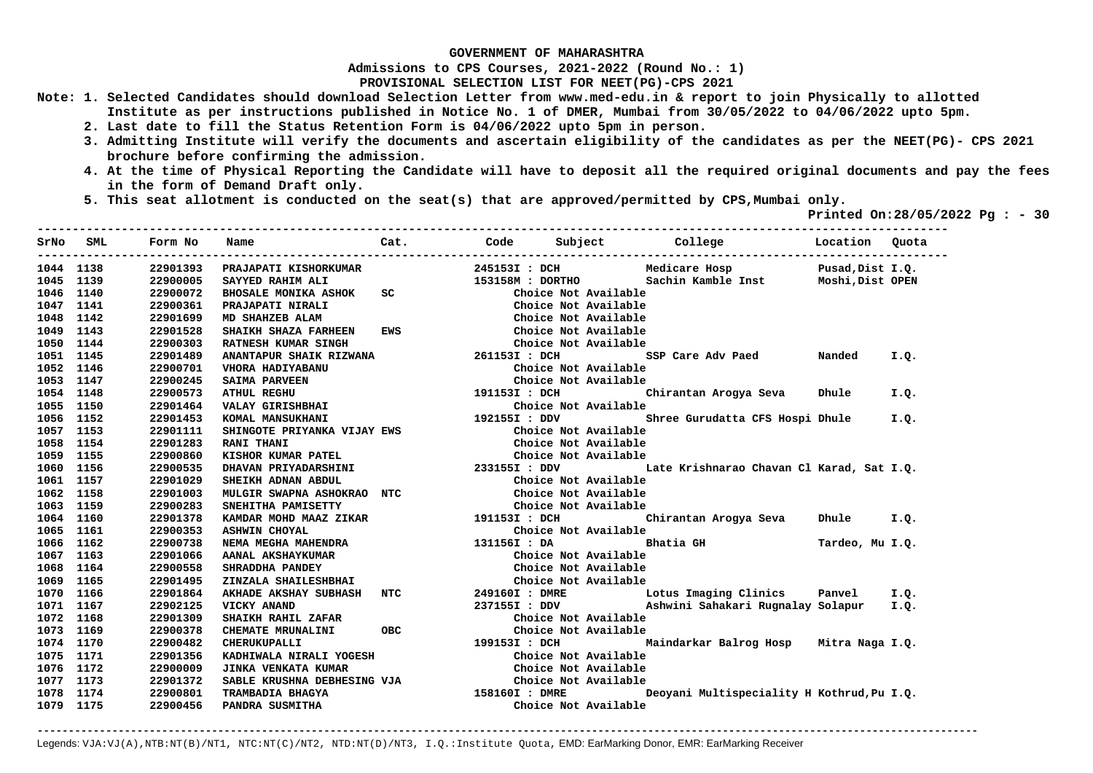**Admissions to CPS Courses, 2021-2022 (Round No.: 1)**

**PROVISIONAL SELECTION LIST FOR NEET(PG)-CPS 2021** 

- **Note: 1. Selected Candidates should download Selection Letter from www.med-edu.in & report to join Physically to allotted Institute as per instructions published in Notice No. 1 of DMER, Mumbai from 30/05/2022 to 04/06/2022 upto 5pm.** 
	- **2. Last date to fill the Status Retention Form is 04/06/2022 upto 5pm in person.**
	- **3. Admitting Institute will verify the documents and ascertain eligibility of the candidates as per the NEET(PG)- CPS 2021 brochure before confirming the admission.**
	- **4. At the time of Physical Reporting the Candidate will have to deposit all the required original documents and pay the fees in the form of Demand Draft only.**

**----------------------------------------------------------------------------------------------------------------------------------** 

 **5. This seat allotment is conducted on the seat(s) that are approved/permitted by CPS,Mumbai only.** 

 **Printed On:28/05/2022 Pg : - 30** 

| SrNo      | SML  | Form No  | Name                        | Cat.          |                |                      | Code Subject College                                | Location Quota   |      |
|-----------|------|----------|-----------------------------|---------------|----------------|----------------------|-----------------------------------------------------|------------------|------|
| 1044 1138 |      | 22901393 | PRAJAPATI KISHORKUMAR       |               |                |                      | 245153I : DCH Medicare Hosp                         | Pusad, Dist I.Q. |      |
| 1045      | 1139 | 22900005 | SAYYED RAHIM ALI            |               |                | 153158M : DORTHO     | Sachin Kamble Inst Moshi, Dist OPEN                 |                  |      |
| 1046 1140 |      | 22900072 | <b>BHOSALE MONIKA ASHOK</b> | SC            |                | Choice Not Available |                                                     |                  |      |
| 1047 1141 |      | 22900361 | PRAJAPATI NIRALI            |               |                | Choice Not Available |                                                     |                  |      |
| 1048      | 1142 | 22901699 | MD SHAHZEB ALAM             |               |                | Choice Not Available |                                                     |                  |      |
| 1049 1143 |      | 22901528 | SHAIKH SHAZA FARHEEN        | EWS           |                | Choice Not Available |                                                     |                  |      |
| 1050 1144 |      | 22900303 | RATNESH KUMAR SINGH         |               |                | Choice Not Available |                                                     |                  |      |
| 1051 1145 |      | 22901489 |                             |               |                |                      | SSP Care Adv Paed Nanded                            |                  | I.Q. |
| 1052      | 1146 | 22900701 | VHORA HADIYABANU            |               |                | Choice Not Available |                                                     |                  |      |
| 1053      | 1147 | 22900245 | <b>SAIMA PARVEEN</b>        |               |                | Choice Not Available |                                                     |                  |      |
| 1054      | 1148 | 22900573 | <b>ATHUL REGHU</b>          |               | 191153I : DCH  |                      | Chirantan Arogya Seva                               | Dhule            | I.Q. |
| 1055      | 1150 | 22901464 | VALAY GIRISHBHAI            |               |                | Choice Not Available |                                                     |                  |      |
| 1056      | 1152 | 22901453 | KOMAL MANSUKHANI            |               | 192155I : DDV  |                      | Shree Gurudatta CFS Hospi Dhule                     |                  | I.Q. |
| 1057      | 1153 | 22901111 | SHINGOTE PRIYANKA VIJAY EWS |               |                | Choice Not Available |                                                     |                  |      |
| 1058      | 1154 | 22901283 | <b>RANI THANI</b>           |               |                | Choice Not Available |                                                     |                  |      |
| 1059 1155 |      | 22900860 | KISHOR KUMAR PATEL          |               |                | Choice Not Available |                                                     |                  |      |
| 1060 1156 |      | 22900535 | DHAVAN PRIYADARSHINI        | 233155I : DDV |                |                      | Late Krishnarao Chavan Cl Karad, Sat I.Q.           |                  |      |
| 1061 1157 |      | 22901029 | SHEIKH ADNAN ABDUL          |               |                | Choice Not Available |                                                     |                  |      |
| 1062 1158 |      | 22901003 | MULGIR SWAPNA ASHOKRAO NTC  |               |                | Choice Not Available |                                                     |                  |      |
| 1063 1159 |      | 22900283 | SNEHITHA PAMISETTY          |               |                | Choice Not Available |                                                     |                  |      |
| 1064 1160 |      | 22901378 | KAMDAR MOHD MAAZ ZIKAR      |               | 191153I : DCH  |                      | Chirantan Arogya Seva                               | Dhule I.Q.       |      |
| 1065 1161 |      | 22900353 | <b>ASHWIN CHOYAL</b>        |               |                | Choice Not Available |                                                     |                  |      |
| 1066 1162 |      | 22900738 | NEMA MEGHA MAHENDRA         |               | 131156I : DA   |                      | Bhatia GH                                           | Tardeo, Mu I.Q.  |      |
| 1067 1163 |      | 22901066 | AANAL AKSHAYKUMAR           |               |                | Choice Not Available |                                                     |                  |      |
| 1068 1164 |      | 22900558 | SHRADDHA PANDEY             |               |                | Choice Not Available |                                                     |                  |      |
| 1069 1165 |      | 22901495 | ZINZALA SHAILESHBHAI        |               |                | Choice Not Available |                                                     |                  |      |
| 1070 1166 |      | 22901864 | AKHADE AKSHAY SUBHASH       | NTC           |                |                      | 249160I : DMRE Lotus Imaging Clinics Panvel         |                  | I.Q. |
| 1071 1167 |      | 22902125 | VICKY ANAND                 |               |                |                      | 237155I : DDV     Ashwini Sahakari Rugnalay Solapur |                  | I.Q. |
| 1072 1168 |      | 22901309 | SHAIKH RAHIL ZAFAR          |               |                | Choice Not Available |                                                     |                  |      |
| 1073 1169 |      | 22900378 | CHEMATE MRUNALINI           | OBC           |                | Choice Not Available |                                                     |                  |      |
| 1074 1170 |      | 22900482 | <b>CHERUKUPALLI</b>         |               | 199153I : DCH  |                      | Maindarkar Balrog Hosp Mitra Naga I.Q.              |                  |      |
| 1075      | 1171 | 22901356 | KADHIWALA NIRALI YOGESH     |               |                | Choice Not Available |                                                     |                  |      |
| 1076 1172 |      | 22900009 | JINKA VENKATA KUMAR         |               |                | Choice Not Available |                                                     |                  |      |
| 1077 1173 |      | 22901372 | SABLE KRUSHNA DEBHESING VJA |               |                | Choice Not Available |                                                     |                  |      |
| 1078      | 1174 | 22900801 | TRAMBADIA BHAGYA            |               | 158160I : DMRE |                      | Deoyani Multispeciality H Kothrud, Pu I.Q.          |                  |      |
| 1079 1175 |      | 22900456 | PANDRA SUSMITHA             |               |                | Choice Not Available |                                                     |                  |      |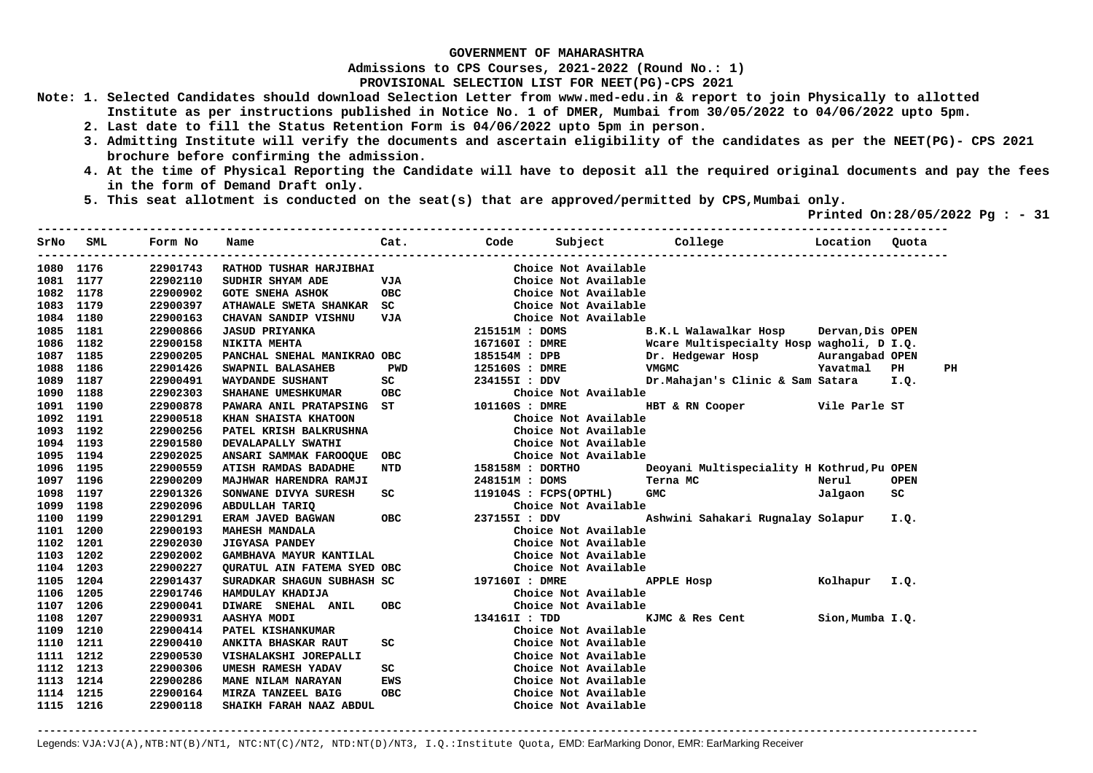**Admissions to CPS Courses, 2021-2022 (Round No.: 1)**

**PROVISIONAL SELECTION LIST FOR NEET(PG)-CPS 2021** 

- **Note: 1. Selected Candidates should download Selection Letter from www.med-edu.in & report to join Physically to allotted Institute as per instructions published in Notice No. 1 of DMER, Mumbai from 30/05/2022 to 04/06/2022 upto 5pm.** 
	- **2. Last date to fill the Status Retention Form is 04/06/2022 upto 5pm in person.**
	- **3. Admitting Institute will verify the documents and ascertain eligibility of the candidates as per the NEET(PG)- CPS 2021 brochure before confirming the admission.**
	- **4. At the time of Physical Reporting the Candidate will have to deposit all the required original documents and pay the fees in the form of Demand Draft only.**
	- **5. This seat allotment is conducted on the seat(s) that are approved/permitted by CPS,Mumbai only.**

 **Printed On:28/05/2022 Pg : - 31**   $-1.1$ 

| SrNo      | SML  | Form No  | Name                                                                                               | Cat.                                                                                                                                                                                                                                     | Code             | Subject               | College<br><b>Exercise Execution</b>                    |                  | Quota       |    |
|-----------|------|----------|----------------------------------------------------------------------------------------------------|------------------------------------------------------------------------------------------------------------------------------------------------------------------------------------------------------------------------------------------|------------------|-----------------------|---------------------------------------------------------|------------------|-------------|----|
| 1080      | 1176 | 22901743 | RATHOD TUSHAR HARJIBHAI                                                                            |                                                                                                                                                                                                                                          |                  | Choice Not Available  |                                                         |                  |             |    |
| 1081      | 1177 | 22902110 | SUDHIR SHYAM ADE                                                                                   | VJA                                                                                                                                                                                                                                      |                  | Choice Not Available  |                                                         |                  |             |    |
| 1082      | 1178 | 22900902 | <b>GOTE SNEHA ASHOK</b>                                                                            | OBC                                                                                                                                                                                                                                      |                  | Choice Not Available  |                                                         |                  |             |    |
| 1083      | 1179 | 22900397 | ATHAWALE SWETA SHANKAR SC                                                                          |                                                                                                                                                                                                                                          |                  | Choice Not Available  |                                                         |                  |             |    |
| 1084 1180 |      | 22900163 | CHAVAN SANDIP VISHNU                                                                               | VJA                                                                                                                                                                                                                                      |                  | Choice Not Available  |                                                         |                  |             |    |
| 1085 1181 |      | 22900866 | <b>JASUD PRIYANKA</b>                                                                              |                                                                                                                                                                                                                                          | 215151M : DOMS   |                       | B.K.L Walawalkar Hosp Dervan, Dis OPEN                  |                  |             |    |
| 1086 1182 |      | 22900158 | NIKITA MEHTA                                                                                       |                                                                                                                                                                                                                                          |                  |                       | 167160I: DMRE Woare Multispecialty Hosp wagholi, D I.Q. |                  |             |    |
| 1087 1185 |      | 22900205 | PANCHAL SNEHAL MANIKRAO OBC                                                                        |                                                                                                                                                                                                                                          |                  |                       | 185154M: DPB Dr. Hedgewar Hosp                          | Aurangabad OPEN  |             |    |
| 1088      | 1186 | 22901426 | SWAPNIL BALASAHEB                                                                                  | PWD                                                                                                                                                                                                                                      | 125160S : DMRE   |                       | VMGMC                                                   | Yavatmal         | PH          | PH |
| 1089      | 1187 | 22900491 |                                                                                                    |                                                                                                                                                                                                                                          | 234155I : DDV    |                       | Dr.Mahajan's Clinic & Sam Satara                        |                  | I.Q.        |    |
| 1090      | 1188 | 22902303 | EXEMBLE SC 23.<br>PAWARA ANIL PRATAPSING ST 101.<br>KHAN SHAISTA KHATOON<br>PATEL KRISH BALKPUGULE |                                                                                                                                                                                                                                          |                  | Choice Not Available  |                                                         |                  |             |    |
| 1091 1190 |      | 22900878 |                                                                                                    |                                                                                                                                                                                                                                          | 101160S : DMRE   |                       | HBT & RN Cooper Vile Parle ST                           |                  |             |    |
| 1092      | 1191 | 22900518 |                                                                                                    |                                                                                                                                                                                                                                          |                  | Choice Not Available  |                                                         |                  |             |    |
| 1093      | 1192 | 22900256 |                                                                                                    |                                                                                                                                                                                                                                          |                  | Choice Not Available  |                                                         |                  |             |    |
| 1094      | 1193 | 22901580 | DEVALAPALLY SWATHI                                                                                 |                                                                                                                                                                                                                                          |                  | Choice Not Available  |                                                         |                  |             |    |
| 1095      | 1194 | 22902025 | ANSARI SAMMAK FAROOQUE OBC                                                                         |                                                                                                                                                                                                                                          |                  | Choice Not Available  |                                                         |                  |             |    |
| 1096      | 1195 | 22900559 | ATISH RAMDAS BADADHE                                                                               | NTD                                                                                                                                                                                                                                      | 158158M : DORTHO |                       | Deoyani Multispeciality H Kothrud, Pu OPEN              |                  |             |    |
| 1097      | 1196 | 22900209 | MAJHWAR HARENDRA RAMJI                                                                             |                                                                                                                                                                                                                                          |                  | 248151M : DOMS        | Terna MC                                                | Nerul            | <b>OPEN</b> |    |
| 1098      | 1197 | 22901326 | SONWANE DIVYA SURESH                                                                               | SC <sub>2</sub> and the set of the set of the set of the set of the set of the set of the set of the set of the set of the set of the set of the set of the set of the set of the set of the set of the set of the set of the set of the |                  | 119104S : FCPS(OPTHL) | <b>GMC</b>                                              | Jalgaon          | SC          |    |
| 1099 1198 |      | 22902096 | ABDULLAH TARIQ                                                                                     | $\overline{\text{237}}$                                                                                                                                                                                                                  |                  | Choice Not Available  |                                                         |                  |             |    |
| 1100      | 1199 | 22901291 | ERAM JAVED BAGWAN OBC                                                                              |                                                                                                                                                                                                                                          |                  | 237155I : DDV         | Ashwini Sahakari Rugnalay Solapur                       |                  | I.Q.        |    |
| 1101 1200 |      | 22900193 | <b>MAHESH MANDALA</b>                                                                              |                                                                                                                                                                                                                                          |                  | Choice Not Available  |                                                         |                  |             |    |
| 1102      | 1201 | 22902030 | <b>JIGYASA PANDEY</b>                                                                              |                                                                                                                                                                                                                                          |                  | Choice Not Available  |                                                         |                  |             |    |
| 1103 1202 |      | 22902002 | GAMBHAVA MAYUR KANTILAL                                                                            |                                                                                                                                                                                                                                          |                  | Choice Not Available  |                                                         |                  |             |    |
| 1104 1203 |      | 22900227 | QURATUL AIN FATEMA SYED OBC                                                                        |                                                                                                                                                                                                                                          |                  | Choice Not Available  |                                                         |                  |             |    |
| 1105 1204 |      | 22901437 | SURADKAR SHAGUN SUBHASH SC 1971601 : DMRE                                                          |                                                                                                                                                                                                                                          |                  |                       | APPLE Hosp                                              | Kolhapur I.Q.    |             |    |
| 1106 1205 |      | 22901746 | HAMDULAY KHADIJA                                                                                   |                                                                                                                                                                                                                                          |                  | Choice Not Available  |                                                         |                  |             |    |
| 1107      | 1206 | 22900041 | DIWARE SNEHAL ANIL                                                                                 | <b>OBC</b>                                                                                                                                                                                                                               |                  | Choice Not Available  |                                                         |                  |             |    |
| 1108      | 1207 | 22900931 | <b>AASHYA MODI</b>                                                                                 |                                                                                                                                                                                                                                          |                  | 134161I : TDD         | KJMC & Res Cent                                         | Sion, Mumba I.Q. |             |    |
| 1109      | 1210 | 22900414 | PATEL KISHANKUMAR                                                                                  |                                                                                                                                                                                                                                          |                  | Choice Not Available  |                                                         |                  |             |    |
| 1110      | 1211 | 22900410 | ANKITA BHASKAR RAUT                                                                                | SC <sub>2</sub>                                                                                                                                                                                                                          |                  | Choice Not Available  |                                                         |                  |             |    |
| 1111 1212 |      | 22900530 | VISHALAKSHI JOREPALLI                                                                              |                                                                                                                                                                                                                                          |                  | Choice Not Available  |                                                         |                  |             |    |
| 1112      | 1213 | 22900306 | UMESH RAMESH YADAV                                                                                 | SC                                                                                                                                                                                                                                       |                  | Choice Not Available  |                                                         |                  |             |    |
| 1113      | 1214 | 22900286 | MANE NILAM NARAYAN                                                                                 | EWS                                                                                                                                                                                                                                      |                  | Choice Not Available  |                                                         |                  |             |    |
| 1114 1215 |      | 22900164 | MIRZA TANZEEL BAIG                                                                                 | <b>OBC</b>                                                                                                                                                                                                                               |                  | Choice Not Available  |                                                         |                  |             |    |
| 1115 1216 |      | 22900118 | SHAIKH FARAH NAAZ ABDUL                                                                            |                                                                                                                                                                                                                                          |                  | Choice Not Available  |                                                         |                  |             |    |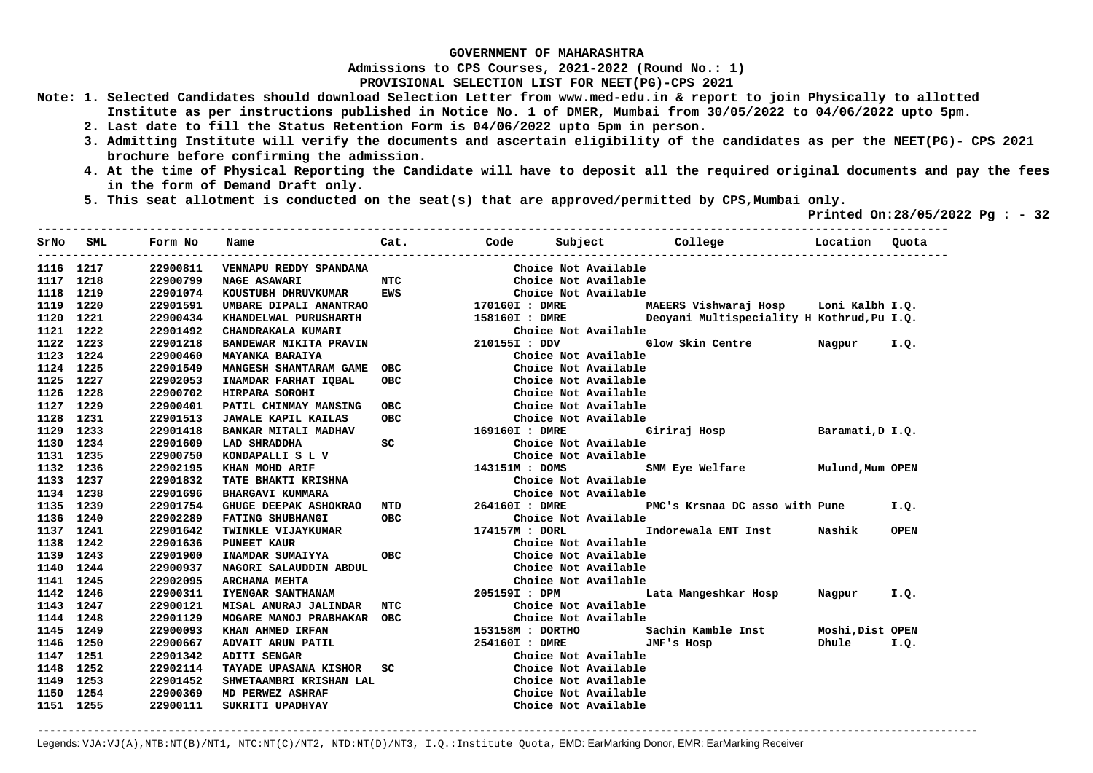**Admissions to CPS Courses, 2021-2022 (Round No.: 1)**

**PROVISIONAL SELECTION LIST FOR NEET(PG)-CPS 2021** 

- **Note: 1. Selected Candidates should download Selection Letter from www.med-edu.in & report to join Physically to allotted Institute as per instructions published in Notice No. 1 of DMER, Mumbai from 30/05/2022 to 04/06/2022 upto 5pm.** 
	- **2. Last date to fill the Status Retention Form is 04/06/2022 upto 5pm in person.**
	- **3. Admitting Institute will verify the documents and ascertain eligibility of the candidates as per the NEET(PG)- CPS 2021 brochure before confirming the admission.**
	- **4. At the time of Physical Reporting the Candidate will have to deposit all the required original documents and pay the fees in the form of Demand Draft only.**
	- **5. This seat allotment is conducted on the seat(s) that are approved/permitted by CPS,Mumbai only.**

 **Printed On:28/05/2022 Pg : - 32**   $-1.1$ 

|           | SrNo SML  | Form No  | Name                         | Cat. |                           |                      | Code Subject College Location                             |                  | Quota       |
|-----------|-----------|----------|------------------------------|------|---------------------------|----------------------|-----------------------------------------------------------|------------------|-------------|
|           | 1116 1217 | 22900811 | VENNAPU REDDY SPANDANA       |      |                           | Choice Not Available |                                                           |                  |             |
| 1117 1218 |           | 22900799 | <b>NAGE ASAWARI</b>          | NTC  |                           | Choice Not Available |                                                           |                  |             |
| 1118 1219 |           | 22901074 | KOUSTUBH DHRUVKUMAR EWS      |      |                           | Choice Not Available |                                                           |                  |             |
| 1119 1220 |           | 22901591 | UMBARE DIPALI ANANTRAO       |      | 170160I : DMRE            |                      | MAEERS Vishwaraj Hosp    Loni Kalbh I.Q.                  |                  |             |
|           | 1120 1221 | 22900434 | KHANDELWAL PURUSHARTH        |      |                           |                      | 158160I : DMRE Deoyani Multispeciality H Kothrud, Pu I.Q. |                  |             |
|           | 1121 1222 | 22901492 | CHANDRAKALA KUMARI           |      | Choice N<br>210155I : DDV | Choice Not Available |                                                           |                  |             |
|           | 1122 1223 | 22901218 | BANDEWAR NIKITA PRAVIN       |      |                           |                      | Glow Skin Centre Nagpur                                   |                  | I.Q.        |
|           | 1123 1224 | 22900460 | MAYANKA BARAIYA              |      |                           | Choice Not Available |                                                           |                  |             |
|           | 1124 1225 | 22901549 | MANGESH SHANTARAM GAME OBC   |      |                           | Choice Not Available |                                                           |                  |             |
| 1125 1227 |           | 22902053 | INAMDAR FARHAT IQBAL         | OBC  |                           | Choice Not Available |                                                           |                  |             |
| 1126 1228 |           | 22900702 | HIRPARA SOROHI               |      |                           | Choice Not Available |                                                           |                  |             |
| 1127 1229 |           | 22900401 | <b>PATIL CHINMAY MANSING</b> | ОВС  |                           | Choice Not Available |                                                           |                  |             |
|           | 1128 1231 | 22901513 | <b>JAWALE KAPIL KAILAS</b>   | OBC  |                           | Choice Not Available |                                                           |                  |             |
|           | 1129 1233 | 22901418 | <b>BANKAR MITALI MADHAV</b>  |      | 169160I : DMRE            |                      | Giriraj Hosp Baramati, D I.Q.                             |                  |             |
| 1130      | 1234      | 22901609 | LAD SHRADDHA                 | SC   |                           | Choice Not Available |                                                           |                  |             |
|           | 1131 1235 | 22900750 | KONDAPALLI S L V             |      |                           | Choice Not Available |                                                           |                  |             |
|           | 1132 1236 | 22902195 | KHAN MOHD ARIF               |      |                           |                      | 143151M : DOMS SMM Eye Welfare Mulund, Mum OPEN           |                  |             |
|           | 1133 1237 | 22901832 | TATE BHAKTI KRISHNA          |      |                           | Choice Not Available |                                                           |                  |             |
|           | 1134 1238 | 22901696 | <b>BHARGAVI KUMMARA</b>      |      |                           | Choice Not Available |                                                           |                  |             |
|           | 1135 1239 | 22901754 | GHUGE DEEPAK ASHOKRAO NTD    |      |                           |                      | 264160I: DMRE PMC's Krsnaa DC asso with Pune              |                  | I.Q.        |
|           | 1136 1240 | 22902289 | <b>FATING SHUBHANGI</b>      | OBC  |                           |                      |                                                           |                  |             |
|           | 1137 1241 | 22901642 | <b>TWINKLE VIJAYKUMAR</b>    |      |                           |                      |                                                           | Nashik           | <b>OPEN</b> |
|           | 1138 1242 | 22901636 | <b>PUNEET KAUR</b>           |      |                           | Choice Not Available |                                                           |                  |             |
|           | 1139 1243 | 22901900 | INAMDAR SUMAIYYA             | OBC  |                           | Choice Not Available |                                                           |                  |             |
|           | 1140 1244 | 22900937 | NAGORI SALAUDDIN ABDUL       |      |                           | Choice Not Available |                                                           |                  |             |
|           | 1141 1245 | 22902095 | <b>ARCHANA MEHTA</b>         |      |                           | Choice Not Available |                                                           |                  |             |
|           | 1142 1246 | 22900311 | IYENGAR SANTHANAM            |      |                           |                      | 205159I : DPM           Lata Mangeshkar Hosp     Nagpur   |                  | I.Q.        |
|           | 1143 1247 | 22900121 | MISAL ANURAJ JALINDAR NTC    |      |                           | Choice Not Available |                                                           |                  |             |
|           | 1144 1248 | 22901129 | MOGARE MANOJ PRABHAKAR OBC   |      |                           | Choice Not Available |                                                           |                  |             |
| 1145 1249 |           | 22900093 | KHAN AHMED IRFAN             |      |                           |                      | 153158M : DORTHO             Sachin Kamble Inst           | Moshi, Dist OPEN |             |
|           | 1146 1250 | 22900667 | ADVAIT ARUN PATIL            |      |                           | 254160I : DMRE       | JMF's Hosp                                                | Dhule I.Q.       |             |
|           | 1147 1251 | 22901342 | ADITI SENGAR                 |      |                           | Choice Not Available |                                                           |                  |             |
|           | 1148 1252 | 22902114 | TAYADE UPASANA KISHOR SC     |      |                           | Choice Not Available |                                                           |                  |             |
|           | 1149 1253 | 22901452 | SHWETAAMBRI KRISHAN LAL      |      |                           | Choice Not Available |                                                           |                  |             |
| 1150      | 1254      | 22900369 | MD PERWEZ ASHRAF             |      |                           | Choice Not Available |                                                           |                  |             |
|           | 1151 1255 | 22900111 | SUKRITI UPADHYAY             |      |                           | Choice Not Available |                                                           |                  |             |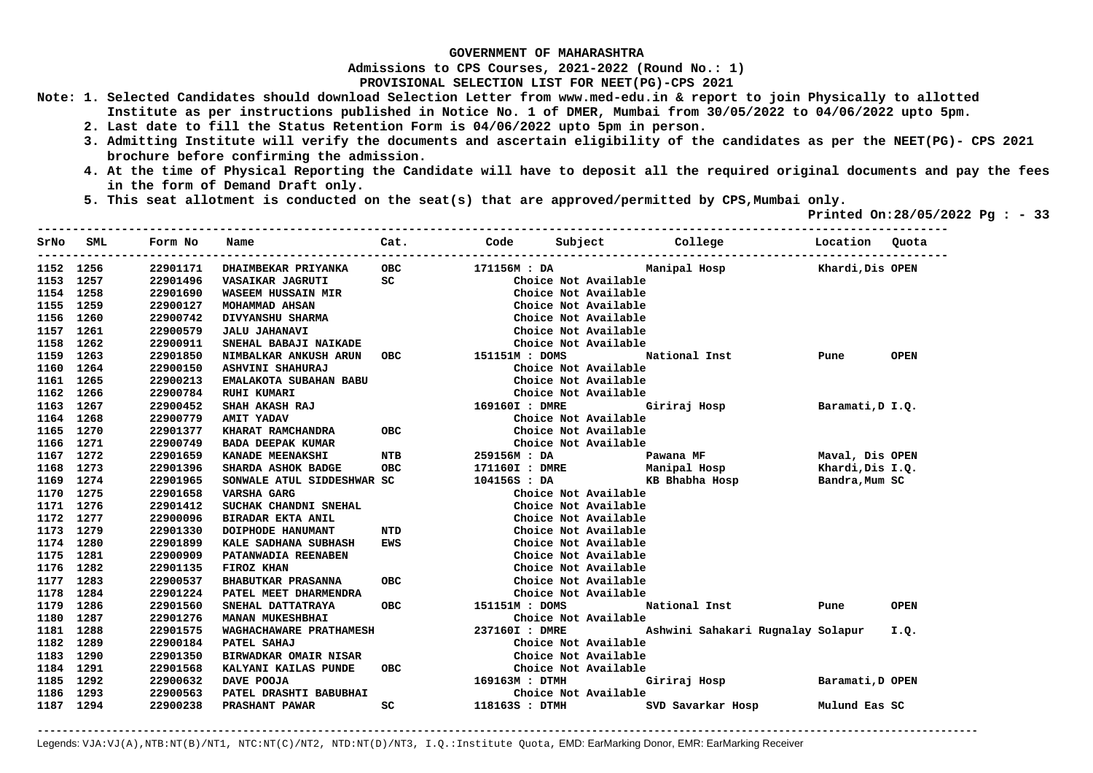**Admissions to CPS Courses, 2021-2022 (Round No.: 1)**

**PROVISIONAL SELECTION LIST FOR NEET(PG)-CPS 2021** 

- **Note: 1. Selected Candidates should download Selection Letter from www.med-edu.in & report to join Physically to allotted Institute as per instructions published in Notice No. 1 of DMER, Mumbai from 30/05/2022 to 04/06/2022 upto 5pm.** 
	- **2. Last date to fill the Status Retention Form is 04/06/2022 upto 5pm in person.**
	- **3. Admitting Institute will verify the documents and ascertain eligibility of the candidates as per the NEET(PG)- CPS 2021 brochure before confirming the admission.**

 $-1.1$ 

- **4. At the time of Physical Reporting the Candidate will have to deposit all the required original documents and pay the fees in the form of Demand Draft only.**
- **5. This seat allotment is conducted on the seat(s) that are approved/permitted by CPS,Mumbai only.**

 **Printed On:28/05/2022 Pg : - 33** 

| SrNo      | SML  | Form No  | Name                                     | Cat.       | Code           |                      | Subject College                   | Location Quota   |             |
|-----------|------|----------|------------------------------------------|------------|----------------|----------------------|-----------------------------------|------------------|-------------|
| 1152 1256 |      | 22901171 | <b>DHAIMBEKAR PRIYANKA</b>               | OBC        | 171156M : DA   |                      | Manipal Hosp Khardi, Dis OPEN     |                  |             |
| 1153      | 1257 | 22901496 | VASAIKAR JAGRUTI                         | SC         |                | Choice Not Available |                                   |                  |             |
| 1154 1258 |      | 22901690 | <b>WASEEM HUSSAIN MIR</b>                |            |                | Choice Not Available |                                   |                  |             |
| 1155 1259 |      | 22900127 | MOHAMMAD AHSAN                           |            |                | Choice Not Available |                                   |                  |             |
| 1156      | 1260 | 22900742 | DIVYANSHU SHARMA                         |            |                | Choice Not Available |                                   |                  |             |
| 1157      | 1261 | 22900579 | <b>JALU JAHANAVI</b>                     |            |                | Choice Not Available |                                   |                  |             |
| 1158      | 1262 | 22900911 | SNEHAL BABAJI NAIKADE                    |            |                | Choice Not Available |                                   |                  |             |
| 1159 1263 |      | 22901850 | NIMBALKAR ANKUSH ARUN OBC 151151M : DOMS |            |                |                      | National Inst                     | Pune             | <b>OPEN</b> |
| 1160 1264 |      | 22900150 | ASHVINI SHAHURAJ                         |            |                | Choice Not Available |                                   |                  |             |
| 1161      | 1265 | 22900213 | EMALAKOTA SUBAHAN BABU                   |            |                | Choice Not Available |                                   |                  |             |
| 1162      | 1266 | 22900784 | <b>RUHI KUMARI</b>                       |            |                | Choice Not Available |                                   |                  |             |
| 1163      | 1267 | 22900452 | SHAH AKASH RAJ                           |            | 169160I : DMRE |                      | Giriraj Hosp                      | Baramati, D I.Q. |             |
| 1164      | 1268 | 22900779 | <b>AMIT YADAV</b>                        |            |                | Choice Not Available |                                   |                  |             |
| 1165 1270 |      | 22901377 | KHARAT RAMCHANDRA                        | OBC        |                | Choice Not Available |                                   |                  |             |
| 1166 1271 |      | 22900749 | <b>BADA DEEPAK KUMAR</b>                 |            |                | Choice Not Available |                                   |                  |             |
| 1167 1272 |      | 22901659 | <b>KANADE MEENAKSHI</b>                  | <b>NTB</b> | 259156M: DA    |                      | Pawana MF                         | Maval, Dis OPEN  |             |
| 1168      | 1273 | 22901396 | SHARDA ASHOK BADGE                       | OBC        |                |                      | 171160I : DMRE Manipal Hosp       | Khardi,Dis I.Q.  |             |
| 1169 1274 |      | 22901965 | SONWALE ATUL SIDDESHWAR SC               |            |                |                      | 104156S : DA KB Bhabha Hosp       | Bandra, Mum SC   |             |
| 1170 1275 |      | 22901658 | VARSHA GARG                              |            |                | Choice Not Available |                                   |                  |             |
| 1171 1276 |      | 22901412 | SUCHAK CHANDNI SNEHAL                    |            |                | Choice Not Available |                                   |                  |             |
| 1172 1277 |      | 22900096 | BIRADAR EKTA ANIL                        |            |                | Choice Not Available |                                   |                  |             |
| 1173 1279 |      | 22901330 | DOIPHODE HANUMANT                        | NTD        |                | Choice Not Available |                                   |                  |             |
| 1174 1280 |      | 22901899 | KALE SADHANA SUBHASH                     | <b>EWS</b> |                | Choice Not Available |                                   |                  |             |
| 1175 1281 |      | 22900909 | PATANWADIA REENABEN                      |            |                | Choice Not Available |                                   |                  |             |
| 1176 1282 |      | 22901135 | FIROZ KHAN                               |            |                | Choice Not Available |                                   |                  |             |
| 1177 1283 |      | 22900537 | <b>BHABUTKAR PRASANNA</b>                | ОВС        |                | Choice Not Available |                                   |                  |             |
| 1178      | 1284 | 22901224 | PATEL MEET DHARMENDRA                    |            |                | Choice Not Available |                                   |                  |             |
| 1179      | 1286 | 22901560 | SNEHAL DATTATRAYA                        | <b>OBC</b> | 151151M : DOMS |                      | National Inst                     | Pune             | <b>OPEN</b> |
| 1180      | 1287 | 22901276 | <b>MANAN MUKESHBHAI</b>                  |            |                | Choice Not Available |                                   |                  |             |
| 1181      | 1288 | 22901575 | WAGHACHAWARE PRATHAMESH                  |            | 237160I : DMRE |                      | Ashwini Sahakari Rugnalay Solapur |                  | I.O.        |
| 1182      | 1289 | 22900184 | PATEL SAHAJ                              |            |                | Choice Not Available |                                   |                  |             |
| 1183      | 1290 | 22901350 | <b>BIRWADKAR OMAIR NISAR</b>             |            |                | Choice Not Available |                                   |                  |             |
| 1184      | 1291 | 22901568 | KALYANI KAILAS PUNDE                     | OBC        |                | Choice Not Available |                                   |                  |             |
| 1185      | 1292 | 22900632 | DAVE POOJA                               |            | 169163M : DTMH |                      | Giriraj Hosp Baramati, D OPEN     |                  |             |
| 1186      | 1293 | 22900563 | PATEL DRASHTI BABUBHAI                   |            |                | Choice Not Available |                                   |                  |             |
| 1187 1294 |      | 22900238 | PRASHANT PAWAR                           | SC.        | 118163S : DTMH |                      | SVD Savarkar Hosp                 | Mulund Eas SC    |             |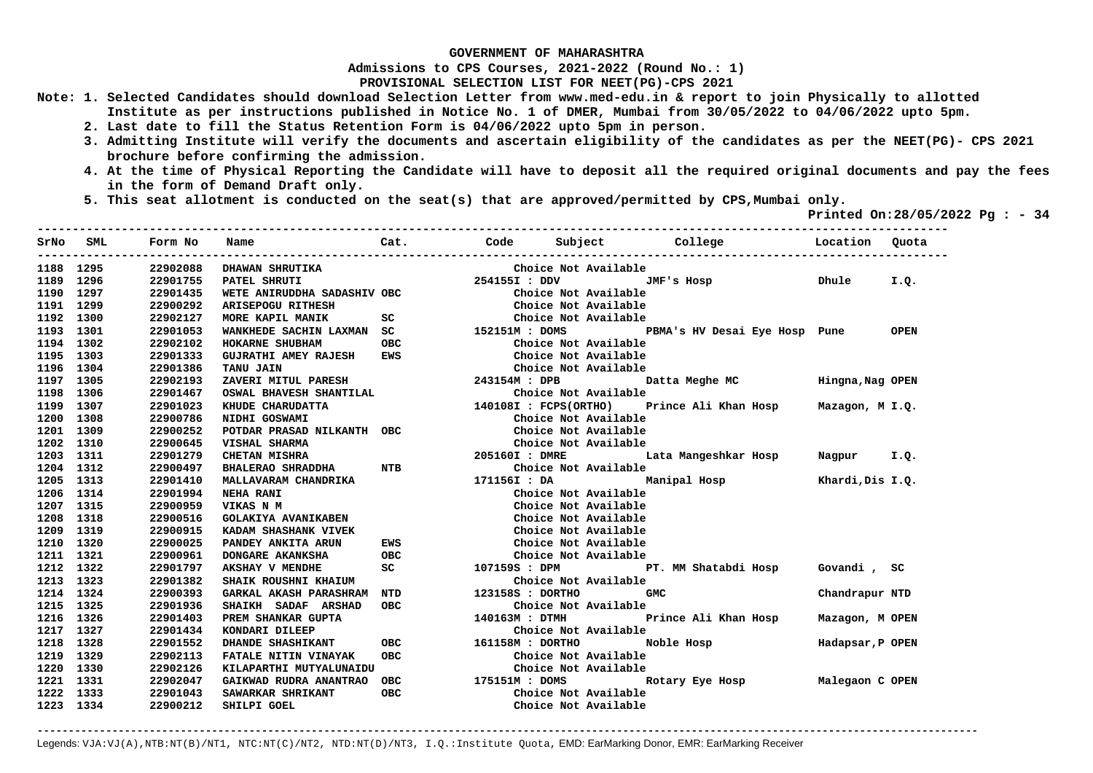**Admissions to CPS Courses, 2021-2022 (Round No.: 1)**

**PROVISIONAL SELECTION LIST FOR NEET(PG)-CPS 2021** 

- **Note: 1. Selected Candidates should download Selection Letter from www.med-edu.in & report to join Physically to allotted Institute as per instructions published in Notice No. 1 of DMER, Mumbai from 30/05/2022 to 04/06/2022 upto 5pm.** 
	- **2. Last date to fill the Status Retention Form is 04/06/2022 upto 5pm in person.**
	- **3. Admitting Institute will verify the documents and ascertain eligibility of the candidates as per the NEET(PG)- CPS 2021 brochure before confirming the admission.**
	- **4. At the time of Physical Reporting the Candidate will have to deposit all the required original documents and pay the fees in the form of Demand Draft only.**

**----------------------------------------------------------------------------------------------------------------------------------** 

 **5. This seat allotment is conducted on the seat(s) that are approved/permitted by CPS,Mumbai only.** 

 **Printed On:28/05/2022 Pg : - 34** 

|           | SrNo SML | Form No  | Name                                                         |                                                                                                                |               | Cat. Code Subject College | <b>Example 2</b> Location                 |                  | Ouota |
|-----------|----------|----------|--------------------------------------------------------------|----------------------------------------------------------------------------------------------------------------|---------------|---------------------------|-------------------------------------------|------------------|-------|
| 1188 1295 |          | 22902088 | DHAWAN SHRUTIKA                                              |                                                                                                                |               | Choice Not Available      |                                           |                  |       |
| 1189 1296 |          | 22901755 | PATEL SHRUTI                                                 |                                                                                                                | 254155I : DDV |                           | JMF's Hosp                                | Dhule            | I.Q.  |
| 1190 1297 |          | 22901435 | WETE ANIRUDDHA SADASHIV OBC                                  |                                                                                                                |               | Choice Not Available      |                                           |                  |       |
| 1191 1299 |          | 22900292 | ARISEPOGU RITHESH                                            |                                                                                                                |               | Choice Not Available      |                                           |                  |       |
| 1192 1300 |          | 22902127 | MORE KAPIL MANIK                                             | SC and the state of the state of the state of the state of the state of the state of the state of the state of |               | Choice Not Available      |                                           |                  |       |
| 1193 1301 |          | 22901053 | WANKHEDE SACHIN LAXMAN SC 152151M : DOMS                     |                                                                                                                |               |                           | PBMA's HV Desai Eye Hosp Pune OPEN        |                  |       |
| 1194 1302 |          | 22902102 | HOKARNE SHUBHAM                                              | <b>OBC</b>                                                                                                     |               | Choice Not Available      |                                           |                  |       |
| 1195 1303 |          | 22901333 | <b>GUJRATHI AMEY RAJESH</b>                                  | EWS                                                                                                            |               | Choice Not Available      |                                           |                  |       |
| 1196 1304 |          | 22901386 | <b>TANU JAIN</b>                                             |                                                                                                                |               | Choice Not Available      |                                           |                  |       |
| 1197 1305 |          | 22902193 | ZAVERI MITUL PARESH                                          | 243154M : DPB                                                                                                  |               |                           | Datta Meghe MC                            | Hingna, Nag OPEN |       |
| 1198 1306 |          | 22901467 | OSWAL BHAVESH SHANTILAL<br>KHUDE CHARUDATTA<br>NTDHI GOSWAMI |                                                                                                                |               | Choice Not Available      |                                           |                  |       |
| 1199 1307 |          | 22901023 |                                                              |                                                                                                                |               | 140108I : FCPS(ORTHO)     | Prince Ali Khan Hosp Mazagon, M I.Q.      |                  |       |
| 1200 1308 |          | 22900786 | NIDHI GOSWAMI                                                |                                                                                                                |               | Choice Not Available      |                                           |                  |       |
| 1201 1309 |          | 22900252 | POTDAR PRASAD NILKANTH OBC                                   |                                                                                                                |               | Choice Not Available      |                                           |                  |       |
| 1202 1310 |          | 22900645 | VISHAL SHARMA                                                |                                                                                                                |               | Choice Not Available      |                                           |                  |       |
| 1203 1311 |          | 22901279 | <b>CHETAN MISHRA</b>                                         |                                                                                                                |               |                           | 205160I : DMRE Lata Mangeshkar Hosp       | Nagpur I.Q.      |       |
| 1204 1312 |          | 22900497 | BHALERAO SHRADDHA NTB                                        |                                                                                                                |               | Choice Not Available      |                                           |                  |       |
| 1205 1313 |          | 22901410 | MALLAVARAM CHANDRIKA                                         |                                                                                                                |               |                           | 171156I : DA Manipal Hosp                 | Khardi, Dis I.Q. |       |
| 1206 1314 |          | 22901994 | <b>NEHA RANI</b>                                             |                                                                                                                |               | Choice Not Available      |                                           |                  |       |
| 1207 1315 |          | 22900959 | VIKAS N M                                                    |                                                                                                                |               | Choice Not Available      |                                           |                  |       |
| 1208 1318 |          | 22900516 | <b>GOLAKIYA AVANIKABEN</b>                                   |                                                                                                                |               | Choice Not Available      |                                           |                  |       |
| 1209 1319 |          | 22900915 | KADAM SHASHANK VIVEK                                         |                                                                                                                |               | Choice Not Available      |                                           |                  |       |
| 1210 1320 |          | 22900025 | PANDEY ANKITA ARUN                                           | EWS                                                                                                            |               | Choice Not Available      |                                           |                  |       |
| 1211 1321 |          | 22900961 | <b>DONGARE AKANKSHA</b>                                      | OBC                                                                                                            |               | Choice Not Available      |                                           |                  |       |
| 1212 1322 |          | 22901797 | <b>AKSHAY V MENDHE</b>                                       | SC                                                                                                             | 107159S : DPM |                           | PT. MM Shatabdi Hosp    Govandi , SC      |                  |       |
| 1213 1323 |          | 22901382 | SHAIK ROUSHNI KHAIUM                                         |                                                                                                                |               | Choice Not Available      |                                           |                  |       |
| 1214 1324 |          | 22900393 | <b>GARKAL AKASH PARASHRAM</b>                                | <b>NTD</b>                                                                                                     |               | 123158S : DORTHO          | <b>GMC</b>                                | Chandrapur NTD   |       |
| 1215 1325 |          | 22901936 | SHAIKH SADAF ARSHAD                                          | OBC                                                                                                            |               | Choice Not Available      |                                           |                  |       |
| 1216 1326 |          | 22901403 | PREM SHANKAR GUPTA                                           |                                                                                                                |               |                           | 140163M : DTMH Prince Ali Khan Hosp       | Mazagon, M OPEN  |       |
| 1217 1327 |          | 22901434 | KONDARI DILEEP                                               |                                                                                                                |               | Choice Not Available      |                                           |                  |       |
| 1218 1328 |          | 22901552 | DHANDE SHASHIKANT                                            | OBC 161158M : DORTHO                                                                                           |               |                           | Noble Hosp                                | Hadapsar, P OPEN |       |
| 1219 1329 |          | 22902113 | FATALE NITIN VINAYAK                                         | OBC                                                                                                            |               | Choice Not Available      |                                           |                  |       |
| 1220 1330 |          | 22902126 | KILAPARTHI MUTYALUNAIDU                                      |                                                                                                                |               | Choice Not Available      |                                           |                  |       |
| 1221 1331 |          | 22902047 | GAIKWAD RUDRA ANANTRAO OBC 175151M : DOMS                    |                                                                                                                |               |                           | Rotary Eye Hosp _________ Malegaon C OPEN |                  |       |
| 1222 1333 |          | 22901043 | SAWARKAR SHRIKANT                                            | <b>OBC</b>                                                                                                     |               | Choice Not Available      |                                           |                  |       |
| 1223 1334 |          | 22900212 | SHILPI GOEL                                                  |                                                                                                                |               | Choice Not Available      |                                           |                  |       |
|           |          |          |                                                              |                                                                                                                |               |                           |                                           |                  |       |

**-------------------------------------------------------------------------------------------------------------------------------------------------------**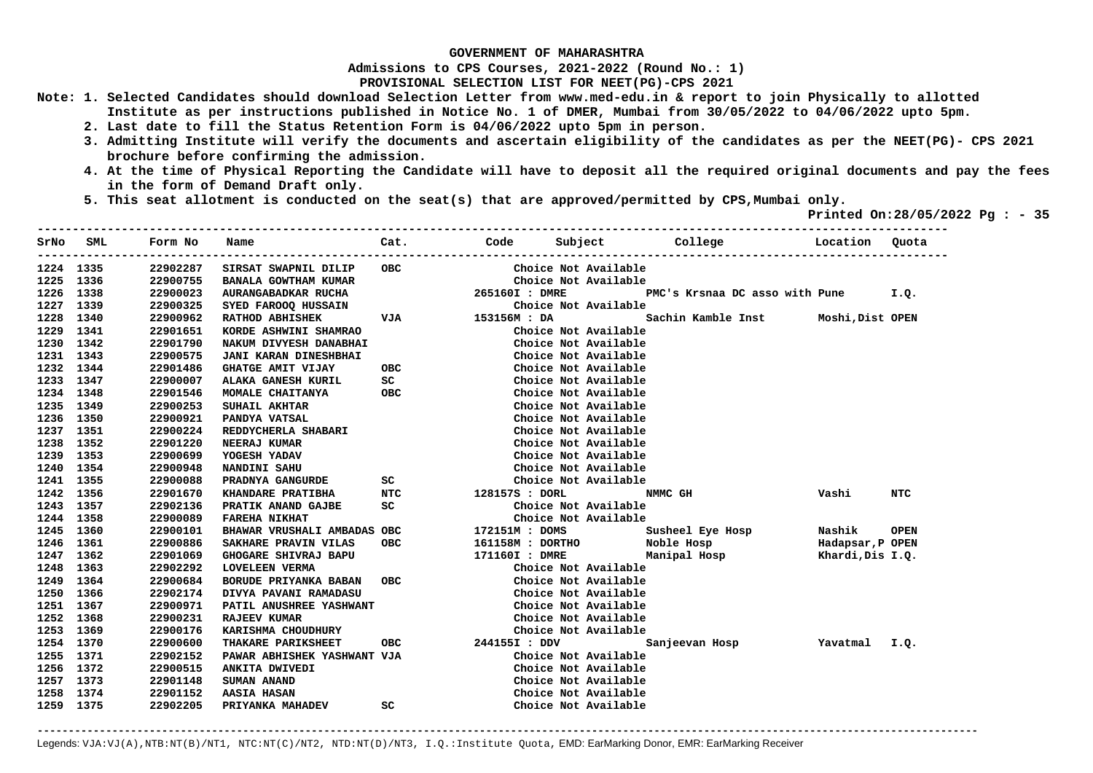**Admissions to CPS Courses, 2021-2022 (Round No.: 1)**

**PROVISIONAL SELECTION LIST FOR NEET(PG)-CPS 2021** 

- **Note: 1. Selected Candidates should download Selection Letter from www.med-edu.in & report to join Physically to allotted Institute as per instructions published in Notice No. 1 of DMER, Mumbai from 30/05/2022 to 04/06/2022 upto 5pm.** 
	- **2. Last date to fill the Status Retention Form is 04/06/2022 upto 5pm in person.**
	- **3. Admitting Institute will verify the documents and ascertain eligibility of the candidates as per the NEET(PG)- CPS 2021 brochure before confirming the admission.**
	- **4. At the time of Physical Reporting the Candidate will have to deposit all the required original documents and pay the fees in the form of Demand Draft only.**
	- **5. This seat allotment is conducted on the seat(s) that are approved/permitted by CPS,Mumbai only.**

 **Printed On:28/05/2022 Pg : - 35**   $-1.1$ 

| SrNo      | SML       | Form No  | Name                        | Cat.                                                                                                            | Code           | Subject              | College                               | Location         | Quota       |
|-----------|-----------|----------|-----------------------------|-----------------------------------------------------------------------------------------------------------------|----------------|----------------------|---------------------------------------|------------------|-------------|
|           | 1224 1335 | 22902287 | SIRSAT SWAPNIL DILIP        | <b>OBC</b>                                                                                                      |                | Choice Not Available |                                       |                  |             |
|           | 1225 1336 | 22900755 | BANALA GOWTHAM KUMAR        |                                                                                                                 |                | Choice Not Available |                                       |                  |             |
| 1226 1338 |           | 22900023 | AURANGABADKAR RUCHA         |                                                                                                                 | 265160I : DMRE |                      | PMC's Krsnaa DC asso with Pune I.Q.   |                  |             |
| 1227 1339 |           | 22900325 | SYED FAROOQ HUSSAIN         |                                                                                                                 |                | Choice Not Available |                                       |                  |             |
|           | 1228 1340 | 22900962 | <b>RATHOD ABHISHEK</b>      | <b>VJA</b>                                                                                                      | 153156M : DA   |                      | Sachin Kamble Inst Moshi, Dist OPEN   |                  |             |
|           | 1229 1341 | 22901651 | KORDE ASHWINI SHAMRAO       |                                                                                                                 |                | Choice Not Available |                                       |                  |             |
|           | 1230 1342 | 22901790 | NAKUM DIVYESH DANABHAI      |                                                                                                                 |                | Choice Not Available |                                       |                  |             |
|           | 1231 1343 | 22900575 | JANI KARAN DINESHBHAI       |                                                                                                                 |                | Choice Not Available |                                       |                  |             |
|           | 1232 1344 | 22901486 | GHATGE AMIT VIJAY           |                                                                                                                 | OBC            | Choice Not Available |                                       |                  |             |
| 1233 1347 |           | 22900007 | ALAKA GANESH KURIL          | SC                                                                                                              |                | Choice Not Available |                                       |                  |             |
| 1234 1348 |           | 22901546 | MOMALE CHAITANYA            | OBC                                                                                                             |                | Choice Not Available |                                       |                  |             |
| 1235 1349 |           | 22900253 | SUHAIL AKHTAR               |                                                                                                                 |                | Choice Not Available |                                       |                  |             |
|           | 1236 1350 | 22900921 | PANDYA VATSAL               |                                                                                                                 |                | Choice Not Available |                                       |                  |             |
|           | 1237 1351 | 22900224 | REDDYCHERLA SHABARI         |                                                                                                                 |                | Choice Not Available |                                       |                  |             |
| 1238      | 1352      | 22901220 | NEERAJ KUMAR                |                                                                                                                 |                | Choice Not Available |                                       |                  |             |
| 1239      | 1353      | 22900699 | YOGESH YADAV                |                                                                                                                 |                | Choice Not Available |                                       |                  |             |
| 1240      | 1354      | 22900948 | NANDINI SAHU                |                                                                                                                 |                | Choice Not Available |                                       |                  |             |
| 1241      | 1355      | 22900088 | PRADNYA GANGURDE            | SC and the set of the set of the set of the set of the set of the set of the set of the set of the set of the s |                | Choice Not Available |                                       |                  |             |
| 1242 1356 |           | 22901670 | <b>KHANDARE PRATIBHA</b>    | NTC                                                                                                             | 128157S : DORL |                      | NMMC GH                               | Vashi            | NTC         |
|           | 1243 1357 | 22902136 | PRATIK ANAND GAJBE          | SC                                                                                                              |                | Choice Not Available |                                       |                  |             |
| 1244 1358 |           | 22900089 | <b>FAREHA NIKHAT</b>        |                                                                                                                 |                | Choice Not Available |                                       |                  |             |
| 1245 1360 |           | 22900101 | BHAWAR VRUSHALI AMBADAS OBC |                                                                                                                 | 172151M : DOMS |                      | Susheel Eye Hosp                      | Nashik           | <b>OPEN</b> |
|           | 1246 1361 | 22900886 | SAKHARE PRAVIN VILAS        | <b>OBC</b>                                                                                                      |                |                      | 161158M : DORTHO           Noble Hosp | Hadapsar,P OPEN  |             |
|           | 1247 1362 | 22901069 | GHOGARE SHIVRAJ BAPU        |                                                                                                                 |                |                      | 171160I : DMRE Manipal Hosp           | Khardi, Dis I.Q. |             |
| 1248 1363 |           | 22902292 | <b>LOVELEEN VERMA</b>       |                                                                                                                 |                | Choice Not Available |                                       |                  |             |
|           | 1249 1364 | 22900684 | BORUDE PRIYANKA BABAN OBC   |                                                                                                                 |                | Choice Not Available |                                       |                  |             |
| 1250 1366 |           | 22902174 | DIVYA PAVANI RAMADASU       |                                                                                                                 |                | Choice Not Available |                                       |                  |             |
| 1251 1367 |           | 22900971 | PATIL ANUSHREE YASHWANT     |                                                                                                                 |                | Choice Not Available |                                       |                  |             |
| 1252 1368 |           | 22900231 | <b>RAJEEV KUMAR</b>         |                                                                                                                 |                | Choice Not Available |                                       |                  |             |
| 1253 1369 |           | 22900176 | KARISHMA CHOUDHURY          |                                                                                                                 |                | Choice Not Available |                                       |                  |             |
| 1254 1370 |           | 22900600 | THAKARE PARIKSHEET          | <b>OBC</b>                                                                                                      | 244155I : DDV  |                      | Sanjeevan Hosp                        | Yavatmal I.Q.    |             |
|           | 1255 1371 | 22902152 | PAWAR ABHISHEK YASHWANT VJA |                                                                                                                 |                | Choice Not Available |                                       |                  |             |
|           | 1256 1372 | 22900515 | ANKITA DWIVEDI              |                                                                                                                 |                | Choice Not Available |                                       |                  |             |
| 1257 1373 |           | 22901148 | SUMAN ANAND                 |                                                                                                                 |                | Choice Not Available |                                       |                  |             |
|           | 1258 1374 | 22901152 | <b>AASIA HASAN</b>          |                                                                                                                 |                | Choice Not Available |                                       |                  |             |
| 1259 1375 |           | 22902205 | PRIYANKA MAHADEV            | SC                                                                                                              |                | Choice Not Available |                                       |                  |             |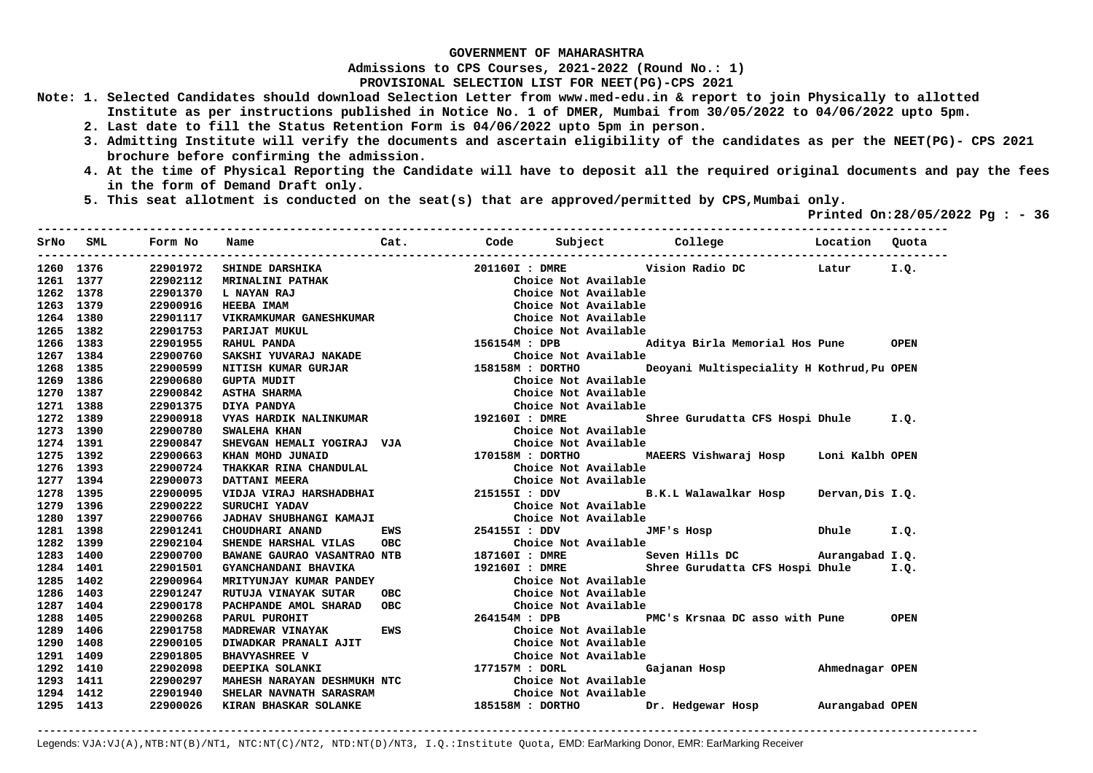**Admissions to CPS Courses, 2021-2022 (Round No.: 1)**

**PROVISIONAL SELECTION LIST FOR NEET(PG)-CPS 2021** 

- **Note: 1. Selected Candidates should download Selection Letter from www.med-edu.in & report to join Physically to allotted Institute as per instructions published in Notice No. 1 of DMER, Mumbai from 30/05/2022 to 04/06/2022 upto 5pm.** 
	- **2. Last date to fill the Status Retention Form is 04/06/2022 upto 5pm in person.**
	- **3. Admitting Institute will verify the documents and ascertain eligibility of the candidates as per the NEET(PG)- CPS 2021 brochure before confirming the admission.**
	- **4. At the time of Physical Reporting the Candidate will have to deposit all the required original documents and pay the fees in the form of Demand Draft only.**

**----------------------------------------------------------------------------------------------------------------------------------** 

 **5. This seat allotment is conducted on the seat(s) that are approved/permitted by CPS,Mumbai only.** 

 **Printed On:28/05/2022 Pg : - 36** 

|           | SrNo SML  | Form No  | Name                                  | Cat.       |                      |                      |                                            |                  |             |
|-----------|-----------|----------|---------------------------------------|------------|----------------------|----------------------|--------------------------------------------|------------------|-------------|
|           | 1260 1376 | 22901972 | <b>SHINDE DARSHIKA</b>                |            | 201160I : DMRE       |                      | Vision Radio DC                            | Latur            | I.Q.        |
| 1261 1377 |           | 22902112 | <b>MRINALINI PATHAK</b>               |            |                      | Choice Not Available |                                            |                  |             |
|           | 1262 1378 | 22901370 | L NAYAN RAJ                           |            |                      | Choice Not Available |                                            |                  |             |
| 1263 1379 |           | 22900916 | <b>HEEBA IMAM</b>                     |            |                      | Choice Not Available |                                            |                  |             |
| 1264 1380 |           | 22901117 | VIKRAMKUMAR GANESHKUMAR               |            |                      | Choice Not Available |                                            |                  |             |
|           | 1265 1382 | 22901753 | PARIJAT MUKUL                         |            |                      | Choice Not Available |                                            |                  |             |
| 1266 1383 |           | 22901955 | RAHUL PANDA                           |            | 156154M : DPB        |                      | Aditya Birla Memorial Hos Pune OPEN        |                  |             |
|           | 1267 1384 | 22900760 | SAKSHI YUVARAJ NAKADE                 |            |                      | Choice Not Available |                                            |                  |             |
| 1268      | 1385      | 22900599 | NITISH KUMAR GURJAR                   |            | 158158M : DORTHO     |                      | Deoyani Multispeciality H Kothrud, Pu OPEN |                  |             |
| 1269 1386 |           | 22900680 | <b>GUPTA MUDIT</b>                    |            |                      | Choice Not Available |                                            |                  |             |
| 1270 1387 |           | 22900842 | <b>ASTHA SHARMA</b>                   |            |                      | Choice Not Available |                                            |                  |             |
| 1271 1388 |           | 22901375 | DIYA PANDYA                           |            |                      | Choice Not Available |                                            |                  |             |
| 1272 1389 |           | 22900918 | VYAS HARDIK NALINKUMAR 192160I : DMRE |            |                      |                      | Shree Gurudatta CFS Hospi Dhule I.Q.       |                  |             |
| 1273 1390 |           | 22900780 | SWALEHA KHAN                          |            |                      | Choice Not Available |                                            |                  |             |
| 1274 1391 |           | 22900847 | SHEVGAN HEMALI YOGIRAJ VJA            |            |                      | Choice Not Available |                                            |                  |             |
|           | 1275 1392 | 22900663 | KHAN MOHD JUNAID                      |            |                      |                      | 170158M : DORTHO MAEERS Vishwaraj Hosp     | Loni Kalbh OPEN  |             |
| 1276 1393 |           | 22900724 | THAKKAR RINA CHANDULAL                |            |                      | Choice Not Available |                                            |                  |             |
|           | 1277 1394 | 22900073 | DATTANI MEERA                         |            |                      | Choice Not Available |                                            |                  |             |
| 1278 1395 |           | 22900095 |                                       |            |                      |                      |                                            | Dervan, Dis I.Q. |             |
| 1279 1396 |           | 22900222 | SURUCHI YADAV                         |            |                      | Choice Not Available |                                            |                  |             |
| 1280 1397 |           | 22900766 | JADHAV SHUBHANGI KAMAJI               |            |                      | Choice Not Available |                                            |                  |             |
| 1281 1398 |           | 22901241 | CHOUDHARI ANAND                       | <b>EWS</b> |                      |                      | 254155I : DDV JMF's Hosp                   | Dhule            | I.Q.        |
| 1282 1399 |           | 22902104 | SHENDE HARSHAL VILAS                  | OBC        | 187160               | Choice Not Available |                                            |                  |             |
| 1283 1400 |           | 22900700 | BAWANE GAURAO VASANTRAO NTB           |            |                      |                      |                                            |                  |             |
| 1284 1401 |           | 22901501 | GYANCHANDANI BHAVIKA                  |            |                      |                      |                                            |                  |             |
| 1285 1402 |           | 22900964 | MRITYUNJAY KUMAR PANDEY               |            |                      | Choice Not Available |                                            |                  |             |
| 1286 1403 |           | 22901247 | RUTUJA VINAYAK SUTAR                  | <b>OBC</b> | Choice Not Available |                      |                                            |                  |             |
|           | 1287 1404 | 22900178 | PACHPANDE AMOL SHARAD                 | <b>OBC</b> |                      | Choice Not Available |                                            |                  |             |
| 1288 1405 |           | 22900268 | PARUL PUROHIT                         |            | 264154M : DPB        |                      | PMC's Krsnaa DC asso with Pune             |                  | <b>OPEN</b> |
| 1289 1406 |           | 22901758 | MADREWAR VINAYAK                      | EWS        |                      | Choice Not Available |                                            |                  |             |
| 1290 1408 |           | 22900105 | DIWADKAR PRANALI AJIT                 |            |                      | Choice Not Available |                                            |                  |             |
| 1291 1409 |           | 22901805 | <b>BHAVYASHREE V</b>                  |            |                      | Choice Not Available |                                            |                  |             |
| 1292 1410 |           | 22902098 | DEEPIKA SOLANKI                       |            | 177157M : DORL       |                      | Gajanan Hosp                               | Ahmednagar OPEN  |             |
| 1293      | 1411      | 22900297 | <b>MAHESH NARAYAN DESHMUKH NTC</b>    |            |                      | Choice Not Available |                                            |                  |             |
| 1294 1412 |           | 22901940 | SHELAR NAVNATH SARASRAM               |            |                      | Choice Not Available |                                            |                  |             |
| 1295 1413 |           | 22900026 | KIRAN BHASKAR SOLANKE                 |            | 185158M : DORTHO     |                      | Dr. Hedgewar Hosp Murangabad OPEN          |                  |             |

**-------------------------------------------------------------------------------------------------------------------------------------------------------**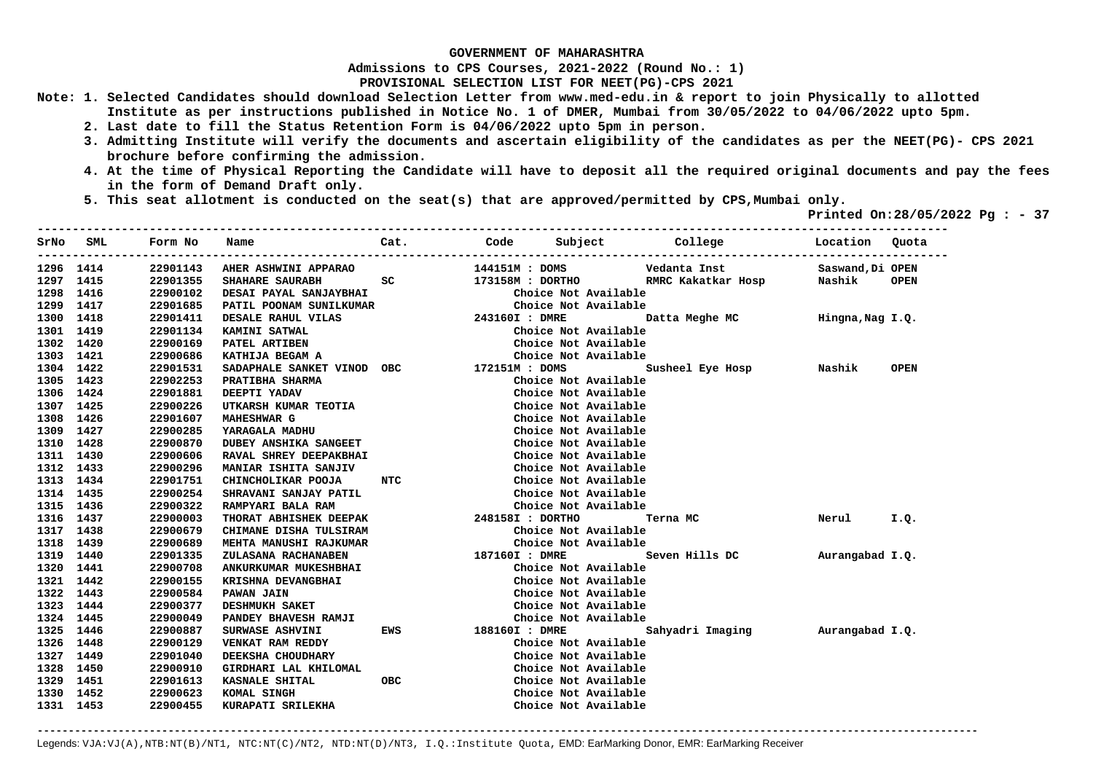**Admissions to CPS Courses, 2021-2022 (Round No.: 1)**

**PROVISIONAL SELECTION LIST FOR NEET(PG)-CPS 2021** 

- **Note: 1. Selected Candidates should download Selection Letter from www.med-edu.in & report to join Physically to allotted Institute as per instructions published in Notice No. 1 of DMER, Mumbai from 30/05/2022 to 04/06/2022 upto 5pm.** 
	- **2. Last date to fill the Status Retention Form is 04/06/2022 upto 5pm in person.**
	- **3. Admitting Institute will verify the documents and ascertain eligibility of the candidates as per the NEET(PG)- CPS 2021 brochure before confirming the admission.**
	- **4. At the time of Physical Reporting the Candidate will have to deposit all the required original documents and pay the fees in the form of Demand Draft only.**

**----------------------------------------------------------------------------------------------------------------------------------** 

 **5. This seat allotment is conducted on the seat(s) that are approved/permitted by CPS,Mumbai only.** 

 **Printed On:28/05/2022 Pg : - 37** 

| SrNo      | SML       | Form No  | Name                                                                                 | Cat.           |                           | Code Subject College             | Location Ouota   |             |
|-----------|-----------|----------|--------------------------------------------------------------------------------------|----------------|---------------------------|----------------------------------|------------------|-------------|
|           | 1296 1414 | 22901143 | <b>AHER ASHWINI APPARAO</b>                                                          |                | 144151M : DOMS            | Vedanta Inst                     | Saswand, Di OPEN |             |
| 1297 1415 |           | 22901355 | SHAHARE SAURABH                                                                      | SC             | 173158M : DORTHO          | RMRC Kakatkar Hosp               | Nashik           | <b>OPEN</b> |
| 1298 1416 |           | 22900102 | DESAI PAYAL SANJAYBHAI                                                               |                | Choice Not Available      |                                  |                  |             |
| 1299 1417 |           | 22901685 | PATIL POONAM SUNILKUMAR                                                              |                | Choice Not Available      |                                  |                  |             |
| 1300 1418 |           | 22901411 | DESALE RAHUL VILAS                                                                   | 243160I : DMRE |                           | Datta Meghe MC                   | Hingna, Nag I.Q. |             |
| 1301 1419 |           | 22901134 | KAMINI SATWAL                                                                        |                | Choice Not Available      |                                  |                  |             |
| 1302 1420 |           | 22900169 | PATEL ARTIBEN                                                                        |                | Choice Not Available      |                                  |                  |             |
| 1303 1421 |           | 22900686 | KATHIJA BEGAM A                                                                      |                | Choice Not Available      |                                  |                  |             |
| 1304 1422 |           | 22901531 | SADAPHALE SANKET VINOD OBC 172151M : DOMS                                            |                |                           | Susheel Eye Hosp Nashik          |                  | <b>OPEN</b> |
| 1305 1423 |           | 22902253 | PRATIBHA SHARMA                                                                      |                | Choice Not Available      |                                  |                  |             |
| 1306 1424 |           | 22901881 | DEEPTI YADAV                                                                         |                | Choice Not Available      |                                  |                  |             |
| 1307 1425 |           | 22900226 | UTKARSH KUMAR TEOTIA                                                                 |                | Choice Not Available      |                                  |                  |             |
| 1308 1426 |           | 22901607 | <b>MAHESHWAR G</b>                                                                   |                | Choice Not Available      |                                  |                  |             |
| 1309 1427 |           | 22900285 | YARAGALA MADHU                                                                       |                | Choice Not Available      |                                  |                  |             |
| 1310 1428 |           | 22900870 | <b>DUBEY ANSHIKA SANGEET</b>                                                         |                | Choice Not Available      |                                  |                  |             |
| 1311 1430 |           | 22900606 | RAVAL SHREY DEEPAKBHAI                                                               |                | Choice Not Available      |                                  |                  |             |
| 1312 1433 |           | 22900296 | <b>MANIAR ISHITA SANJIV</b>                                                          |                | Choice Not Available      |                                  |                  |             |
| 1313 1434 |           | 22901751 | CHINCHOLIKAR POOJA NTC                                                               |                | Choice Not Available      |                                  |                  |             |
| 1314 1435 |           | 22900254 | SHRAVANI SANJAY PATIL                                                                |                | Choice Not Available      |                                  |                  |             |
| 1315 1436 |           | 22900322 | ENDEPTH Choice Not<br>THORAT ABHISHEK DEEPAK<br>THORAT ABHISHEK DEEPAK<br>Theiga Not |                | Choice Not Available      |                                  |                  |             |
| 1316 1437 |           | 22900003 |                                                                                      |                |                           | Terna MC                         | Nerul            | I.Q.        |
| 1317 1438 |           | 22900679 | CHIMANE DISHA TULSIRAM                                                               |                | Choice Not Available      |                                  |                  |             |
| 1318 1439 |           | 22900689 | MEHTA MANUSHI RAJKUMAR                                                               |                | Choice Not Available      |                                  |                  |             |
| 1319 1440 |           | 22901335 | ZULASANA RACHANABEN                                                                  |                |                           | 187160I : DMRE Seven Hills DC    | Aurangabad I.Q.  |             |
| 1320 1441 |           | 22900708 | ANKURKUMAR MUKESHBHAI<br>KRISHNA DEVANGBHAI                                          |                | Choice Not Available      |                                  |                  |             |
| 1321 1442 |           | 22900155 |                                                                                      |                | Choice Not Available      |                                  |                  |             |
| 1322 1443 |           | 22900584 | <b>PAWAN JAIN</b>                                                                    |                | Choice Not Available      |                                  |                  |             |
|           | 1323 1444 | 22900377 | <b>DESHMUKH SAKET</b>                                                                |                | Choice Not Available      |                                  |                  |             |
| 1324 1445 |           | 22900049 | <b>PANDEY BHAVESH RAMJI</b>                                                          |                | Choice Not Available      |                                  |                  |             |
| 1325 1446 |           | 22900887 | SURWASE ASHVINI                                                                      |                | <b>EWS</b> 188160I : DMRE | Sahyadri Imaging Murangabad I.Q. |                  |             |
| 1326 1448 |           | 22900129 | VENKAT RAM REDDY                                                                     |                | Choice Not Available      |                                  |                  |             |
| 1327 1449 |           | 22901040 | DEEKSHA CHOUDHARY                                                                    |                | Choice Not Available      |                                  |                  |             |
| 1328 1450 |           | 22900910 | GIRDHARI LAL KHILOMAL                                                                |                | Choice Not Available      |                                  |                  |             |
| 1329 1451 |           | 22901613 | KASNALE SHITAL                                                                       | <b>OBC</b>     | Choice Not Available      |                                  |                  |             |
| 1330 1452 |           | 22900623 | KOMAL SINGH                                                                          |                | Choice Not Available      |                                  |                  |             |
| 1331 1453 |           | 22900455 | KURAPATI SRILEKHA                                                                    |                | Choice Not Available      |                                  |                  |             |
|           |           |          |                                                                                      |                |                           |                                  |                  |             |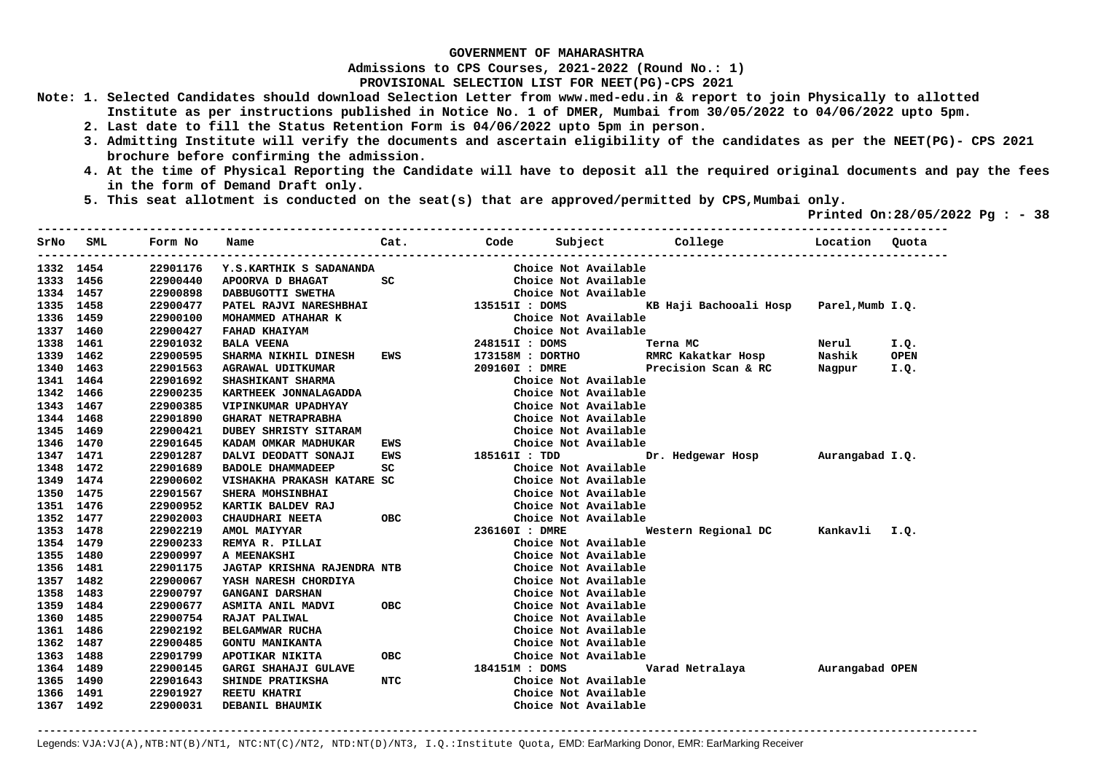**Admissions to CPS Courses, 2021-2022 (Round No.: 1)**

**PROVISIONAL SELECTION LIST FOR NEET(PG)-CPS 2021** 

- **Note: 1. Selected Candidates should download Selection Letter from www.med-edu.in & report to join Physically to allotted Institute as per instructions published in Notice No. 1 of DMER, Mumbai from 30/05/2022 to 04/06/2022 upto 5pm.** 
	- **2. Last date to fill the Status Retention Form is 04/06/2022 upto 5pm in person.**
	- **3. Admitting Institute will verify the documents and ascertain eligibility of the candidates as per the NEET(PG)- CPS 2021 brochure before confirming the admission.**
	- **4. At the time of Physical Reporting the Candidate will have to deposit all the required original documents and pay the fees in the form of Demand Draft only.**

**----------------------------------------------------------------------------------------------------------------------------------** 

 **5. This seat allotment is conducted on the seat(s) that are approved/permitted by CPS,Mumbai only.** 

 **Printed On:28/05/2022 Pg : - 38** 

| SrNo      | SML       | Form No  | Name                                  | Cat.       |                | Code Subject         | College                                  | Location Quota |             |
|-----------|-----------|----------|---------------------------------------|------------|----------------|----------------------|------------------------------------------|----------------|-------------|
|           | 1332 1454 | 22901176 | Y.S.KARTHIK S SADANANDA               |            |                | Choice Not Available |                                          |                |             |
| 1333 1456 |           | 22900440 | APOORVA D BHAGAT                      | SC         |                | Choice Not Available |                                          |                |             |
| 1334 1457 |           | 22900898 | DABBUGOTTI SWETHA                     |            |                | Choice Not Available |                                          |                |             |
| 1335 1458 |           | 22900477 | PATEL RAJVI NARESHBHAI 1351511 : DOMS |            |                |                      | KB Haji Bachooali Hosp Parel, Mumb I.Q.  |                |             |
| 1336 1459 |           | 22900100 | MOHAMMED ATHAHAR K                    |            |                | Choice Not Available |                                          |                |             |
|           | 1337 1460 | 22900427 | FAHAD KHAIYAM                         |            |                | Choice Not Available |                                          |                |             |
|           | 1338 1461 | 22901032 | <b>BALA VEENA</b>                     |            | 248151I : DOMS |                      | Terna MC                                 | Nerul          | I.Q.        |
|           | 1339 1462 | 22900595 | SHARMA NIKHIL DINESH                  |            |                |                      | EWS 173158M : DORTHO RMRC Kakatkar Hosp  | Nashik         | <b>OPEN</b> |
| 1340 1463 |           | 22901563 | <b>AGRAWAL UDITKUMAR</b>              |            |                |                      | 209160I: DMRE Precision Scan & RC Nagpur |                | I.Q.        |
|           | 1341 1464 | 22901692 | SHASHIKANT SHARMA                     |            |                | Choice Not Available |                                          |                |             |
|           | 1342 1466 | 22900235 | KARTHEEK JONNALAGADDA                 |            |                | Choice Not Available |                                          |                |             |
| 1343      | 1467      | 22900385 | VIPINKUMAR UPADHYAY                   |            |                | Choice Not Available |                                          |                |             |
| 1344 1468 |           | 22901890 | <b>GHARAT NETRAPRABHA</b>             |            |                | Choice Not Available |                                          |                |             |
| 1345      | 1469      | 22900421 | DUBEY SHRISTY SITARAM                 |            |                | Choice Not Available |                                          |                |             |
| 1346 1470 |           | 22901645 | KADAM OMKAR MADHUKAR                  | EWS        |                | Choice Not Available |                                          |                |             |
|           | 1347 1471 | 22901287 | DALVI DEODATT SONAJI                  | EWS        | 185161I : TDD  |                      | Dr. Hedgewar Hosp Murangabad I.Q.        |                |             |
|           | 1348 1472 | 22901689 | <b>BADOLE DHAMMADEEP</b>              | SC         |                | Choice Not Available |                                          |                |             |
|           | 1349 1474 | 22900602 | VISHAKHA PRAKASH KATARE SC            |            |                | Choice Not Available |                                          |                |             |
| 1350 1475 |           | 22901567 | SHERA MOHSINBHAI                      |            |                | Choice Not Available |                                          |                |             |
| 1351 1476 |           | 22900952 | KARTIK BALDEV RAJ                     |            |                | Choice Not Available |                                          |                |             |
| 1352 1477 |           | 22902003 | CHAUDHARI NEETA                       | <b>OBC</b> |                | Choice Not Available |                                          |                |             |
| 1353 1478 |           | 22902219 | AMOL MAIYYAR                          |            | 236160I : DMRE |                      |                                          |                |             |
| 1354 1479 |           | 22900233 | REMYA R. PILLAI                       |            |                | Choice Not Available |                                          |                |             |
| 1355 1480 |           | 22900997 | A MEENAKSHI                           |            |                | Choice Not Available |                                          |                |             |
| 1356 1481 |           | 22901175 | <b>JAGTAP KRISHNA RAJENDRA NTB</b>    |            |                | Choice Not Available |                                          |                |             |
|           | 1357 1482 | 22900067 | YASH NARESH CHORDIYA                  |            |                | Choice Not Available |                                          |                |             |
| 1358 1483 |           | 22900797 | <b>GANGANI DARSHAN</b>                |            |                | Choice Not Available |                                          |                |             |
|           | 1359 1484 | 22900677 | ASMITA ANIL MADVI                     | OBC        |                | Choice Not Available |                                          |                |             |
|           | 1360 1485 | 22900754 | RAJAT PALIWAL                         |            |                | Choice Not Available |                                          |                |             |
|           | 1361 1486 | 22902192 | <b>BELGAMWAR RUCHA</b>                |            |                | Choice Not Available |                                          |                |             |
| 1362 1487 |           | 22900485 | <b>GONTU MANIKANTA</b>                |            |                | Choice Not Available |                                          |                |             |
| 1363 1488 |           | 22901799 | APOTIKAR NIKITA                       | OBC        |                | Choice Not Available |                                          |                |             |
| 1364 1489 |           | 22900145 | GARGI SHAHAJI GULAVE                  |            | 184151M : DOMS |                      | Varad Netralaya         Aurangabad OPEN  |                |             |
| 1365 1490 |           | 22901643 | SHINDE PRATIKSHA                      | NTC        |                | Choice Not Available |                                          |                |             |
|           | 1366 1491 | 22901927 | <b>REETU KHATRI</b>                   |            |                | Choice Not Available |                                          |                |             |
|           | 1367 1492 | 22900031 | DEBANIL BHAUMIK                       |            |                | Choice Not Available |                                          |                |             |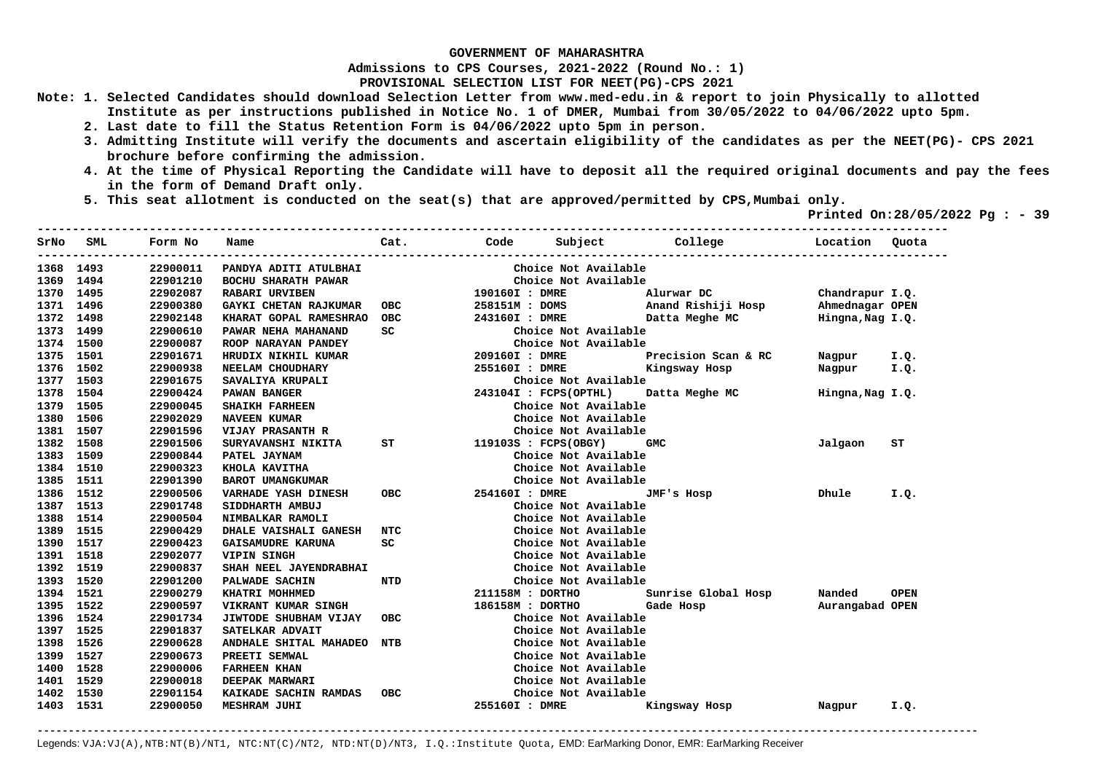**Admissions to CPS Courses, 2021-2022 (Round No.: 1)**

**PROVISIONAL SELECTION LIST FOR NEET(PG)-CPS 2021** 

- **Note: 1. Selected Candidates should download Selection Letter from www.med-edu.in & report to join Physically to allotted Institute as per instructions published in Notice No. 1 of DMER, Mumbai from 30/05/2022 to 04/06/2022 upto 5pm.** 
	- **2. Last date to fill the Status Retention Form is 04/06/2022 upto 5pm in person.**
	- **3. Admitting Institute will verify the documents and ascertain eligibility of the candidates as per the NEET(PG)- CPS 2021 brochure before confirming the admission.**
	- **4. At the time of Physical Reporting the Candidate will have to deposit all the required original documents and pay the fees in the form of Demand Draft only.**
	- **5. This seat allotment is conducted on the seat(s) that are approved/permitted by CPS,Mumbai only.**

 **Printed On:28/05/2022 Pg : - 39**   $-1.1$ 

| SrNo      | SML       | Form No  | Name                         | Cat.       | Code                    | Subject               | College                              | Location                                       | Quota       |
|-----------|-----------|----------|------------------------------|------------|-------------------------|-----------------------|--------------------------------------|------------------------------------------------|-------------|
|           | 1368 1493 | 22900011 | PANDYA ADITI ATULBHAI        |            |                         | Choice Not Available  |                                      |                                                |             |
|           | 1369 1494 | 22901210 | BOCHU SHARATH PAWAR          |            |                         | Choice Not Available  |                                      |                                                |             |
|           | 1370 1495 | 22902087 | <b>RABARI URVIBEN</b>        |            | 190160I : DMRE          |                       | Alurwar DC                           | Chandrapur I.Q.                                |             |
|           | 1371 1496 | 22900380 | GAYKI CHETAN RAJKUMAR        | <b>OBC</b> |                         |                       | 258151M : DOMS Anand Rishiji Hosp    | Ahmednagar OPEN                                |             |
| 1372 1498 |           | 22902148 | KHARAT GOPAL RAMESHRAO       | <b>OBC</b> | 243160I : DMRE          |                       | Datta Meghe MC                       | Hingna, Nag I.Q.                               |             |
|           | 1373 1499 | 22900610 | PAWAR NEHA MAHANAND          | SC         |                         | Choice Not Available  |                                      |                                                |             |
|           | 1374 1500 | 22900087 | ROOP NARAYAN PANDEY          |            |                         | Choice Not Available  |                                      |                                                |             |
|           | 1375 1501 | 22901671 | HRUDIX NIKHIL KUMAR          |            | 209160I : DMRE          |                       | Precision Scan & RC                  | Nagpur I.Q.                                    |             |
|           | 1376 1502 | 22900938 | NEELAM CHOUDHARY             |            | 255160I : DMRE          |                       | Kingsway Hosp                        | Nagpur I.Q.                                    |             |
|           | 1377 1503 | 22901675 | SAVALIYA KRUPALI             |            |                         | Choice Not Available  |                                      |                                                |             |
|           | 1378 1504 | 22900424 | PAWAN BANGER                 |            |                         | 243104I : FCPS(OPTHL) | Datta Meghe MC                       | Hingna, Nag I.Q.                               |             |
| 1379      | 1505      | 22900045 | <b>SHAIKH FARHEEN</b>        |            |                         | Choice Not Available  |                                      |                                                |             |
| 1380      | 1506      | 22902029 | <b>NAVEEN KUMAR</b>          |            |                         | Choice Not Available  |                                      |                                                |             |
| 1381      | 1507      | 22901596 | <b>VIJAY PRASANTH R</b>      |            |                         | Choice Not Available  |                                      |                                                |             |
| 1382      | 1508      | 22901506 | SURYAVANSHI NIKITA           |            | ST 119103S : FCPS(OBGY) |                       | <b>GMC</b>                           | Jalgaon                                        | SТ          |
| 1383 1509 |           | 22900844 | PATEL JAYNAM                 |            |                         | Choice Not Available  |                                      |                                                |             |
| 1384 1510 |           | 22900323 | KHOLA KAVITHA                |            |                         | Choice Not Available  |                                      |                                                |             |
|           | 1385 1511 | 22901390 | <b>BAROT UMANGKUMAR</b>      |            |                         | Choice Not Available  |                                      |                                                |             |
|           | 1386 1512 | 22900506 | <b>VARHADE YASH DINESH</b>   | OBC        |                         | 254160I : DMRE        | JMF's Hosp                           | <b>Example 19 Distribute District Property</b> | I.Q.        |
|           | 1387 1513 | 22901748 | SIDDHARTH AMBUJ              |            |                         | Choice Not Available  |                                      |                                                |             |
|           | 1388 1514 | 22900504 | NIMBALKAR RAMOLI             |            |                         | Choice Not Available  |                                      |                                                |             |
|           | 1389 1515 | 22900429 | <b>DHALE VAISHALI GANESH</b> | NTC        |                         | Choice Not Available  |                                      |                                                |             |
|           | 1390 1517 | 22900423 | GAISAMUDRE KARUNA            | SC         |                         | Choice Not Available  |                                      |                                                |             |
|           | 1391 1518 | 22902077 | <b>VIPIN SINGH</b>           |            |                         | Choice Not Available  |                                      |                                                |             |
|           | 1392 1519 | 22900837 | SHAH NEEL JAYENDRABHAI       |            |                         | Choice Not Available  |                                      |                                                |             |
|           | 1393 1520 | 22901200 | PALWADE SACHIN               | NTD        |                         | Choice Not Available  |                                      |                                                |             |
|           | 1394 1521 | 22900279 | KHATRI MOHHMED               |            |                         |                       | 211158M : DORTHO Sunrise Global Hosp | Nanded                                         | <b>OPEN</b> |
|           | 1395 1522 | 22900597 | <b>VIKRANT KUMAR SINGH</b>   |            | 186158M : DORTHO        |                       | Gade Hosp                            | Aurangabad OPEN                                |             |
|           | 1396 1524 | 22901734 | JIWTODE SHUBHAM VIJAY        | OBC.       |                         | Choice Not Available  |                                      |                                                |             |
|           | 1397 1525 | 22901837 | SATELKAR ADVAIT              |            |                         | Choice Not Available  |                                      |                                                |             |
|           | 1398 1526 | 22900628 | ANDHALE SHITAL MAHADEO NTB   |            |                         | Choice Not Available  |                                      |                                                |             |
|           | 1399 1527 | 22900673 | PREETI SEMWAL                |            |                         | Choice Not Available  |                                      |                                                |             |
| 1400 1528 |           | 22900006 | <b>FARHEEN KHAN</b>          |            |                         | Choice Not Available  |                                      |                                                |             |
|           | 1401 1529 | 22900018 | DEEPAK MARWARI               |            |                         | Choice Not Available  |                                      |                                                |             |
| 1402      | 1530      | 22901154 | KAIKADE SACHIN RAMDAS        | <b>OBC</b> |                         | Choice Not Available  |                                      |                                                |             |
|           | 1403 1531 | 22900050 | <b>MESHRAM JUHI</b>          |            | 255160I : DMRE          |                       | Kingsway Hosp                        | Nagpur                                         | I.Q.        |

**-------------------------------------------------------------------------------------------------------------------------------------------------------**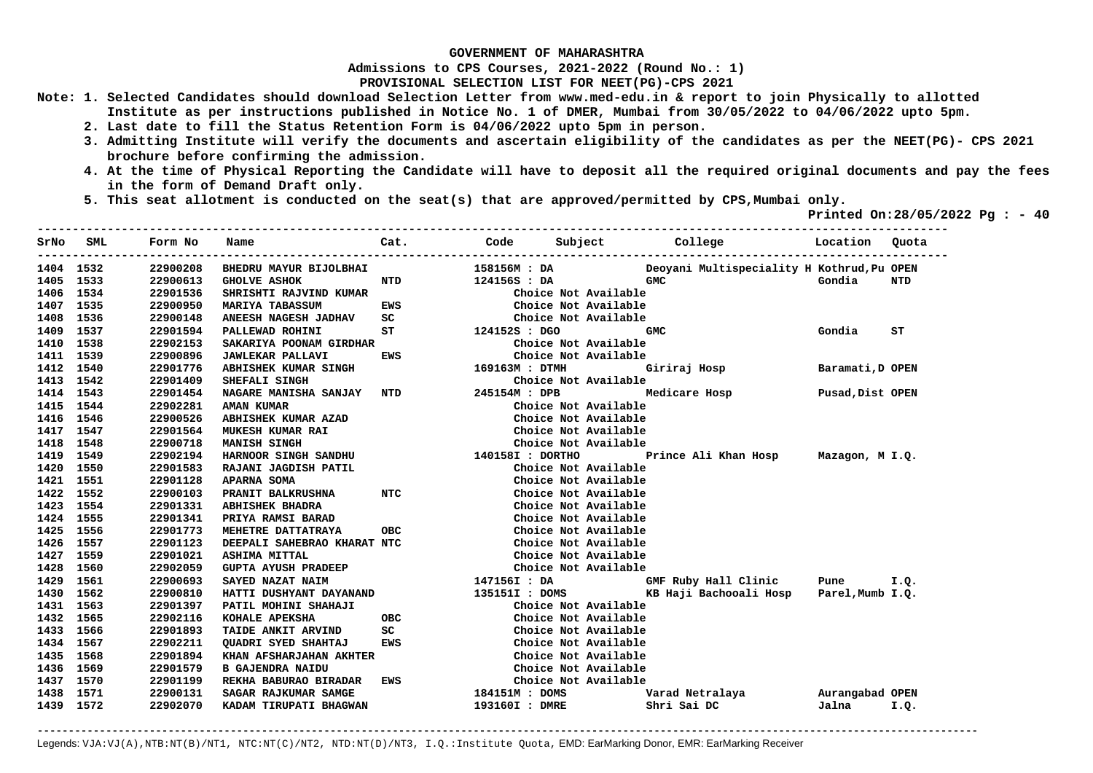**Admissions to CPS Courses, 2021-2022 (Round No.: 1)**

**PROVISIONAL SELECTION LIST FOR NEET(PG)-CPS 2021** 

- **Note: 1. Selected Candidates should download Selection Letter from www.med-edu.in & report to join Physically to allotted Institute as per instructions published in Notice No. 1 of DMER, Mumbai from 30/05/2022 to 04/06/2022 upto 5pm.** 
	- **2. Last date to fill the Status Retention Form is 04/06/2022 upto 5pm in person.**
	- **3. Admitting Institute will verify the documents and ascertain eligibility of the candidates as per the NEET(PG)- CPS 2021 brochure before confirming the admission.**
	- **4. At the time of Physical Reporting the Candidate will have to deposit all the required original documents and pay the fees in the form of Demand Draft only.**

**----------------------------------------------------------------------------------------------------------------------------------** 

 **5. This seat allotment is conducted on the seat(s) that are approved/permitted by CPS,Mumbai only.** 

 **Printed On:28/05/2022 Pg : - 40** 

| SrNo      | SML       | Form No  | Name                        | Cat.       | Code             | Subject              |               | College                                    | Location         | Quota |
|-----------|-----------|----------|-----------------------------|------------|------------------|----------------------|---------------|--------------------------------------------|------------------|-------|
| 1404 1532 |           | 22900208 | BHEDRU MAYUR BIJOLBHAI      |            | 158156M : DA     |                      |               | Deoyani Multispeciality H Kothrud, Pu OPEN |                  |       |
| 1405      | 1533      | 22900613 | <b>GHOLVE ASHOK</b>         | NTD        | 124156S : DA     |                      | <b>GMC</b>    |                                            | Gondia           | NTD   |
|           | 1406 1534 | 22901536 | SHRISHTI RAJVIND KUMAR      |            |                  | Choice Not Available |               |                                            |                  |       |
| 1407 1535 |           | 22900950 | <b>MARIYA TABASSUM</b>      | EWS        |                  | Choice Not Available |               |                                            |                  |       |
| 1408 1536 |           | 22900148 | ANEESH NAGESH JADHAV        | SC         |                  | Choice Not Available |               |                                            |                  |       |
| 1409 1537 |           | 22901594 | PALLEWAD ROHINI             | ST         | 124152S : DGO    |                      | <b>GMC</b>    |                                            | Gondia           | ST    |
| 1410      | 1538      | 22902153 | SAKARIYA POONAM GIRDHAR     |            |                  | Choice Not Available |               |                                            |                  |       |
| 1411      | 1539      | 22900896 | <b>JAWLEKAR PALLAVI</b>     | EWS        |                  | Choice Not Available |               |                                            |                  |       |
| 1412      | 1540      | 22901776 | ABHISHEK KUMAR SINGH        |            | 169163M : DTMH   |                      | Giriraj Hosp  |                                            | Baramati, D OPEN |       |
| 1413      | 1542      | 22901409 | SHEFALI SINGH               |            |                  | Choice Not Available |               |                                            |                  |       |
| 1414 1543 |           | 22901454 | NAGARE MANISHA SANJAY NTD   |            | 245154M : DPB    |                      | Medicare Hosp |                                            | Pusad, Dist OPEN |       |
| 1415      | 1544      | 22902281 | <b>AMAN KUMAR</b>           |            |                  | Choice Not Available |               |                                            |                  |       |
| 1416      | 1546      | 22900526 | ABHISHEK KUMAR AZAD         |            |                  | Choice Not Available |               |                                            |                  |       |
| 1417      | 1547      | 22901564 | <b>MUKESH KUMAR RAI</b>     |            |                  | Choice Not Available |               |                                            |                  |       |
| 1418      | 1548      | 22900718 | MANISH SINGH                |            |                  | Choice Not Available |               |                                            |                  |       |
| 1419      | 1549      | 22902194 | HARNOOR SINGH SANDHU        |            | 140158I : DORTHO |                      |               | Prince Ali Khan Hosp Mazagon, M I.Q.       |                  |       |
| 1420      | 1550      | 22901583 | RAJANI JAGDISH PATIL        |            |                  | Choice Not Available |               |                                            |                  |       |
| 1421      | 1551      | 22901128 | <b>APARNA SOMA</b>          |            |                  | Choice Not Available |               |                                            |                  |       |
|           | 1422 1552 | 22900103 | PRANIT BALKRUSHNA           | NTC        |                  | Choice Not Available |               |                                            |                  |       |
| 1423 1554 |           | 22901331 | <b>ABHISHEK BHADRA</b>      |            |                  | Choice Not Available |               |                                            |                  |       |
| 1424 1555 |           | 22901341 | PRIYA RAMSI BARAD           |            |                  | Choice Not Available |               |                                            |                  |       |
| 1425      | 1556      | 22901773 | MEHETRE DATTATRAYA          | <b>OBC</b> |                  | Choice Not Available |               |                                            |                  |       |
| 1426 1557 |           | 22901123 | DEEPALI SAHEBRAO KHARAT NTC |            |                  | Choice Not Available |               |                                            |                  |       |
| 1427 1559 |           | 22901021 | <b>ASHIMA MITTAL</b>        |            |                  | Choice Not Available |               |                                            |                  |       |
| 1428      | 1560      | 22902059 | <b>GUPTA AYUSH PRADEEP</b>  |            |                  | Choice Not Available |               |                                            |                  |       |
| 1429      | 1561      | 22900693 | SAYED NAZAT NAIM            |            |                  |                      |               |                                            |                  |       |
| 1430      | 1562      | 22900810 | HATTI DUSHYANT DAYANAND     |            |                  |                      |               |                                            |                  |       |
| 1431      | 1563      | 22901397 | PATIL MOHINI SHAHAJI        |            |                  | Choice Not Available |               |                                            |                  |       |
| 1432      | 1565      | 22902116 | KOHALE APEKSHA              | <b>OBC</b> |                  | Choice Not Available |               |                                            |                  |       |
| 1433      | 1566      | 22901893 | TAIDE ANKIT ARVIND          | SC         |                  | Choice Not Available |               |                                            |                  |       |
| 1434      | 1567      | 22902211 | QUADRI SYED SHAHTAJ         | <b>EWS</b> |                  | Choice Not Available |               |                                            |                  |       |
| 1435      | 1568      | 22901894 | KHAN AFSHARJAHAN AKHTER     |            |                  | Choice Not Available |               |                                            |                  |       |
| 1436      | 1569      | 22901579 | <b>B GAJENDRA NAIDU</b>     |            |                  | Choice Not Available |               |                                            |                  |       |
| 1437 1570 |           | 22901199 | REKHA BABURAO BIRADAR       | EWS        |                  | Choice Not Available |               |                                            |                  |       |
| 1438      | 1571      | 22900131 | SAGAR RAJKUMAR SAMGE        |            | 184151M : DOMS   |                      |               | Varad Netralaya                            | Aurangabad OPEN  |       |
| 1439 1572 |           | 22902070 | KADAM TIRUPATI BHAGWAN      |            | 193160I : DMRE   |                      | Shri Sai DC   |                                            | Jalna            | I.Q.  |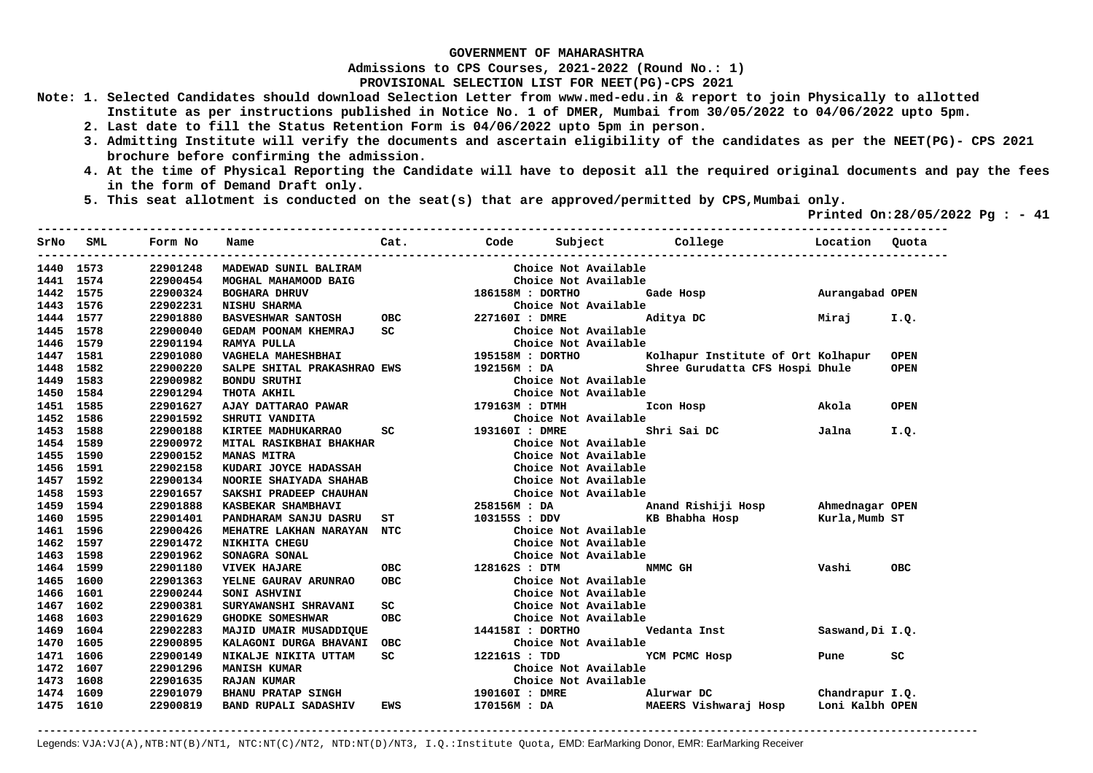**Admissions to CPS Courses, 2021-2022 (Round No.: 1)**

**PROVISIONAL SELECTION LIST FOR NEET(PG)-CPS 2021** 

- **Note: 1. Selected Candidates should download Selection Letter from www.med-edu.in & report to join Physically to allotted Institute as per instructions published in Notice No. 1 of DMER, Mumbai from 30/05/2022 to 04/06/2022 upto 5pm.** 
	- **2. Last date to fill the Status Retention Form is 04/06/2022 upto 5pm in person.**
	- **3. Admitting Institute will verify the documents and ascertain eligibility of the candidates as per the NEET(PG)- CPS 2021 brochure before confirming the admission.**
	- **4. At the time of Physical Reporting the Candidate will have to deposit all the required original documents and pay the fees in the form of Demand Draft only.**

**----------------------------------------------------------------------------------------------------------------------------------** 

 **5. This seat allotment is conducted on the seat(s) that are approved/permitted by CPS,Mumbai only.** 

 **Printed On:28/05/2022 Pg : - 41** 

| SrNo      | SML  | Form No  | Name                                                                                                                                                                                                                           | Cat.                                                                                                           |                                     |                           | Code Subject College Location                                                       |                  | Ouota       |
|-----------|------|----------|--------------------------------------------------------------------------------------------------------------------------------------------------------------------------------------------------------------------------------|----------------------------------------------------------------------------------------------------------------|-------------------------------------|---------------------------|-------------------------------------------------------------------------------------|------------------|-------------|
| 1440      | 1573 | 22901248 | MADEWAD SUNIL BALIRAM                                                                                                                                                                                                          |                                                                                                                |                                     | Choice Not Available      |                                                                                     |                  |             |
| 1441      | 1574 | 22900454 | MOGHAL MAHAMOOD BAIG                                                                                                                                                                                                           |                                                                                                                |                                     | Choice Not Available      |                                                                                     |                  |             |
| 1442      | 1575 | 22900324 | <b>BOGHARA DHRUV</b>                                                                                                                                                                                                           |                                                                                                                | 186158M : DORTHO                    |                           | Gade Hosp <b>Aurangabad OPEN</b>                                                    |                  |             |
| 1443 1576 |      | 22902231 |                                                                                                                                                                                                                                |                                                                                                                |                                     | Choice Not Available      |                                                                                     |                  |             |
| 1444 1577 |      | 22901880 | NISHU SHARMA (Choice No Choice No Choice No Choice No Choice No Choice No Choice No Choice No Choice No Choice N<br>2271601 : DMRE                                                                                             |                                                                                                                |                                     |                           | Aditya DC Miraj                                                                     |                  | I.Q.        |
| 1445 1578 |      | 22900040 | GEDAM POONAM KHEMRAJ                                                                                                                                                                                                           | SC and the state of the state of the state of the state of the state of the state of the state of the state of |                                     | Choice Not Available      |                                                                                     |                  |             |
| 1446 1579 |      | 22901194 | RAMYA PULLA                                                                                                                                                                                                                    |                                                                                                                |                                     | Choice Not Available      |                                                                                     |                  |             |
| 1447      | 1581 | 22901080 | VAGHELA MAHESHBHAI                                                                                                                                                                                                             |                                                                                                                | Choice Not<br>195158M : DORTHO      |                           | Kolhapur Institute of Ort Kolhapur                                                  |                  | <b>OPEN</b> |
| 1448      | 1582 | 22900220 | SALPE SHITAL PRAKASHRAO EWS 192156M : DA                                                                                                                                                                                       |                                                                                                                |                                     |                           | Shree Gurudatta CFS Hospi Dhule                                                     |                  | <b>OPEN</b> |
| 1449      | 1583 | 22900982 | <b>BONDU SRUTHI</b>                                                                                                                                                                                                            |                                                                                                                |                                     | Choice Not Available      |                                                                                     |                  |             |
| 1450      | 1584 | 22901294 | AJAY DATTARAO PAWAR (Choice No Choice No Choice No Choice No Choice No Choice No Choice No Choice No Choice No Choice No Choice No Choice No Choice No Choice No Choice No Choice No Choice No Choice No Choice No Choice No C |                                                                                                                |                                     | Choice Not Available      |                                                                                     |                  |             |
| 1451      | 1585 | 22901627 |                                                                                                                                                                                                                                |                                                                                                                |                                     |                           | Icon Hosp                                                                           | Akola            | <b>OPEN</b> |
| 1452      | 1586 | 22901592 |                                                                                                                                                                                                                                |                                                                                                                |                                     | Choice Not Available      |                                                                                     |                  |             |
| 1453      | 1588 | 22900188 | KIRTEE MADHUKARRAO                                                                                                                                                                                                             |                                                                                                                |                                     |                           | Shri Sai DC                                                                         | Jalna            | I.Q.        |
| 1454      | 1589 | 22900972 | MITAL RASIKBHAI BHAKHAR                                                                                                                                                                                                        |                                                                                                                |                                     | Choice Not Available      |                                                                                     |                  |             |
| 1455      | 1590 | 22900152 | <b>MANAS MITRA</b>                                                                                                                                                                                                             |                                                                                                                |                                     | Choice Not Available      |                                                                                     |                  |             |
| 1456      | 1591 | 22902158 | KUDARI JOYCE HADASSAH                                                                                                                                                                                                          |                                                                                                                |                                     | Choice Not Available      |                                                                                     |                  |             |
| 1457      | 1592 | 22900134 | NOORIE SHAIYADA SHAHAB                                                                                                                                                                                                         |                                                                                                                |                                     | Choice Not Available      |                                                                                     |                  |             |
| 1458      | 1593 | 22901657 | SAKSHI PRADEEP CHAUHAN                                                                                                                                                                                                         |                                                                                                                |                                     | Choice Not Available      |                                                                                     |                  |             |
| 1459 1594 |      | 22901888 | KASBEKAR SHAMBHAVI                                                                                                                                                                                                             |                                                                                                                |                                     |                           | 258156M : DA                          Anand Rishiji Hosp            Ahmednagar OPEN |                  |             |
| 1460 1595 |      | 22901401 | PANDHARAM SANJU DASRU                                                                                                                                                                                                          |                                                                                                                |                                     |                           |                                                                                     | Kurla, Mumb ST   |             |
| 1461 1596 |      | 22900426 | MEHATRE LAKHAN NARAYAN NTC                                                                                                                                                                                                     |                                                                                                                |                                     | Choice Not Available      |                                                                                     |                  |             |
| 1462 1597 |      | 22901472 | NIKHITA CHEGU                                                                                                                                                                                                                  |                                                                                                                |                                     | Choice Not Available      |                                                                                     |                  |             |
| 1463 1598 |      | 22901962 | SONAGRA SONAL                                                                                                                                                                                                                  |                                                                                                                | CHOIL.<br>128162S : DTM<br>Choice ' | Choice Not Available      |                                                                                     |                  |             |
| 1464 1599 |      | 22901180 | OBC<br><b>VIVEK HAJARE</b>                                                                                                                                                                                                     |                                                                                                                |                                     | NMMC GH                   |                                                                                     | Vashi            | <b>OBC</b>  |
| 1465      | 1600 | 22901363 | <b>YELNE GAURAV ARUNRAO</b>                                                                                                                                                                                                    | OBC                                                                                                            |                                     | Choice Not Available      |                                                                                     |                  |             |
| 1466      | 1601 | 22900244 | SONI ASHVINI                                                                                                                                                                                                                   |                                                                                                                |                                     | Choice Not Available      |                                                                                     |                  |             |
| 1467      | 1602 | 22900381 | <b>SURYAWANSHI SHRAVANI</b>                                                                                                                                                                                                    | SC                                                                                                             |                                     | Choice Not Available      |                                                                                     |                  |             |
| 1468      | 1603 | 22901629 | GHODKE SOMESHWAR                                                                                                                                                                                                               | <b>OBC</b>                                                                                                     |                                     | Choice Not Available      |                                                                                     |                  |             |
| 1469      | 1604 | 22902283 | MAJID UMAIR MUSADDIQUE                                                                                                                                                                                                         |                                                                                                                |                                     | 144158I : DORTHO          | Vedanta Inst                                                                        | Saswand, Di I.Q. |             |
| 1470      | 1605 | 22900895 | KALAGONI DURGA BHAVANI                                                                                                                                                                                                         | OBC                                                                                                            |                                     | Choice Not Available      |                                                                                     |                  |             |
| 1471      | 1606 | 22900149 | NIKALJE NIKITA UTTAM                                                                                                                                                                                                           | <b>SC</b>                                                                                                      | 122161S : TDD                       |                           | YCM PCMC Hosp                                                                       | Pune             | sc          |
| 1472      | 1607 | 22901296 | <b>MANISH KUMAR</b>                                                                                                                                                                                                            |                                                                                                                |                                     | Choice Not Available      |                                                                                     |                  |             |
| 1473      | 1608 | 22901635 | <b>RAJAN KUMAR</b>                                                                                                                                                                                                             |                                                                                                                |                                     | Choice Not Available      |                                                                                     |                  |             |
| 1474      | 1609 | 22901079 | <b>BHANU PRATAP SINGH</b>                                                                                                                                                                                                      |                                                                                                                |                                     | 190160I : DMRE Alurwar DC | Chandrapur I.Q.                                                                     |                  |             |
| 1475 1610 |      | 22900819 | <b>BAND RUPALI SADASHIV</b>                                                                                                                                                                                                    | EWS                                                                                                            |                                     |                           | 170156M: DA MAEERS Vishwaraj Hosp Loni Kalbh OPEN                                   |                  |             |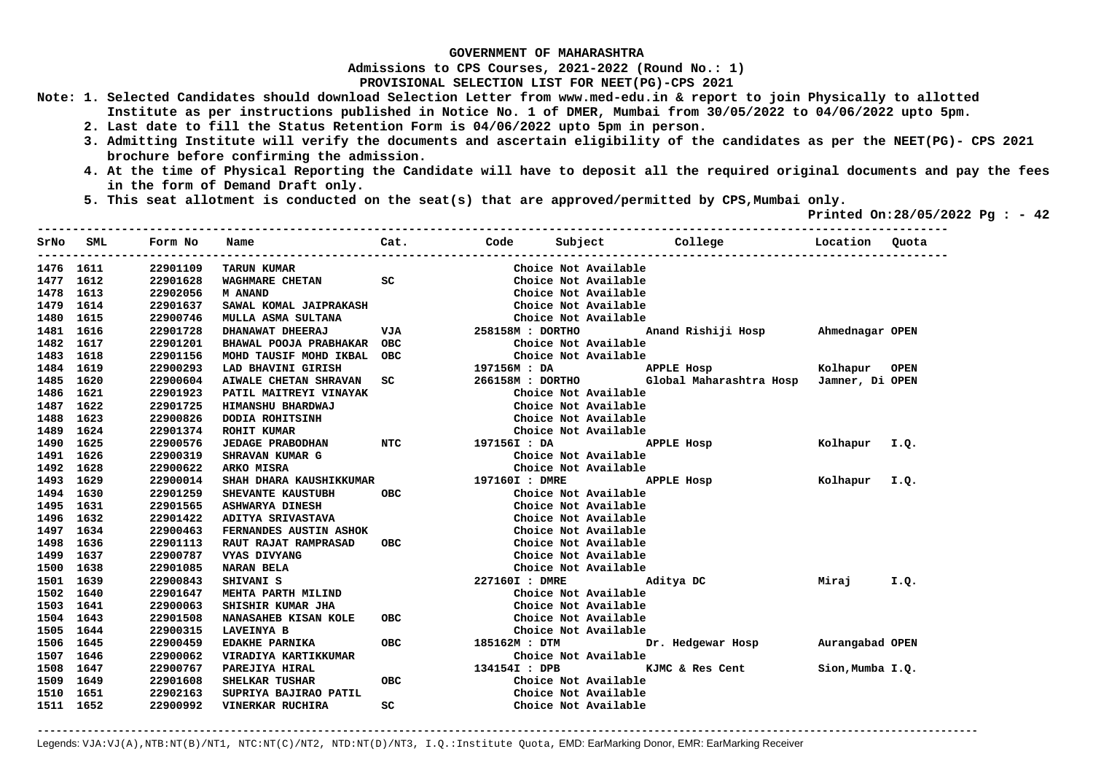**Admissions to CPS Courses, 2021-2022 (Round No.: 1)**

**PROVISIONAL SELECTION LIST FOR NEET(PG)-CPS 2021** 

- **Note: 1. Selected Candidates should download Selection Letter from www.med-edu.in & report to join Physically to allotted Institute as per instructions published in Notice No. 1 of DMER, Mumbai from 30/05/2022 to 04/06/2022 upto 5pm.** 
	- **2. Last date to fill the Status Retention Form is 04/06/2022 upto 5pm in person.**
	- **3. Admitting Institute will verify the documents and ascertain eligibility of the candidates as per the NEET(PG)- CPS 2021 brochure before confirming the admission.**
	- **4. At the time of Physical Reporting the Candidate will have to deposit all the required original documents and pay the fees in the form of Demand Draft only.**
	- **5. This seat allotment is conducted on the seat(s) that are approved/permitted by CPS,Mumbai only.**

 **Printed On:28/05/2022 Pg : - 42**   $-1.1$ 

| SrNo      | SML  | Form No  | Name                         | Cat.       | Code             | Subject College           |                                                              | Location         | Quota       |
|-----------|------|----------|------------------------------|------------|------------------|---------------------------|--------------------------------------------------------------|------------------|-------------|
| 1476 1611 |      | 22901109 | <b>TARUN KUMAR</b>           |            |                  | Choice Not Available      |                                                              |                  |             |
| 1477      | 1612 | 22901628 | WAGHMARE CHETAN              | SC         |                  | Choice Not Available      |                                                              |                  |             |
| 1478      | 1613 | 22902056 | <b>M ANAND</b>               |            |                  | Choice Not Available      |                                                              |                  |             |
| 1479 1614 |      | 22901637 | SAWAL KOMAL JAIPRAKASH       |            |                  | Choice Not Available      |                                                              |                  |             |
| 1480 1615 |      | 22900746 | MULLA ASMA SULTANA           |            |                  | Choice Not Available      |                                                              |                  |             |
| 1481 1616 |      | 22901728 | DHANAWAT DHEERAJ             | VJA        | 258158M : DORTHO |                           | Anand Rishiji Hosp Ahmednagar OPEN                           |                  |             |
| 1482 1617 |      | 22901201 | BHAWAL POOJA PRABHAKAR OBC   |            |                  | Choice Not Available      |                                                              |                  |             |
| 1483 1618 |      | 22901156 | MOHD TAUSIF MOHD IKBAL       | <b>OBC</b> |                  | Choice Not Available      |                                                              |                  |             |
| 1484 1619 |      | 22900293 | LAD BHAVINI GIRISH           |            | 197156M : DA     |                           | APPLE Hosp                                                   | Kolhapur         | <b>OPEN</b> |
| 1485 1620 |      | 22900604 | <b>AIWALE CHETAN SHRAVAN</b> | SC         |                  |                           | 266158M : DORTHO     Global Maharashtra Hosp Jamner, Di OPEN |                  |             |
| 1486      | 1621 | 22901923 | PATIL MAITREYI VINAYAK       |            |                  | Choice Not Available      |                                                              |                  |             |
| 1487      | 1622 | 22901725 | HIMANSHU BHARDWAJ            |            |                  | Choice Not Available      |                                                              |                  |             |
| 1488      | 1623 | 22900826 | DODIA ROHITSINH              |            |                  | Choice Not Available      |                                                              |                  |             |
| 1489      | 1624 | 22901374 | <b>ROHIT KUMAR</b>           |            |                  | Choice Not Available      |                                                              |                  |             |
| 1490      | 1625 | 22900576 | JEDAGE PRABODHAN NTC         |            | 197156I : DA     |                           | APPLE Hosp                                                   | Kolhapur I.Q.    |             |
| 1491      | 1626 | 22900319 | SHRAVAN KUMAR G              |            |                  | Choice Not Available      |                                                              |                  |             |
| 1492      | 1628 | 22900622 | ARKO MISRA                   |            |                  | Choice Not Available      |                                                              |                  |             |
| 1493      | 1629 | 22900014 | SHAH DHARA KAUSHIKKUMAR      |            |                  | 197160I : DMRE APPLE Hosp |                                                              | Kolhapur I.Q.    |             |
| 1494 1630 |      | 22901259 | SHEVANTE KAUSTUBH            | <b>OBC</b> |                  | Choice Not Available      |                                                              |                  |             |
| 1495 1631 |      | 22901565 | <b>ASHWARYA DINESH</b>       |            |                  | Choice Not Available      |                                                              |                  |             |
| 1496 1632 |      | 22901422 | ADITYA SRIVASTAVA            |            |                  | Choice Not Available      |                                                              |                  |             |
| 1497 1634 |      | 22900463 | FERNANDES AUSTIN ASHOK       |            |                  | Choice Not Available      |                                                              |                  |             |
| 1498 1636 |      | 22901113 | <b>RAUT RAJAT RAMPRASAD</b>  | OBC        |                  | Choice Not Available      |                                                              |                  |             |
| 1499 1637 |      | 22900787 | VYAS DIVYANG                 |            |                  | Choice Not Available      |                                                              |                  |             |
| 1500 1638 |      | 22901085 | <b>NARAN BELA</b>            |            |                  | Choice Not Available      |                                                              |                  |             |
| 1501 1639 |      | 22900843 | SHIVANI S                    |            |                  | 227160I : DMRE Aditya DC  |                                                              | Mirai            | I.Q.        |
| 1502 1640 |      | 22901647 | MEHTA PARTH MILIND           |            |                  | Choice Not Available      |                                                              |                  |             |
| 1503      | 1641 | 22900063 | SHISHIR KUMAR JHA            |            |                  | Choice Not Available      |                                                              |                  |             |
| 1504 1643 |      | 22901508 | <b>NANASAHEB KISAN KOLE</b>  | <b>OBC</b> |                  | Choice Not Available      |                                                              |                  |             |
| 1505 1644 |      | 22900315 | <b>LAVEINYA B</b>            |            |                  | Choice Not Available      |                                                              |                  |             |
| 1506 1645 |      | 22900459 | <b>EDAKHE PARNIKA</b>        | <b>OBC</b> | 185162M : DTM    |                           | Dr. Hedgewar Hosp                                            | Aurangabad OPEN  |             |
| 1507 1646 |      | 22900062 | VIRADIYA KARTIKKUMAR         |            |                  | Choice Not Available      |                                                              |                  |             |
| 1508      | 1647 | 22900767 | PAREJIYA HIRAL               |            | 134154I : DPB    |                           | KJMC & Res Cent                                              | Sion, Mumba I.Q. |             |
| 1509      | 1649 | 22901608 | SHELKAR TUSHAR               | <b>OBC</b> |                  | Choice Not Available      |                                                              |                  |             |
| 1510      | 1651 | 22902163 | SUPRIYA BAJIRAO PATIL        |            |                  | Choice Not Available      |                                                              |                  |             |
| 1511 1652 |      | 22900992 | VINERKAR RUCHIRA             | SC         |                  | Choice Not Available      |                                                              |                  |             |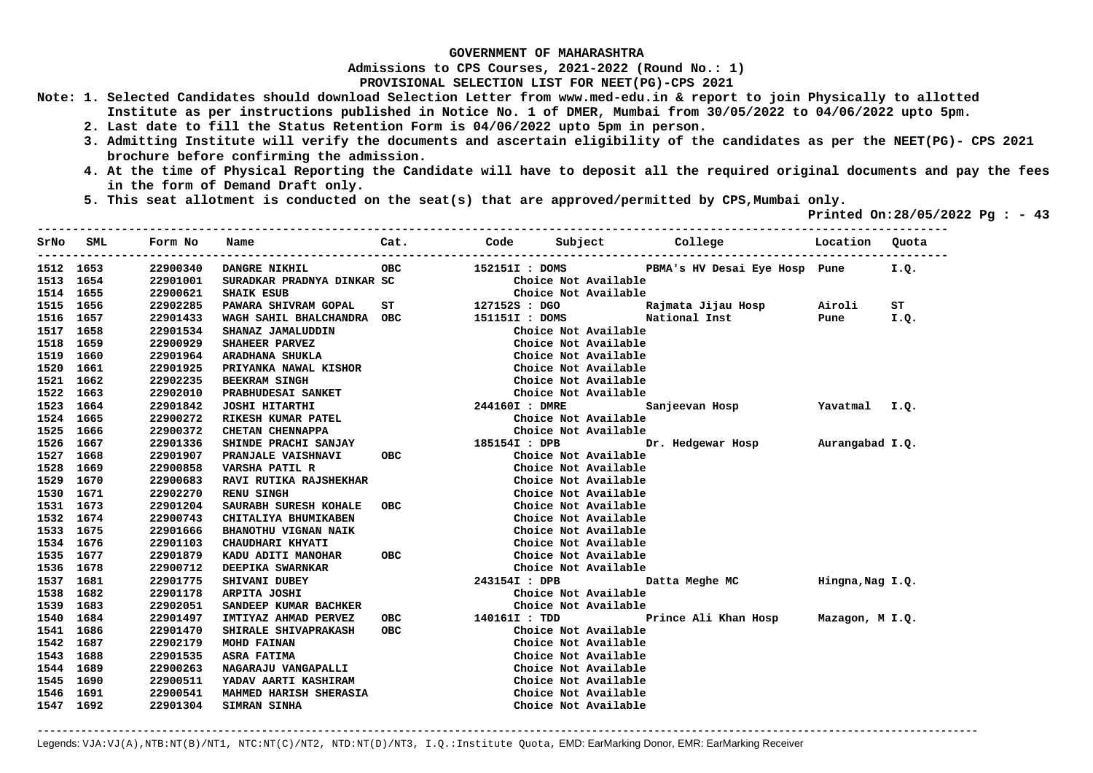**Admissions to CPS Courses, 2021-2022 (Round No.: 1)**

**PROVISIONAL SELECTION LIST FOR NEET(PG)-CPS 2021** 

- **Note: 1. Selected Candidates should download Selection Letter from www.med-edu.in & report to join Physically to allotted Institute as per instructions published in Notice No. 1 of DMER, Mumbai from 30/05/2022 to 04/06/2022 upto 5pm.** 
	- **2. Last date to fill the Status Retention Form is 04/06/2022 upto 5pm in person.**
	- **3. Admitting Institute will verify the documents and ascertain eligibility of the candidates as per the NEET(PG)- CPS 2021 brochure before confirming the admission.**
	- **4. At the time of Physical Reporting the Candidate will have to deposit all the required original documents and pay the fees in the form of Demand Draft only.**

**----------------------------------------------------------------------------------------------------------------------------------** 

 **5. This seat allotment is conducted on the seat(s) that are approved/permitted by CPS,Mumbai only.** 

 **Printed On:28/05/2022 Pg : - 43** 

| SrNo      | SML | Form No  | Name                          | Cat.             |                |                      | Code Subject College Location         |      | Ouota |
|-----------|-----|----------|-------------------------------|------------------|----------------|----------------------|---------------------------------------|------|-------|
| 1512 1653 |     | 22900340 | DANGRE NIKHIL                 | OBC              |                | 152151I : DOMS       | PBMA's HV Desai Eye Hosp Pune         |      | I.Q.  |
| 1513 1654 |     | 22901001 | SURADKAR PRADNYA DINKAR SC    |                  |                | Choice Not Available |                                       |      |       |
| 1514 1655 |     | 22900621 | <b>SHAIK ESUB</b>             |                  |                | Choice Not Available |                                       |      |       |
| 1515 1656 |     | 22902285 | PAWARA SHIVRAM GOPAL          | ST 127152S : DGO |                |                      |                                       |      | ST    |
| 1516 1657 |     | 22901433 | WAGH SAHIL BHALCHANDRA OBC    |                  |                |                      | 151151I : DOMS National Inst          | Pune | I.Q.  |
| 1517 1658 |     | 22901534 | SHANAZ JAMALUDDIN             |                  |                | Choice Not Available |                                       |      |       |
| 1518 1659 |     | 22900929 | SHAHEER PARVEZ                |                  |                | Choice Not Available |                                       |      |       |
| 1519 1660 |     | 22901964 | ARADHANA SHUKLA               |                  |                | Choice Not Available |                                       |      |       |
| 1520 1661 |     | 22901925 | PRIYANKA NAWAL KISHOR         |                  |                | Choice Not Available |                                       |      |       |
| 1521 1662 |     | 22902235 | <b>BEEKRAM SINGH</b>          |                  |                | Choice Not Available |                                       |      |       |
| 1522 1663 |     | 22902010 | PRABHUDESAI SANKET            |                  |                | Choice Not Available |                                       |      |       |
| 1523 1664 |     | 22901842 | <b>JOSHI HITARTHI</b>         |                  | 244160I : DMRE |                      | Sanjeevan Hosp Yavatmal I.Q.          |      |       |
| 1524 1665 |     | 22900272 | RIKESH KUMAR PATEL            |                  |                | Choice Not Available |                                       |      |       |
| 1525 1666 |     | 22900372 | CHETAN CHENNAPPA              |                  |                | Choice Not Available |                                       |      |       |
| 1526 1667 |     | 22901336 | SHINDE PRACHI SANJAY          |                  | 185154I : DPB  |                      | Dr. Hedgewar Hosp Murangabad I.Q.     |      |       |
| 1527 1668 |     | 22901907 | PRANJALE VAISHNAVI            | <b>OBC</b>       |                | Choice Not Available |                                       |      |       |
| 1528 1669 |     | 22900858 | VARSHA PATIL R                |                  |                | Choice Not Available |                                       |      |       |
| 1529 1670 |     | 22900683 | <b>RAVI RUTIKA RAJSHEKHAR</b> |                  |                | Choice Not Available |                                       |      |       |
| 1530 1671 |     | 22902270 | <b>RENU SINGH</b>             |                  |                | Choice Not Available |                                       |      |       |
| 1531 1673 |     | 22901204 | SAURABH SURESH KOHALE         | <b>OBC</b>       |                | Choice Not Available |                                       |      |       |
| 1532 1674 |     | 22900743 | CHITALIYA BHUMIKABEN          |                  |                | Choice Not Available |                                       |      |       |
| 1533 1675 |     | 22901666 | <b>BHANOTHU VIGNAN NAIK</b>   |                  |                | Choice Not Available |                                       |      |       |
| 1534 1676 |     | 22901103 | CHAUDHARI KHYATI              |                  |                | Choice Not Available |                                       |      |       |
| 1535 1677 |     | 22901879 | KADU ADITI MANOHAR            | <b>OBC</b>       |                | Choice Not Available |                                       |      |       |
| 1536 1678 |     | 22900712 | DEEPIKA SWARNKAR              |                  |                | Choice Not Available |                                       |      |       |
| 1537 1681 |     | 22901775 | SHIVANI DUBEY                 |                  | 243154I : DPB  |                      | Datta Meghe MC Monte Hingna, Nag I.Q. |      |       |
| 1538 1682 |     | 22901178 | ARPITA JOSHI                  |                  |                | Choice Not Available |                                       |      |       |
| 1539 1683 |     | 22902051 | SANDEEP KUMAR BACHKER         |                  |                | Choice Not Available |                                       |      |       |
| 1540 1684 |     | 22901497 | IMTIYAZ AHMAD PERVEZ          | ОВС              | 140161I : TDD  |                      | Prince Ali Khan Hosp Mazagon, M I.Q.  |      |       |
| 1541 1686 |     | 22901470 | SHIRALE SHIVAPRAKASH          | OBC              |                | Choice Not Available |                                       |      |       |
| 1542 1687 |     | 22902179 | <b>MOHD FAINAN</b>            |                  |                | Choice Not Available |                                       |      |       |
| 1543 1688 |     | 22901535 | <b>ASRA FATIMA</b>            |                  |                | Choice Not Available |                                       |      |       |
| 1544 1689 |     | 22900263 | NAGARAJU VANGAPALLI           |                  |                | Choice Not Available |                                       |      |       |
| 1545 1690 |     | 22900511 | YADAV AARTI KASHIRAM          |                  |                | Choice Not Available |                                       |      |       |
| 1546 1691 |     | 22900541 | MAHMED HARISH SHERASIA        |                  |                | Choice Not Available |                                       |      |       |
| 1547 1692 |     | 22901304 | <b>SIMRAN SINHA</b>           |                  |                | Choice Not Available |                                       |      |       |
|           |     |          |                               |                  |                |                      |                                       |      |       |

**-------------------------------------------------------------------------------------------------------------------------------------------------------**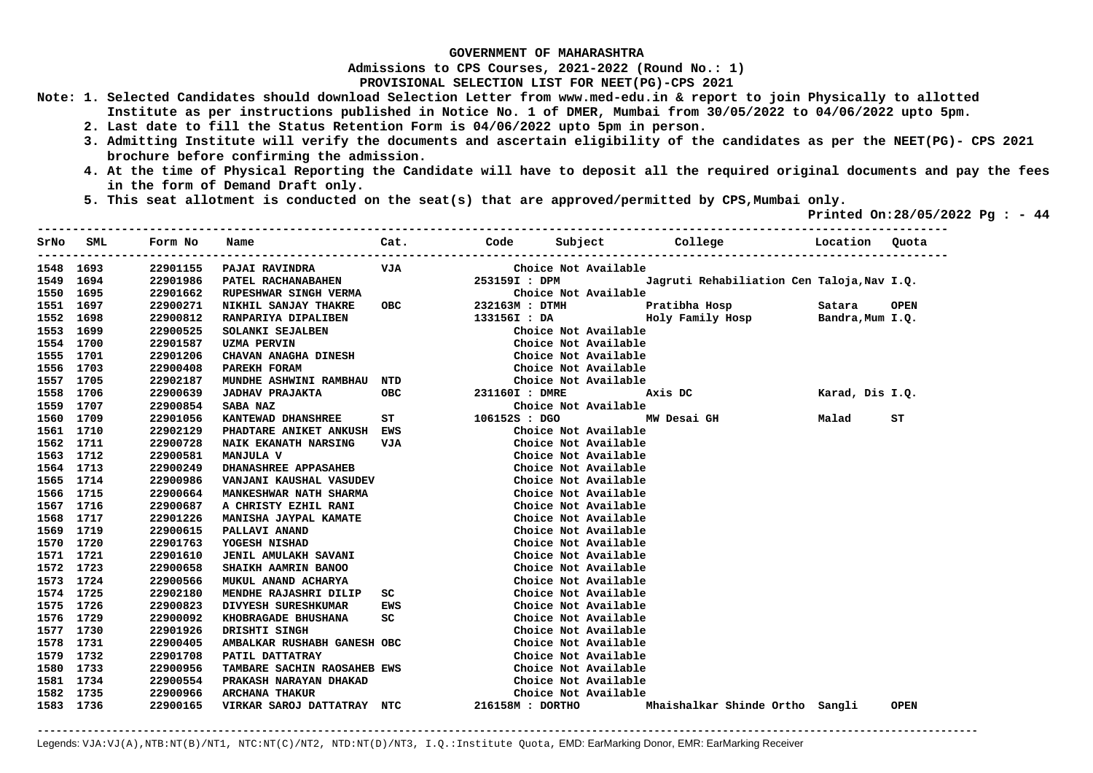**Admissions to CPS Courses, 2021-2022 (Round No.: 1)**

**PROVISIONAL SELECTION LIST FOR NEET(PG)-CPS 2021** 

- **Note: 1. Selected Candidates should download Selection Letter from www.med-edu.in & report to join Physically to allotted Institute as per instructions published in Notice No. 1 of DMER, Mumbai from 30/05/2022 to 04/06/2022 upto 5pm.** 
	- **2. Last date to fill the Status Retention Form is 04/06/2022 upto 5pm in person.**
	- **3. Admitting Institute will verify the documents and ascertain eligibility of the candidates as per the NEET(PG)- CPS 2021 brochure before confirming the admission.**
	- **4. At the time of Physical Reporting the Candidate will have to deposit all the required original documents and pay the fees in the form of Demand Draft only.**
	- **5. This seat allotment is conducted on the seat(s) that are approved/permitted by CPS,Mumbai only.**

 **Printed On:28/05/2022 Pg : - 44** 

|           | SrNo SML  | Form No  | Name                          | Cat.       |                  |                      | Code Subject College                       | Location Quota   |             |
|-----------|-----------|----------|-------------------------------|------------|------------------|----------------------|--------------------------------------------|------------------|-------------|
| 1548 1693 |           | 22901155 | <b>PAJAI RAVINDRA</b>         | VJA        |                  | Choice Not Available |                                            |                  |             |
|           | 1549 1694 | 22901986 | PATEL RACHANABAHEN            |            | 253159I : DPM    |                      | Jagruti Rehabiliation Cen Taloja, Nav I.Q. |                  |             |
|           | 1550 1695 | 22901662 | RUPESHWAR SINGH VERMA         |            |                  | Choice Not Available |                                            |                  |             |
| 1551 1697 |           | 22900271 | NIKHIL SANJAY THAKRE          | <b>OBC</b> | 232163M : DTMH   |                      | Pratibha Hosp                              | Satara           | <b>OPEN</b> |
| 1552 1698 |           | 22900812 | RANPARIYA DIPALIBEN           |            | 133156I : DA     |                      | Holy Family Hosp                           | Bandra, Mum I.Q. |             |
| 1553 1699 |           | 22900525 | SOLANKI SEJALBEN              |            |                  | Choice Not Available |                                            |                  |             |
| 1554 1700 |           | 22901587 | UZMA PERVIN                   |            |                  | Choice Not Available |                                            |                  |             |
| 1555 1701 |           | 22901206 | CHAVAN ANAGHA DINESH          |            |                  | Choice Not Available |                                            |                  |             |
| 1556 1703 |           | 22900408 | PAREKH FORAM                  |            |                  | Choice Not Available |                                            |                  |             |
|           | 1557 1705 | 22902187 | MUNDHE ASHWINI RAMBHAU NTD    |            |                  | Choice Not Available |                                            |                  |             |
|           | 1558 1706 | 22900639 | <b>JADHAV PRAJAKTA</b>        | OBC        | 231160I : DMRE   |                      | Axis DC                                    | Karad, Dis I.Q.  |             |
| 1559 1707 |           | 22900854 | <b>SABA NAZ</b>               |            |                  | Choice Not Available |                                            |                  |             |
| 1560 1709 |           | 22901056 | <b>KANTEWAD DHANSHREE</b>     | <b>ST</b>  | 106152S : DGO    |                      | MW Desai GH                                | Malad            | SТ          |
| 1561 1710 |           | 22902129 | PHADTARE ANIKET ANKUSH EWS    |            |                  | Choice Not Available |                                            |                  |             |
| 1562 1711 |           | 22900728 | <b>NAIK EKANATH NARSING</b>   | VJA        |                  | Choice Not Available |                                            |                  |             |
|           | 1563 1712 | 22900581 | <b>MANJULA V</b>              |            |                  | Choice Not Available |                                            |                  |             |
| 1564 1713 |           | 22900249 | <b>DHANASHREE APPASAHEB</b>   |            |                  | Choice Not Available |                                            |                  |             |
|           | 1565 1714 | 22900986 | VANJANI KAUSHAL VASUDEV       |            |                  | Choice Not Available |                                            |                  |             |
|           | 1566 1715 | 22900664 | <b>MANKESHWAR NATH SHARMA</b> |            |                  | Choice Not Available |                                            |                  |             |
| 1567 1716 |           | 22900687 | A CHRISTY EZHIL RANI          |            |                  | Choice Not Available |                                            |                  |             |
|           | 1568 1717 | 22901226 | MANISHA JAYPAL KAMATE         |            |                  | Choice Not Available |                                            |                  |             |
|           | 1569 1719 | 22900615 | PALLAVI ANAND                 |            |                  | Choice Not Available |                                            |                  |             |
|           | 1570 1720 | 22901763 | YOGESH NISHAD                 |            |                  | Choice Not Available |                                            |                  |             |
| 1571 1721 |           | 22901610 | <b>JENIL AMULAKH SAVANI</b>   |            |                  | Choice Not Available |                                            |                  |             |
| 1572 1723 |           | 22900658 | SHAIKH AAMRIN BANOO           |            |                  | Choice Not Available |                                            |                  |             |
|           | 1573 1724 | 22900566 | MUKUL ANAND ACHARYA           |            |                  | Choice Not Available |                                            |                  |             |
| 1574 1725 |           | 22902180 | MENDHE RAJASHRI DILIP         | SC         |                  | Choice Not Available |                                            |                  |             |
| 1575 1726 |           | 22900823 | DIVYESH SURESHKUMAR           | EWS        |                  | Choice Not Available |                                            |                  |             |
| 1576 1729 |           | 22900092 | KHOBRAGADE BHUSHANA           | SC         |                  | Choice Not Available |                                            |                  |             |
| 1577 1730 |           | 22901926 | DRISHTI SINGH                 |            |                  | Choice Not Available |                                            |                  |             |
| 1578 1731 |           | 22900405 | AMBALKAR RUSHABH GANESH OBC   |            |                  | Choice Not Available |                                            |                  |             |
| 1579 1732 |           | 22901708 | PATIL DATTATRAY               |            |                  | Choice Not Available |                                            |                  |             |
| 1580 1733 |           | 22900956 | TAMBARE SACHIN RAOSAHEB EWS   |            |                  | Choice Not Available |                                            |                  |             |
|           | 1581 1734 | 22900554 | PRAKASH NARAYAN DHAKAD        |            |                  | Choice Not Available |                                            |                  |             |
|           | 1582 1735 | 22900966 | <b>ARCHANA THAKUR</b>         |            |                  | Choice Not Available |                                            |                  |             |
|           | 1583 1736 | 22900165 | VIRKAR SAROJ DATTATRAY NTC    |            | 216158M : DORTHO |                      | Mhaishalkar Shinde Ortho Sangli            |                  | <b>OPEN</b> |

**-------------------------------------------------------------------------------------------------------------------------------------------------------**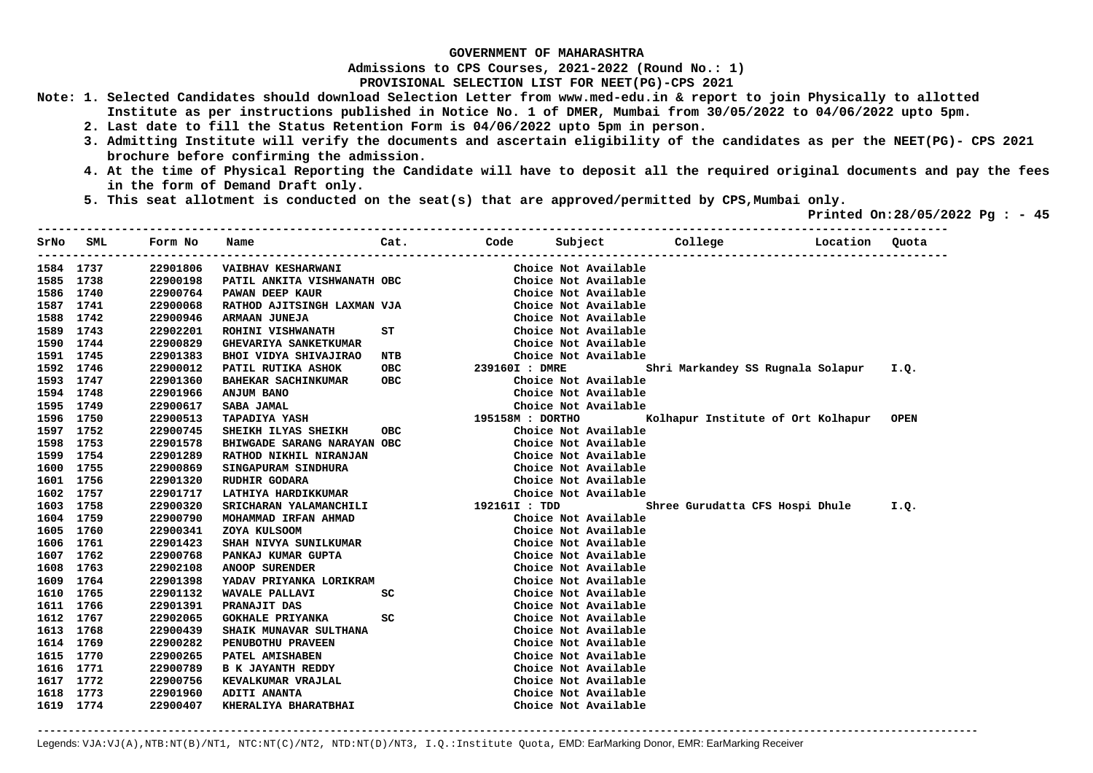**Admissions to CPS Courses, 2021-2022 (Round No.: 1)**

**PROVISIONAL SELECTION LIST FOR NEET(PG)-CPS 2021** 

- **Note: 1. Selected Candidates should download Selection Letter from www.med-edu.in & report to join Physically to allotted Institute as per instructions published in Notice No. 1 of DMER, Mumbai from 30/05/2022 to 04/06/2022 upto 5pm.** 
	- **2. Last date to fill the Status Retention Form is 04/06/2022 upto 5pm in person.**
	- **3. Admitting Institute will verify the documents and ascertain eligibility of the candidates as per the NEET(PG)- CPS 2021 brochure before confirming the admission.**
	- **4. At the time of Physical Reporting the Candidate will have to deposit all the required original documents and pay the fees in the form of Demand Draft only.**
	- **5. This seat allotment is conducted on the seat(s) that are approved/permitted by CPS,Mumbai only.**

 **Printed On:28/05/2022 Pg : - 45** 

| SrNo      | SML  | Form No  | Name                         | Cat.       |                  |                      | Code Subject College               | Location | Quota       |
|-----------|------|----------|------------------------------|------------|------------------|----------------------|------------------------------------|----------|-------------|
| 1584 1737 |      | 22901806 | <b>VAIBHAV KESHARWANI</b>    |            |                  | Choice Not Available |                                    |          |             |
| 1585 1738 |      | 22900198 | PATIL ANKITA VISHWANATH OBC  |            |                  | Choice Not Available |                                    |          |             |
| 1586 1740 |      | 22900764 | <b>PAWAN DEEP KAUR</b>       |            |                  | Choice Not Available |                                    |          |             |
| 1587 1741 |      | 22900068 | RATHOD AJITSINGH LAXMAN VJA  |            |                  | Choice Not Available |                                    |          |             |
| 1588 1742 |      | 22900946 | ARMAAN JUNEJA                |            |                  | Choice Not Available |                                    |          |             |
| 1589      | 1743 | 22902201 | ROHINI VISHWANATH            | ST         |                  | Choice Not Available |                                    |          |             |
| 1590 1744 |      | 22900829 | <b>GHEVARIYA SANKETKUMAR</b> |            |                  | Choice Not Available |                                    |          |             |
| 1591 1745 |      | 22901383 | <b>BHOI VIDYA SHIVAJIRAO</b> | NTB        |                  | Choice Not Available |                                    |          |             |
| 1592 1746 |      | 22900012 | PATIL RUTIKA ASHOK           | OBC        | 239160I : DMRE   |                      | Shri Markandey SS Rugnala Solapur  |          | I.Q.        |
| 1593 1747 |      | 22901360 | <b>BAHEKAR SACHINKUMAR</b>   | <b>OBC</b> |                  | Choice Not Available |                                    |          |             |
| 1594 1748 |      | 22901966 | ANJUM BANO                   |            |                  | Choice Not Available |                                    |          |             |
| 1595 1749 |      | 22900617 | SABA JAMAL                   |            |                  | Choice Not Available |                                    |          |             |
| 1596 1750 |      | 22900513 | <b>TAPADIYA YASH</b>         |            | 195158M : DORTHO |                      | Kolhapur Institute of Ort Kolhapur |          | <b>OPEN</b> |
| 1597 1752 |      | 22900745 | SHEIKH ILYAS SHEIKH          | OBC        |                  | Choice Not Available |                                    |          |             |
| 1598 1753 |      | 22901578 | BHIWGADE SARANG NARAYAN OBC  |            |                  | Choice Not Available |                                    |          |             |
| 1599 1754 |      | 22901289 | RATHOD NIKHIL NIRANJAN       |            |                  | Choice Not Available |                                    |          |             |
| 1600 1755 |      | 22900869 | SINGAPURAM SINDHURA          |            |                  | Choice Not Available |                                    |          |             |
| 1601 1756 |      | 22901320 | <b>RUDHIR GODARA</b>         |            |                  | Choice Not Available |                                    |          |             |
| 1602 1757 |      | 22901717 | LATHIYA HARDIKKUMAR          |            |                  | Choice Not Available |                                    |          |             |
| 1603 1758 |      | 22900320 | SRICHARAN YALAMANCHILI       |            | 192161I : TDD    |                      | Shree Gurudatta CFS Hospi Dhule    |          | I.Q.        |
| 1604 1759 |      | 22900790 | MOHAMMAD IRFAN AHMAD         |            |                  | Choice Not Available |                                    |          |             |
| 1605 1760 |      | 22900341 | ZOYA KULSOOM                 |            |                  | Choice Not Available |                                    |          |             |
| 1606 1761 |      | 22901423 | SHAH NIVYA SUNILKUMAR        |            |                  | Choice Not Available |                                    |          |             |
| 1607 1762 |      | 22900768 | PANKAJ KUMAR GUPTA           |            |                  | Choice Not Available |                                    |          |             |
| 1608 1763 |      | 22902108 | <b>ANOOP SURENDER</b>        |            |                  | Choice Not Available |                                    |          |             |
| 1609 1764 |      | 22901398 | YADAV PRIYANKA LORIKRAM      |            |                  | Choice Not Available |                                    |          |             |
| 1610 1765 |      | 22901132 | WAVALE PALLAVI               | SC         |                  | Choice Not Available |                                    |          |             |
| 1611 1766 |      | 22901391 | <b>PRANAJIT DAS</b>          |            |                  | Choice Not Available |                                    |          |             |
| 1612 1767 |      | 22902065 | <b>GOKHALE PRIYANKA</b>      | SC         |                  | Choice Not Available |                                    |          |             |
| 1613 1768 |      | 22900439 | SHAIK MUNAVAR SULTHANA       |            |                  | Choice Not Available |                                    |          |             |
| 1614 1769 |      | 22900282 | PENUBOTHU PRAVEEN            |            |                  | Choice Not Available |                                    |          |             |
| 1615 1770 |      | 22900265 | PATEL AMISHABEN              |            |                  | Choice Not Available |                                    |          |             |
| 1616 1771 |      | 22900789 | <b>B K JAYANTH REDDY</b>     |            |                  | Choice Not Available |                                    |          |             |
| 1617 1772 |      | 22900756 | KEVALKUMAR VRAJLAL           |            |                  | Choice Not Available |                                    |          |             |
| 1618 1773 |      | 22901960 | <b>ADITI ANANTA</b>          |            |                  | Choice Not Available |                                    |          |             |
| 1619 1774 |      | 22900407 | KHERALIYA BHARATBHAI         |            |                  | Choice Not Available |                                    |          |             |

**-------------------------------------------------------------------------------------------------------------------------------------------------------**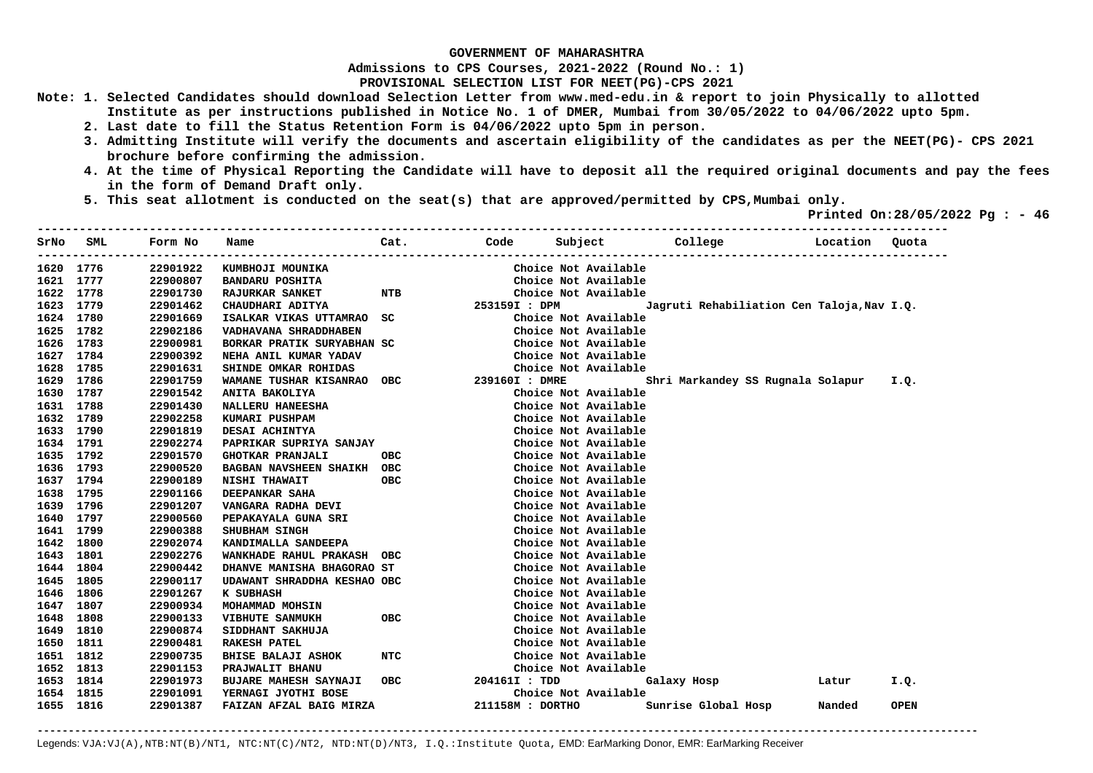**Admissions to CPS Courses, 2021-2022 (Round No.: 1)**

**PROVISIONAL SELECTION LIST FOR NEET(PG)-CPS 2021** 

- **Note: 1. Selected Candidates should download Selection Letter from www.med-edu.in & report to join Physically to allotted Institute as per instructions published in Notice No. 1 of DMER, Mumbai from 30/05/2022 to 04/06/2022 upto 5pm.** 
	- **2. Last date to fill the Status Retention Form is 04/06/2022 upto 5pm in person.**
	- **3. Admitting Institute will verify the documents and ascertain eligibility of the candidates as per the NEET(PG)- CPS 2021 brochure before confirming the admission.**
	- **4. At the time of Physical Reporting the Candidate will have to deposit all the required original documents and pay the fees in the form of Demand Draft only.**
	- **5. This seat allotment is conducted on the seat(s) that are approved/permitted by CPS,Mumbai only.**

 **Printed On:28/05/2022 Pg : - 46** 

| SrNo | SML       | Form No  | Name                         | Cat.       |                  |                      | Code Subject College Location              |        | Quota       |
|------|-----------|----------|------------------------------|------------|------------------|----------------------|--------------------------------------------|--------|-------------|
|      | 1620 1776 | 22901922 | KUMBHOJI MOUNIKA             |            |                  | Choice Not Available |                                            |        |             |
|      | 1621 1777 | 22900807 | <b>BANDARU POSHITA</b>       |            |                  | Choice Not Available |                                            |        |             |
|      | 1622 1778 | 22901730 | <b>RAJURKAR SANKET</b>       | NTB        |                  | Choice Not Available |                                            |        |             |
|      | 1623 1779 | 22901462 | CHAUDHARI ADITYA             |            | 253159I : DPM    |                      | Jagruti Rehabiliation Cen Taloja, Nav I.Q. |        |             |
|      | 1624 1780 | 22901669 | ISALKAR VIKAS UTTAMRAO       | SC.        |                  | Choice Not Available |                                            |        |             |
|      | 1625 1782 | 22902186 | VADHAVANA SHRADDHABEN        |            |                  | Choice Not Available |                                            |        |             |
|      | 1626 1783 | 22900981 | BORKAR PRATIK SURYABHAN SC   |            |                  | Choice Not Available |                                            |        |             |
|      | 1627 1784 | 22900392 | NEHA ANIL KUMAR YADAV        |            |                  | Choice Not Available |                                            |        |             |
|      | 1628 1785 | 22901631 | SHINDE OMKAR ROHIDAS         |            |                  | Choice Not Available |                                            |        |             |
|      | 1629 1786 | 22901759 | WAMANE TUSHAR KISANRAO OBC   |            | 239160I : DMRE   |                      | Shri Markandey SS Rugnala Solapur          |        | I.Q.        |
|      | 1630 1787 | 22901542 | ANITA BAKOLIYA               |            |                  | Choice Not Available |                                            |        |             |
|      | 1631 1788 | 22901430 | NALLERU HANEESHA             |            |                  | Choice Not Available |                                            |        |             |
| 1632 | 1789      | 22902258 | KUMARI PUSHPAM               |            |                  | Choice Not Available |                                            |        |             |
|      | 1633 1790 | 22901819 | DESAI ACHINTYA               |            |                  | Choice Not Available |                                            |        |             |
|      | 1634 1791 | 22902274 | PAPRIKAR SUPRIYA SANJAY      |            |                  | Choice Not Available |                                            |        |             |
|      | 1635 1792 | 22901570 | <b>GHOTKAR PRANJALI</b>      | <b>OBC</b> |                  | Choice Not Available |                                            |        |             |
|      | 1636 1793 | 22900520 | BAGBAN NAVSHEEN SHAIKH OBC   |            |                  | Choice Not Available |                                            |        |             |
|      | 1637 1794 | 22900189 | NISHI THAWAIT                | <b>OBC</b> |                  | Choice Not Available |                                            |        |             |
|      | 1638 1795 | 22901166 | DEEPANKAR SAHA               |            |                  | Choice Not Available |                                            |        |             |
|      | 1639 1796 | 22901207 | VANGARA RADHA DEVI           |            |                  | Choice Not Available |                                            |        |             |
|      | 1640 1797 | 22900560 | PEPAKAYALA GUNA SRI          |            |                  | Choice Not Available |                                            |        |             |
|      | 1641 1799 | 22900388 | <b>SHUBHAM SINGH</b>         |            |                  | Choice Not Available |                                            |        |             |
|      | 1642 1800 | 22902074 | KANDIMALLA SANDEEPA          |            |                  | Choice Not Available |                                            |        |             |
|      | 1643 1801 | 22902276 | WANKHADE RAHUL PRAKASH OBC   |            |                  | Choice Not Available |                                            |        |             |
|      | 1644 1804 | 22900442 | DHANVE MANISHA BHAGORAO ST   |            |                  | Choice Not Available |                                            |        |             |
|      | 1645 1805 | 22900117 | UDAWANT SHRADDHA KESHAO OBC  |            |                  | Choice Not Available |                                            |        |             |
|      | 1646 1806 | 22901267 | K SUBHASH                    |            |                  | Choice Not Available |                                            |        |             |
|      | 1647 1807 | 22900934 | MOHAMMAD MOHSIN              |            |                  | Choice Not Available |                                            |        |             |
|      | 1648 1808 | 22900133 | <b>VIBHUTE SANMUKH</b>       | <b>OBC</b> |                  | Choice Not Available |                                            |        |             |
|      | 1649 1810 | 22900874 | SIDDHANT SAKHUJA             |            |                  | Choice Not Available |                                            |        |             |
| 1650 | 1811      | 22900481 | <b>RAKESH PATEL</b>          |            |                  | Choice Not Available |                                            |        |             |
|      | 1651 1812 | 22900735 | <b>BHISE BALAJI ASHOK</b>    | NTC        |                  | Choice Not Available |                                            |        |             |
| 1652 | 1813      | 22901153 | PRAJWALIT BHANU              |            |                  | Choice Not Available |                                            |        |             |
| 1653 | 1814      | 22901973 | <b>BUJARE MAHESH SAYNAJI</b> | OBC.       | 204161I : TDD    |                      | Galaxy Hosp                                | Latur  | I.Q.        |
|      | 1654 1815 | 22901091 | YERNAGI JYOTHI BOSE          |            |                  | Choice Not Available |                                            |        |             |
|      | 1655 1816 | 22901387 | FAIZAN AFZAL BAIG MIRZA      |            | 211158M : DORTHO |                      | Sunrise Global Hosp                        | Nanded | <b>OPEN</b> |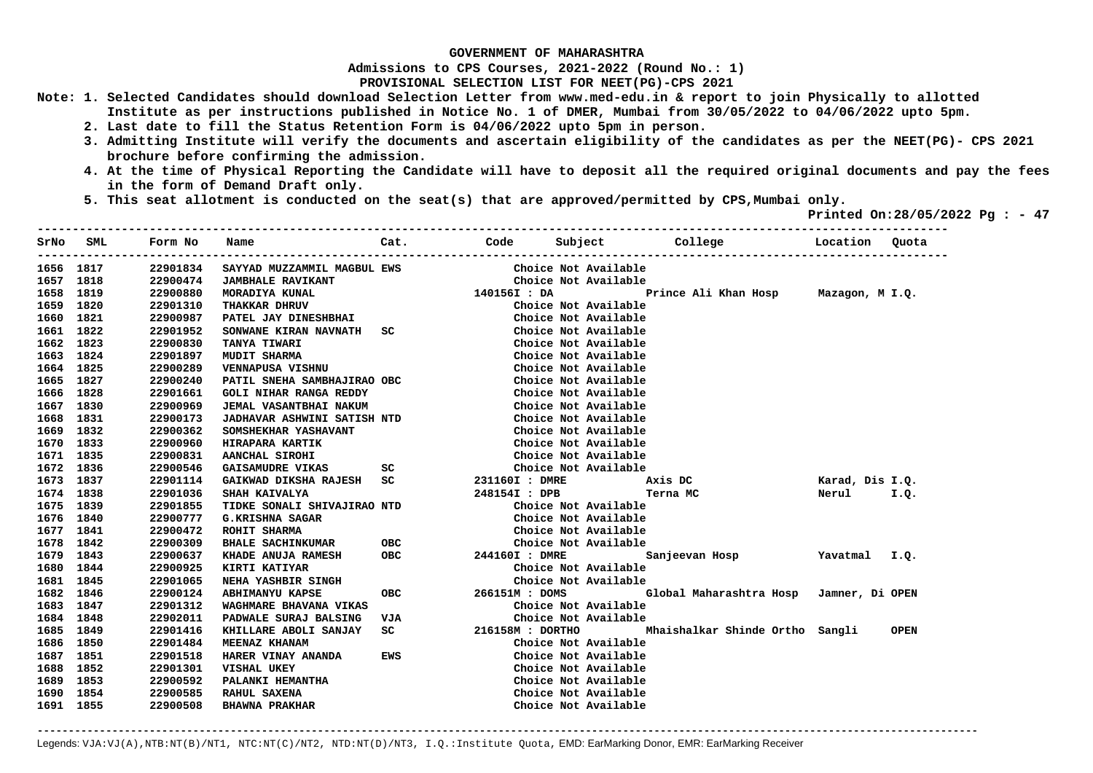**Admissions to CPS Courses, 2021-2022 (Round No.: 1)**

**PROVISIONAL SELECTION LIST FOR NEET(PG)-CPS 2021** 

- **Note: 1. Selected Candidates should download Selection Letter from www.med-edu.in & report to join Physically to allotted Institute as per instructions published in Notice No. 1 of DMER, Mumbai from 30/05/2022 to 04/06/2022 upto 5pm.** 
	- **2. Last date to fill the Status Retention Form is 04/06/2022 upto 5pm in person.**
	- **3. Admitting Institute will verify the documents and ascertain eligibility of the candidates as per the NEET(PG)- CPS 2021 brochure before confirming the admission.**
	- **4. At the time of Physical Reporting the Candidate will have to deposit all the required original documents and pay the fees in the form of Demand Draft only.**
	- **5. This seat allotment is conducted on the seat(s) that are approved/permitted by CPS,Mumbai only.**

 **Printed On:28/05/2022 Pg : - 47** 

| SrNo | SML       | Form No  | Name                               | Cat.                           |                  |                      | Code Subject College                                               | Location        | Quota       |
|------|-----------|----------|------------------------------------|--------------------------------|------------------|----------------------|--------------------------------------------------------------------|-----------------|-------------|
|      | 1656 1817 | 22901834 | SAYYAD MUZZAMMIL MAGBUL EWS        |                                |                  | Choice Not Available |                                                                    |                 |             |
|      | 1657 1818 | 22900474 | <b>JAMBHALE RAVIKANT</b>           |                                |                  | Choice Not Available |                                                                    |                 |             |
|      | 1658 1819 | 22900880 | MORADIYA KUNAL                     |                                | 140156I : DA     |                      | Prince Ali Khan Hosp Mazagon, M I.Q.                               |                 |             |
|      | 1659 1820 | 22901310 | THAKKAR DHRUV                      |                                |                  | Choice Not Available |                                                                    |                 |             |
|      | 1660 1821 | 22900987 | PATEL JAY DINESHBHAI               |                                |                  | Choice Not Available |                                                                    |                 |             |
|      | 1661 1822 | 22901952 | SONWANE KIRAN NAVNATH SC           |                                |                  | Choice Not Available |                                                                    |                 |             |
|      | 1662 1823 | 22900830 | TANYA TIWARI                       |                                |                  | Choice Not Available |                                                                    |                 |             |
|      | 1663 1824 | 22901897 | <b>MUDIT SHARMA</b>                |                                |                  | Choice Not Available |                                                                    |                 |             |
|      | 1664 1825 | 22900289 | VENNAPUSA VISHNU                   |                                |                  | Choice Not Available |                                                                    |                 |             |
|      | 1665 1827 | 22900240 | PATIL SNEHA SAMBHAJIRAO OBC        |                                |                  | Choice Not Available |                                                                    |                 |             |
|      | 1666 1828 | 22901661 | <b>GOLI NIHAR RANGA REDDY</b>      |                                |                  | Choice Not Available |                                                                    |                 |             |
|      | 1667 1830 | 22900969 | JEMAL VASANTBHAI NAKUM             |                                |                  | Choice Not Available |                                                                    |                 |             |
|      | 1668 1831 | 22900173 | <b>JADHAVAR ASHWINI SATISH NTD</b> |                                |                  | Choice Not Available |                                                                    |                 |             |
|      | 1669 1832 | 22900362 | SOMSHEKHAR YASHAVANT               |                                |                  | Choice Not Available |                                                                    |                 |             |
|      | 1670 1833 | 22900960 | HIRAPARA KARTIK                    |                                |                  | Choice Not Available |                                                                    |                 |             |
|      | 1671 1835 | 22900831 | AANCHAL SIROHI                     |                                |                  | Choice Not Available |                                                                    |                 |             |
|      | 1672 1836 | 22900546 | <b>GAISAMUDRE VIKAS</b>            | SC                             |                  | Choice Not Available |                                                                    |                 |             |
|      | 1673 1837 | 22901114 | GAIKWAD DIKSHA RAJESH SC           |                                | 231160I : DMRE   |                      | Axis DC                                                            | Karad, Dis I.Q. |             |
|      | 1674 1838 | 22901036 | SHAH KAIVALYA                      |                                | 248154I : DPB    |                      | Terna MC                                                           | Nerul           | I.Q.        |
|      | 1675 1839 | 22901855 | TIDKE SONALI SHIVAJIRAO NTD        |                                |                  | Choice Not Available |                                                                    |                 |             |
|      | 1676 1840 | 22900777 | G.KRISHNA SAGAR                    |                                |                  | Choice Not Available |                                                                    |                 |             |
|      | 1677 1841 | 22900472 | ROHIT SHARMA                       |                                |                  | Choice Not Available |                                                                    |                 |             |
|      | 1678 1842 | 22900309 | BHALE SACHINKUMAR OBC              |                                |                  | Choice Not Available |                                                                    |                 |             |
|      | 1679 1843 | 22900637 | KHADE ANUJA RAMESH                 | ОВС                            | 244160I : DMRE   |                      | Sanjeevan Hosp                                                     | Yavatmal I.Q.   |             |
|      | 1680 1844 | 22900925 | KIRTI KATIYAR                      |                                |                  | Choice Not Available |                                                                    |                 |             |
|      | 1681 1845 | 22901065 | <b>NEHA YASHBIR SINGH</b>          |                                |                  | Choice Not Available |                                                                    |                 |             |
|      | 1682 1846 | 22900124 | <b>ABHIMANYU KAPSE</b>             | <b>OBC</b>                     |                  |                      | 266151M : DOMS             Global Maharashtra Hosp Jamner, Di OPEN |                 |             |
|      | 1683 1847 | 22901312 | WAGHMARE BHAVANA VIKAS             |                                |                  | Choice Not Available |                                                                    |                 |             |
|      | 1684 1848 | 22902011 | PADWALE SURAJ BALSING              | VJA                            |                  | Choice Not Available |                                                                    |                 |             |
|      | 1685 1849 | 22901416 | KHILLARE ABOLI SANJAY              | $SC \qquad \qquad \qquad \Box$ | 216158M : DORTHO |                      | Mhaishalkar Shinde Ortho Sangli                                    |                 | <b>OPEN</b> |
|      | 1686 1850 | 22901484 | <b>MEENAZ KHANAM</b>               |                                |                  | Choice Not Available |                                                                    |                 |             |
|      | 1687 1851 | 22901518 | HARER VINAY ANANDA                 | EWS                            |                  | Choice Not Available |                                                                    |                 |             |
|      | 1688 1852 | 22901301 | VISHAL UKEY                        |                                |                  | Choice Not Available |                                                                    |                 |             |
|      | 1689 1853 | 22900592 | PALANKI HEMANTHA                   |                                |                  | Choice Not Available |                                                                    |                 |             |
|      | 1690 1854 | 22900585 | <b>RAHUL SAXENA</b>                |                                |                  | Choice Not Available |                                                                    |                 |             |
|      | 1691 1855 | 22900508 | <b>BHAWNA PRAKHAR</b>              |                                |                  | Choice Not Available |                                                                    |                 |             |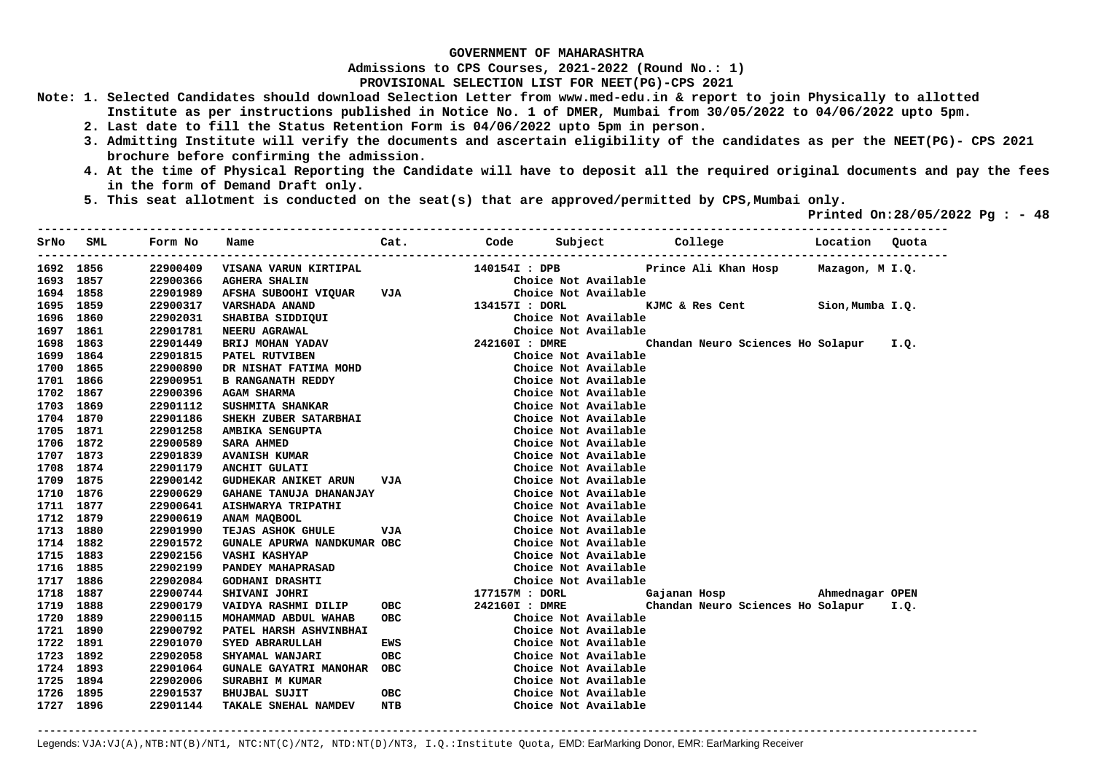**Admissions to CPS Courses, 2021-2022 (Round No.: 1)**

**PROVISIONAL SELECTION LIST FOR NEET(PG)-CPS 2021** 

- **Note: 1. Selected Candidates should download Selection Letter from www.med-edu.in & report to join Physically to allotted Institute as per instructions published in Notice No. 1 of DMER, Mumbai from 30/05/2022 to 04/06/2022 upto 5pm.** 
	- **2. Last date to fill the Status Retention Form is 04/06/2022 upto 5pm in person.**
	- **3. Admitting Institute will verify the documents and ascertain eligibility of the candidates as per the NEET(PG)- CPS 2021 brochure before confirming the admission.**
	- **4. At the time of Physical Reporting the Candidate will have to deposit all the required original documents and pay the fees in the form of Demand Draft only.**
	- **5. This seat allotment is conducted on the seat(s) that are approved/permitted by CPS,Mumbai only.**

 **Printed On:28/05/2022 Pg : - 48** 

| SrNo | SML       | Form No  | Name                        | Cat.       |                |                      | Code Subject College                   | Location Quota   |      |
|------|-----------|----------|-----------------------------|------------|----------------|----------------------|----------------------------------------|------------------|------|
|      | 1692 1856 | 22900409 | VISANA VARUN KIRTIPAL       |            | 140154I : DPB  |                      | Prince Ali Khan Hosp                   | Mazagon, M I.Q.  |      |
|      | 1693 1857 | 22900366 | <b>AGHERA SHALIN</b>        |            |                | Choice Not Available |                                        |                  |      |
|      | 1694 1858 | 22901989 | AFSHA SUBOOHI VIQUAR VJA    |            |                | Choice Not Available |                                        |                  |      |
|      | 1695 1859 | 22900317 | <b>VARSHADA ANAND</b>       |            | 134157I : DORL |                      | KJMC & Res Cent                        | Sion, Mumba I.Q. |      |
|      | 1696 1860 | 22902031 | SHABIBA SIDDIQUI            |            |                | Choice Not Available |                                        |                  |      |
|      | 1697 1861 | 22901781 | <b>NEERU AGRAWAL</b>        |            |                | Choice Not Available |                                        |                  |      |
|      | 1698 1863 | 22901449 | BRIJ MOHAN YADAV            |            | 242160I : DMRE |                      | Chandan Neuro Sciences Ho Solapur      |                  | I.Q. |
|      | 1699 1864 | 22901815 | PATEL RUTVIBEN              |            |                | Choice Not Available |                                        |                  |      |
|      | 1700 1865 | 22900890 | DR NISHAT FATIMA MOHD       |            |                | Choice Not Available |                                        |                  |      |
|      | 1701 1866 | 22900951 | <b>B RANGANATH REDDY</b>    |            |                | Choice Not Available |                                        |                  |      |
|      | 1702 1867 | 22900396 | <b>AGAM SHARMA</b>          |            |                | Choice Not Available |                                        |                  |      |
|      | 1703 1869 | 22901112 | SUSHMITA SHANKAR            |            |                | Choice Not Available |                                        |                  |      |
|      | 1704 1870 | 22901186 | SHEKH ZUBER SATARBHAI       |            |                | Choice Not Available |                                        |                  |      |
|      | 1705 1871 | 22901258 | AMBIKA SENGUPTA             |            |                | Choice Not Available |                                        |                  |      |
|      | 1706 1872 | 22900589 | <b>SARA AHMED</b>           |            |                | Choice Not Available |                                        |                  |      |
|      | 1707 1873 | 22901839 | <b>AVANISH KUMAR</b>        |            |                | Choice Not Available |                                        |                  |      |
|      | 1708 1874 | 22901179 | <b>ANCHIT GULATI</b>        |            |                | Choice Not Available |                                        |                  |      |
|      | 1709 1875 | 22900142 | <b>GUDHEKAR ANIKET ARUN</b> | VJA        |                | Choice Not Available |                                        |                  |      |
|      | 1710 1876 | 22900629 | GAHANE TANUJA DHANANJAY     |            |                | Choice Not Available |                                        |                  |      |
|      | 1711 1877 | 22900641 | AISHWARYA TRIPATHI          |            |                | Choice Not Available |                                        |                  |      |
|      | 1712 1879 | 22900619 | ANAM MAQBOOL                |            |                | Choice Not Available |                                        |                  |      |
|      | 1713 1880 | 22901990 | <b>TEJAS ASHOK GHULE</b>    | VJA        |                | Choice Not Available |                                        |                  |      |
|      | 1714 1882 | 22901572 | GUNALE APURWA NANDKUMAR OBC |            |                | Choice Not Available |                                        |                  |      |
|      | 1715 1883 | 22902156 | <b>VASHI KASHYAP</b>        |            |                | Choice Not Available |                                        |                  |      |
|      | 1716 1885 | 22902199 | <b>PANDEY MAHAPRASAD</b>    |            |                | Choice Not Available |                                        |                  |      |
|      | 1717 1886 | 22902084 | <b>GODHANI DRASHTI</b>      |            |                | Choice Not Available |                                        |                  |      |
|      | 1718 1887 | 22900744 | <b>SHIVANI JOHRI</b>        |            | 177157M : DORL |                      | Gajanan Hosp Mahmednagar OPEN          |                  |      |
|      | 1719 1888 | 22900179 | VAIDYA RASHMI DILIP         | <b>OBC</b> | 242160I : DMRE |                      | Chandan Neuro Sciences Ho Solapur I.Q. |                  |      |
|      | 1720 1889 | 22900115 | MOHAMMAD ABDUL WAHAB        | ОВС        |                | Choice Not Available |                                        |                  |      |
|      | 1721 1890 | 22900792 | PATEL HARSH ASHVINBHAI      |            |                | Choice Not Available |                                        |                  |      |
|      | 1722 1891 | 22901070 | SYED ABRARULLAH             | EWS        |                | Choice Not Available |                                        |                  |      |
|      | 1723 1892 | 22902058 | <b>SHYAMAL WANJARI</b>      | <b>OBC</b> |                | Choice Not Available |                                        |                  |      |
|      | 1724 1893 | 22901064 | GUNALE GAYATRI MANOHAR OBC  |            |                | Choice Not Available |                                        |                  |      |
|      | 1725 1894 | 22902006 | SURABHI M KUMAR             |            |                | Choice Not Available |                                        |                  |      |
|      | 1726 1895 | 22901537 | <b>BHUJBAL SUJIT</b>        | <b>OBC</b> |                | Choice Not Available |                                        |                  |      |
|      | 1727 1896 | 22901144 | TAKALE SNEHAL NAMDEV        | <b>NTB</b> |                | Choice Not Available |                                        |                  |      |

**-------------------------------------------------------------------------------------------------------------------------------------------------------**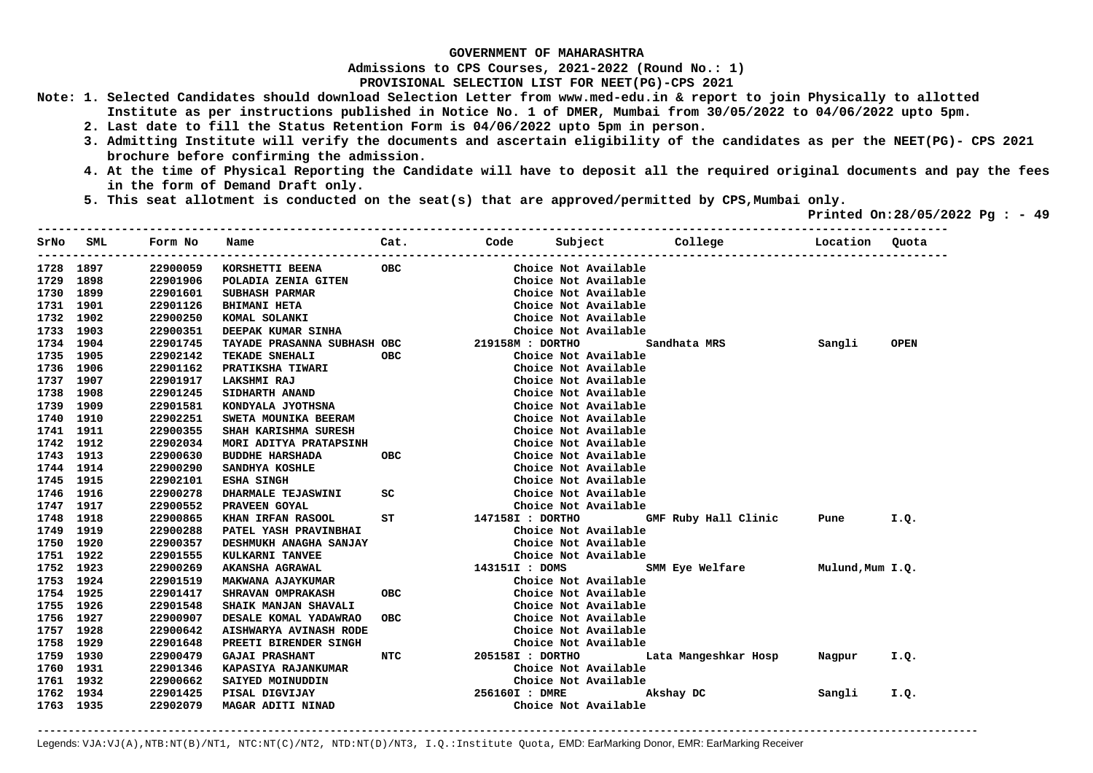**Admissions to CPS Courses, 2021-2022 (Round No.: 1)**

**PROVISIONAL SELECTION LIST FOR NEET(PG)-CPS 2021** 

- **Note: 1. Selected Candidates should download Selection Letter from www.med-edu.in & report to join Physically to allotted Institute as per instructions published in Notice No. 1 of DMER, Mumbai from 30/05/2022 to 04/06/2022 upto 5pm.** 
	- **2. Last date to fill the Status Retention Form is 04/06/2022 upto 5pm in person.**
	- **3. Admitting Institute will verify the documents and ascertain eligibility of the candidates as per the NEET(PG)- CPS 2021 brochure before confirming the admission.**
	- **4. At the time of Physical Reporting the Candidate will have to deposit all the required original documents and pay the fees in the form of Demand Draft only.**
	- **5. This seat allotment is conducted on the seat(s) that are approved/permitted by CPS,Mumbai only.**

 **Printed On:28/05/2022 Pg : - 49** 

| SrNo      | SML       | Form No  | Name                           | Cat.       | Code Subject     |                      | College              | Location         | Ouota       |
|-----------|-----------|----------|--------------------------------|------------|------------------|----------------------|----------------------|------------------|-------------|
| 1728      | 1897      | 22900059 | KORSHETTI BEENA                | <b>OBC</b> |                  | Choice Not Available |                      |                  |             |
|           | 1729 1898 | 22901906 | POLADIA ZENIA GITEN            |            |                  | Choice Not Available |                      |                  |             |
|           | 1730 1899 | 22901601 | <b>SUBHASH PARMAR</b>          |            |                  | Choice Not Available |                      |                  |             |
|           | 1731 1901 | 22901126 | <b>BHIMANI HETA</b>            |            |                  | Choice Not Available |                      |                  |             |
| 1732 1902 |           | 22900250 | KOMAL SOLANKI                  |            |                  | Choice Not Available |                      |                  |             |
|           | 1733 1903 | 22900351 | DEEPAK KUMAR SINHA             |            |                  | Choice Not Available |                      |                  |             |
|           | 1734 1904 | 22901745 | TAYADE PRASANNA SUBHASH OBC    |            | 219158M : DORTHO |                      | Sandhata MRS         | Sangli           | <b>OPEN</b> |
| 1735 1905 |           | 22902142 | TEKADE SNEHALI                 | <b>OBC</b> |                  | Choice Not Available |                      |                  |             |
|           | 1736 1906 | 22901162 | PRATIKSHA TIWARI               |            |                  | Choice Not Available |                      |                  |             |
|           | 1737 1907 | 22901917 | <b>LAKSHMI RAJ</b>             |            |                  | Choice Not Available |                      |                  |             |
|           | 1738 1908 | 22901245 | SIDHARTH ANAND                 |            |                  | Choice Not Available |                      |                  |             |
|           | 1739 1909 | 22901581 | KONDYALA JYOTHSNA              |            |                  | Choice Not Available |                      |                  |             |
|           | 1740 1910 | 22902251 | SWETA MOUNIKA BEERAM           |            |                  | Choice Not Available |                      |                  |             |
|           | 1741 1911 | 22900355 | SHAH KARISHMA SURESH           |            |                  | Choice Not Available |                      |                  |             |
|           | 1742 1912 | 22902034 | MORI ADITYA PRATAPSINH         |            |                  | Choice Not Available |                      |                  |             |
| 1743 1913 |           | 22900630 | <b>BUDDHE HARSHADA</b>         | <b>OBC</b> |                  | Choice Not Available |                      |                  |             |
|           | 1744 1914 | 22900290 | SANDHYA KOSHLE                 |            |                  | Choice Not Available |                      |                  |             |
| 1745 1915 |           | 22902101 | <b>ESHA SINGH</b>              |            |                  | Choice Not Available |                      |                  |             |
| 1746 1916 |           | 22900278 | <b>DHARMALE TEJASWINI</b>      | SC         |                  | Choice Not Available |                      |                  |             |
| 1747 1917 |           | 22900552 | PRAVEEN GOYAL                  |            |                  | Choice Not Available |                      |                  |             |
|           | 1748 1918 | 22900865 | KHAN IRFAN RASOOL<br><b>ST</b> |            | 147158I : DORTHO |                      | GMF Ruby Hall Clinic | Pune             | I.Q.        |
| 1749 1919 |           | 22900288 | PATEL YASH PRAVINBHAI          |            |                  | Choice Not Available |                      |                  |             |
|           | 1750 1920 | 22900357 | DESHMUKH ANAGHA SANJAY         |            |                  | Choice Not Available |                      |                  |             |
| 1751 1922 |           | 22901555 | KULKARNI TANVEE                |            |                  | Choice Not Available |                      |                  |             |
| 1752 1923 |           | 22900269 | <b>AKANSHA AGRAWAL</b>         |            | 143151I : DOMS   |                      | SMM Eye Welfare      | Mulund, Mum I.Q. |             |
|           | 1753 1924 | 22901519 | <b>MAKWANA AJAYKUMAR</b>       |            |                  | Choice Not Available |                      |                  |             |
| 1754 1925 |           | 22901417 | SHRAVAN OMPRAKASH              | OBC        |                  | Choice Not Available |                      |                  |             |
| 1755 1926 |           | 22901548 | SHAIK MANJAN SHAVALI           |            |                  | Choice Not Available |                      |                  |             |
| 1756 1927 |           | 22900907 | DESALE KOMAL YADAWRAO          | <b>OBC</b> |                  | Choice Not Available |                      |                  |             |
| 1757 1928 |           | 22900642 | AISHWARYA AVINASH RODE         |            |                  | Choice Not Available |                      |                  |             |
| 1758 1929 |           | 22901648 | PREETI BIRENDER SINGH          |            |                  | Choice Not Available |                      |                  |             |
| 1759 1930 |           | 22900479 | <b>GAJAI PRASHANT</b>          | NTC        | 205158I : DORTHO |                      | Lata Mangeshkar Hosp | Nagpur           | I.Q.        |
| 1760 1931 |           | 22901346 | <b>KAPASIYA RAJANKUMAR</b>     |            |                  | Choice Not Available |                      |                  |             |
| 1761 1932 |           | 22900662 | SAIYED MOINUDDIN               |            |                  | Choice Not Available |                      |                  |             |
|           | 1762 1934 | 22901425 | PISAL DIGVIJAY                 |            | 256160I : DMRE   |                      | Akshay DC            | Sangli           | I.Q.        |
|           | 1763 1935 | 22902079 | MAGAR ADITI NINAD              |            |                  | Choice Not Available |                      |                  |             |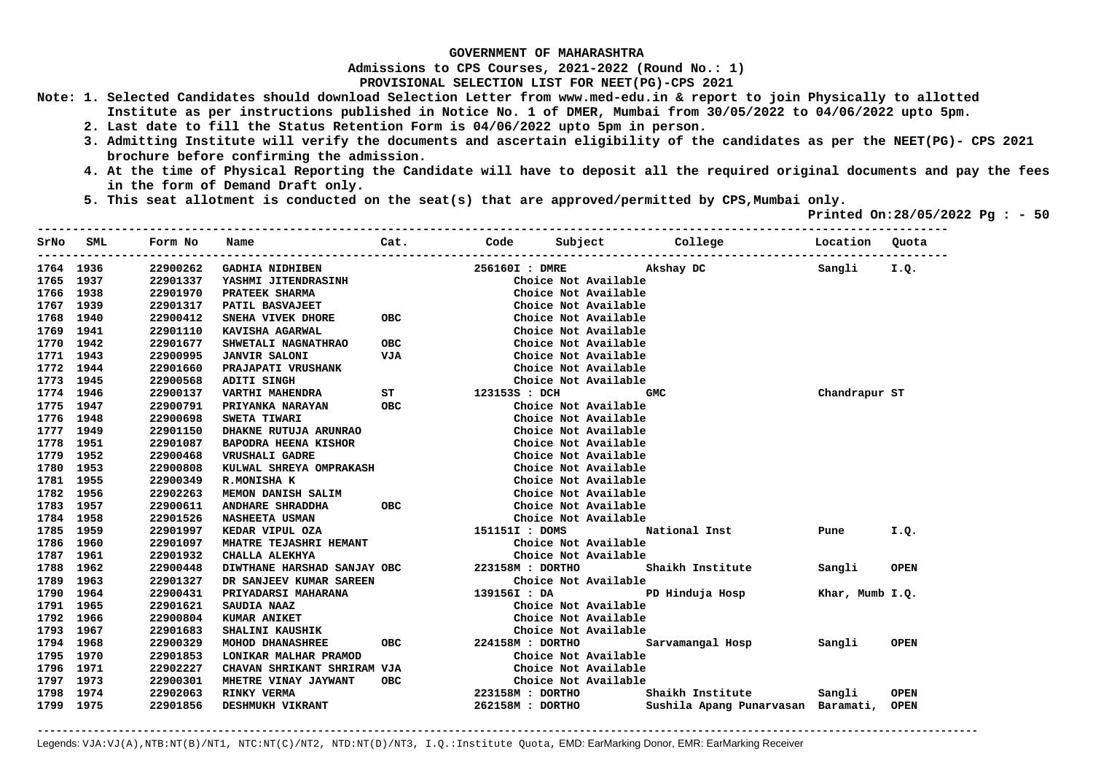**Admissions to CPS Courses, 2021-2022 (Round No.: 1)**

**PROVISIONAL SELECTION LIST FOR NEET(PG)-CPS 2021** 

- **Note: 1. Selected Candidates should download Selection Letter from www.med-edu.in & report to join Physically to allotted Institute as per instructions published in Notice No. 1 of DMER, Mumbai from 30/05/2022 to 04/06/2022 upto 5pm.** 
	- **2. Last date to fill the Status Retention Form is 04/06/2022 upto 5pm in person.**
	- **3. Admitting Institute will verify the documents and ascertain eligibility of the candidates as per the NEET(PG)- CPS 2021 brochure before confirming the admission.**
	- **4. At the time of Physical Reporting the Candidate will have to deposit all the required original documents and pay the fees in the form of Demand Draft only.**
	- **5. This seat allotment is conducted on the seat(s) that are approved/permitted by CPS,Mumbai only.**

 **Printed On:28/05/2022 Pg : - 50** 

| SrNo      | SML       | Form No  | Name                                         | Cat.       |                      |                      | Code Subject College               | Location Quota  |             |
|-----------|-----------|----------|----------------------------------------------|------------|----------------------|----------------------|------------------------------------|-----------------|-------------|
| 1764 1936 |           | 22900262 | <b>GADHIA NIDHIBEN</b>                       |            | 256160I : DMRE       |                      | Akshay DC                          | Sangli          | I.Q.        |
| 1765 1937 |           | 22901337 | YASHMI JITENDRASINH                          |            |                      | Choice Not Available |                                    |                 |             |
|           | 1766 1938 | 22901970 | PRATEEK SHARMA                               |            |                      | Choice Not Available |                                    |                 |             |
|           | 1767 1939 | 22901317 | PATIL BASVAJEET                              |            |                      | Choice Not Available |                                    |                 |             |
| 1768 1940 |           | 22900412 | SNEHA VIVEK DHORE                            | <b>OBC</b> |                      | Choice Not Available |                                    |                 |             |
|           | 1769 1941 | 22901110 | KAVISHA AGARWAL                              |            |                      | Choice Not Available |                                    |                 |             |
|           | 1770 1942 | 22901677 | SHWETALI NAGNATHRAO                          | <b>OBC</b> |                      | Choice Not Available |                                    |                 |             |
| 1771 1943 |           | 22900995 | <b>JANVIR SALONI</b>                         | VJA        |                      | Choice Not Available |                                    |                 |             |
|           | 1772 1944 | 22901660 | <b>PRAJAPATI VRUSHANK</b>                    |            |                      | Choice Not Available |                                    |                 |             |
| 1773 1945 |           | 22900568 | <b>ADITI SINGH</b>                           |            |                      | Choice Not Available |                                    |                 |             |
| 1774 1946 |           | 22900137 | XDIII DINGH<br>VARTHI MAHENDRA ST            |            | 123153S : DCH        |                      | <b>GMC</b>                         | Chandrapur ST   |             |
| 1775 1947 |           | 22900791 | <b>PRIYANKA NARAYAN</b>                      | OBC        |                      | Choice Not Available |                                    |                 |             |
|           | 1776 1948 | 22900698 | SWETA TIWARI                                 |            |                      | Choice Not Available |                                    |                 |             |
|           | 1777 1949 | 22901150 | DHAKNE RUTUJA ARUNRAO                        |            |                      | Choice Not Available |                                    |                 |             |
| 1778 1951 |           | 22901087 | BAPODRA HEENA KISHOR                         |            |                      | Choice Not Available |                                    |                 |             |
| 1779 1952 |           | 22900468 | <b>VRUSHALI GADRE</b>                        |            |                      | Choice Not Available |                                    |                 |             |
| 1780 1953 |           | 22900808 | KULWAL SHREYA OMPRAKASH                      |            |                      | Choice Not Available |                                    |                 |             |
| 1781 1955 |           | 22900349 | R.MONISHA K                                  |            |                      | Choice Not Available |                                    |                 |             |
| 1782 1956 |           | 22902263 | <b>MEMON DANISH SALIM</b>                    |            |                      | Choice Not Available |                                    |                 |             |
| 1783 1957 |           | 22900611 | <b>ANDHARE SHRADDHA</b>                      | OBC        |                      | Choice Not Available |                                    |                 |             |
| 1784 1958 |           | 22901526 | <b>NASHEETA USMAN</b>                        |            |                      | Choice Not Available |                                    |                 |             |
| 1785 1959 |           | 22901997 | KEDAR VIPUL OZA                              |            | 151151I : DOMS       |                      | National Inst                      | Pune            | I.Q.        |
| 1786 1960 |           | 22901097 | <b>MHATRE TEJASHRI HEMANT</b>                |            |                      | Choice Not Available |                                    |                 |             |
| 1787 1961 |           | 22901932 | CHALLA ALEKHYA                               |            |                      | Choice Not Available |                                    |                 |             |
|           | 1788 1962 | 22900448 | DIWTHANE HARSHAD SANJAY OBC 223158M : DORTHO |            |                      |                      | Shaikh Institute                   | Sangli          | <b>OPEN</b> |
| 1789 1963 |           | 22901327 | DR SANJEEV KUMAR SAREEN                      |            |                      | Choice Not Available |                                    |                 |             |
|           | 1790 1964 | 22900431 | <b>PRIYADARSI MAHARANA</b>                   |            | 139156I : DA         |                      | PD Hinduja Hosp                    | Khar, Mumb I.Q. |             |
| 1791 1965 |           | 22901621 | SAUDIA NAAZ                                  |            |                      | Choice Not Available |                                    |                 |             |
| 1792 1966 |           | 22900804 | <b>KUMAR ANIKET</b>                          |            |                      | Choice Not Available |                                    |                 |             |
| 1793 1967 |           | 22901683 | <b>SHALINI KAUSHIK</b>                       |            |                      | Choice Not Available |                                    |                 |             |
| 1794 1968 |           | 22900329 | MOHOD DHANASHREE                             |            | OBC 224158M : DORTHO |                      | Sarvamangal Hosp                   | Sangli          | <b>OPEN</b> |
| 1795 1970 |           | 22901853 | LONIKAR MALHAR PRAMOD                        |            |                      | Choice Not Available |                                    |                 |             |
| 1796 1971 |           | 22902227 | CHAVAN SHRIKANT SHRIRAM VJA                  |            |                      | Choice Not Available |                                    |                 |             |
| 1797 1973 |           | 22900301 | MHETRE VINAY JAYWANT                         | OBC        |                      | Choice Not Available |                                    |                 |             |
|           | 1798 1974 | 22902063 | RINKY VERMA                                  |            | 223158M : DORTHO     |                      | Shaikh Institute                   | Sangli          | <b>OPEN</b> |
| 1799 1975 |           | 22901856 | DESHMUKH VIKRANT                             |            | 262158M : DORTHO     |                      | Sushila Apang Punarvasan Baramati, |                 | <b>OPEN</b> |
|           |           |          |                                              |            |                      |                      |                                    |                 |             |

**-------------------------------------------------------------------------------------------------------------------------------------------------------**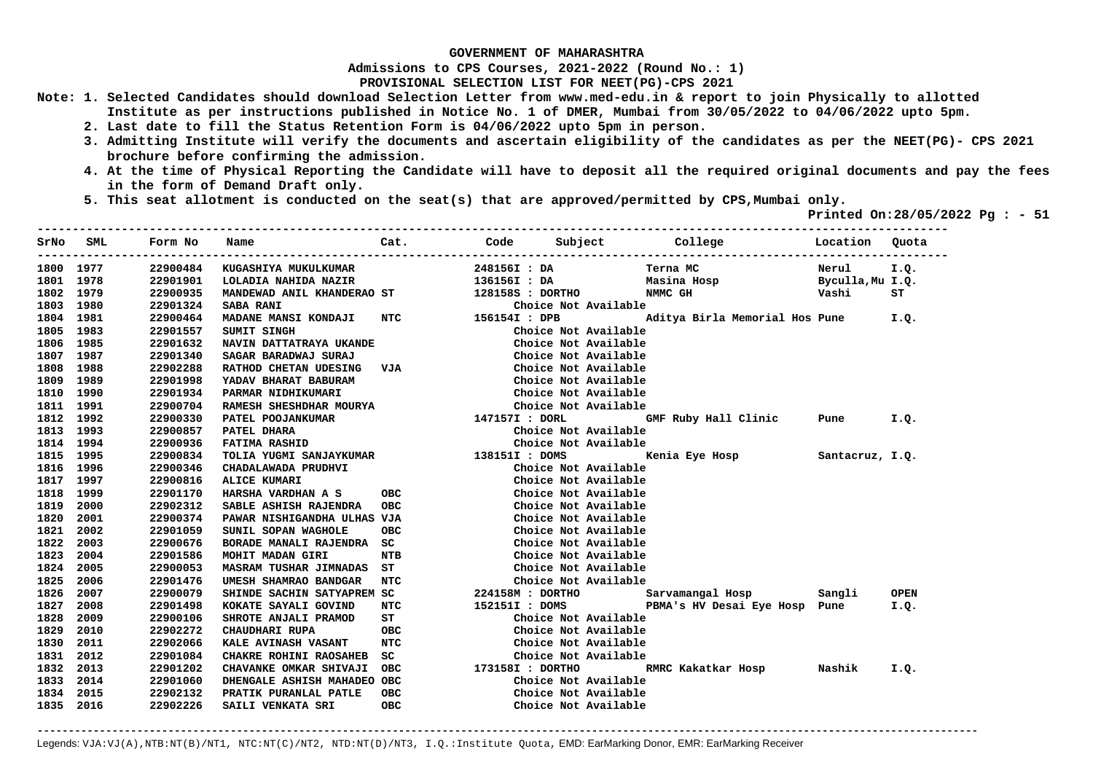**Admissions to CPS Courses, 2021-2022 (Round No.: 1)**

**PROVISIONAL SELECTION LIST FOR NEET(PG)-CPS 2021** 

- **Note: 1. Selected Candidates should download Selection Letter from www.med-edu.in & report to join Physically to allotted Institute as per instructions published in Notice No. 1 of DMER, Mumbai from 30/05/2022 to 04/06/2022 upto 5pm.** 
	- **2. Last date to fill the Status Retention Form is 04/06/2022 upto 5pm in person.**
	- **3. Admitting Institute will verify the documents and ascertain eligibility of the candidates as per the NEET(PG)- CPS 2021 brochure before confirming the admission.**
	- **4. At the time of Physical Reporting the Candidate will have to deposit all the required original documents and pay the fees in the form of Demand Draft only.**
	- **5. This seat allotment is conducted on the seat(s) that are approved/permitted by CPS,Mumbai only.**

 **Printed On:28/05/2022 Pg : - 51** 

| SrNo | <b>SML</b> | Form No  | Name                          | Cat.       |                  |                      | Code Subject College           | Location         | Quota       |
|------|------------|----------|-------------------------------|------------|------------------|----------------------|--------------------------------|------------------|-------------|
| 1800 | 1977       | 22900484 | KUGASHIYA MUKULKUMAR          |            | 248156I : DA     |                      | Terna MC                       | Nerul            | I.Q.        |
| 1801 | 1978       | 22901901 | LOLADIA NAHIDA NAZIR          |            | 136156I : DA     |                      | Masina Hosp                    | Byculla, Mu I.Q. |             |
| 1802 | 1979       | 22900935 | MANDEWAD ANIL KHANDERAO ST    |            | 128158S : DORTHO |                      | NMMC GH                        | Vashi            | ST          |
| 1803 | 1980       | 22901324 | <b>SABA RANI</b>              |            |                  | Choice Not Available |                                |                  |             |
| 1804 | 1981       | 22900464 | MADANE MANSI KONDAJI          | <b>NTC</b> | 156154I : DPB    |                      | Aditya Birla Memorial Hos Pune |                  | I.Q.        |
| 1805 | 1983       | 22901557 | SUMIT SINGH                   |            |                  | Choice Not Available |                                |                  |             |
| 1806 | 1985       | 22901632 | NAVIN DATTATRAYA UKANDE       |            |                  | Choice Not Available |                                |                  |             |
| 1807 | 1987       | 22901340 | SAGAR BARADWAJ SURAJ          |            |                  | Choice Not Available |                                |                  |             |
| 1808 | 1988       | 22902288 | <b>RATHOD CHETAN UDESING</b>  | VJA        |                  | Choice Not Available |                                |                  |             |
| 1809 | 1989       | 22901998 | YADAV BHARAT BABURAM          |            |                  | Choice Not Available |                                |                  |             |
| 1810 | 1990       | 22901934 | PARMAR NIDHIKUMARI            |            |                  | Choice Not Available |                                |                  |             |
| 1811 | 1991       | 22900704 | RAMESH SHESHDHAR MOURYA       |            |                  | Choice Not Available |                                |                  |             |
| 1812 | 1992       | 22900330 | PATEL POOJANKUMAR             |            | 147157I : DORL   |                      | GMF Ruby Hall Clinic           | Pune             | I.Q.        |
| 1813 | 1993       | 22900857 | PATEL DHARA                   |            |                  | Choice Not Available |                                |                  |             |
| 1814 | 1994       | 22900936 | <b>FATIMA RASHID</b>          |            |                  | Choice Not Available |                                |                  |             |
| 1815 | 1995       | 22900834 | TOLIA YUGMI SANJAYKUMAR       |            | 138151I : DOMS   |                      | Kenia Eye Hosp                 | Santacruz, I.Q.  |             |
| 1816 | 1996       | 22900346 | CHADALAWADA PRUDHVI           |            |                  | Choice Not Available |                                |                  |             |
| 1817 | 1997       | 22900816 | <b>ALICE KUMARI</b>           |            |                  | Choice Not Available |                                |                  |             |
| 1818 | 1999       | 22901170 | HARSHA VARDHAN A S            | <b>OBC</b> |                  | Choice Not Available |                                |                  |             |
| 1819 | 2000       | 22902312 | SABLE ASHISH RAJENDRA         | <b>OBC</b> |                  | Choice Not Available |                                |                  |             |
| 1820 | 2001       | 22900374 | PAWAR NISHIGANDHA ULHAS       | VJA        |                  | Choice Not Available |                                |                  |             |
| 1821 | 2002       | 22901059 | SUNIL SOPAN WAGHOLE           | OBC        |                  | Choice Not Available |                                |                  |             |
| 1822 | 2003       | 22900676 | BORADE MANALI RAJENDRA        | SC         |                  | Choice Not Available |                                |                  |             |
| 1823 | 2004       | 22901586 | MOHIT MADAN GIRI              | NTB        |                  | Choice Not Available |                                |                  |             |
| 1824 | 2005       | 22900053 | <b>MASRAM TUSHAR JIMNADAS</b> | ST         |                  | Choice Not Available |                                |                  |             |
| 1825 | 2006       | 22901476 | UMESH SHAMRAO BANDGAR         | NTC        |                  | Choice Not Available |                                |                  |             |
| 1826 | 2007       | 22900079 | SHINDE SACHIN SATYAPREM SC    |            | 224158M : DORTHO |                      | Sarvamangal Hosp               | Sangli           | <b>OPEN</b> |
| 1827 | 2008       | 22901498 | KOKATE SAYALI GOVIND          | NTC        | 152151I : DOMS   |                      | PBMA's HV Desai Eye Hosp Pune  |                  | I.Q.        |
| 1828 | 2009       | 22900106 | SHROTE ANJALI PRAMOD          | ST         |                  | Choice Not Available |                                |                  |             |
| 1829 | 2010       | 22902272 | <b>CHAUDHARI RUPA</b>         | <b>OBC</b> |                  | Choice Not Available |                                |                  |             |
| 1830 | 2011       | 22902066 | KALE AVINASH VASANT           | <b>NTC</b> |                  | Choice Not Available |                                |                  |             |
| 1831 | 2012       | 22901084 | <b>CHAKRE ROHINI RAOSAHEB</b> | sc         |                  | Choice Not Available |                                |                  |             |
| 1832 | 2013       | 22901202 | CHAVANKE OMKAR SHIVAJI        | <b>OBC</b> | 173158I : DORTHO |                      | RMRC Kakatkar Hosp             | Nashik           | I.Q.        |
| 1833 | 2014       | 22901060 | DHENGALE ASHISH MAHADEO       | <b>OBC</b> |                  | Choice Not Available |                                |                  |             |
| 1834 | 2015       | 22902132 | PRATIK PURANLAL PATLE         | <b>OBC</b> |                  | Choice Not Available |                                |                  |             |
| 1835 | 2016       | 22902226 | SAILI VENKATA SRI             | <b>OBC</b> |                  | Choice Not Available |                                |                  |             |
|      |            |          |                               |            |                  |                      |                                |                  |             |

**-------------------------------------------------------------------------------------------------------------------------------------------------------**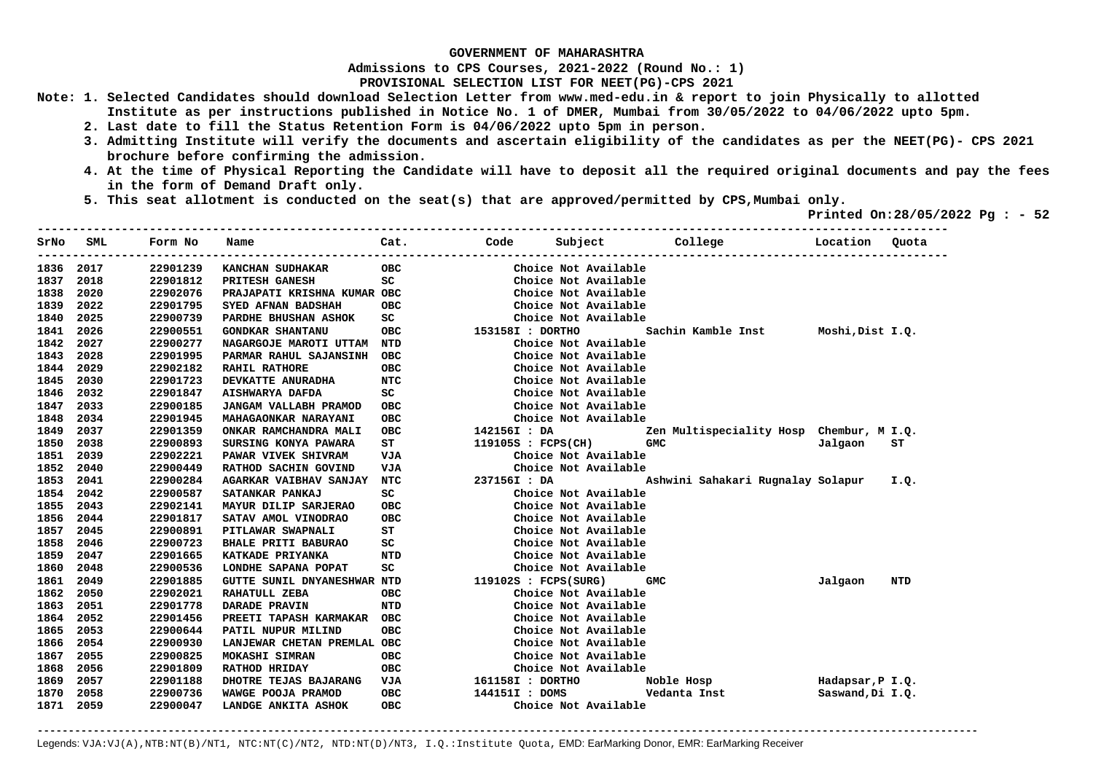**Admissions to CPS Courses, 2021-2022 (Round No.: 1)**

**PROVISIONAL SELECTION LIST FOR NEET(PG)-CPS 2021** 

- **Note: 1. Selected Candidates should download Selection Letter from www.med-edu.in & report to join Physically to allotted Institute as per instructions published in Notice No. 1 of DMER, Mumbai from 30/05/2022 to 04/06/2022 upto 5pm.** 
	- **2. Last date to fill the Status Retention Form is 04/06/2022 upto 5pm in person.**
	- **3. Admitting Institute will verify the documents and ascertain eligibility of the candidates as per the NEET(PG)- CPS 2021 brochure before confirming the admission.**
	- **4. At the time of Physical Reporting the Candidate will have to deposit all the required original documents and pay the fees in the form of Demand Draft only.**
	- **5. This seat allotment is conducted on the seat(s) that are approved/permitted by CPS,Mumbai only.**

 **Printed On:28/05/2022 Pg : - 52** 

| SrNo | SML  | Form No  | Name                        | Cat.       | Code                 | Subject |                      | College                                  | Location         | Quota |
|------|------|----------|-----------------------------|------------|----------------------|---------|----------------------|------------------------------------------|------------------|-------|
| 1836 | 2017 | 22901239 | KANCHAN SUDHAKAR            | OBC        |                      |         | Choice Not Available |                                          |                  |       |
| 1837 | 2018 | 22901812 | PRITESH GANESH              | SC         |                      |         | Choice Not Available |                                          |                  |       |
| 1838 | 2020 | 22902076 | PRAJAPATI KRISHNA KUMAR OBC |            |                      |         | Choice Not Available |                                          |                  |       |
| 1839 | 2022 | 22901795 | SYED AFNAN BADSHAH          | <b>OBC</b> |                      |         | Choice Not Available |                                          |                  |       |
| 1840 | 2025 | 22900739 | PARDHE BHUSHAN ASHOK        | SC         |                      |         | Choice Not Available |                                          |                  |       |
| 1841 | 2026 | 22900551 | <b>GONDKAR SHANTANU</b>     | OBC        | 153158I : DORTHO     |         |                      | Sachin Kamble Inst                       | Moshi, Dist I.Q. |       |
| 1842 | 2027 | 22900277 | NAGARGOJE MAROTI UTTAM      | NTD        |                      |         | Choice Not Available |                                          |                  |       |
| 1843 | 2028 | 22901995 | PARMAR RAHUL SAJANSINH      | овс        |                      |         | Choice Not Available |                                          |                  |       |
| 1844 | 2029 | 22902182 | <b>RAHIL RATHORE</b>        | <b>OBC</b> |                      |         | Choice Not Available |                                          |                  |       |
| 1845 | 2030 | 22901723 | DEVKATTE ANURADHA           | NTC        |                      |         | Choice Not Available |                                          |                  |       |
| 1846 | 2032 | 22901847 | AISHWARYA DAFDA             | SC         |                      |         | Choice Not Available |                                          |                  |       |
| 1847 | 2033 | 22900185 | JANGAM VALLABH PRAMOD       | <b>OBC</b> |                      |         | Choice Not Available |                                          |                  |       |
| 1848 | 2034 | 22901945 | MAHAGAONKAR NARAYANI        | <b>OBC</b> |                      |         | Choice Not Available |                                          |                  |       |
| 1849 | 2037 | 22901359 | ONKAR RAMCHANDRA MALI       | <b>OBC</b> | 142156I : DA         |         |                      | Zen Multispeciality Hosp Chembur, M I.Q. |                  |       |
| 1850 | 2038 | 22900893 | SURSING KONYA PAWARA        | ST         | $119105S$ : FCPS(CH) |         |                      | <b>GMC</b>                               | Jalgaon          | SТ    |
| 1851 | 2039 | 22902221 | PAWAR VIVEK SHIVRAM         | VJA        |                      |         | Choice Not Available |                                          |                  |       |
| 1852 | 2040 | 22900449 | RATHOD SACHIN GOVIND        | VJA        |                      |         | Choice Not Available |                                          |                  |       |
| 1853 | 2041 | 22900284 | AGARKAR VAIBHAV SANJAY      | NTC        | 237156I : DA         |         |                      | Ashwini Sahakari Rugnalay Solapur        |                  | I.Q.  |
| 1854 | 2042 | 22900587 | SATANKAR PANKAJ             | SC         |                      |         | Choice Not Available |                                          |                  |       |
| 1855 | 2043 | 22902141 | MAYUR DILIP SARJERAO        | овс        |                      |         | Choice Not Available |                                          |                  |       |
| 1856 | 2044 | 22901817 | SATAV AMOL VINODRAO         | <b>OBC</b> |                      |         | Choice Not Available |                                          |                  |       |
| 1857 | 2045 | 22900891 | PITLAWAR SWAPNALI           | ST         |                      |         | Choice Not Available |                                          |                  |       |
| 1858 | 2046 | 22900723 | <b>BHALE PRITI BABURAO</b>  | SC         |                      |         | Choice Not Available |                                          |                  |       |
| 1859 | 2047 | 22901665 | KATKADE PRIYANKA            | NTD        |                      |         | Choice Not Available |                                          |                  |       |
| 1860 | 2048 | 22900536 | LONDHE SAPANA POPAT         | SC         |                      |         | Choice Not Available |                                          |                  |       |
| 1861 | 2049 | 22901885 | GUTTE SUNIL DNYANESHWAR NTD |            | 119102S : FCPS(SURG) |         |                      | GMC                                      | Jalgaon          | NTD   |
| 1862 | 2050 | 22902021 | RAHATULL ZEBA               | OBC        |                      |         | Choice Not Available |                                          |                  |       |
| 1863 | 2051 | 22901778 | DARADE PRAVIN               | NTD        |                      |         | Choice Not Available |                                          |                  |       |
| 1864 | 2052 | 22901456 | PREETI TAPASH KARMAKAR      | овс        |                      |         | Choice Not Available |                                          |                  |       |
| 1865 | 2053 | 22900644 | PATIL NUPUR MILIND          | OBC        |                      |         | Choice Not Available |                                          |                  |       |
| 1866 | 2054 | 22900930 | LANJEWAR CHETAN PREMLAL OBC |            |                      |         | Choice Not Available |                                          |                  |       |
| 1867 | 2055 | 22900825 | MOKASHI SIMRAN              | <b>OBC</b> |                      |         | Choice Not Available |                                          |                  |       |
| 1868 | 2056 | 22901809 | <b>RATHOD HRIDAY</b>        | OBC        |                      |         | Choice Not Available |                                          |                  |       |
| 1869 | 2057 | 22901188 | DHOTRE TEJAS BAJARANG       | VJA        | 161158I : DORTHO     |         |                      | Noble Hosp                               | Hadapsar, P I.Q. |       |
| 1870 | 2058 | 22900736 | WAWGE POOJA PRAMOD          | OBC        | 144151I : DOMS       |         |                      | Vedanta Inst                             | Saswand, Di I.Q. |       |
| 1871 | 2059 | 22900047 | LANDGE ANKITA ASHOK         | <b>OBC</b> |                      |         | Choice Not Available |                                          |                  |       |

**-------------------------------------------------------------------------------------------------------------------------------------------------------**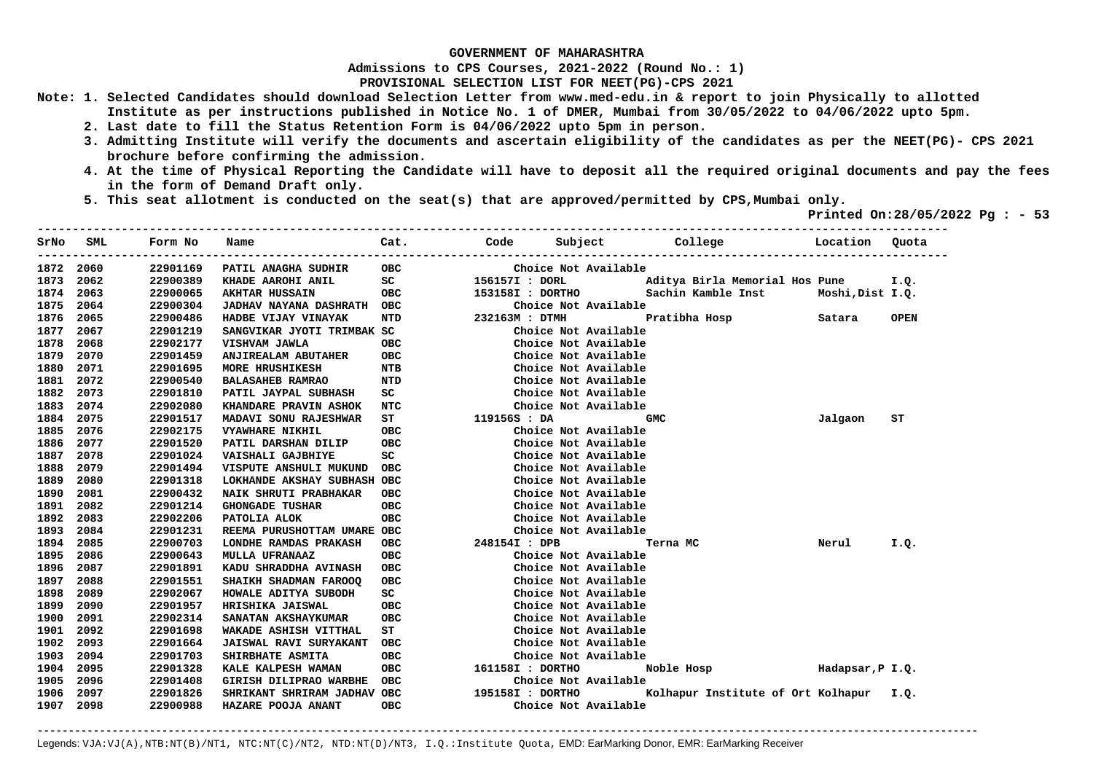**Admissions to CPS Courses, 2021-2022 (Round No.: 1)**

**PROVISIONAL SELECTION LIST FOR NEET(PG)-CPS 2021** 

- **Note: 1. Selected Candidates should download Selection Letter from www.med-edu.in & report to join Physically to allotted Institute as per instructions published in Notice No. 1 of DMER, Mumbai from 30/05/2022 to 04/06/2022 upto 5pm.** 
	- **2. Last date to fill the Status Retention Form is 04/06/2022 upto 5pm in person.**
	- **3. Admitting Institute will verify the documents and ascertain eligibility of the candidates as per the NEET(PG)- CPS 2021 brochure before confirming the admission.**
	- **4. At the time of Physical Reporting the Candidate will have to deposit all the required original documents and pay the fees in the form of Demand Draft only.**
	- **5. This seat allotment is conducted on the seat(s) that are approved/permitted by CPS,Mumbai only.**

 **Printed On:28/05/2022 Pg : - 53**   $-1.1$ 

| SrNo | SML  | Form No  | Name                        | Cat.       |                  | Code Subject College |               |                                         | Location | Quota       |
|------|------|----------|-----------------------------|------------|------------------|----------------------|---------------|-----------------------------------------|----------|-------------|
| 1872 | 2060 | 22901169 | PATIL ANAGHA SUDHIR         | <b>OBC</b> |                  | Choice Not Available |               |                                         |          |             |
| 1873 | 2062 | 22900389 | KHADE AAROHI ANIL           | SC         | 156157I : DORL   |                      |               | Aditya Birla Memorial Hos Pune          |          | I.Q.        |
| 1874 | 2063 | 22900065 | <b>AKHTAR HUSSAIN</b>       | ОВС        | 153158I : DORTHO |                      |               | Sachin Kamble Inst Moshi, Dist I.Q.     |          |             |
| 1875 | 2064 | 22900304 | JADHAV NAYANA DASHRATH OBC  |            |                  | Choice Not Available |               |                                         |          |             |
| 1876 | 2065 | 22900486 | HADBE VIJAY VINAYAK         | NTD        | 232163M : DTMH   |                      | Pratibha Hosp |                                         | Satara   | <b>OPEN</b> |
| 1877 | 2067 | 22901219 | SANGVIKAR JYOTI TRIMBAK SC  |            |                  | Choice Not Available |               |                                         |          |             |
| 1878 | 2068 | 22902177 | VISHVAM JAWLA               | овс        |                  | Choice Not Available |               |                                         |          |             |
| 1879 | 2070 | 22901459 | <b>ANJIREALAM ABUTAHER</b>  | ОВС        |                  | Choice Not Available |               |                                         |          |             |
| 1880 | 2071 | 22901695 | <b>MORE HRUSHIKESH</b>      | <b>NTB</b> |                  | Choice Not Available |               |                                         |          |             |
| 1881 | 2072 | 22900540 | <b>BALASAHEB RAMRAO</b>     | NTD        |                  | Choice Not Available |               |                                         |          |             |
| 1882 | 2073 | 22901810 | PATIL JAYPAL SUBHASH        | SC         |                  | Choice Not Available |               |                                         |          |             |
| 1883 | 2074 | 22902080 | KHANDARE PRAVIN ASHOK       | NTC        |                  | Choice Not Available |               |                                         |          |             |
| 1884 | 2075 | 22901517 | MADAVI SONU RAJESHWAR       | ST         | 119156S : DA     |                      | <b>GMC</b>    |                                         | Jalgaon  | ST          |
| 1885 | 2076 | 22902175 | <b>VYAWHARE NIKHIL</b>      | <b>OBC</b> |                  | Choice Not Available |               |                                         |          |             |
| 1886 | 2077 | 22901520 | PATIL DARSHAN DILIP         | <b>OBC</b> |                  | Choice Not Available |               |                                         |          |             |
| 1887 | 2078 | 22901024 | VAISHALI GAJBHIYE           | SC         |                  | Choice Not Available |               |                                         |          |             |
| 1888 | 2079 | 22901494 | VISPUTE ANSHULI MUKUND      | ОВС        |                  | Choice Not Available |               |                                         |          |             |
| 1889 | 2080 | 22901318 | LOKHANDE AKSHAY SUBHASH OBC |            |                  | Choice Not Available |               |                                         |          |             |
| 1890 | 2081 | 22900432 | NAIK SHRUTI PRABHAKAR       | <b>OBC</b> |                  | Choice Not Available |               |                                         |          |             |
| 1891 | 2082 | 22901214 | <b>GHONGADE TUSHAR</b>      | <b>OBC</b> |                  | Choice Not Available |               |                                         |          |             |
| 1892 | 2083 | 22902206 | PATOLIA ALOK                | OBC.       |                  | Choice Not Available |               |                                         |          |             |
| 1893 | 2084 | 22901231 | REEMA PURUSHOTTAM UMARE OBC |            |                  | Choice Not Available |               |                                         |          |             |
| 1894 | 2085 | 22900703 | LONDHE RAMDAS PRAKASH       | OBC        | 248154I : DPB    |                      | Terna MC      |                                         | Nerul    | I.Q.        |
| 1895 | 2086 | 22900643 | <b>MULLA UFRANAAZ</b>       | <b>OBC</b> |                  | Choice Not Available |               |                                         |          |             |
| 1896 | 2087 | 22901891 | KADU SHRADDHA AVINASH       | <b>OBC</b> |                  | Choice Not Available |               |                                         |          |             |
| 1897 | 2088 | 22901551 | SHAIKH SHADMAN FAROOQ       | <b>OBC</b> |                  | Choice Not Available |               |                                         |          |             |
| 1898 | 2089 | 22902067 | HOWALE ADITYA SUBODH        | SC         |                  | Choice Not Available |               |                                         |          |             |
| 1899 | 2090 | 22901957 | HRISHIKA JAISWAL            | ОВС        |                  | Choice Not Available |               |                                         |          |             |
| 1900 | 2091 | 22902314 | <b>SANATAN AKSHAYKUMAR</b>  | ОВС        |                  | Choice Not Available |               |                                         |          |             |
| 1901 | 2092 | 22901698 | WAKADE ASHISH VITTHAL       | ST         |                  | Choice Not Available |               |                                         |          |             |
| 1902 | 2093 | 22901664 | JAISWAL RAVI SURYAKANT      | OBC        |                  | Choice Not Available |               |                                         |          |             |
| 1903 | 2094 | 22901703 | SHIRBHATE ASMITA            | ОВС        |                  | Choice Not Available |               |                                         |          |             |
| 1904 | 2095 | 22901328 | KALE KALPESH WAMAN          | овс        | 161158I : DORTHO |                      |               | Noble Hosp Mode Hadapsar, P I.Q.        |          |             |
| 1905 | 2096 | 22901408 | GIRISH DILIPRAO WARBHE      | <b>OBC</b> |                  | Choice Not Available |               |                                         |          |             |
| 1906 | 2097 | 22901826 | SHRIKANT SHRIRAM JADHAV OBC |            | 195158I : DORTHO |                      |               | Kolhapur Institute of Ort Kolhapur I.Q. |          |             |
| 1907 | 2098 | 22900988 | HAZARE POOJA ANANT          | <b>OBC</b> |                  | Choice Not Available |               |                                         |          |             |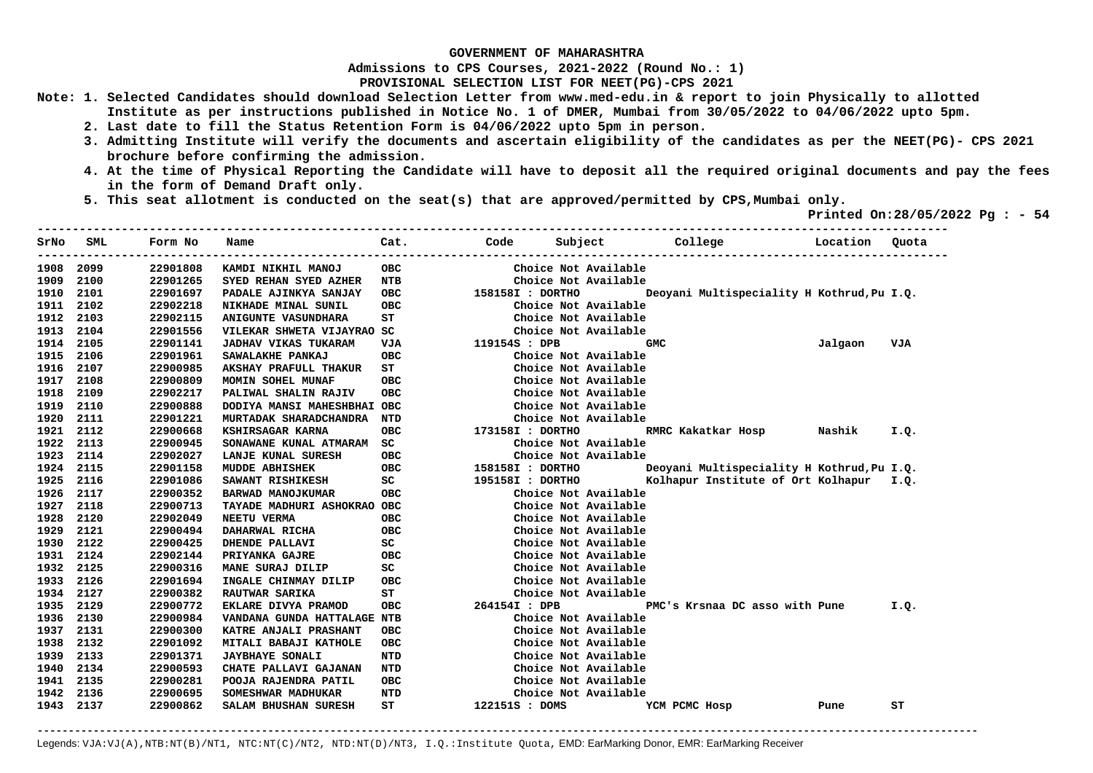**Admissions to CPS Courses, 2021-2022 (Round No.: 1)**

**PROVISIONAL SELECTION LIST FOR NEET(PG)-CPS 2021** 

- **Note: 1. Selected Candidates should download Selection Letter from www.med-edu.in & report to join Physically to allotted Institute as per instructions published in Notice No. 1 of DMER, Mumbai from 30/05/2022 to 04/06/2022 upto 5pm.** 
	- **2. Last date to fill the Status Retention Form is 04/06/2022 upto 5pm in person.**
	- **3. Admitting Institute will verify the documents and ascertain eligibility of the candidates as per the NEET(PG)- CPS 2021 brochure before confirming the admission.**
	- **4. At the time of Physical Reporting the Candidate will have to deposit all the required original documents and pay the fees in the form of Demand Draft only.**
	- **5. This seat allotment is conducted on the seat(s) that are approved/permitted by CPS,Mumbai only.**

 **Printed On:28/05/2022 Pg : - 54** 

| SrNo      | SML       | Form No  | Name                        | Cat.       | Code             | Subject              | College                                    | Location | Quota |
|-----------|-----------|----------|-----------------------------|------------|------------------|----------------------|--------------------------------------------|----------|-------|
| 1908      | 2099      | 22901808 | KAMDI NIKHIL MANOJ          | <b>OBC</b> |                  | Choice Not Available |                                            |          |       |
| 1909      | 2100      | 22901265 | SYED REHAN SYED AZHER       | NTB        |                  | Choice Not Available |                                            |          |       |
| 1910      | 2101      | 22901697 | PADALE AJINKYA SANJAY       | ОВС        | 158158I : DORTHO |                      | Deoyani Multispeciality H Kothrud, Pu I.Q. |          |       |
| 1911      | 2102      | 22902218 | NIKHADE MINAL SUNIL         | OBC        |                  | Choice Not Available |                                            |          |       |
| 1912      | 2103      | 22902115 | <b>ANIGUNTE VASUNDHARA</b>  | ST         |                  | Choice Not Available |                                            |          |       |
| 1913      | 2104      | 22901556 | VILEKAR SHWETA VIJAYRAO SC  |            |                  | Choice Not Available |                                            |          |       |
| 1914      | 2105      | 22901141 | <b>JADHAV VIKAS TUKARAM</b> | VJA        | 119154S : DPB    |                      | <b>GMC</b>                                 | Jalgaon  | VJA   |
| 1915      | 2106      | 22901961 | SAWALAKHE PANKAJ            | <b>OBC</b> |                  | Choice Not Available |                                            |          |       |
| 1916      | 2107      | 22900985 | AKSHAY PRAFULL THAKUR       | ST         |                  | Choice Not Available |                                            |          |       |
| 1917      | 2108      | 22900809 | MOMIN SOHEL MUNAF           | овс        |                  | Choice Not Available |                                            |          |       |
| 1918      | 2109      | 22902217 | PALIWAL SHALIN RAJIV        | <b>OBC</b> |                  | Choice Not Available |                                            |          |       |
| 1919      | 2110      | 22900888 | DODIYA MANSI MAHESHBHAI OBC |            |                  | Choice Not Available |                                            |          |       |
| 1920      | 2111      | 22901221 | MURTADAK SHARADCHANDRA      | NTD        |                  | Choice Not Available |                                            |          |       |
| 1921 2112 |           | 22900668 | KSHIRSAGAR KARNA            | <b>OBC</b> | 173158I : DORTHO |                      | RMRC Kakatkar Hosp                         | Nashik   | I.Q.  |
| 1922      | 2113      | 22900945 | SONAWANE KUNAL ATMARAM      | SC         |                  | Choice Not Available |                                            |          |       |
| 1923      | 2114      | 22902027 | LANJE KUNAL SURESH          | ОВС        |                  | Choice Not Available |                                            |          |       |
| 1924      | 2115      | 22901158 | <b>MUDDE ABHISHEK</b>       | ОВС        | 158158I : DORTHO |                      | Deoyani Multispeciality H Kothrud, Pu I.Q. |          |       |
| 1925      | 2116      | 22901086 | SAWANT RISHIKESH            | SC         | 195158I : DORTHO |                      | Kolhapur Institute of Ort Kolhapur I.Q.    |          |       |
| 1926      | 2117      | 22900352 | BARWAD MANOJKUMAR           | овс        |                  | Choice Not Available |                                            |          |       |
| 1927      | 2118      | 22900713 | TAYADE MADHURI ASHOKRAO OBC |            |                  | Choice Not Available |                                            |          |       |
| 1928      | 2120      | 22902049 | NEETU VERMA                 | <b>OBC</b> |                  | Choice Not Available |                                            |          |       |
| 1929      | 2121      | 22900494 | DAHARWAL RICHA              | <b>OBC</b> |                  | Choice Not Available |                                            |          |       |
| 1930      | 2122      | 22900425 | <b>DHENDE PALLAVI</b>       | SC         |                  | Choice Not Available |                                            |          |       |
| 1931      | 2124      | 22902144 | PRIYANKA GAJRE              | <b>OBC</b> |                  | Choice Not Available |                                            |          |       |
| 1932      | 2125      | 22900316 | MANE SURAJ DILIP            | SC         |                  | Choice Not Available |                                            |          |       |
|           | 1933 2126 | 22901694 | INGALE CHINMAY DILIP        | OBC        |                  | Choice Not Available |                                            |          |       |
|           | 1934 2127 | 22900382 | RAUTWAR SARIKA              | ST         |                  | Choice Not Available |                                            |          |       |
| 1935      | 2129      | 22900772 | EKLARE DIVYA PRAMOD         | OBC        | 264154I : DPB    |                      | PMC's Krsnaa DC asso with Pune             |          | I.Q.  |
| 1936      | 2130      | 22900984 | VANDANA GUNDA HATTALAGE NTB |            |                  | Choice Not Available |                                            |          |       |
| 1937      | 2131      | 22900300 | KATRE ANJALI PRASHANT       | <b>OBC</b> |                  | Choice Not Available |                                            |          |       |
| 1938      | 2132      | 22901092 | MITALI BABAJI KATHOLE       | <b>OBC</b> |                  | Choice Not Available |                                            |          |       |
| 1939      | 2133      | 22901371 | <b>JAYBHAYE SONALI</b>      | NTD        |                  | Choice Not Available |                                            |          |       |
| 1940      | 2134      | 22900593 | CHATE PALLAVI GAJANAN       | NTD        |                  | Choice Not Available |                                            |          |       |
| 1941      | 2135      | 22900281 | POOJA RAJENDRA PATIL        | OBC        |                  | Choice Not Available |                                            |          |       |
| 1942      | 2136      | 22900695 | SOMESHWAR MADHUKAR          | NTD        |                  | Choice Not Available |                                            |          |       |
|           | 1943 2137 | 22900862 | SALAM BHUSHAN SURESH        | ST         | 122151S : DOMS   |                      | YCM PCMC Hosp                              | Pune     | ST    |